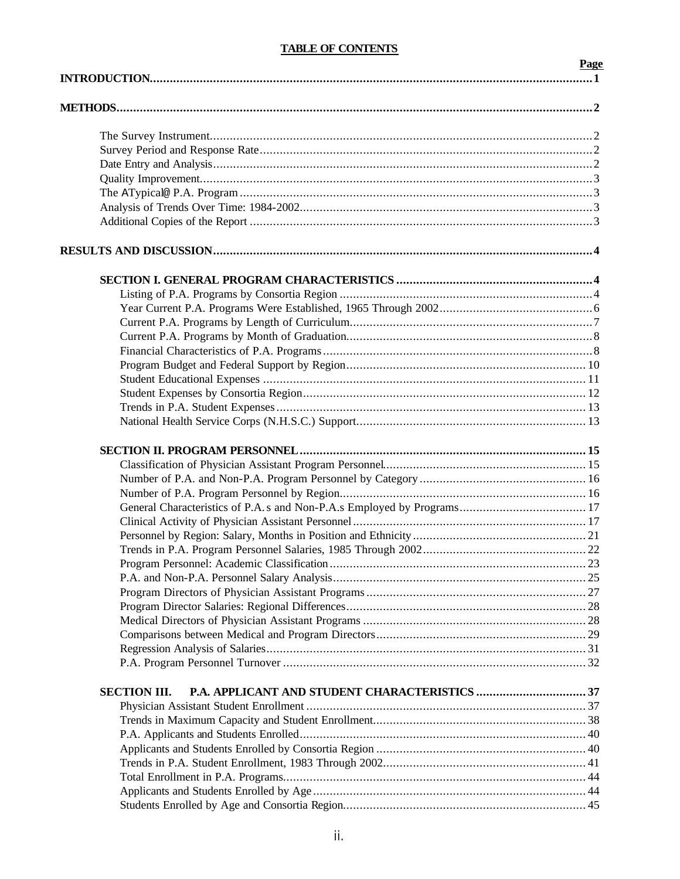# **TABLE OF CONTENTS**

|                     | Page |
|---------------------|------|
|                     |      |
|                     |      |
|                     |      |
|                     |      |
|                     |      |
|                     |      |
|                     |      |
|                     |      |
|                     |      |
|                     |      |
|                     |      |
|                     |      |
|                     |      |
|                     |      |
|                     |      |
|                     |      |
|                     |      |
|                     |      |
|                     |      |
|                     |      |
|                     |      |
|                     |      |
|                     |      |
|                     |      |
|                     |      |
|                     |      |
|                     |      |
|                     |      |
|                     |      |
|                     |      |
|                     |      |
|                     |      |
|                     |      |
|                     |      |
|                     |      |
|                     |      |
|                     |      |
| <b>SECTION III.</b> |      |
|                     |      |
|                     |      |
|                     |      |
|                     |      |
|                     |      |
|                     |      |
|                     |      |
|                     |      |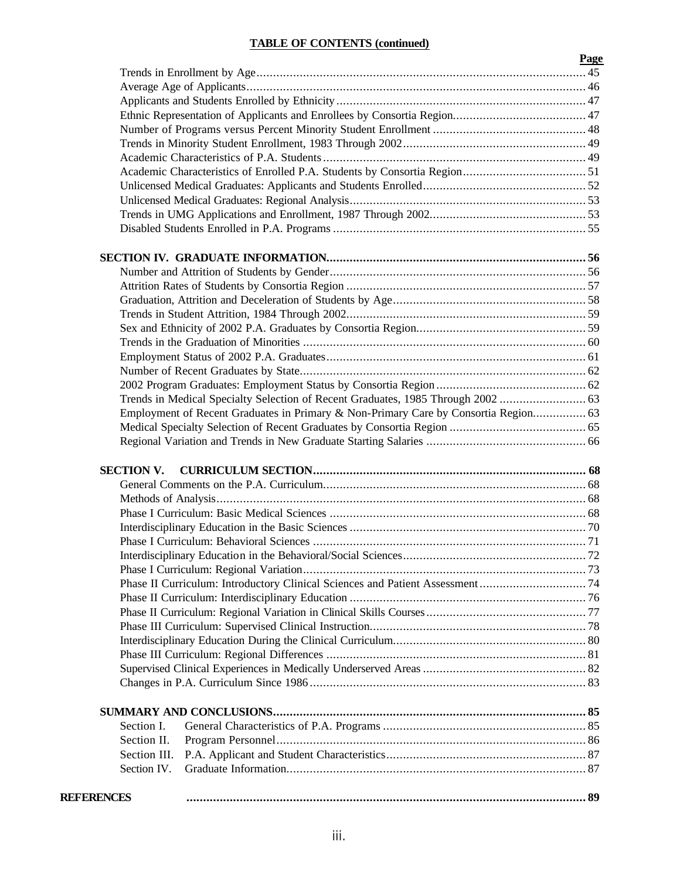# **TABLE OF CONTENTS (continued)**

|                   |                                                                                     | Page |
|-------------------|-------------------------------------------------------------------------------------|------|
|                   |                                                                                     |      |
|                   |                                                                                     |      |
|                   |                                                                                     |      |
|                   |                                                                                     |      |
|                   |                                                                                     |      |
|                   |                                                                                     |      |
|                   |                                                                                     |      |
|                   |                                                                                     |      |
|                   |                                                                                     |      |
|                   |                                                                                     |      |
|                   |                                                                                     |      |
|                   |                                                                                     |      |
|                   |                                                                                     |      |
|                   |                                                                                     |      |
|                   |                                                                                     |      |
|                   |                                                                                     |      |
|                   |                                                                                     |      |
|                   |                                                                                     |      |
|                   |                                                                                     |      |
|                   |                                                                                     |      |
|                   |                                                                                     |      |
|                   |                                                                                     |      |
|                   |                                                                                     |      |
|                   |                                                                                     |      |
|                   | Employment of Recent Graduates in Primary & Non-Primary Care by Consortia Region 63 |      |
|                   |                                                                                     |      |
|                   |                                                                                     |      |
| <b>SECTION V.</b> |                                                                                     |      |
|                   |                                                                                     |      |
|                   |                                                                                     |      |
|                   |                                                                                     |      |
|                   |                                                                                     |      |
|                   |                                                                                     |      |
|                   |                                                                                     |      |
|                   |                                                                                     |      |
|                   |                                                                                     |      |
|                   |                                                                                     |      |
|                   |                                                                                     |      |
|                   |                                                                                     |      |
|                   |                                                                                     |      |
|                   |                                                                                     |      |
|                   |                                                                                     |      |
|                   |                                                                                     |      |
|                   |                                                                                     |      |
|                   |                                                                                     |      |
| Section I.        |                                                                                     |      |
| Section II.       |                                                                                     |      |
| Section III.      |                                                                                     |      |
| Section IV.       |                                                                                     |      |
| <b>REFERENCES</b> |                                                                                     |      |
|                   |                                                                                     |      |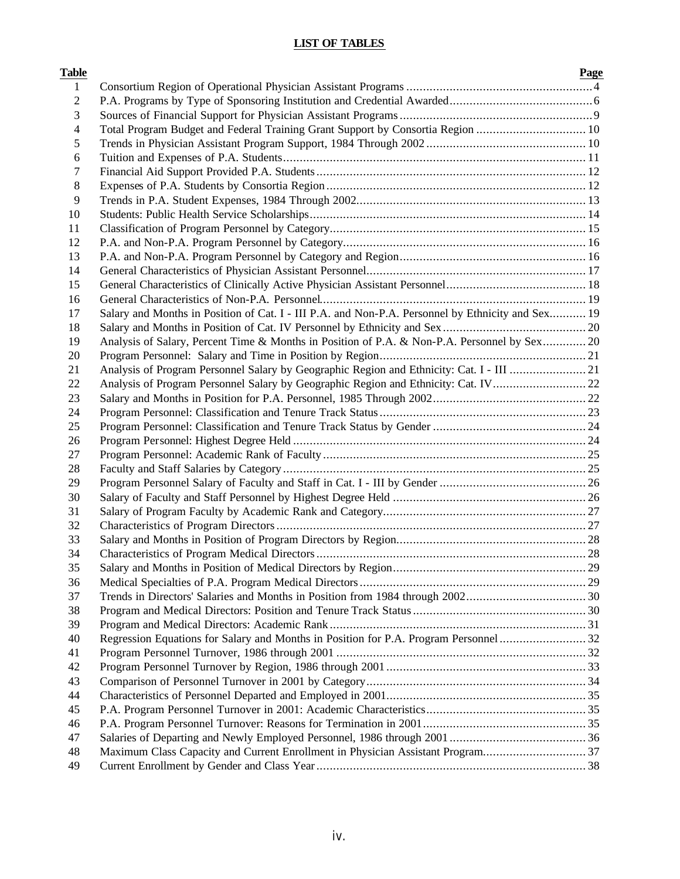# **LIST OF TABLES**

| <b>Table</b>   |                                                                                                   | Page |
|----------------|---------------------------------------------------------------------------------------------------|------|
| $\mathbf{1}$   |                                                                                                   |      |
| $\overline{c}$ |                                                                                                   |      |
| 3              |                                                                                                   |      |
| 4              | Total Program Budget and Federal Training Grant Support by Consortia Region  10                   |      |
| 5              |                                                                                                   |      |
| 6              |                                                                                                   |      |
| 7              |                                                                                                   |      |
| 8              |                                                                                                   |      |
| 9              |                                                                                                   |      |
| 10             |                                                                                                   |      |
| 11             |                                                                                                   |      |
| 12             |                                                                                                   |      |
| 13             |                                                                                                   |      |
| 14             |                                                                                                   |      |
| 15             |                                                                                                   |      |
| 16             |                                                                                                   |      |
| 17             | Salary and Months in Position of Cat. I - III P.A. and Non-P.A. Personnel by Ethnicity and Sex 19 |      |
| 18             |                                                                                                   |      |
| 19             | Analysis of Salary, Percent Time & Months in Position of P.A. & Non-P.A. Personnel by Sex 20      |      |
| 20             |                                                                                                   |      |
| 21             | Analysis of Program Personnel Salary by Geographic Region and Ethnicity: Cat. I - III 21          |      |
| 22             | Analysis of Program Personnel Salary by Geographic Region and Ethnicity: Cat. IV 22               |      |
| 23             |                                                                                                   |      |
| 24             |                                                                                                   |      |
| 25             |                                                                                                   |      |
| 26             |                                                                                                   |      |
| 27             |                                                                                                   |      |
| 28             |                                                                                                   |      |
| 29             |                                                                                                   |      |
| 30             |                                                                                                   |      |
| 31             |                                                                                                   |      |
| 32             |                                                                                                   |      |
| 33             |                                                                                                   |      |
| 34             |                                                                                                   |      |
| 35             |                                                                                                   |      |
| 36             |                                                                                                   |      |
| 37             |                                                                                                   |      |
| 38             |                                                                                                   |      |
| 39             |                                                                                                   |      |
| 40             |                                                                                                   |      |
| 41             |                                                                                                   |      |
| 42             |                                                                                                   |      |
| 43             |                                                                                                   |      |
| 44             |                                                                                                   |      |
| 45             |                                                                                                   |      |
| 46             |                                                                                                   |      |
| 47             |                                                                                                   |      |
| 48             | Maximum Class Capacity and Current Enrollment in Physician Assistant Program37                    |      |
| 49             |                                                                                                   |      |
|                |                                                                                                   |      |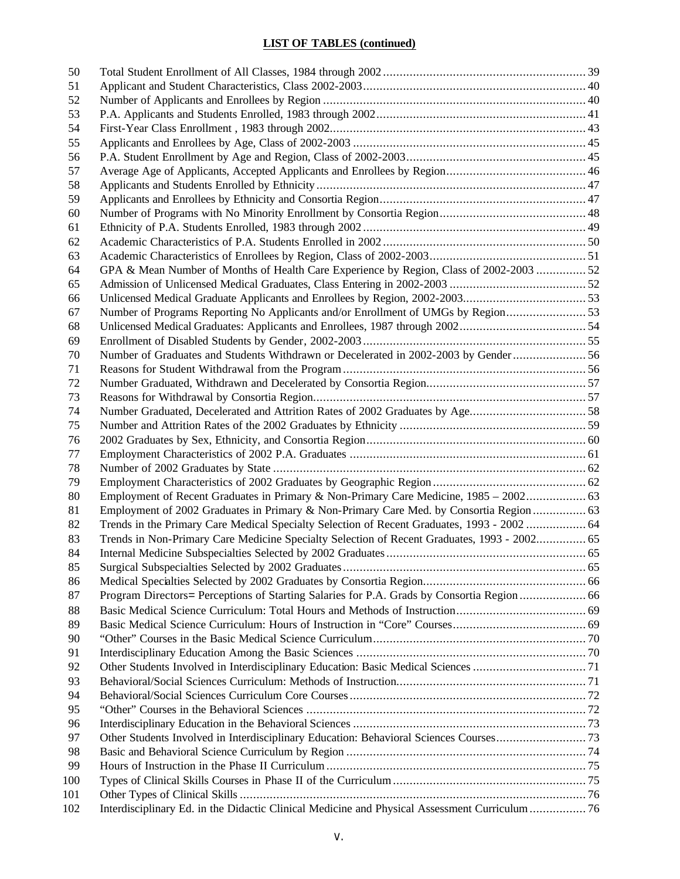# **LIST OF TABLES (continued)**

| 50  |                                                                                                |  |
|-----|------------------------------------------------------------------------------------------------|--|
| 51  |                                                                                                |  |
| 52  |                                                                                                |  |
| 53  |                                                                                                |  |
| 54  |                                                                                                |  |
| 55  |                                                                                                |  |
| 56  |                                                                                                |  |
| 57  |                                                                                                |  |
| 58  |                                                                                                |  |
| 59  |                                                                                                |  |
| 60  |                                                                                                |  |
| 61  |                                                                                                |  |
| 62  |                                                                                                |  |
| 63  |                                                                                                |  |
| 64  | GPA & Mean Number of Months of Health Care Experience by Region, Class of 2002-2003  52        |  |
| 65  |                                                                                                |  |
| 66  |                                                                                                |  |
| 67  | Number of Programs Reporting No Applicants and/or Enrollment of UMGs by Region                 |  |
| 68  |                                                                                                |  |
| 69  |                                                                                                |  |
| 70  | Number of Graduates and Students Withdrawn or Decelerated in 2002-2003 by Gender  56           |  |
| 71  |                                                                                                |  |
| 72  |                                                                                                |  |
| 73  |                                                                                                |  |
| 74  | Number Graduated, Decelerated and Attrition Rates of 2002 Graduates by Age58                   |  |
| 75  |                                                                                                |  |
| 76  |                                                                                                |  |
| 77  |                                                                                                |  |
| 78  |                                                                                                |  |
| 79  |                                                                                                |  |
| 80  | Employment of Recent Graduates in Primary & Non-Primary Care Medicine, 1985 – 2002 63          |  |
| 81  | Employment of 2002 Graduates in Primary & Non-Primary Care Med. by Consortia Region  63        |  |
| 82  | Trends in the Primary Care Medical Specialty Selection of Recent Graduates, 1993 - 2002  64    |  |
|     |                                                                                                |  |
| 83  | Trends in Non-Primary Care Medicine Specialty Selection of Recent Graduates, 1993 - 2002 65    |  |
| 84  |                                                                                                |  |
| 85  |                                                                                                |  |
| 86  |                                                                                                |  |
| 87  | Program Directors= Perceptions of Starting Salaries for P.A. Grads by Consortia Region  66     |  |
| 88  |                                                                                                |  |
| 89  |                                                                                                |  |
| 90  |                                                                                                |  |
| 91  |                                                                                                |  |
| 92  |                                                                                                |  |
| 93  |                                                                                                |  |
| 94  |                                                                                                |  |
| 95  |                                                                                                |  |
| 96  |                                                                                                |  |
| 97  | Other Students Involved in Interdisciplinary Education: Behavioral Sciences Courses73          |  |
| 98  |                                                                                                |  |
| 99  |                                                                                                |  |
| 100 |                                                                                                |  |
| 101 |                                                                                                |  |
| 102 | Interdisciplinary Ed. in the Didactic Clinical Medicine and Physical Assessment Curriculum  76 |  |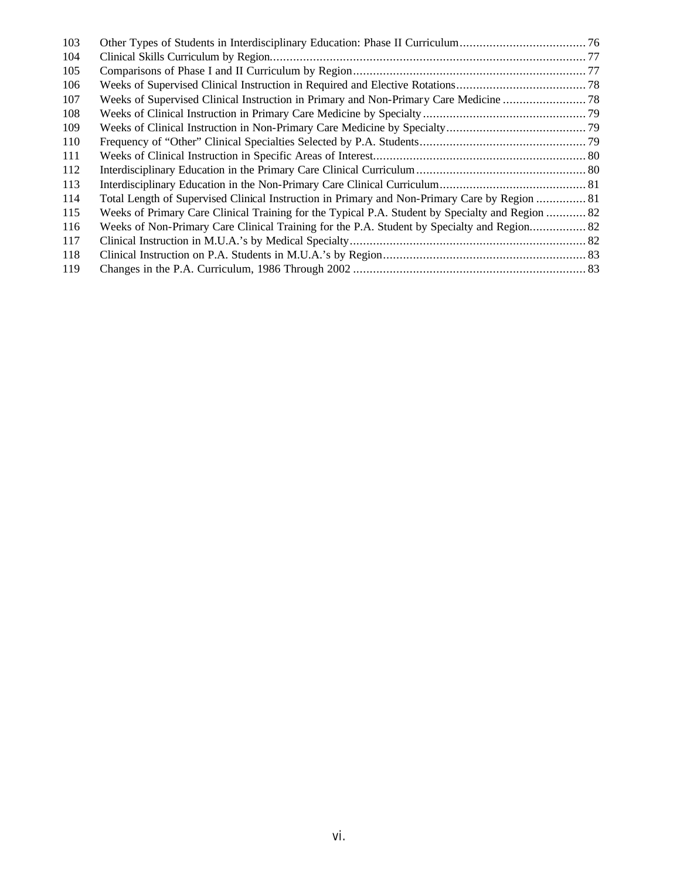| 103 |                                                                                                  |  |
|-----|--------------------------------------------------------------------------------------------------|--|
| 104 |                                                                                                  |  |
| 105 |                                                                                                  |  |
| 106 |                                                                                                  |  |
| 107 |                                                                                                  |  |
| 108 |                                                                                                  |  |
| 109 |                                                                                                  |  |
| 110 |                                                                                                  |  |
| 111 |                                                                                                  |  |
| 112 |                                                                                                  |  |
| 113 |                                                                                                  |  |
| 114 | Total Length of Supervised Clinical Instruction in Primary and Non-Primary Care by Region  81    |  |
| 115 | Weeks of Primary Care Clinical Training for the Typical P.A. Student by Specialty and Region  82 |  |
| 116 | Weeks of Non-Primary Care Clinical Training for the P.A. Student by Specialty and Region 82      |  |
| 117 |                                                                                                  |  |
| 118 |                                                                                                  |  |
| 119 |                                                                                                  |  |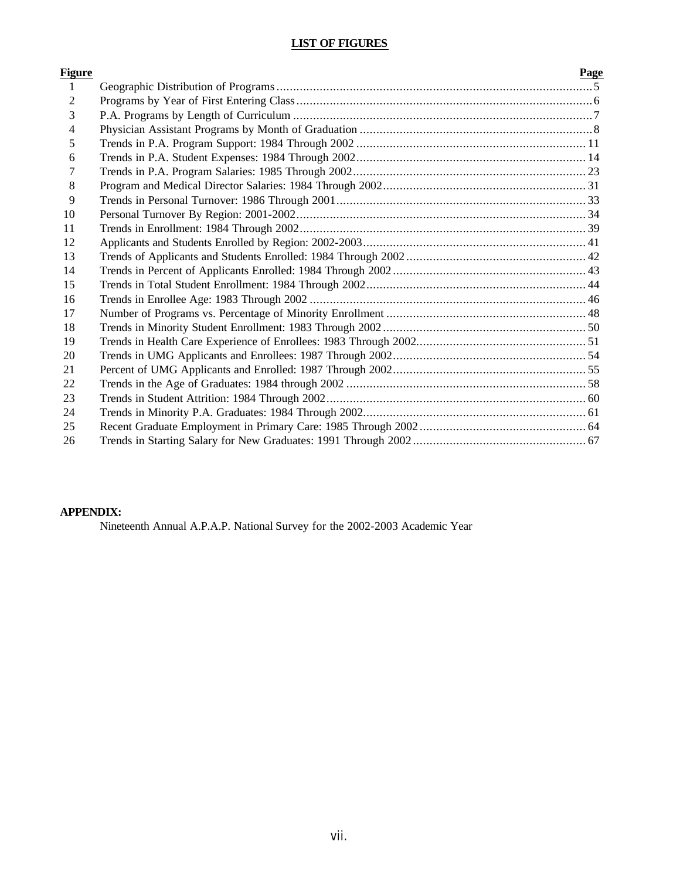# **LIST OF FIGURES**

| <u>Figure</u>  | Page |
|----------------|------|
| $\mathbf{1}$   |      |
| $\overline{2}$ |      |
| 3              |      |
| 4              |      |
| 5              |      |
| 6              |      |
| 7              |      |
| 8              |      |
| 9              |      |
| 10             |      |
| 11             |      |
| 12             |      |
| 13             |      |
| 14             |      |
| 15             |      |
| 16             |      |
| 17             |      |
| 18             |      |
| 19             |      |
| 20             |      |
| 21             |      |
| 22             |      |
| 23             |      |
| 24             |      |
| 25             |      |
| 26             |      |

# **APPENDIX:**

Nineteenth Annual A.P.A.P. National Survey for the 2002-2003 Academic Year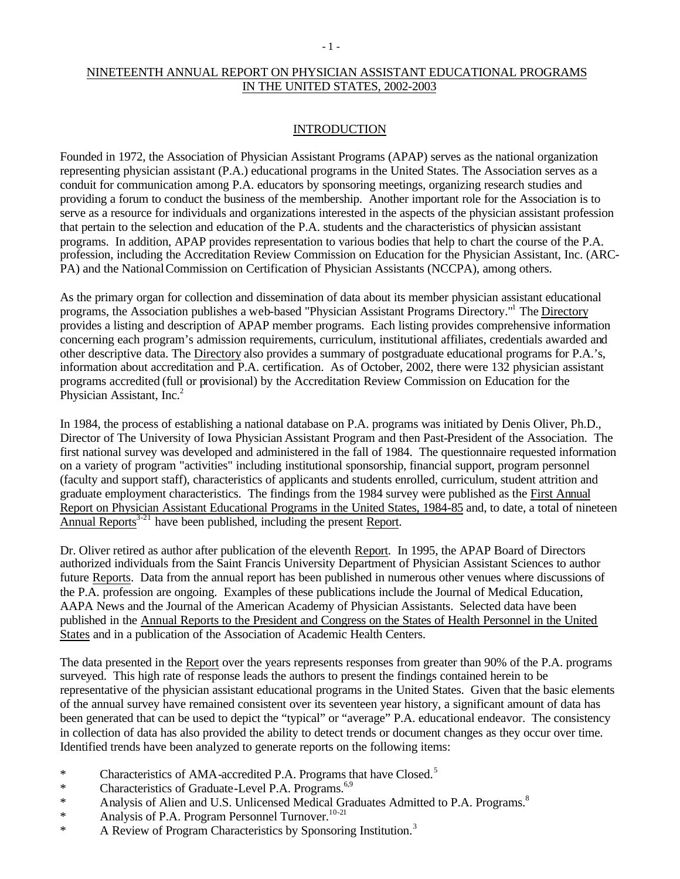# NINETEENTH ANNUAL REPORT ON PHYSICIAN ASSISTANT EDUCATIONAL PROGRAMS IN THE UNITED STATES, 2002-2003

### **INTRODUCTION**

Founded in 1972, the Association of Physician Assistant Programs (APAP) serves as the national organization representing physician assistant (P.A.) educational programs in the United States. The Association serves as a conduit for communication among P.A. educators by sponsoring meetings, organizing research studies and providing a forum to conduct the business of the membership. Another important role for the Association is to serve as a resource for individuals and organizations interested in the aspects of the physician assistant profession that pertain to the selection and education of the P.A. students and the characteristics of physician assistant programs. In addition, APAP provides representation to various bodies that help to chart the course of the P.A. profession, including the Accreditation Review Commission on Education for the Physician Assistant, Inc. (ARC-PA) and the National Commission on Certification of Physician Assistants (NCCPA), among others.

As the primary organ for collection and dissemination of data about its member physician assistant educational programs, the Association publishes a web-based "Physician Assistant Programs Directory."<sup>1</sup> The Directory provides a listing and description of APAP member programs. Each listing provides comprehensive information concerning each program's admission requirements, curriculum, institutional affiliates, credentials awarded and other descriptive data. The Directory also provides a summary of postgraduate educational programs for P.A.'s, information about accreditation and P.A. certification. As of October, 2002, there were 132 physician assistant programs accredited (full or provisional) by the Accreditation Review Commission on Education for the Physician Assistant, Inc.<sup>2</sup>

In 1984, the process of establishing a national database on P.A. programs was initiated by Denis Oliver, Ph.D., Director of The University of Iowa Physician Assistant Program and then Past-President of the Association. The first national survey was developed and administered in the fall of 1984. The questionnaire requested information on a variety of program "activities" including institutional sponsorship, financial support, program personnel (faculty and support staff), characteristics of applicants and students enrolled, curriculum, student attrition and graduate employment characteristics. The findings from the 1984 survey were published as the First Annual Report on Physician Assistant Educational Programs in the United States, 1984-85 and, to date, a total of nineteen Annual Reports $3-21$  have been published, including the present Report.

Dr. Oliver retired as author after publication of the eleventh Report. In 1995, the APAP Board of Directors authorized individuals from the Saint Francis University Department of Physician Assistant Sciences to author future Reports. Data from the annual report has been published in numerous other venues where discussions of the P.A. profession are ongoing. Examples of these publications include the Journal of Medical Education, AAPA News and the Journal of the American Academy of Physician Assistants. Selected data have been published in the Annual Reports to the President and Congress on the States of Health Personnel in the United States and in a publication of the Association of Academic Health Centers.

The data presented in the Report over the years represents responses from greater than 90% of the P.A. programs surveyed. This high rate of response leads the authors to present the findings contained herein to be representative of the physician assistant educational programs in the United States. Given that the basic elements of the annual survey have remained consistent over its seventeen year history, a significant amount of data has been generated that can be used to depict the "typical" or "average" P.A. educational endeavor. The consistency in collection of data has also provided the ability to detect trends or document changes as they occur over time. Identified trends have been analyzed to generate reports on the following items:

- \* Characteristics of AMA-accredited P.A. Programs that have Closed.<sup>5</sup>
- \* Characteristics of Graduate-Level P.A. Programs.<sup>6,9</sup>
- \* Analysis of Alien and U.S. Unlicensed Medical Graduates Admitted to P.A. Programs.<sup>8</sup>
- \* Analysis of P.A. Program Personnel Turnover.<sup>10-21</sup>
- \* A Review of Program Characteristics by Sponsoring Institution.<sup>3</sup>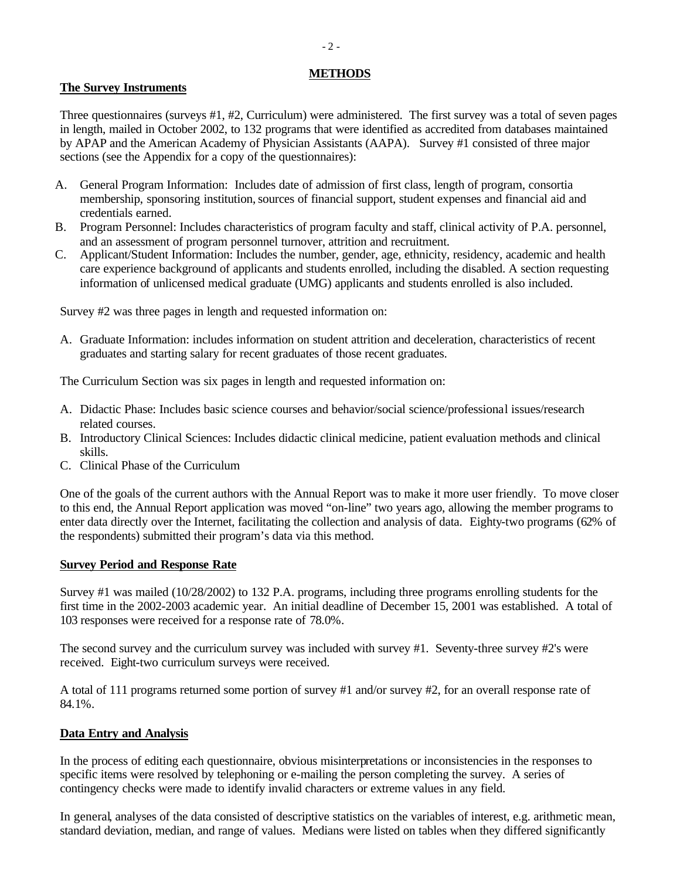### **METHODS**

# **The Survey Instruments**

Three questionnaires (surveys #1, #2, Curriculum) were administered. The first survey was a total of seven pages in length, mailed in October 2002, to 132 programs that were identified as accredited from databases maintained by APAP and the American Academy of Physician Assistants (AAPA). Survey #1 consisted of three major sections (see the Appendix for a copy of the questionnaires):

- A. General Program Information: Includes date of admission of first class, length of program, consortia membership, sponsoring institution, sources of financial support, student expenses and financial aid and credentials earned.
- B. Program Personnel: Includes characteristics of program faculty and staff, clinical activity of P.A. personnel, and an assessment of program personnel turnover, attrition and recruitment.
- C. Applicant/Student Information: Includes the number, gender, age, ethnicity, residency, academic and health care experience background of applicants and students enrolled, including the disabled. A section requesting information of unlicensed medical graduate (UMG) applicants and students enrolled is also included.

Survey #2 was three pages in length and requested information on:

A. Graduate Information: includes information on student attrition and deceleration, characteristics of recent graduates and starting salary for recent graduates of those recent graduates.

The Curriculum Section was six pages in length and requested information on:

- A. Didactic Phase: Includes basic science courses and behavior/social science/professional issues/research related courses.
- B. Introductory Clinical Sciences: Includes didactic clinical medicine, patient evaluation methods and clinical skills.
- C. Clinical Phase of the Curriculum

One of the goals of the current authors with the Annual Report was to make it more user friendly. To move closer to this end, the Annual Report application was moved "on-line" two years ago, allowing the member programs to enter data directly over the Internet, facilitating the collection and analysis of data. Eighty-two programs (62% of the respondents) submitted their program's data via this method.

## **Survey Period and Response Rate**

Survey #1 was mailed (10/28/2002) to 132 P.A. programs, including three programs enrolling students for the first time in the 2002-2003 academic year. An initial deadline of December 15, 2001 was established. A total of 103 responses were received for a response rate of 78.0%.

The second survey and the curriculum survey was included with survey #1. Seventy-three survey #2's were received. Eight-two curriculum surveys were received.

A total of 111 programs returned some portion of survey #1 and/or survey #2, for an overall response rate of 84.1%.

## **Data Entry and Analysis**

In the process of editing each questionnaire, obvious misinterpretations or inconsistencies in the responses to specific items were resolved by telephoning or e-mailing the person completing the survey. A series of contingency checks were made to identify invalid characters or extreme values in any field.

In general, analyses of the data consisted of descriptive statistics on the variables of interest, e.g. arithmetic mean, standard deviation, median, and range of values. Medians were listed on tables when they differed significantly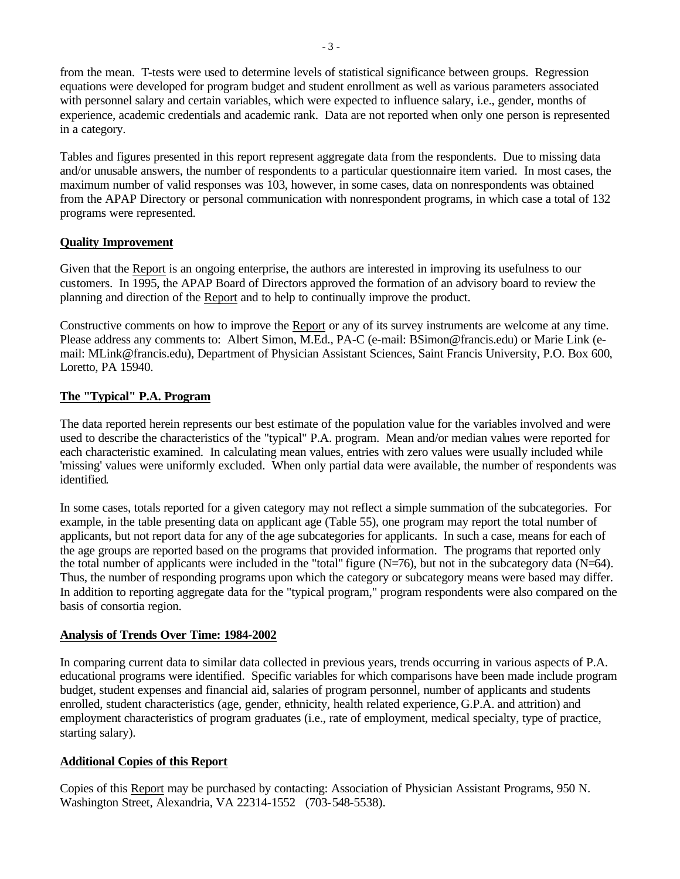from the mean. T-tests were used to determine levels of statistical significance between groups. Regression equations were developed for program budget and student enrollment as well as various parameters associated with personnel salary and certain variables, which were expected to influence salary, i.e., gender, months of experience, academic credentials and academic rank. Data are not reported when only one person is represented in a category.

Tables and figures presented in this report represent aggregate data from the respondents. Due to missing data and/or unusable answers, the number of respondents to a particular questionnaire item varied. In most cases, the maximum number of valid responses was 103, however, in some cases, data on nonrespondents was obtained from the APAP Directory or personal communication with nonrespondent programs, in which case a total of 132 programs were represented.

## **Quality Improvement**

Given that the Report is an ongoing enterprise, the authors are interested in improving its usefulness to our customers. In 1995, the APAP Board of Directors approved the formation of an advisory board to review the planning and direction of the Report and to help to continually improve the product.

Constructive comments on how to improve the Report or any of its survey instruments are welcome at any time. Please address any comments to: Albert Simon, M.Ed., PA-C (e-mail: BSimon@francis.edu) or Marie Link (email: MLink@francis.edu), Department of Physician Assistant Sciences, Saint Francis University, P.O. Box 600, Loretto, PA 15940.

# **The "Typical" P.A. Program**

The data reported herein represents our best estimate of the population value for the variables involved and were used to describe the characteristics of the "typical" P.A. program. Mean and/or median values were reported for each characteristic examined. In calculating mean values, entries with zero values were usually included while 'missing' values were uniformly excluded. When only partial data were available, the number of respondents was identified.

In some cases, totals reported for a given category may not reflect a simple summation of the subcategories. For example, in the table presenting data on applicant age (Table 55), one program may report the total number of applicants, but not report data for any of the age subcategories for applicants. In such a case, means for each of the age groups are reported based on the programs that provided information. The programs that reported only the total number of applicants were included in the "total" figure  $(N=76)$ , but not in the subcategory data  $(N=64)$ . Thus, the number of responding programs upon which the category or subcategory means were based may differ. In addition to reporting aggregate data for the "typical program," program respondents were also compared on the basis of consortia region.

## **Analysis of Trends Over Time: 1984-2002**

In comparing current data to similar data collected in previous years, trends occurring in various aspects of P.A. educational programs were identified. Specific variables for which comparisons have been made include program budget, student expenses and financial aid, salaries of program personnel, number of applicants and students enrolled, student characteristics (age, gender, ethnicity, health related experience, G.P.A. and attrition) and employment characteristics of program graduates (i.e., rate of employment, medical specialty, type of practice, starting salary).

## **Additional Copies of this Report**

Copies of this Report may be purchased by contacting: Association of Physician Assistant Programs, 950 N. Washington Street, Alexandria, VA 22314-1552 (703-548-5538).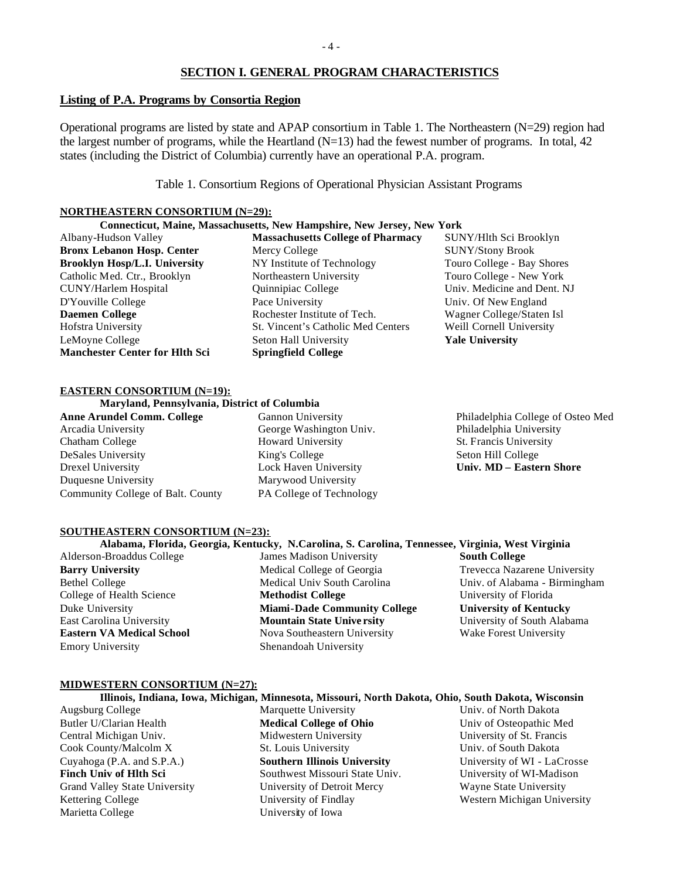## **SECTION I. GENERAL PROGRAM CHARACTERISTICS**

#### **Listing of P.A. Programs by Consortia Region**

Operational programs are listed by state and APAP consortium in Table 1. The Northeastern (N=29) region had the largest number of programs, while the Heartland  $(N=13)$  had the fewest number of programs. In total, 42 states (including the District of Columbia) currently have an operational P.A. program.

Table 1. Consortium Regions of Operational Physician Assistant Programs

#### **NORTHEASTERN CONSORTIUM (N=29):**

| Connecticut, Maine, Massachusetts, New Hampshire, New Jersey, New York |                                          |                             |  |  |  |  |  |  |  |
|------------------------------------------------------------------------|------------------------------------------|-----------------------------|--|--|--|--|--|--|--|
| Albany-Hudson Valley                                                   | <b>Massachusetts College of Pharmacy</b> | SUNY/Hlth Sci Brooklyn      |  |  |  |  |  |  |  |
| <b>Bronx Lebanon Hosp. Center</b>                                      | Mercy College                            | <b>SUNY/Stony Brook</b>     |  |  |  |  |  |  |  |
| <b>Brooklyn Hosp/L.I. University</b>                                   | NY Institute of Technology               | Touro College - Bay Shores  |  |  |  |  |  |  |  |
| Catholic Med. Ctr., Brooklyn                                           | Northeastern University                  | Touro College - New York    |  |  |  |  |  |  |  |
| <b>CUNY/Harlem Hospital</b>                                            | Quinnipiac College                       | Univ. Medicine and Dent. NJ |  |  |  |  |  |  |  |
| D'Youville College                                                     | Pace University                          | Univ. Of New England        |  |  |  |  |  |  |  |
| <b>Daemen College</b>                                                  | Rochester Institute of Tech.             | Wagner College/Staten Isl   |  |  |  |  |  |  |  |
| Hofstra University                                                     | St. Vincent's Catholic Med Centers       | Weill Cornell University    |  |  |  |  |  |  |  |
| LeMoyne College                                                        | Seton Hall University                    | <b>Yale University</b>      |  |  |  |  |  |  |  |
| <b>Manchester Center for Hlth Sci</b>                                  | <b>Springfield College</b>               |                             |  |  |  |  |  |  |  |

#### **EASTERN CONSORTIUM (N=19):**

**Maryland, Pennsylvania, District of Columbia**

**Anne Arundel Comm. College** Arcadia University Chatham College DeSales University Drexel University Duquesne University Community College of Balt. County Gannon University George Washington Univ. Howard University King's College Lock Haven University Marywood University PA College of Technology Philadelphia College of Osteo Med Philadelphia University St. Francis University Seton Hill College **Univ. MD – Eastern Shore**

### **SOUTHEASTERN CONSORTIUM (N=23):**

Alderson-Broaddus College **Barry University** Bethel College College of Health Science Duke University East Carolina University **Eastern VA Medical School** Emory University

**Alabama, Florida, Georgia, Kentucky, N.Carolina, S. Carolina, Tennessee, Virginia, West Virginia** James Madison University Medical College of Georgia Medical Univ South Carolina **Methodist College Miami-Dade Community College Mountain State Unive rsity** Nova Southeastern University Shenandoah University

**South College** Trevecca Nazarene University Univ. of Alabama - Birmingham University of Florida **University of Kentucky** University of South Alabama Wake Forest University

#### **MIDWESTERN CONSORTIUM (N=27):**

### **Illinois, Indiana, Iowa, Michigan, Minnesota, Missouri, North Dakota, Ohio, South Dakota, Wisconsin**

Augsburg College Butler U/Clarian Health Central Michigan Univ. Cook County/Malcolm X Cuyahoga (P.A. and S.P.A.) **Finch Univ of Hlth Sci** Grand Valley State University Kettering College Marietta College

Marquette University **Medical College of Ohio** Midwestern University St. Louis University **Southern Illinois University** Southwest Missouri State Univ. University of Detroit Mercy University of Findlay University of Iowa

Univ. of North Dakota Univ of Osteopathic Med University of St. Francis Univ. of South Dakota University of WI - LaCrosse University of WI-Madison Wayne State University Western Michigan University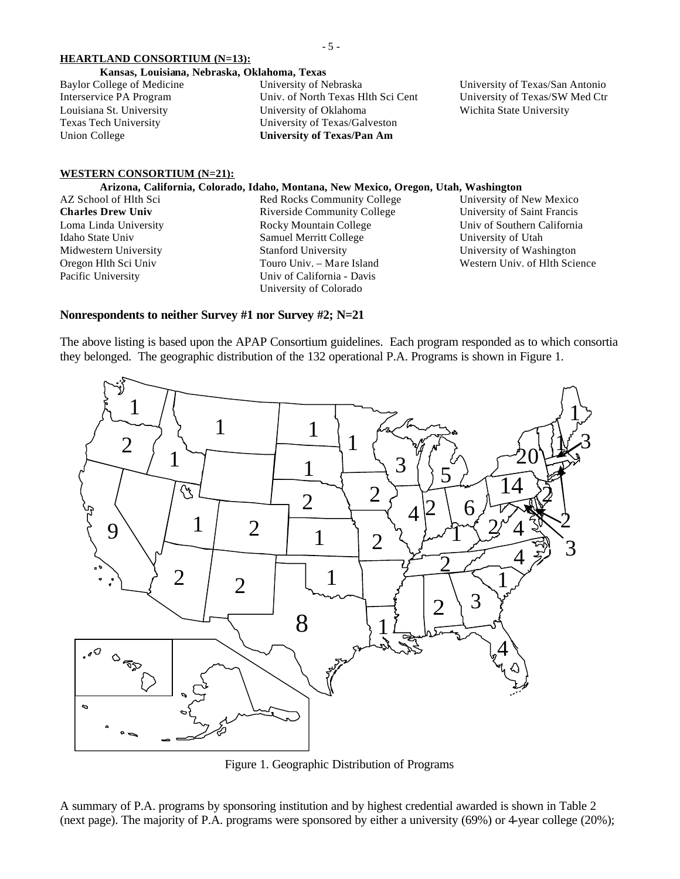#### **HEARTLAND CONSORTIUM (N=13):**

- 5 -

#### **Kansas, Louisiana, Nebraska, Oklahoma, Texas**

| Baylor College of Medicine | University of Nebraska             |
|----------------------------|------------------------------------|
| Interservice PA Program    | Univ. of North Texas Hlth Sci Cent |
| Louisiana St. University   | University of Oklahoma             |
| Texas Tech University      | University of Texas/Galveston      |
| Union College              | University of Texas/Pan Am         |
|                            |                                    |

University of Texas/San Antonio University of Texas/SW Med Ctr Wichita State University

#### **WESTERN CONSORTIUM (N=21):**

#### **Arizona, California, Colorado, Idaho, Montana, New Mexico, Oregon, Utah, Washington**

AZ School of Hlth Sci **Charles Drew Univ** Loma Linda University Idaho State Univ Midwestern University Oregon Hlth Sci Univ Pacific University

Red Rocks Community College Riverside Community College Rocky Mountain College Samuel Merritt College Stanford University Touro Univ. – Mare Island Univ of California - Davis University of Colorado

University of New Mexico University of Saint Francis Univ of Southern California University of Utah University of Washington Western Univ. of Hlth Science

### **Nonrespondents to neither Survey #1 nor Survey #2; N=21**

The above listing is based upon the APAP Consortium guidelines. Each program responded as to which consortia they belonged. The geographic distribution of the 132 operational P.A. Programs is shown in Figure 1.



Figure 1. Geographic Distribution of Programs

A summary of P.A. programs by sponsoring institution and by highest credential awarded is shown in Table 2 (next page). The majority of P.A. programs were sponsored by either a university (69%) or 4-year college (20%);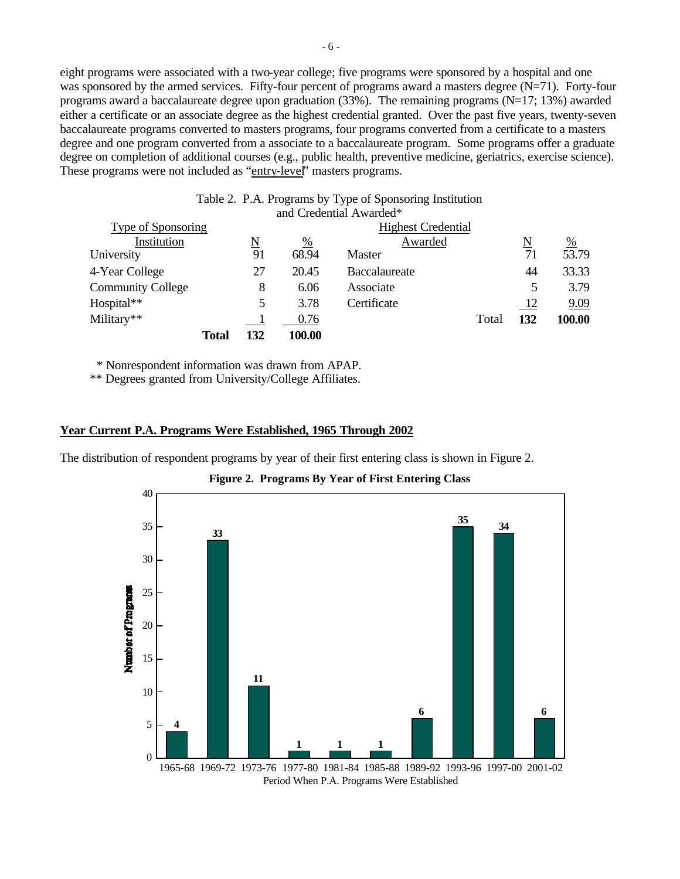eight programs were associated with a two-year college; five programs were sponsored by a hospital and one was sponsored by the armed services. Fifty-four percent of programs award a masters degree  $(N=71)$ . Forty-four programs award a baccalaureate degree upon graduation (33%). The remaining programs (N=17; 13%) awarded either a certificate or an associate degree as the highest credential granted. Over the past five years, twenty-seven baccalaureate programs converted to masters programs, four programs converted from a certificate to a masters degree and one program converted from a associate to a baccalaureate program. Some programs offer a graduate degree on completion of additional courses (e.g., public health, preventive medicine, geriatrics, exercise science). These programs were not included as "entry-level" masters programs.

| Table 2. P.A. Programs by Type of Sponsoring Institution |              |                             |               |                         |                          |                    |  |
|----------------------------------------------------------|--------------|-----------------------------|---------------|-------------------------|--------------------------|--------------------|--|
|                                                          |              |                             |               | and Credential Awarded* |                          |                    |  |
| Type of Sponsoring<br><b>Highest Credential</b>          |              |                             |               |                         |                          |                    |  |
| Institution                                              |              | $\underline{\underline{N}}$ | $\frac{0}{0}$ | Awarded                 | $\underline{\mathbf{N}}$ | $\frac{\%}{53.79}$ |  |
| University                                               |              | 91                          | 68.94         | <b>Master</b>           | 71                       |                    |  |
| 4-Year College                                           |              | 27                          | 20.45         | Baccalaureate           | 44                       | 33.33              |  |
| <b>Community College</b>                                 |              | 8                           | 6.06          | Associate               | 5                        | 3.79               |  |
| Hospital**                                               |              | 5                           | 3.78          | Certificate             | -12                      | 9.09               |  |
| Military**                                               |              |                             | 0.76          | Total                   | 132                      | 100.00             |  |
|                                                          | <b>Total</b> | 132                         | 100.00        |                         |                          |                    |  |

\* Nonrespondent information was drawn from APAP.

\*\* Degrees granted from University/College Affiliates.

#### **Year Current P.A. Programs Were Established, 1965 Through 2002**

The distribution of respondent programs by year of their first entering class is shown in Figure 2.



Period When P.A. Programs Were Established

**Figure 2. Programs By Year of First Entering Class**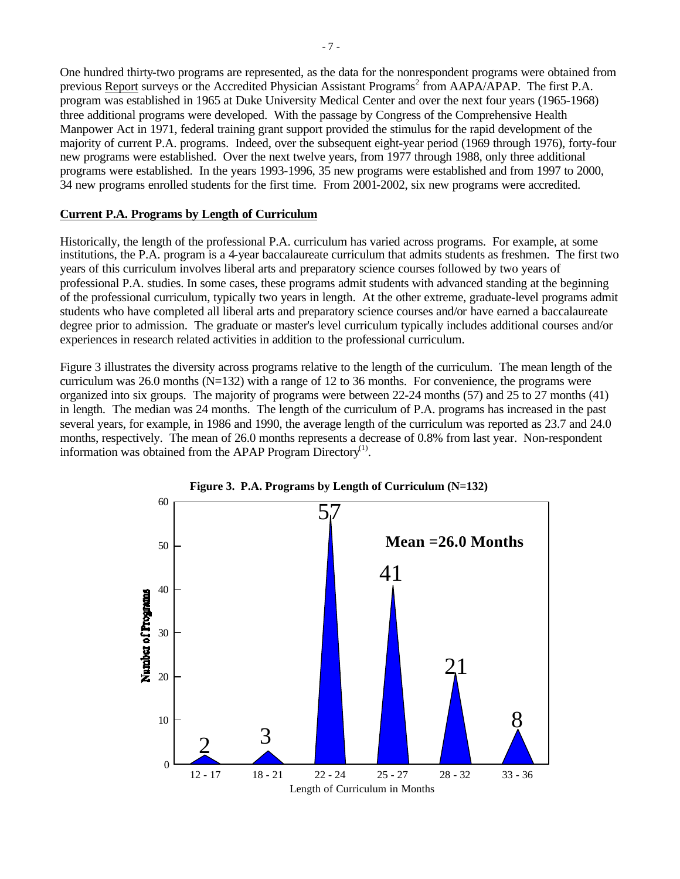One hundred thirty-two programs are represented, as the data for the nonrespondent programs were obtained from previous Report surveys or the Accredited Physician Assistant Programs<sup>2</sup> from AAPA/APAP. The first P.A. program was established in 1965 at Duke University Medical Center and over the next four years (1965-1968) three additional programs were developed. With the passage by Congress of the Comprehensive Health Manpower Act in 1971, federal training grant support provided the stimulus for the rapid development of the majority of current P.A. programs. Indeed, over the subsequent eight-year period (1969 through 1976), forty-four new programs were established. Over the next twelve years, from 1977 through 1988, only three additional programs were established. In the years 1993-1996, 35 new programs were established and from 1997 to 2000, 34 new programs enrolled students for the first time. From 2001-2002, six new programs were accredited.

### **Current P.A. Programs by Length of Curriculum**

Historically, the length of the professional P.A. curriculum has varied across programs. For example, at some institutions, the P.A. program is a 4-year baccalaureate curriculum that admits students as freshmen. The first two years of this curriculum involves liberal arts and preparatory science courses followed by two years of professional P.A. studies. In some cases, these programs admit students with advanced standing at the beginning of the professional curriculum, typically two years in length. At the other extreme, graduate-level programs admit students who have completed all liberal arts and preparatory science courses and/or have earned a baccalaureate degree prior to admission. The graduate or master's level curriculum typically includes additional courses and/or experiences in research related activities in addition to the professional curriculum.

Figure 3 illustrates the diversity across programs relative to the length of the curriculum. The mean length of the curriculum was 26.0 months  $(N=132)$  with a range of 12 to 36 months. For convenience, the programs were organized into six groups. The majority of programs were between 22-24 months (57) and 25 to 27 months (41) in length. The median was 24 months. The length of the curriculum of P.A. programs has increased in the past several years, for example, in 1986 and 1990, the average length of the curriculum was reported as 23.7 and 24.0 months, respectively. The mean of 26.0 months represents a decrease of 0.8% from last year. Non-respondent information was obtained from the APAP Program Directory<sup>(1)</sup>.



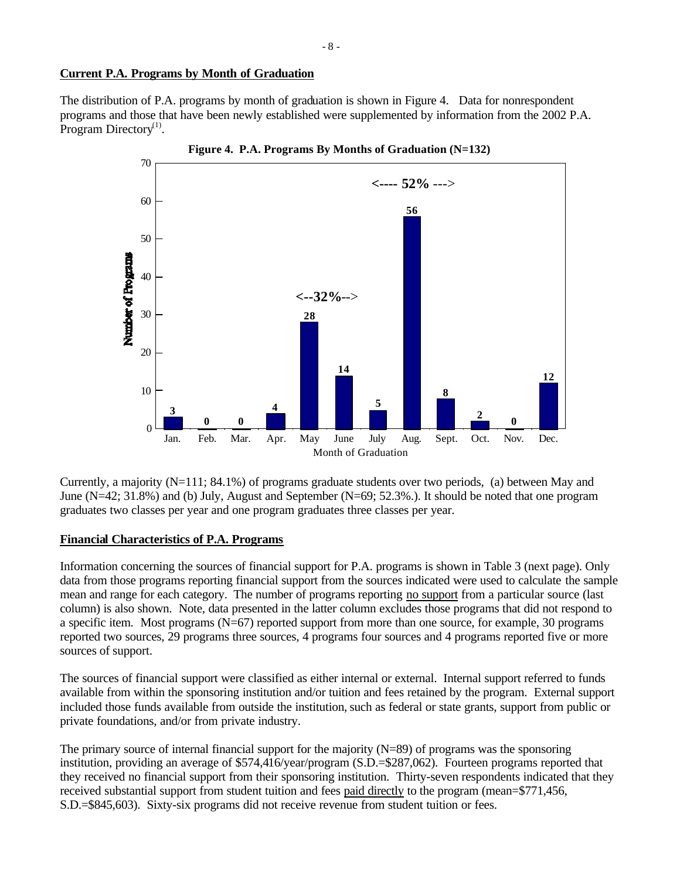### **Current P.A. Programs by Month of Graduation**

The distribution of P.A. programs by month of graduation is shown in Figure 4. Data for nonrespondent programs and those that have been newly established were supplemented by information from the 2002 P.A. Program Directory $^{(1)}$ .



Currently, a majority (N=111; 84.1%) of programs graduate students over two periods, (a) between May and June (N=42; 31.8%) and (b) July, August and September (N=69; 52.3%.). It should be noted that one program graduates two classes per year and one program graduates three classes per year.

### **Financial Characteristics of P.A. Programs**

Information concerning the sources of financial support for P.A. programs is shown in Table 3 (next page). Only data from those programs reporting financial support from the sources indicated were used to calculate the sample mean and range for each category. The number of programs reporting no support from a particular source (last column) is also shown. Note, data presented in the latter column excludes those programs that did not respond to a specific item. Most programs (N=67) reported support from more than one source, for example, 30 programs reported two sources, 29 programs three sources, 4 programs four sources and 4 programs reported five or more sources of support.

The sources of financial support were classified as either internal or external. Internal support referred to funds available from within the sponsoring institution and/or tuition and fees retained by the program. External support included those funds available from outside the institution, such as federal or state grants, support from public or private foundations, and/or from private industry.

The primary source of internal financial support for the majority (N=89) of programs was the sponsoring institution, providing an average of \$574,416/year/program (S.D.=\$287,062). Fourteen programs reported that they received no financial support from their sponsoring institution. Thirty-seven respondents indicated that they received substantial support from student tuition and fees paid directly to the program (mean=\$771,456, S.D.=\$845,603). Sixty-six programs did not receive revenue from student tuition or fees.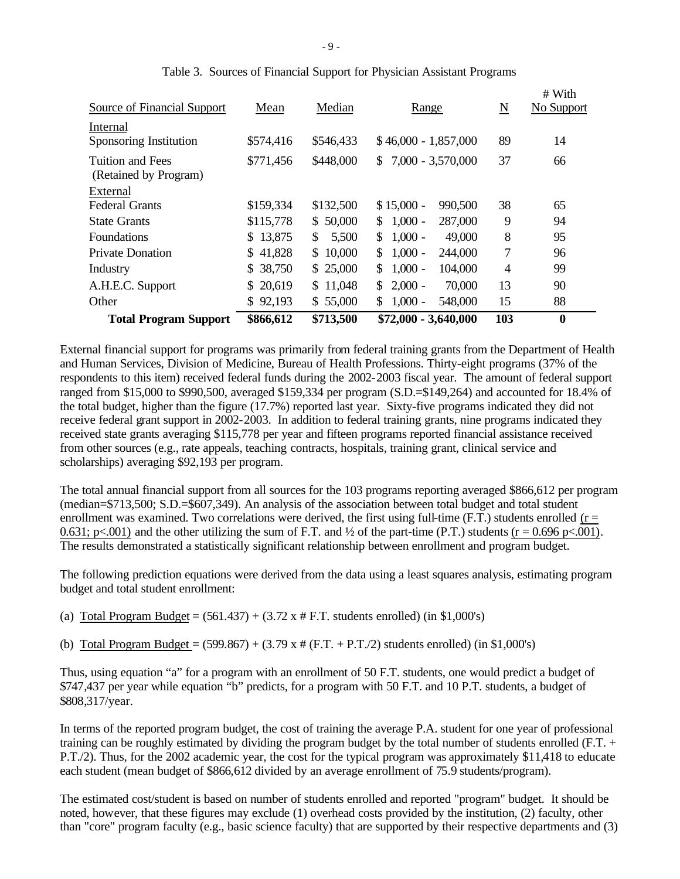| <b>Total Program Support</b>                     | \$866,612                | \$713,500    | $$72,000 - 3,640,000$       | 103            | $\boldsymbol{0}$     |
|--------------------------------------------------|--------------------------|--------------|-----------------------------|----------------|----------------------|
| Other                                            | \$92,193                 | \$55,000     | $1,000 -$<br>548,000<br>\$. | 15             | 88                   |
| A.H.E.C. Support                                 | \$20,619                 | \$11,048     | $2,000 -$<br>70,000<br>\$.  | 13             | 90                   |
| Industry                                         | 38,750<br>$\mathbb{S}^-$ | \$25,000     | $1,000 -$<br>104,000<br>\$. | $\overline{4}$ | 99                   |
| <b>Private Donation</b>                          | \$41,828                 | \$10,000     | $1,000 -$<br>244,000<br>\$. | 7              | 96                   |
| <b>Foundations</b>                               | \$13,875                 | \$.<br>5,500 | $1,000 -$<br>\$.<br>49,000  | 8              | 95                   |
| <b>State Grants</b>                              | \$115,778                | \$50,000     | $1,000 -$<br>287,000<br>\$  | 9              | 94                   |
| External<br><b>Federal Grants</b>                | \$159,334                | \$132,500    | $$15,000 -$<br>990,500      | 38             | 65                   |
| <b>Tuition and Fees</b><br>(Retained by Program) | \$771,456                | \$448,000    | 7,000 - 3,570,000<br>\$     | 37             | 66                   |
| Internal<br>Sponsoring Institution               | \$574,416                | \$546,433    | $$46,000 - 1,857,000$       | 89             | 14                   |
| Source of Financial Support                      | Mean                     | Median       | Range                       | N              | # With<br>No Support |

|  |  | Table 3. Sources of Financial Support for Physician Assistant Programs |  |
|--|--|------------------------------------------------------------------------|--|
|  |  |                                                                        |  |

External financial support for programs was primarily from federal training grants from the Department of Health and Human Services, Division of Medicine, Bureau of Health Professions. Thirty-eight programs (37% of the respondents to this item) received federal funds during the 2002-2003 fiscal year. The amount of federal support ranged from \$15,000 to \$990,500, averaged \$159,334 per program (S.D.=\$149,264) and accounted for 18.4% of the total budget, higher than the figure (17.7%) reported last year. Sixty-five programs indicated they did not receive federal grant support in 2002-2003. In addition to federal training grants, nine programs indicated they received state grants averaging \$115,778 per year and fifteen programs reported financial assistance received from other sources (e.g., rate appeals, teaching contracts, hospitals, training grant, clinical service and scholarships) averaging \$92,193 per program.

The total annual financial support from all sources for the 103 programs reporting averaged \$866,612 per program (median=\$713,500; S.D.=\$607,349). An analysis of the association between total budget and total student enrollment was examined. Two correlations were derived, the first using full-time (F.T.) students enrolled ( $r =$ 0.631; p<.001) and the other utilizing the sum of F.T. and  $\frac{1}{2}$  of the part-time (P.T.) students (r = 0.696 p<.001). The results demonstrated a statistically significant relationship between enrollment and program budget.

The following prediction equations were derived from the data using a least squares analysis, estimating program budget and total student enrollment:

- (a) Total Program Budget =  $(561.437) + (3.72 \times # F.T.$  students enrolled) (in \$1,000's)
- (b) Total Program Budget =  $(599.867) + (3.79 \text{ x }# (\text{F.T.} + \text{P.T.}/2)$  students enrolled) (in \$1,000's)

Thus, using equation "a" for a program with an enrollment of 50 F.T. students, one would predict a budget of \$747,437 per year while equation "b" predicts, for a program with 50 F.T. and 10 P.T. students, a budget of \$808,317/year.

In terms of the reported program budget, the cost of training the average P.A. student for one year of professional training can be roughly estimated by dividing the program budget by the total number of students enrolled (F.T. + P.T./2). Thus, for the 2002 academic year, the cost for the typical program was approximately \$11,418 to educate each student (mean budget of \$866,612 divided by an average enrollment of 75.9 students/program).

The estimated cost/student is based on number of students enrolled and reported "program" budget. It should be noted, however, that these figures may exclude (1) overhead costs provided by the institution, (2) faculty, other than "core" program faculty (e.g., basic science faculty) that are supported by their respective departments and (3)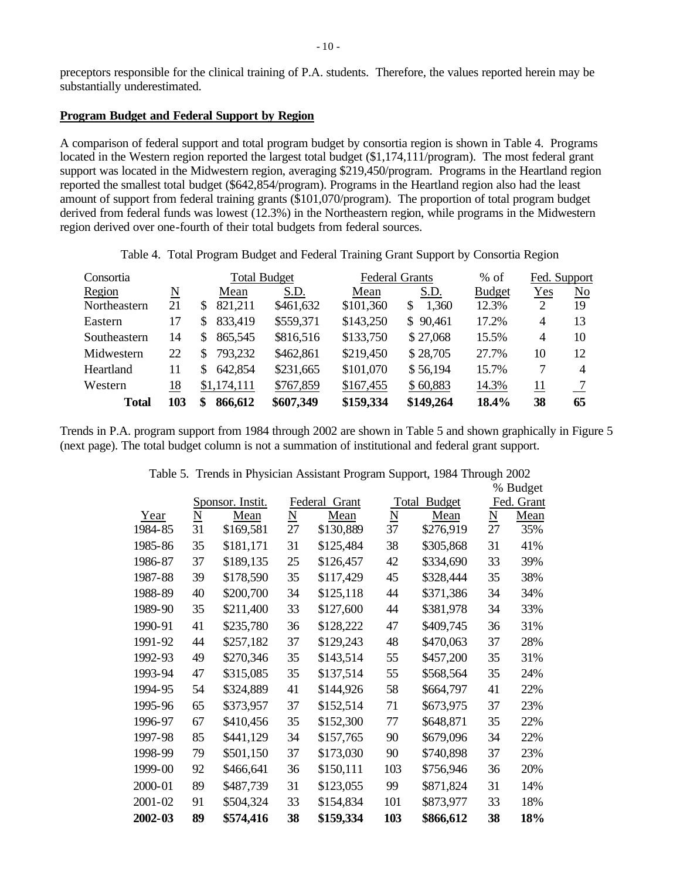preceptors responsible for the clinical training of P.A. students. Therefore, the values reported herein may be substantially underestimated.

### **Program Budget and Federal Support by Region**

A comparison of federal support and total program budget by consortia region is shown in Table 4. Programs located in the Western region reported the largest total budget (\$1,174,111/program). The most federal grant support was located in the Midwestern region, averaging \$219,450/program. Programs in the Heartland region reported the smallest total budget (\$642,854/program). Programs in the Heartland region also had the least amount of support from federal training grants (\$101,070/program). The proportion of total program budget derived from federal funds was lowest (12.3%) in the Northeastern region, while programs in the Midwestern region derived over one-fourth of their total budgets from federal sources.

Table 4. Total Program Budget and Federal Training Grant Support by Consortia Region

| Consortia    |     |               | <b>Total Budget</b> |           | <b>Federal Grants</b> | $%$ of        | Fed. Support |    |
|--------------|-----|---------------|---------------------|-----------|-----------------------|---------------|--------------|----|
| Region       | N   | Mean          | S.D.                | Mean      | S.D.                  | <b>Budget</b> | Yes          | No |
| Northeastern | 21  | 821,211<br>S  | \$461,632           | \$101,360 | 1,360<br>\$.          | 12.3%         | 2            | 19 |
| Eastern      | 17  | 833,419<br>S  | \$559,371           | \$143,250 | \$90,461              | 17.2%         | 4            | 13 |
| Southeastern | 14  | 865,545       | \$816,516           | \$133,750 | \$27,068              | 15.5%         | 4            | 10 |
| Midwestern   | 22  | 793,232       | \$462,861           | \$219,450 | \$28,705              | 27.7%         | 10           | 12 |
| Heartland    | 11  | 642,854       | \$231,665           | \$101,070 | \$56,194              | 15.7%         | 7            | 4  |
| Western      | 18  | \$1,174,111   | \$767,859           | \$167,455 | \$60,883              | 14.3%         | 11           |    |
| <b>Total</b> | 103 | 866,612<br>\$ | \$607,349           | \$159,334 | \$149,264             | 18.4%         | 38           | 65 |

Trends in P.A. program support from 1984 through 2002 are shown in Table 5 and shown graphically in Figure 5 (next page). The total budget column is not a summation of institutional and federal grant support.

|             |                     |                  |                     | % Budget         |                 |                        |                     |            |  |
|-------------|---------------------|------------------|---------------------|------------------|-----------------|------------------------|---------------------|------------|--|
|             |                     | Sponsor. Instit. |                     | Federal<br>Grant |                 | <b>Budget</b><br>Total |                     | Fed. Grant |  |
| Year        | $\underline{\rm N}$ | Mean             | $\underline{\rm N}$ | Mean             | $\underline{N}$ | Mean                   | $\underline{\rm N}$ | Mean       |  |
| 1984-85     | 31                  | \$169,581        | 27                  | \$130,889        | 37              | \$276,919              | 27                  | 35%        |  |
| 1985-86     | 35                  | \$181,171        | 31                  | \$125,484        | 38              | \$305,868              | 31                  | 41%        |  |
| 1986-87     | 37                  | \$189,135        | 25                  | \$126,457        | 42              | \$334,690              | 33                  | 39%        |  |
| 1987-88     | 39                  | \$178,590        | 35                  | \$117,429        | 45              | \$328,444              | 35                  | 38%        |  |
| 1988-89     | 40                  | \$200,700        | 34                  | \$125,118        | 44              | \$371,386              | 34                  | 34%        |  |
| 1989-90     | 35                  | \$211,400        | 33                  | \$127,600        | 44              | \$381,978              | 34                  | 33%        |  |
| 1990-91     | 41                  | \$235,780        | 36                  | \$128,222        | 47              | \$409,745              | 36                  | 31%        |  |
| 1991-92     | 44                  | \$257,182        | 37                  | \$129,243        | 48              | \$470,063              | 37                  | 28%        |  |
| 1992-93     | 49                  | \$270,346        | 35                  | \$143,514        | 55              | \$457,200              | 35                  | 31%        |  |
| 1993-94     | 47                  | \$315,085        | 35                  | \$137,514        | 55              | \$568,564              | 35                  | 24%        |  |
| 1994-95     | 54                  | \$324,889        | 41                  | \$144,926        | 58              | \$664,797              | 41                  | 22%        |  |
| 1995-96     | 65                  | \$373,957        | 37                  | \$152,514        | 71              | \$673,975              | 37                  | 23%        |  |
| 1996-97     | 67                  | \$410,456        | 35                  | \$152,300        | 77              | \$648,871              | 35                  | 22%        |  |
| 1997-98     | 85                  | \$441,129        | 34                  | \$157,765        | 90              | \$679,096              | 34                  | 22%        |  |
| 1998-99     | 79                  | \$501,150        | 37                  | \$173,030        | 90              | \$740,898              | 37                  | 23%        |  |
| 1999-00     | 92                  | \$466,641        | 36                  | \$150,111        | 103             | \$756,946              | 36                  | 20%        |  |
| 2000-01     | 89                  | \$487,739        | 31                  | \$123,055        | 99              | \$871,824              | 31                  | 14%        |  |
| $2001 - 02$ | 91                  | \$504,324        | 33                  | \$154,834        | 101             | \$873,977              | 33                  | 18%        |  |
| 2002-03     | 89                  | \$574,416        | 38                  | \$159,334        | 103             | \$866,612              | 38                  | 18%        |  |

Table 5. Trends in Physician Assistant Program Support, 1984 Through 2002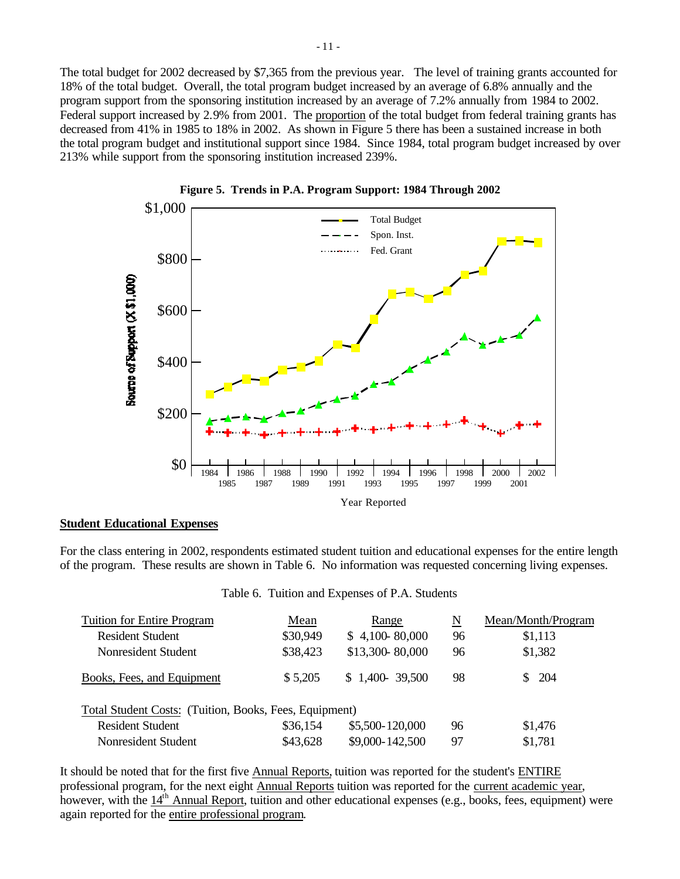The total budget for 2002 decreased by \$7,365 from the previous year. The level of training grants accounted for 18% of the total budget. Overall, the total program budget increased by an average of 6.8% annually and the program support from the sponsoring institution increased by an average of 7.2% annually from 1984 to 2002. Federal support increased by 2.9% from 2001. The proportion of the total budget from federal training grants has decreased from 41% in 1985 to 18% in 2002. As shown in Figure 5 there has been a sustained increase in both the total program budget and institutional support since 1984. Since 1984, total program budget increased by over 213% while support from the sponsoring institution increased 239%.





#### **Student Educational Expenses**

For the class entering in 2002, respondents estimated student tuition and educational expenses for the entire length of the program. These results are shown in Table 6. No information was requested concerning living expenses.

|  |  |  | Table 6. Tuition and Expenses of P.A. Students |  |  |  |
|--|--|--|------------------------------------------------|--|--|--|
|--|--|--|------------------------------------------------|--|--|--|

| <b>Tuition for Entire Program</b>                      | Mean     | Range           | N  | Mean/Month/Program |
|--------------------------------------------------------|----------|-----------------|----|--------------------|
| <b>Resident Student</b>                                | \$30,949 | \$4,100~80,000  | 96 | \$1,113            |
| Nonresident Student                                    | \$38,423 | \$13,300-80,000 | 96 | \$1,382            |
| Books, Fees, and Equipment                             | \$5,205  | $$1,400-39,500$ | 98 | -204               |
| Total Student Costs: (Tuition, Books, Fees, Equipment) |          |                 |    |                    |
| <b>Resident Student</b>                                | \$36,154 | \$5,500-120,000 | 96 | \$1,476            |
| Nonresident Student                                    | \$43,628 | \$9,000-142,500 | 97 | \$1,781            |

It should be noted that for the first five Annual Reports, tuition was reported for the student's ENTIRE professional program, for the next eight Annual Reports tuition was reported for the current academic year, however, with the 14<sup>th</sup> Annual Report, tuition and other educational expenses (e.g., books, fees, equipment) were again reported for the entire professional program.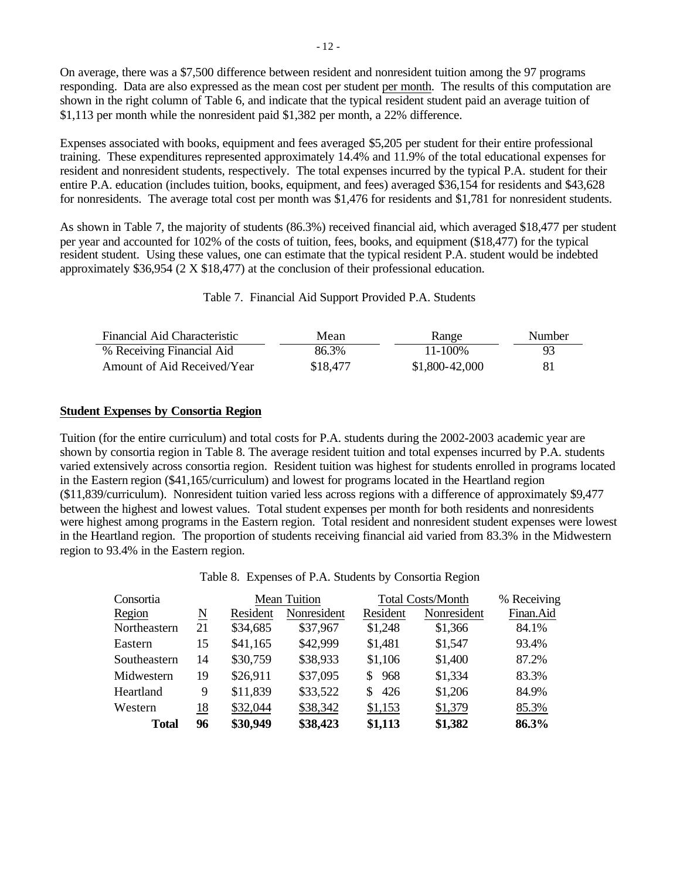On average, there was a \$7,500 difference between resident and nonresident tuition among the 97 programs responding. Data are also expressed as the mean cost per student per month. The results of this computation are shown in the right column of Table 6, and indicate that the typical resident student paid an average tuition of \$1,113 per month while the nonresident paid \$1,382 per month, a 22% difference.

Expenses associated with books, equipment and fees averaged \$5,205 per student for their entire professional training. These expenditures represented approximately 14.4% and 11.9% of the total educational expenses for resident and nonresident students, respectively. The total expenses incurred by the typical P.A. student for their entire P.A. education (includes tuition, books, equipment, and fees) averaged \$36,154 for residents and \$43,628 for nonresidents. The average total cost per month was \$1,476 for residents and \$1,781 for nonresident students.

As shown in Table 7, the majority of students (86.3%) received financial aid, which averaged \$18,477 per student per year and accounted for 102% of the costs of tuition, fees, books, and equipment (\$18,477) for the typical resident student. Using these values, one can estimate that the typical resident P.A. student would be indebted approximately \$36,954 (2 X \$18,477) at the conclusion of their professional education.

Table 7. Financial Aid Support Provided P.A. Students

| Financial Aid Characteristic | Mean     | Range          | <b>Number</b> |
|------------------------------|----------|----------------|---------------|
| % Receiving Financial Aid    | 86.3%    | 11-100%        | 93            |
| Amount of Aid Received/Year  | \$18,477 | \$1,800-42,000 | 81            |

### **Student Expenses by Consortia Region**

Tuition (for the entire curriculum) and total costs for P.A. students during the 2002-2003 academic year are shown by consortia region in Table 8. The average resident tuition and total expenses incurred by P.A. students varied extensively across consortia region. Resident tuition was highest for students enrolled in programs located in the Eastern region (\$41,165/curriculum) and lowest for programs located in the Heartland region (\$11,839/curriculum). Nonresident tuition varied less across regions with a difference of approximately \$9,477 between the highest and lowest values. Total student expenses per month for both residents and nonresidents were highest among programs in the Eastern region. Total resident and nonresident student expenses were lowest in the Heartland region. The proportion of students receiving financial aid varied from 83.3% in the Midwestern region to 93.4% in the Eastern region.

Table 8. Expenses of P.A. Students by Consortia Region

| Consortia    |                     |          | <b>Mean Tuition</b> |            | <b>Total Costs/Month</b> | % Receiving |
|--------------|---------------------|----------|---------------------|------------|--------------------------|-------------|
| Region       | $\underline{\rm N}$ | Resident | Nonresident         | Resident   | Nonresident              | Finan.Aid   |
| Northeastern | 21                  | \$34,685 | \$37,967            | \$1,248    | \$1,366                  | 84.1%       |
| Eastern      | 15                  | \$41,165 | \$42,999            | \$1,481    | \$1,547                  | 93.4%       |
| Southeastern | 14                  | \$30,759 | \$38,933            | \$1,106    | \$1,400                  | 87.2%       |
| Midwestern   | 19                  | \$26,911 | \$37,095            | 968<br>SS. | \$1,334                  | 83.3%       |
| Heartland    | 9                   | \$11,839 | \$33,522            | 426<br>S.  | \$1,206                  | 84.9%       |
| Western      | 18                  | \$32,044 | \$38,342            | \$1,153    | \$1,379                  | 85.3%       |
| <b>Total</b> | 96                  | \$30,949 | \$38,423            | \$1,113    | \$1,382                  | 86.3%       |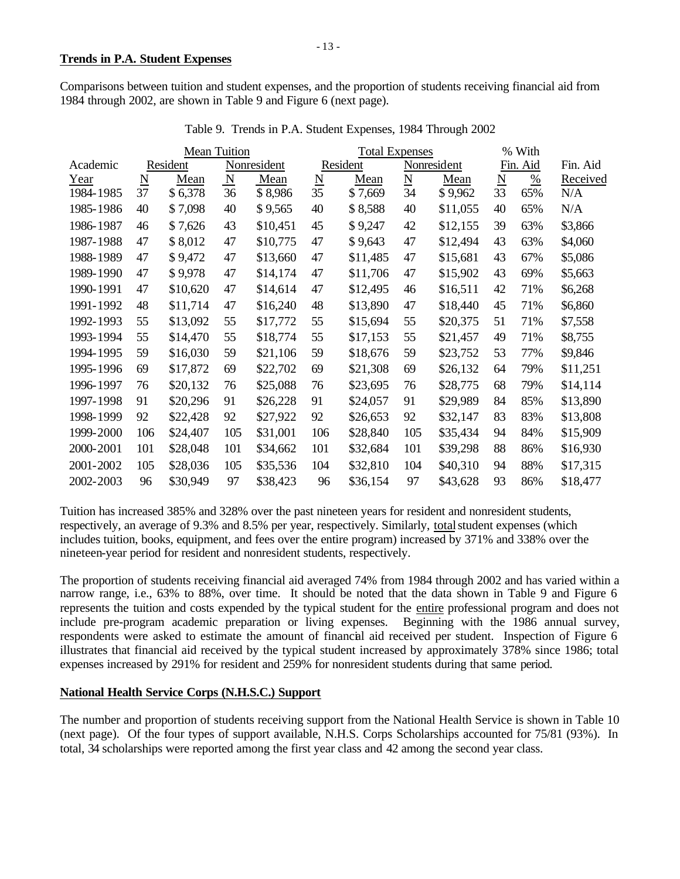Comparisons between tuition and student expenses, and the proportion of students receiving financial aid from 1984 through 2002, are shown in Table 9 and Figure 6 (next page).

|           | <b>Mean Tuition</b>      |          |             |             |                 | <b>Total Expenses</b> |                        |             |    | % With   |          |
|-----------|--------------------------|----------|-------------|-------------|-----------------|-----------------------|------------------------|-------------|----|----------|----------|
| Academic  |                          | Resident |             | Nonresident |                 | Resident              |                        | Nonresident |    | Fin. Aid | Fin. Aid |
| Year      | $\underline{\mathbf{N}}$ | Mean     | $\mathbf N$ | Mean        | $\underline{N}$ | Mean                  | $\underline{\text{N}}$ | Mean        | N  | $\%$     | Received |
| 1984-1985 | 37                       | \$6,378  | 36          | \$8,986     | 35              | \$7,669               | 34                     | \$9,962     | 33 | 65%      | N/A      |
| 1985-1986 | 40                       | \$7,098  | 40          | \$9,565     | 40              | \$8,588               | 40                     | \$11,055    | 40 | 65%      | N/A      |
| 1986-1987 | 46                       | \$7,626  | 43          | \$10,451    | 45              | \$9,247               | 42                     | \$12,155    | 39 | 63%      | \$3,866  |
| 1987-1988 | 47                       | \$8,012  | 47          | \$10,775    | 47              | \$9,643               | 47                     | \$12,494    | 43 | 63%      | \$4,060  |
| 1988-1989 | 47                       | \$9,472  | 47          | \$13,660    | 47              | \$11,485              | 47                     | \$15,681    | 43 | 67%      | \$5,086  |
| 1989-1990 | 47                       | \$9,978  | 47          | \$14,174    | 47              | \$11,706              | 47                     | \$15,902    | 43 | 69%      | \$5,663  |
| 1990-1991 | 47                       | \$10,620 | 47          | \$14,614    | 47              | \$12,495              | 46                     | \$16,511    | 42 | 71%      | \$6,268  |
| 1991-1992 | 48                       | \$11,714 | 47          | \$16,240    | 48              | \$13,890              | 47                     | \$18,440    | 45 | 71%      | \$6,860  |
| 1992-1993 | 55                       | \$13,092 | 55          | \$17,772    | 55              | \$15,694              | 55                     | \$20,375    | 51 | 71%      | \$7,558  |
| 1993-1994 | 55                       | \$14,470 | 55          | \$18,774    | 55              | \$17,153              | 55                     | \$21,457    | 49 | 71%      | \$8,755  |
| 1994-1995 | 59                       | \$16,030 | 59          | \$21,106    | 59              | \$18,676              | 59                     | \$23,752    | 53 | 77%      | \$9,846  |
| 1995-1996 | 69                       | \$17,872 | 69          | \$22,702    | 69              | \$21,308              | 69                     | \$26,132    | 64 | 79%      | \$11,251 |
| 1996-1997 | 76                       | \$20,132 | 76          | \$25,088    | 76              | \$23,695              | 76                     | \$28,775    | 68 | 79%      | \$14,114 |
| 1997-1998 | 91                       | \$20,296 | 91          | \$26,228    | 91              | \$24,057              | 91                     | \$29,989    | 84 | 85%      | \$13,890 |
| 1998-1999 | 92                       | \$22,428 | 92          | \$27,922    | 92              | \$26,653              | 92                     | \$32,147    | 83 | 83%      | \$13,808 |
| 1999-2000 | 106                      | \$24,407 | 105         | \$31,001    | 106             | \$28,840              | 105                    | \$35,434    | 94 | 84%      | \$15,909 |
| 2000-2001 | 101                      | \$28,048 | 101         | \$34,662    | 101             | \$32,684              | 101                    | \$39,298    | 88 | 86%      | \$16,930 |
| 2001-2002 | 105                      | \$28,036 | 105         | \$35,536    | 104             | \$32,810              | 104                    | \$40,310    | 94 | 88%      | \$17,315 |
| 2002-2003 | 96                       | \$30,949 | 97          | \$38,423    | 96              | \$36,154              | 97                     | \$43,628    | 93 | 86%      | \$18,477 |

Table 9. Trends in P.A. Student Expenses, 1984 Through 2002

Tuition has increased 385% and 328% over the past nineteen years for resident and nonresident students, respectively, an average of 9.3% and 8.5% per year, respectively. Similarly, total student expenses (which includes tuition, books, equipment, and fees over the entire program) increased by 371% and 338% over the nineteen-year period for resident and nonresident students, respectively.

The proportion of students receiving financial aid averaged 74% from 1984 through 2002 and has varied within a narrow range, i.e., 63% to 88%, over time. It should be noted that the data shown in Table 9 and Figure 6 represents the tuition and costs expended by the typical student for the entire professional program and does not include pre-program academic preparation or living expenses. Beginning with the 1986 annual survey, respondents were asked to estimate the amount of financial aid received per student. Inspection of Figure 6 illustrates that financial aid received by the typical student increased by approximately 378% since 1986; total expenses increased by 291% for resident and 259% for nonresident students during that same period.

# **National Health Service Corps (N.H.S.C.) Support**

The number and proportion of students receiving support from the National Health Service is shown in Table 10 (next page). Of the four types of support available, N.H.S. Corps Scholarships accounted for 75/81 (93%). In total, 34 scholarships were reported among the first year class and 42 among the second year class.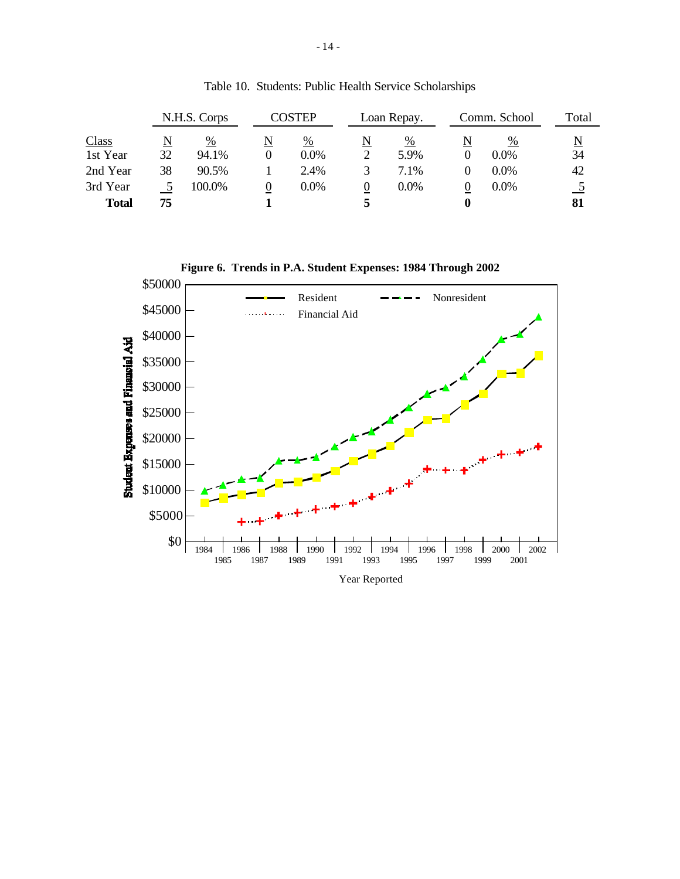| N.H.S. Corps |    | COSTEP |   | Loan Repay. |   | Comm. School |   | Total   |                          |
|--------------|----|--------|---|-------------|---|--------------|---|---------|--------------------------|
| <b>Class</b> |    | %      | N | %           |   | %            | N | %       | $\underline{\mathbf{N}}$ |
| 1st Year     | 32 | 94.1%  |   | $0.0\%$     |   | 5.9%         |   | $0.0\%$ | 34                       |
| 2nd Year     | 38 | 90.5%  |   | 2.4%        |   | 7.1%         |   | $0.0\%$ | 42                       |
| 3rd Year     |    | 100.0% | O | 0.0%        | U | $0.0\%$      | O | 0.0%    |                          |
| <b>Total</b> | 75 |        |   |             |   |              |   |         | 81                       |

Table 10. Students: Public Health Service Scholarships

**Figure 6. Trends in P.A. Student Expenses: 1984 Through 2002**

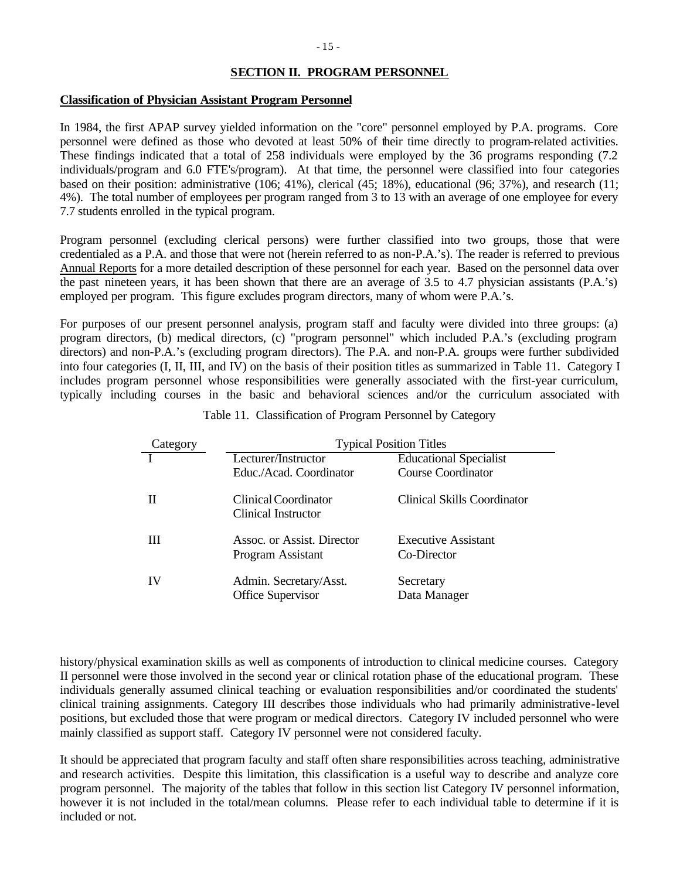## **SECTION II. PROGRAM PERSONNEL**

### **Classification of Physician Assistant Program Personnel**

In 1984, the first APAP survey yielded information on the "core" personnel employed by P.A. programs. Core personnel were defined as those who devoted at least 50% of their time directly to program-related activities. These findings indicated that a total of 258 individuals were employed by the 36 programs responding (7.2 individuals/program and 6.0 FTE's/program). At that time, the personnel were classified into four categories based on their position: administrative (106; 41%), clerical (45; 18%), educational (96; 37%), and research (11; 4%). The total number of employees per program ranged from 3 to 13 with an average of one employee for every 7.7 students enrolled in the typical program.

Program personnel (excluding clerical persons) were further classified into two groups, those that were credentialed as a P.A. and those that were not (herein referred to as non-P.A.'s). The reader is referred to previous Annual Reports for a more detailed description of these personnel for each year. Based on the personnel data over the past nineteen years, it has been shown that there are an average of 3.5 to 4.7 physician assistants (P.A.'s) employed per program. This figure excludes program directors, many of whom were P.A.'s.

For purposes of our present personnel analysis, program staff and faculty were divided into three groups: (a) program directors, (b) medical directors, (c) "program personnel" which included P.A.'s (excluding program directors) and non-P.A.'s (excluding program directors). The P.A. and non-P.A. groups were further subdivided into four categories (I, II, III, and IV) on the basis of their position titles as summarized in Table 11. Category I includes program personnel whose responsibilities were generally associated with the first-year curriculum, typically including courses in the basic and behavioral sciences and/or the curriculum associated with

| Category | <b>Typical Position Titles</b>              |                               |  |  |  |  |  |  |
|----------|---------------------------------------------|-------------------------------|--|--|--|--|--|--|
|          | Lecturer/Instructor                         | <b>Educational Specialist</b> |  |  |  |  |  |  |
|          | Educ./Acad. Coordinator                     | <b>Course Coordinator</b>     |  |  |  |  |  |  |
|          | Clinical Coordinator<br>Clinical Instructor | Clinical Skills Coordinator   |  |  |  |  |  |  |
| Ш        | Assoc. or Assist. Director                  | <b>Executive Assistant</b>    |  |  |  |  |  |  |
|          | Program Assistant                           | Co-Director                   |  |  |  |  |  |  |
| IV       | Admin. Secretary/Asst.                      | Secretary                     |  |  |  |  |  |  |
|          | <b>Office Supervisor</b>                    | Data Manager                  |  |  |  |  |  |  |

Table 11. Classification of Program Personnel by Category

history/physical examination skills as well as components of introduction to clinical medicine courses. Category II personnel were those involved in the second year or clinical rotation phase of the educational program. These individuals generally assumed clinical teaching or evaluation responsibilities and/or coordinated the students' clinical training assignments. Category III describes those individuals who had primarily administrative-level positions, but excluded those that were program or medical directors. Category IV included personnel who were mainly classified as support staff. Category IV personnel were not considered faculty.

It should be appreciated that program faculty and staff often share responsibilities across teaching, administrative and research activities. Despite this limitation, this classification is a useful way to describe and analyze core program personnel. The majority of the tables that follow in this section list Category IV personnel information, however it is not included in the total/mean columns. Please refer to each individual table to determine if it is included or not.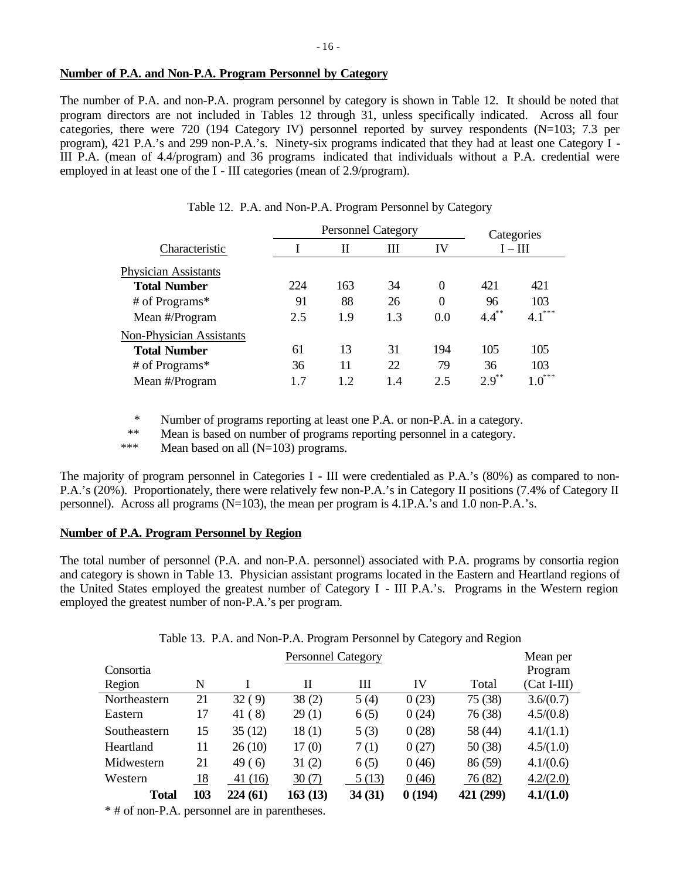### **Number of P.A. and Non-P.A. Program Personnel by Category**

The number of P.A. and non-P.A. program personnel by category is shown in Table 12. It should be noted that program directors are not included in Tables 12 through 31, unless specifically indicated. Across all four categories, there were 720 (194 Category IV) personnel reported by survey respondents (N=103; 7.3 per program), 421 P.A.'s and 299 non-P.A.'s. Ninety-six programs indicated that they had at least one Category I - III P.A. (mean of 4.4/program) and 36 programs indicated that individuals without a P.A. credential were employed in at least one of the I - III categories (mean of 2.9/program).

|                                 |     | <b>Personnel Category</b> |     | Categories       |            |          |  |
|---------------------------------|-----|---------------------------|-----|------------------|------------|----------|--|
| Characteristic                  |     | П                         | Ш   | IV               | $I - III$  |          |  |
| <b>Physician Assistants</b>     |     |                           |     |                  |            |          |  |
| <b>Total Number</b>             | 224 | 163                       | 34  | $\theta$         | 421        | 421      |  |
| # of Programs*                  | 91  | 88                        | 26  | $\boldsymbol{0}$ | 96         | 103      |  |
| Mean #/Program                  | 2.5 | 1.9                       | 1.3 | 0.0              | $4.4^{**}$ | $4.1***$ |  |
| <b>Non-Physician Assistants</b> |     |                           |     |                  |            |          |  |
| <b>Total Number</b>             | 61  | 13                        | 31  | 194              | 105        | 105      |  |
| # of Programs*                  | 36  | 11                        | 22  | 79               | 36         | 103      |  |
| Mean #/Program                  | 1.7 | 1.2                       | 1.4 | 2.5              | $2.9^{**}$ | $1.0***$ |  |

|  |  | Table 12. P.A. and Non-P.A. Program Personnel by Category |  |
|--|--|-----------------------------------------------------------|--|
|  |  |                                                           |  |

\* Number of programs reporting at least one P.A. or non-P.A. in a category.

\*\* Mean is based on number of programs reporting personnel in a category.

\*\*\* Mean based on all (N=103) programs.

The majority of program personnel in Categories I - III were credentialed as P.A.'s (80%) as compared to non-P.A.'s (20%). Proportionately, there were relatively few non-P.A.'s in Category II positions (7.4% of Category II personnel). Across all programs  $(N=103)$ , the mean per program is 4.1P.A.'s and 1.0 non-P.A.'s.

### **Number of P.A. Program Personnel by Region**

The total number of personnel (P.A. and non-P.A. personnel) associated with P.A. programs by consortia region and category is shown in Table 13. Physician assistant programs located in the Eastern and Heartland regions of the United States employed the greatest number of Category I - III P.A.'s. Programs in the Western region employed the greatest number of non-P.A.'s per program.

Table 13. P.A. and Non-P.A. Program Personnel by Category and Region

| <b>Personnel Category</b> |     |          |         |        |        |           |               |  |  |
|---------------------------|-----|----------|---------|--------|--------|-----------|---------------|--|--|
| Consortia                 |     |          |         |        |        |           | Program       |  |  |
| Region                    | N   |          | Н       | Ш      | IV     | Total     | $(Cat I-III)$ |  |  |
| Northeastern              | 21  | 32 (9)   | 38(2)   | 5(4)   | 0(23)  | 75 (38)   | 3.6/(0.7)     |  |  |
| Eastern                   | 17  | 41(8)    | 29(1)   | 6(5)   | 0(24)  | 76 (38)   | 4.5/(0.8)     |  |  |
| Southeastern              | 15  | 35(12)   | 18(1)   | 5(3)   | 0(28)  | 58 (44)   | 4.1/(1.1)     |  |  |
| Heartland                 | 11  | 26(10)   | 17(0)   | 7(1)   | 0(27)  | 50(38)    | 4.5/(1.0)     |  |  |
| Midwestern                | 21  | 49(6)    | 31(2)   | 6(5)   | 0(46)  | 86 (59)   | 4.1/(0.6)     |  |  |
| Western                   | 18  | 41(16)   | 30(7)   | 5(13)  | 0(46)  | 76 (82)   | 4.2/(2.0)     |  |  |
| <b>Total</b>              | 103 | 224 (61) | 163(13) | 34(31) | 0(194) | 421 (299) | 4.1/(1.0)     |  |  |

\* # of non-P.A. personnel are in parentheses.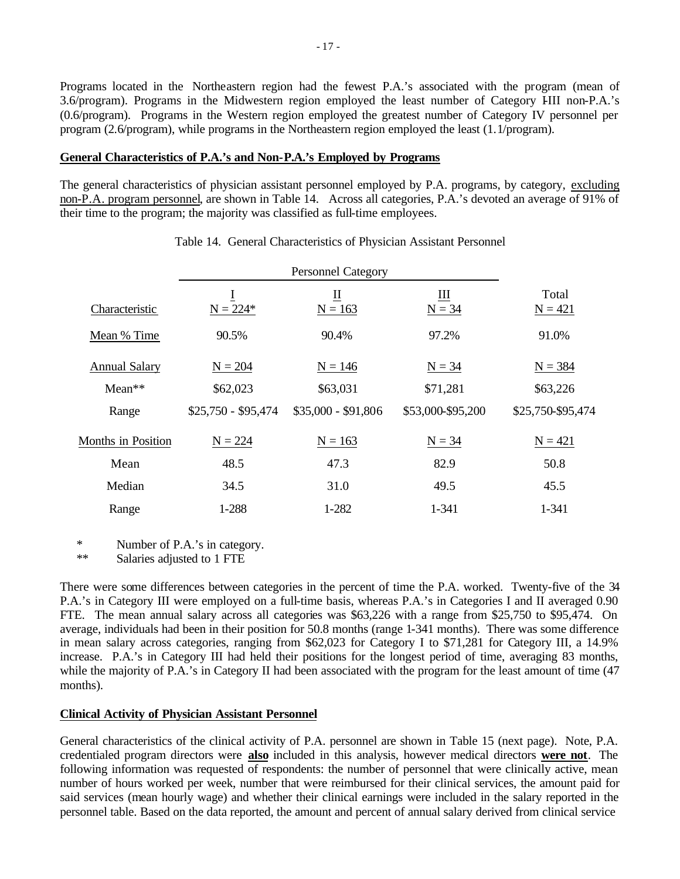Programs located in the Northeastern region had the fewest P.A.'s associated with the program (mean of 3.6/program). Programs in the Midwestern region employed the least number of Category IIII non-P.A.'s (0.6/program). Programs in the Western region employed the greatest number of Category IV personnel per program (2.6/program), while programs in the Northeastern region employed the least (1.1/program).

### **General Characteristics of P.A.'s and Non-P.A.'s Employed by Programs**

The general characteristics of physician assistant personnel employed by P.A. programs, by category, excluding non-P.A. program personnel, are shown in Table 14. Across all categories, P.A.'s devoted an average of 91% of their time to the program; the majority was classified as full-time employees.

|                           |                     | <b>Personnel Category</b>     |                   |                    |
|---------------------------|---------------------|-------------------------------|-------------------|--------------------|
| Characteristic            | 1<br>$N = 224*$     | $\overline{\Pi}$<br>$N = 163$ | Ш<br>$N = 34$     | Total<br>$N = 421$ |
| Mean % Time               | 90.5%               | 90.4%                         | 97.2%             | 91.0%              |
| <b>Annual Salary</b>      | $N = 204$           | $N = 146$                     | $N = 34$          | $N = 384$          |
| $Mean**$                  | \$62,023            | \$63,031                      | \$71,281          | \$63,226           |
| Range                     | $$25,750 - $95,474$ | $$35,000 - $91,806$           | \$53,000-\$95,200 | \$25,750-\$95,474  |
| <b>Months in Position</b> | $N = 224$           | $N = 163$                     | $N = 34$          | $N = 421$          |
| Mean                      | 48.5                | 47.3                          | 82.9              | 50.8               |
| Median                    | 34.5                | 31.0                          | 49.5              | 45.5               |
| Range                     | 1-288               | 1-282                         | 1-341             | 1-341              |

#### Table 14. General Characteristics of Physician Assistant Personnel

\* Number of P.A.'s in category.

\*\* Salaries adjusted to 1 FTE

There were some differences between categories in the percent of time the P.A. worked. Twenty-five of the 34 P.A.'s in Category III were employed on a full-time basis, whereas P.A.'s in Categories I and II averaged 0.90 FTE. The mean annual salary across all categories was \$63,226 with a range from \$25,750 to \$95,474. On average, individuals had been in their position for 50.8 months (range 1-341 months). There was some difference in mean salary across categories, ranging from \$62,023 for Category I to \$71,281 for Category III, a 14.9% increase. P.A.'s in Category III had held their positions for the longest period of time, averaging 83 months, while the majority of P.A.'s in Category II had been associated with the program for the least amount of time (47 months).

## **Clinical Activity of Physician Assistant Personnel**

General characteristics of the clinical activity of P.A. personnel are shown in Table 15 (next page). Note, P.A. credentialed program directors were **also** included in this analysis, however medical directors **were not**. The following information was requested of respondents: the number of personnel that were clinically active, mean number of hours worked per week, number that were reimbursed for their clinical services, the amount paid for said services (mean hourly wage) and whether their clinical earnings were included in the salary reported in the personnel table. Based on the data reported, the amount and percent of annual salary derived from clinical service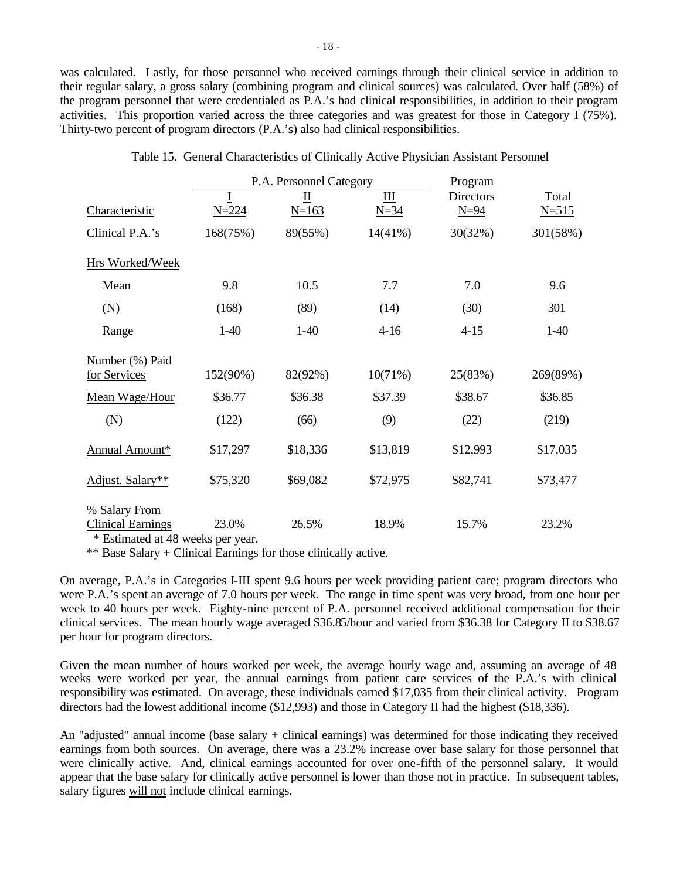was calculated. Lastly, for those personnel who received earnings through their clinical service in addition to their regular salary, a gross salary (combining program and clinical sources) was calculated. Over half (58%) of the program personnel that were credentialed as P.A.'s had clinical responsibilities, in addition to their program activities. This proportion varied across the three categories and was greatest for those in Category I (75%). Thirty-two percent of program directors (P.A.'s) also had clinical responsibilities.

|                                                                                  |           | P.A. Personnel Category | Program         |                            |                    |
|----------------------------------------------------------------------------------|-----------|-------------------------|-----------------|----------------------------|--------------------|
| Characteristic                                                                   | $N = 224$ | П<br>$N = 163$          | III<br>$N = 34$ | <b>Directors</b><br>$N=94$ | Total<br>$N = 515$ |
| Clinical P.A.'s                                                                  | 168(75%)  | 89(55%)                 | $14(41\%)$      | 30(32%)                    | 301(58%)           |
| Hrs Worked/Week                                                                  |           |                         |                 |                            |                    |
| Mean                                                                             | 9.8       | 10.5                    | 7.7             | 7.0                        | 9.6                |
| (N)                                                                              | (168)     | (89)                    | (14)            | (30)                       | 301                |
| Range                                                                            | $1-40$    | $1-40$                  | $4 - 16$        | $4 - 15$                   | $1-40$             |
| Number (%) Paid<br>for Services                                                  | 152(90%)  | 82(92%)                 | 10(71%)         | 25(83%)                    | 269(89%)           |
| Mean Wage/Hour                                                                   | \$36.77   | \$36.38                 | \$37.39         | \$38.67                    | \$36.85            |
| (N)                                                                              | (122)     | (66)                    | (9)             | (22)                       | (219)              |
| Annual Amount*                                                                   | \$17,297  | \$18,336                | \$13,819        | \$12,993                   | \$17,035           |
| Adjust. Salary**                                                                 | \$75,320  | \$69,082                | \$72,975        | \$82,741                   | \$73,477           |
| % Salary From<br><b>Clinical Earnings</b><br>$\pm$ Definent 1 of 40 construction | 23.0%     | 26.5%                   | 18.9%           | 15.7%                      | 23.2%              |

Table 15. General Characteristics of Clinically Active Physician Assistant Personnel

\* Estimated at 48 weeks per year.

\*\* Base Salary + Clinical Earnings for those clinically active.

On average, P.A.'s in Categories I-III spent 9.6 hours per week providing patient care; program directors who were P.A.'s spent an average of 7.0 hours per week. The range in time spent was very broad, from one hour per week to 40 hours per week. Eighty-nine percent of P.A. personnel received additional compensation for their clinical services. The mean hourly wage averaged \$36.85/hour and varied from \$36.38 for Category II to \$38.67 per hour for program directors.

Given the mean number of hours worked per week, the average hourly wage and, assuming an average of 48 weeks were worked per year, the annual earnings from patient care services of the P.A.'s with clinical responsibility was estimated. On average, these individuals earned \$17,035 from their clinical activity. Program directors had the lowest additional income (\$12,993) and those in Category II had the highest (\$18,336).

An "adjusted" annual income (base salary + clinical earnings) was determined for those indicating they received earnings from both sources. On average, there was a 23.2% increase over base salary for those personnel that were clinically active. And, clinical earnings accounted for over one-fifth of the personnel salary. It would appear that the base salary for clinically active personnel is lower than those not in practice. In subsequent tables, salary figures will not include clinical earnings.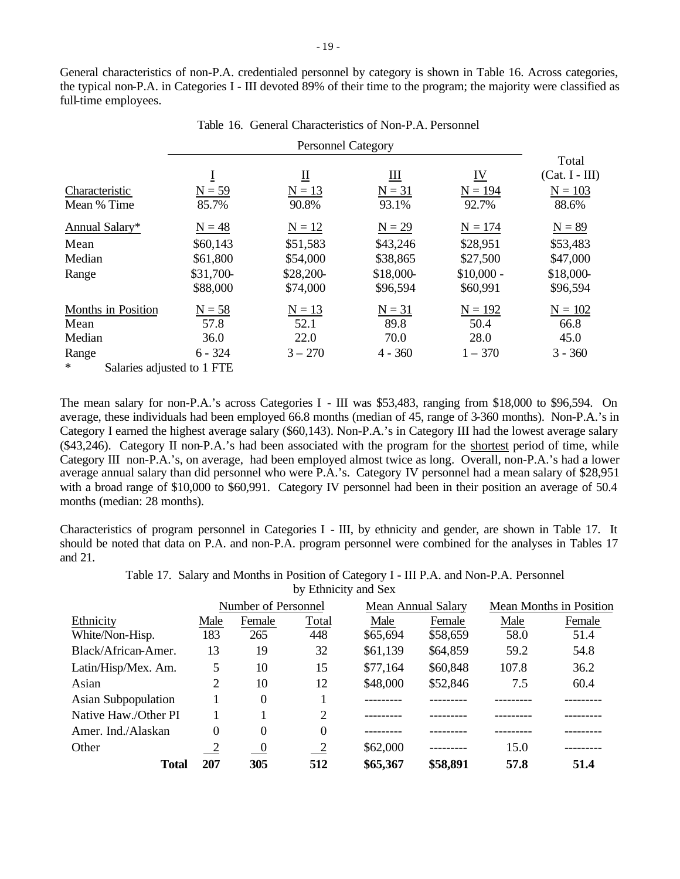General characteristics of non-P.A. credentialed personnel by category is shown in Table 16. Across categories, the typical non-P.A. in Categories I - III devoted 89% of their time to the program; the majority were classified as full-time employees.

Table 16. General Characteristics of Non-P.A. Personnel

|                                      |           |                           |           |                           | Total            |
|--------------------------------------|-----------|---------------------------|-----------|---------------------------|------------------|
|                                      | Ī         | $\underline{\mathrm{II}}$ | Ш         | $\underline{\mathbf{IV}}$ | $(Cat. I - III)$ |
| Characteristic                       | $N = 59$  | $N = 13$                  | $N = 31$  | $N = 194$                 | $N = 103$        |
| Mean % Time                          | 85.7%     | 90.8%                     | 93.1%     | 92.7%                     | 88.6%            |
| Annual Salary*                       | $N = 48$  | $N = 12$                  | $N = 29$  | $N = 174$                 | $N = 89$         |
| Mean                                 | \$60,143  | \$51,583                  | \$43,246  | \$28,951                  | \$53,483         |
| Median                               | \$61,800  | \$54,000                  | \$38,865  | \$27,500                  | \$47,000         |
| Range                                | \$31,700- | \$28,200-                 | \$18,000- | $$10,000 -$               | \$18,000-        |
|                                      | \$88,000  | \$74,000                  | \$96,594  | \$60,991                  | \$96,594         |
| Months in Position                   | $N = 58$  | $N = 13$                  | $N = 31$  | $N = 192$                 | $N = 102$        |
| Mean                                 | 57.8      | 52.1                      | 89.8      | 50.4                      | 66.8             |
| Median                               | 36.0      | 22.0                      | 70.0      | 28.0                      | 45.0             |
| Range                                | $6 - 324$ | $3 - 270$                 | $4 - 360$ | $1 - 370$                 | $3 - 360$        |
| $\ast$<br>Salaries adjusted to 1 FTE |           |                           |           |                           |                  |

The mean salary for non-P.A.'s across Categories I - III was \$53,483, ranging from \$18,000 to \$96,594. On average, these individuals had been employed 66.8 months (median of 45, range of 3-360 months). Non-P.A.'s in Category I earned the highest average salary (\$60,143). Non-P.A.'s in Category III had the lowest average salary (\$43,246). Category II non-P.A.'s had been associated with the program for the shortest period of time, while Category III non-P.A.'s, on average, had been employed almost twice as long. Overall, non-P.A.'s had a lower average annual salary than did personnel who were P.A.'s. Category IV personnel had a mean salary of \$28,951 with a broad range of \$10,000 to \$60,991. Category IV personnel had been in their position an average of 50.4 months (median: 28 months).

Characteristics of program personnel in Categories I - III, by ethnicity and gender, are shown in Table 17. It should be noted that data on P.A. and non-P.A. program personnel were combined for the analyses in Tables 17 and 21.

> Table 17. Salary and Months in Position of Category I - III P.A. and Non-P.A. Personnel by Ethnicity and Sex

|                            |               | Number of Personnel      |                            |          | <b>Mean Annual Salary</b> | <b>Mean Months in Position</b> |        |
|----------------------------|---------------|--------------------------|----------------------------|----------|---------------------------|--------------------------------|--------|
| Ethnicity                  | Male          | Female                   | Total                      | Male     | Female                    | Male                           | Female |
| White/Non-Hisp.            | 183           | 265                      | 448                        | \$65,694 | \$58,659                  | 58.0                           | 51.4   |
| Black/African-Amer.        | 13            | 19                       | 32                         | \$61,139 | \$64,859                  | 59.2                           | 54.8   |
| Latin/Hisp/Mex. Am.        | 5             | 10                       | 15                         | \$77,164 | \$60,848                  | 107.8                          | 36.2   |
| Asian                      | 2             | 10                       | 12                         | \$48,000 | \$52,846                  | 7.5                            | 60.4   |
| <b>Asian Subpopulation</b> |               | $\theta$                 |                            |          |                           |                                |        |
| Native Haw./Other PI       |               |                          | 2                          |          |                           |                                |        |
| Amer. Ind./Alaskan         | 0             | 0                        | $\Omega$                   |          |                           |                                |        |
| Other                      | $\frac{2}{2}$ | $\overline{\phantom{0}}$ | $\overline{\phantom{0}}^2$ | \$62,000 |                           | 15.0                           |        |
| <b>Total</b>               | 207           | 305                      | 512                        | \$65,367 | \$58,891                  | 57.8                           | 51.4   |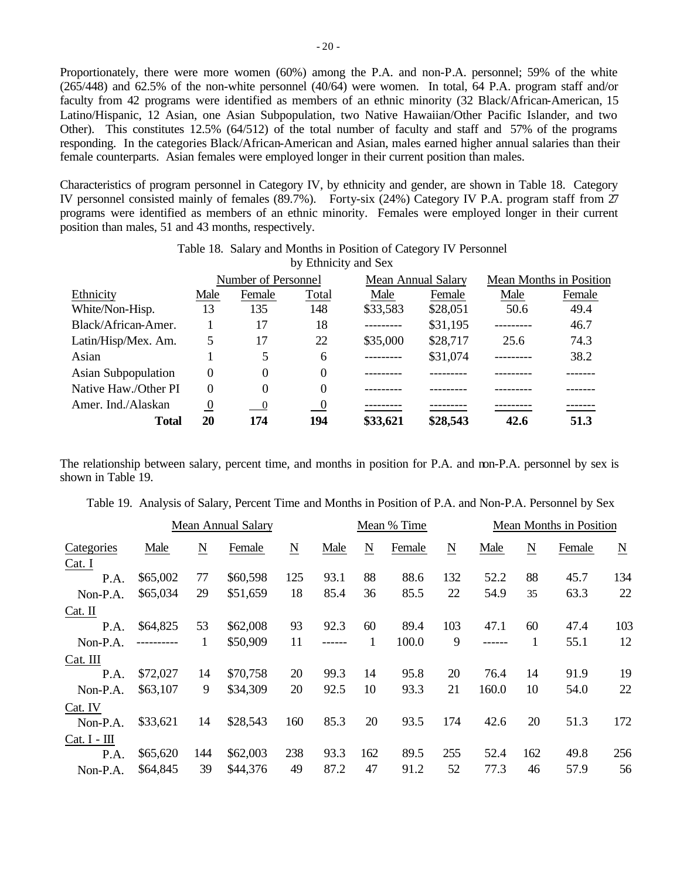Proportionately, there were more women (60%) among the P.A. and non-P.A. personnel; 59% of the white (265/448) and 62.5% of the non-white personnel (40/64) were women. In total, 64 P.A. program staff and/or faculty from 42 programs were identified as members of an ethnic minority (32 Black/African-American, 15 Latino/Hispanic, 12 Asian, one Asian Subpopulation, two Native Hawaiian/Other Pacific Islander, and two Other). This constitutes 12.5% (64/512) of the total number of faculty and staff and 57% of the programs responding. In the categories Black/African-American and Asian, males earned higher annual salaries than their female counterparts. Asian females were employed longer in their current position than males.

Characteristics of program personnel in Category IV, by ethnicity and gender, are shown in Table 18. Category IV personnel consisted mainly of females (89.7%). Forty-six (24%) Category IV P.A. program staff from 27 programs were identified as members of an ethnic minority. Females were employed longer in their current position than males, 51 and 43 months, respectively.

|                            |                  | Number of Personnel        |                            |           | <b>Mean Annual Salary</b> | <b>Mean Months in Position</b> |        |  |
|----------------------------|------------------|----------------------------|----------------------------|-----------|---------------------------|--------------------------------|--------|--|
| Ethnicity                  | Male             | Female                     | Total                      | Male      | Female                    | Male                           | Female |  |
| White/Non-Hisp.            | 13               | 135                        | 148                        | \$33,583  | \$28,051                  | 50.6                           | 49.4   |  |
| Black/African-Amer.        |                  | 17                         | 18                         | --------- | \$31,195                  |                                | 46.7   |  |
| Latin/Hisp/Mex. Am.        | 5                | 17                         | 22                         | \$35,000  | \$28,717                  | 25.6                           | 74.3   |  |
| Asian                      |                  | 5                          | 6                          | --------- | \$31,074                  |                                | 38.2   |  |
| <b>Asian Subpopulation</b> | 0                | $\Omega$                   | 0                          |           |                           |                                |        |  |
| Native Haw./Other PI       | 0                | 0                          | $\Omega$                   |           |                           |                                |        |  |
| Amer. Ind./Alaskan         | $\boldsymbol{0}$ | $\overline{\phantom{0}}^0$ | $\overline{\phantom{0}}^0$ |           |                           |                                |        |  |
| <b>Total</b>               | 20               | 174                        | 194                        | \$33,621  | \$28,543                  | 42.6                           | 51.3   |  |

Table 18. Salary and Months in Position of Category IV Personnel by Ethnicity and Sex

The relationship between salary, percent time, and months in position for P.A. and non-P.A. personnel by sex is shown in Table 19.

|                      |            |                 | Table 19. Alialysis of Salary, Felectic Three and Motiums in Fostdon of F.A. and Non-F.A. Felsometroy Sex |                          |        |                          |             |                          |                         |                          |        |                          |
|----------------------|------------|-----------------|-----------------------------------------------------------------------------------------------------------|--------------------------|--------|--------------------------|-------------|--------------------------|-------------------------|--------------------------|--------|--------------------------|
|                      |            |                 | <b>Mean Annual Salary</b>                                                                                 |                          |        |                          | Mean % Time |                          | Mean Months in Position |                          |        |                          |
| Categories<br>Cat. I | Male       | $\underline{N}$ | Female                                                                                                    | $\underline{\mathbf{N}}$ | Male   | $\underline{\mathbf{N}}$ | Female      | $\underline{\mathbf{N}}$ | Male                    | $\underline{\mathbf{N}}$ | Female | $\underline{\mathbf{N}}$ |
| P.A.                 | \$65,002   | 77              | \$60,598                                                                                                  | 125                      | 93.1   | 88                       | 88.6        | 132                      | 52.2                    | 88                       | 45.7   | 134                      |
| Non-P.A.             | \$65,034   | 29              | \$51,659                                                                                                  | 18                       | 85.4   | 36                       | 85.5        | 22                       | 54.9                    | 35                       | 63.3   | 22                       |
| $Cat.$ II            |            |                 |                                                                                                           |                          |        |                          |             |                          |                         |                          |        |                          |
| P.A.                 | \$64,825   | 53              | \$62,008                                                                                                  | 93                       | 92.3   | 60                       | 89.4        | 103                      | 47.1                    | 60                       | 47.4   | 103                      |
| Non-P.A.             | ---------- | 1               | \$50,909                                                                                                  | 11                       | ------ | 1                        | 100.0       | 9                        |                         | 1                        | 55.1   | 12                       |
| Cat. III             |            |                 |                                                                                                           |                          |        |                          |             |                          |                         |                          |        |                          |
| P.A.                 | \$72,027   | 14              | \$70,758                                                                                                  | 20                       | 99.3   | 14                       | 95.8        | 20                       | 76.4                    | 14                       | 91.9   | 19                       |
| Non-P.A.             | \$63,107   | 9               | \$34,309                                                                                                  | 20                       | 92.5   | 10                       | 93.3        | 21                       | 160.0                   | 10                       | 54.0   | 22                       |
| Cat. IV              |            |                 |                                                                                                           |                          |        |                          |             |                          |                         |                          |        |                          |
| Non-P.A.             | \$33,621   | 14              | \$28,543                                                                                                  | 160                      | 85.3   | 20                       | 93.5        | 174                      | 42.6                    | 20                       | 51.3   | 172                      |
| $Cat. I - III$       |            |                 |                                                                                                           |                          |        |                          |             |                          |                         |                          |        |                          |
| P.A.                 | \$65,620   | 144             | \$62,003                                                                                                  | 238                      | 93.3   | 162                      | 89.5        | 255                      | 52.4                    | 162                      | 49.8   | 256                      |
| Non-P.A.             | \$64,845   | 39              | \$44,376                                                                                                  | 49                       | 87.2   | 47                       | 91.2        | 52                       | 77.3                    | 46                       | 57.9   | 56                       |
|                      |            |                 |                                                                                                           |                          |        |                          |             |                          |                         |                          |        |                          |

Table 19. Analysis of Salary, Percent Time and Months in Position of P.A. and Non-P.A. Personnel by Sex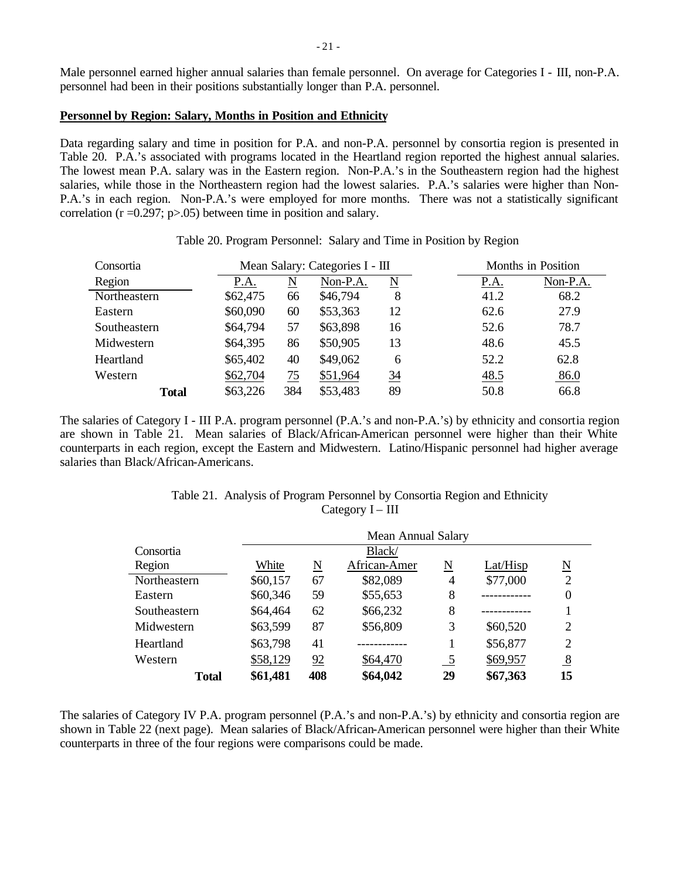Male personnel earned higher annual salaries than female personnel. On average for Categories I - III, non-P.A. personnel had been in their positions substantially longer than P.A. personnel.

### **Personnel by Region: Salary, Months in Position and Ethnicity**

Data regarding salary and time in position for P.A. and non-P.A. personnel by consortia region is presented in Table 20. P.A.'s associated with programs located in the Heartland region reported the highest annual salaries. The lowest mean P.A. salary was in the Eastern region. Non-P.A.'s in the Southeastern region had the highest salaries, while those in the Northeastern region had the lowest salaries. P.A.'s salaries were higher than Non-P.A.'s in each region. Non-P.A.'s were employed for more months. There was not a statistically significant correlation ( $r = 0.297$ ;  $p > 0.05$ ) between time in position and salary.

| Consortia    |          | Mean Salary: Categories I - III |          |                 | Months in Position                |
|--------------|----------|---------------------------------|----------|-----------------|-----------------------------------|
| Region       | P.A.     | N                               | Non-P.A. | N               | Non-P.A.<br>P.A.                  |
| Northeastern | \$62,475 | 66                              | \$46,794 | 8               | 41.2<br>68.2                      |
| Eastern      | \$60,090 | 60                              | \$53,363 | 12              | 27.9<br>62.6                      |
| Southeastern | \$64,794 | 57                              | \$63,898 | 16              | 78.7<br>52.6                      |
| Midwestern   | \$64,395 | 86                              | \$50,905 | 13              | 45.5<br>48.6                      |
| Heartland    | \$65,402 | 40                              | \$49,062 | 6               | 52.2<br>62.8                      |
| Western      | \$62,704 | 75                              | \$51,964 | $\overline{34}$ | $\underline{48.5}$<br><u>86.0</u> |
| <b>Total</b> | \$63,226 | 384                             | \$53,483 | 89              | 50.8<br>66.8                      |

Table 20. Program Personnel: Salary and Time in Position by Region

The salaries of Category I - III P.A. program personnel (P.A.'s and non-P.A.'s) by ethnicity and consortia region are shown in Table 21. Mean salaries of Black/African-American personnel were higher than their White counterparts in each region, except the Eastern and Midwestern. Latino/Hispanic personnel had higher average salaries than Black/African-Americans.

| Table 21. Analysis of Program Personnel by Consortia Region and Ethnicity |
|---------------------------------------------------------------------------|
| Category $I - III$                                                        |

|              | <b>Mean Annual Salary</b> |                        |              |               |          |                        |  |  |  |
|--------------|---------------------------|------------------------|--------------|---------------|----------|------------------------|--|--|--|
| Consortia    |                           |                        | Black/       |               |          |                        |  |  |  |
| Region       | White                     | $\underline{\text{N}}$ | African-Amer | N             | Lat/Hisp | $\underline{\text{N}}$ |  |  |  |
| Northeastern | \$60,157                  | 67                     | \$82,089     | 4             | \$77,000 | 2                      |  |  |  |
| Eastern      | \$60,346                  | 59                     | \$55,653     | 8             |          | 0                      |  |  |  |
| Southeastern | \$64,464                  | 62                     | \$66,232     | 8             |          |                        |  |  |  |
| Midwestern   | \$63,599                  | 87                     | \$56,809     | 3             | \$60,520 | $\overline{2}$         |  |  |  |
| Heartland    | \$63,798                  | 41                     |              |               | \$56,877 | 2                      |  |  |  |
| Western      | \$58,129                  | 92                     | \$64,470     | $\frac{5}{2}$ | \$69,957 | $\overline{8}$         |  |  |  |
| <b>Total</b> | \$61,481                  | 408                    | \$64,042     | 29            | \$67,363 | 15                     |  |  |  |

The salaries of Category IV P.A. program personnel (P.A.'s and non-P.A.'s) by ethnicity and consortia region are shown in Table 22 (next page). Mean salaries of Black/African-American personnel were higher than their White counterparts in three of the four regions were comparisons could be made.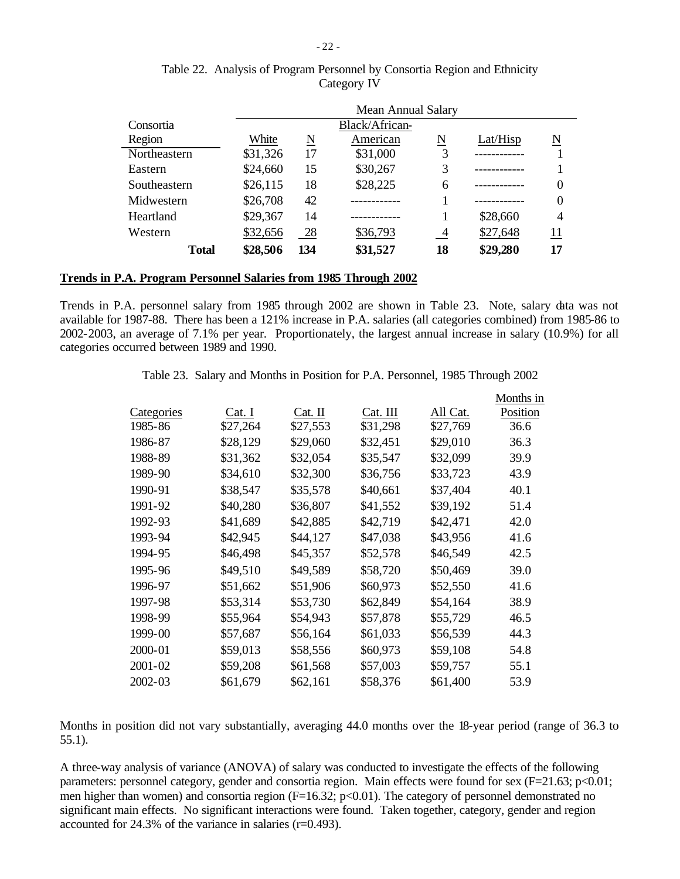|              | Mean Annual Salary |     |                |                |          |                     |  |  |  |
|--------------|--------------------|-----|----------------|----------------|----------|---------------------|--|--|--|
| Consortia    |                    |     | Black/African- |                |          |                     |  |  |  |
| Region       | White              | N   | American       | N              | Lat/Hisp | $\underline{\rm N}$ |  |  |  |
| Northeastern | \$31,326           | 17  | \$31,000       | 3              |          |                     |  |  |  |
| Eastern      | \$24,660           | 15  | \$30,267       | 3              |          |                     |  |  |  |
| Southeastern | \$26,115           | 18  | \$28,225       | 6              |          | $\theta$            |  |  |  |
| Midwestern   | \$26,708           | 42  |                |                |          | $\theta$            |  |  |  |
| Heartland    | \$29,367           | 14  |                |                | \$28,660 | 4                   |  |  |  |
| Western      | \$32,656           | 28  | \$36,793       | $\overline{4}$ | \$27,648 | 11                  |  |  |  |
| <b>Total</b> | \$28,506           | 134 | \$31,527       | 18             | \$29,280 | 17                  |  |  |  |

Table 22. Analysis of Program Personnel by Consortia Region and Ethnicity Category IV

### **Trends in P.A. Program Personnel Salaries from 1985 Through 2002**

Trends in P.A. personnel salary from 1985 through 2002 are shown in Table 23. Note, salary data was not available for 1987-88. There has been a 121% increase in P.A. salaries (all categories combined) from 1985-86 to 2002-2003, an average of 7.1% per year. Proportionately, the largest annual increase in salary (10.9%) for all categories occurred between 1989 and 1990.

| Table 23. Salary and Months in Position for P.A. Personnel, 1985 Through 2002 |  |  |  |  |  |  |  |  |
|-------------------------------------------------------------------------------|--|--|--|--|--|--|--|--|
|-------------------------------------------------------------------------------|--|--|--|--|--|--|--|--|

|             |          |          |          |          | Months in |
|-------------|----------|----------|----------|----------|-----------|
| Categories  | Cat. I   | Cat. II  | Cat. III | All Cat. | Position  |
| 1985-86     | \$27,264 | \$27,553 | \$31,298 | \$27,769 | 36.6      |
| 1986-87     | \$28,129 | \$29,060 | \$32,451 | \$29,010 | 36.3      |
| 1988-89     | \$31,362 | \$32,054 | \$35,547 | \$32,099 | 39.9      |
| 1989-90     | \$34,610 | \$32,300 | \$36,756 | \$33,723 | 43.9      |
| 1990-91     | \$38,547 | \$35,578 | \$40,661 | \$37,404 | 40.1      |
| 1991-92     | \$40,280 | \$36,807 | \$41,552 | \$39,192 | 51.4      |
| 1992-93     | \$41,689 | \$42,885 | \$42,719 | \$42,471 | 42.0      |
| 1993-94     | \$42,945 | \$44,127 | \$47,038 | \$43,956 | 41.6      |
| 1994-95     | \$46,498 | \$45,357 | \$52,578 | \$46,549 | 42.5      |
| 1995-96     | \$49,510 | \$49,589 | \$58,720 | \$50,469 | 39.0      |
| 1996-97     | \$51,662 | \$51,906 | \$60,973 | \$52,550 | 41.6      |
| 1997-98     | \$53,314 | \$53,730 | \$62,849 | \$54,164 | 38.9      |
| 1998-99     | \$55,964 | \$54,943 | \$57,878 | \$55,729 | 46.5      |
| 1999-00     | \$57,687 | \$56,164 | \$61,033 | \$56,539 | 44.3      |
| 2000-01     | \$59,013 | \$58,556 | \$60,973 | \$59,108 | 54.8      |
| $2001 - 02$ | \$59,208 | \$61,568 | \$57,003 | \$59,757 | 55.1      |
| 2002-03     | \$61,679 | \$62,161 | \$58,376 | \$61,400 | 53.9      |

Months in position did not vary substantially, averaging 44.0 months over the 18-year period (range of 36.3 to 55.1).

A three-way analysis of variance (ANOVA) of salary was conducted to investigate the effects of the following parameters: personnel category, gender and consortia region. Main effects were found for sex (F=21.63; p<0.01; men higher than women) and consortia region (F=16.32; p<0.01). The category of personnel demonstrated no significant main effects. No significant interactions were found. Taken together, category, gender and region accounted for 24.3% of the variance in salaries (r=0.493).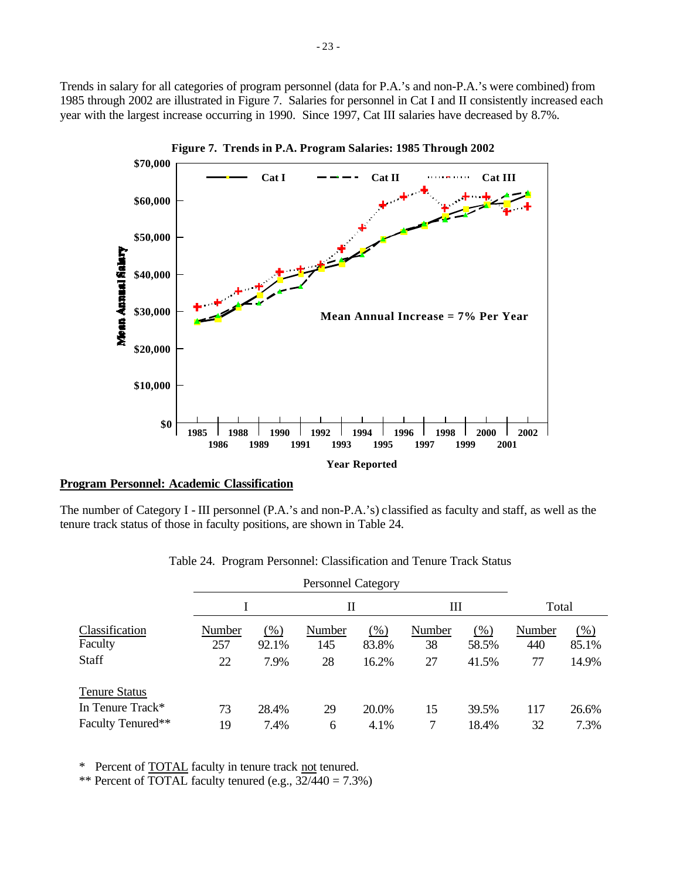Trends in salary for all categories of program personnel (data for P.A.'s and non-P.A.'s were combined) from 1985 through 2002 are illustrated in Figure 7. Salaries for personnel in Cat I and II consistently increased each year with the largest increase occurring in 1990. Since 1997, Cat III salaries have decreased by 8.7%.



### **Program Personnel: Academic Classification**

The number of Category I - III personnel (P.A.'s and non-P.A.'s) classified as faculty and staff, as well as the tenure track status of those in faculty positions, are shown in Table 24.

|                           |               |                 | П             |              | Ш            |              | Total         |                 |
|---------------------------|---------------|-----------------|---------------|--------------|--------------|--------------|---------------|-----------------|
| Classification<br>Faculty | Number<br>257 | $(\%)$<br>92.1% | Number<br>145 | (%)<br>83.8% | Number<br>38 | (%)<br>58.5% | Number<br>440 | $(\%)$<br>85.1% |
| <b>Staff</b>              | 22            | 7.9%            | 28            | 16.2%        | 27           | 41.5%        | 77            | 14.9%           |
| <b>Tenure Status</b>      |               |                 |               |              |              |              |               |                 |
| In Tenure Track*          | 73            | 28.4%           | 29            | 20.0%        | 15           | 39.5%        | 117           | 26.6%           |
| Faculty Tenured**         | 19            | 7.4%            | 6             | 4.1%         |              | 18.4%        | 32            | 7.3%            |

Table 24. Program Personnel: Classification and Tenure Track Status

\* Percent of TOTAL faculty in tenure track not tenured.

\*\* Percent of TOTAL faculty tenured (e.g.,  $32/440 = 7.3\%$ )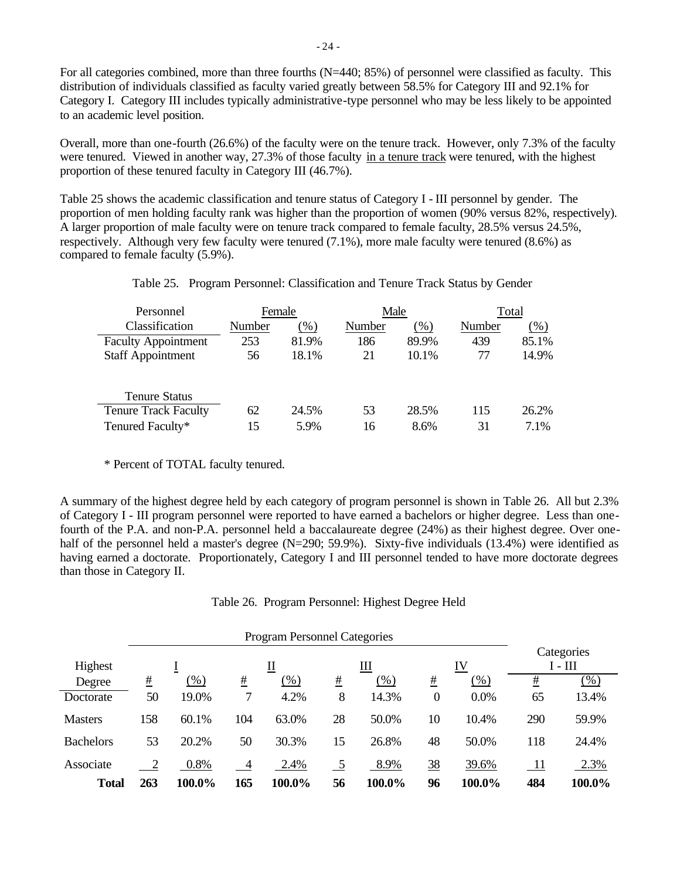For all categories combined, more than three fourths (N=440; 85%) of personnel were classified as faculty. This distribution of individuals classified as faculty varied greatly between 58.5% for Category III and 92.1% for Category I. Category III includes typically administrative-type personnel who may be less likely to be appointed to an academic level position.

Overall, more than one-fourth (26.6%) of the faculty were on the tenure track. However, only 7.3% of the faculty were tenured. Viewed in another way, 27.3% of those faculty in a tenure track were tenured, with the highest proportion of these tenured faculty in Category III (46.7%).

Table 25 shows the academic classification and tenure status of Category I - III personnel by gender. The proportion of men holding faculty rank was higher than the proportion of women (90% versus 82%, respectively). A larger proportion of male faculty were on tenure track compared to female faculty, 28.5% versus 24.5%, respectively. Although very few faculty were tenured (7.1%), more male faculty were tenured (8.6%) as compared to female faculty (5.9%).

| Personnel                   | Female |        | Male   |        | Total  |        |  |
|-----------------------------|--------|--------|--------|--------|--------|--------|--|
| Classification              | Number | $(\%)$ | Number | $(\%)$ | Number | $(\%)$ |  |
| <b>Faculty Appointment</b>  | 253    | 81.9%  | 186    | 89.9%  | 439    | 85.1%  |  |
| <b>Staff Appointment</b>    | 56     | 18.1%  | 21     | 10.1%  | 77     | 14.9%  |  |
|                             |        |        |        |        |        |        |  |
| <b>Tenure Status</b>        |        |        |        |        |        |        |  |
| <b>Tenure Track Faculty</b> | 62     | 24.5%  | 53     | 28.5%  | 115    | 26.2%  |  |
| Tenured Faculty*            | 15     | 5.9%   | 16     | 8.6%   | 31     | 7.1%   |  |

Table 25. Program Personnel: Classification and Tenure Track Status by Gender

\* Percent of TOTAL faculty tenured.

A summary of the highest degree held by each category of program personnel is shown in Table 26. All but 2.3% of Category I - III program personnel were reported to have earned a bachelors or higher degree. Less than onefourth of the P.A. and non-P.A. personnel held a baccalaureate degree (24%) as their highest degree. Over onehalf of the personnel held a master's degree (N=290; 59.9%). Sixty-five individuals (13.4%) were identified as having earned a doctorate. Proportionately, Category I and III personnel tended to have more doctorate degrees than those in Category II.

Table 26. Program Personnel: Highest Degree Held

|                  |          |        |                 | <b>Program Personnel Categories</b> |    |        |                  |        |           |                         |
|------------------|----------|--------|-----------------|-------------------------------------|----|--------|------------------|--------|-----------|-------------------------|
| Highest          |          |        | Ш<br>IV<br>Щ    |                                     |    |        |                  |        |           | Categories<br>$I - III$ |
| Degree           | <u>#</u> | $(\%)$ | $\frac{\#}{\#}$ | $(\%)$                              | #  | $(\%)$ | #                | $(\%)$ | <u>#</u>  | (% )                    |
| Doctorate        | 50       | 19.0%  |                 | 4.2%                                | 8  | 14.3%  | $\boldsymbol{0}$ | 0.0%   | 65        | 13.4%                   |
| <b>Masters</b>   | 158      | 60.1%  | 104             | 63.0%                               | 28 | 50.0%  | 10               | 10.4%  | 290       | 59.9%                   |
| <b>Bachelors</b> | 53       | 20.2%  | 50              | 30.3%                               | 15 | 26.8%  | 48               | 50.0%  | 118       | 24.4%                   |
| Associate        |          | 0.8%   | $\overline{4}$  | 2.4%                                | 5  | 8.9%   | $\frac{38}{5}$   | 39.6%  | <u>11</u> | 2.3%                    |
| <b>Total</b>     | 263      | 100.0% | 165             | 100.0%                              | 56 | 100.0% | 96               | 100.0% | 484       | 100.0%                  |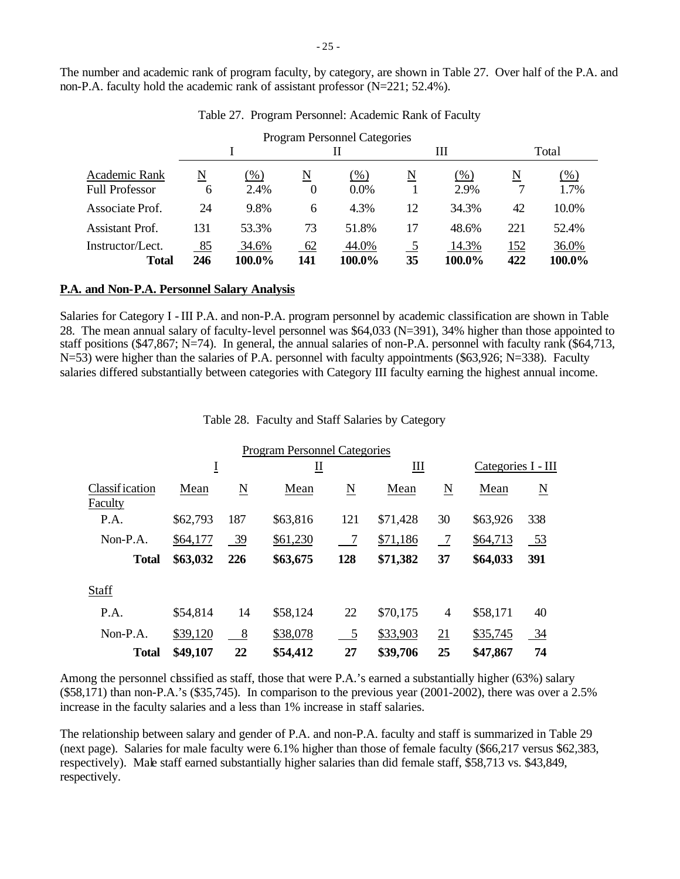The number and academic rank of program faculty, by category, are shown in Table 27. Over half of the P.A. and non-P.A. faculty hold the academic rank of assistant professor (N=221; 52.4%).

|                       |     |        |                          | <b>Program Personnel Categories</b> |                |        |     |        |
|-----------------------|-----|--------|--------------------------|-------------------------------------|----------------|--------|-----|--------|
|                       |     |        |                          | Н                                   |                | Ш      |     | Total  |
| Academic Rank         | N   | $(\%)$ | $\underline{\mathbf{N}}$ | $(\%)$                              | N              | (%)    | N   | $(\%)$ |
| <b>Full Professor</b> | 6   | 2.4%   | $\theta$                 | $0.0\%$                             |                | 2.9%   |     | 1.7%   |
| Associate Prof.       | 24  | 9.8%   | 6                        | 4.3%                                | 12             | 34.3%  | 42  | 10.0%  |
| Assistant Prof.       | 131 | 53.3%  | 73                       | 51.8%                               | 17             | 48.6%  | 221 | 52.4%  |
| Instructor/Lect.      | 85  | 34.6%  | 62                       | 44.0%                               | $\overline{5}$ | 14.3%  | 152 | 36.0%  |
| <b>Total</b>          | 246 | 100.0% | 141                      | 100.0%                              | 35             | 100.0% | 422 | 100.0% |

Table 27. Program Personnel: Academic Rank of Faculty

#### **P.A. and Non-P.A. Personnel Salary Analysis**

Salaries for Category I - III P.A. and non-P.A. program personnel by academic classification are shown in Table 28. The mean annual salary of faculty-level personnel was \$64,033 (N=391), 34% higher than those appointed to staff positions (\$47,867; N=74). In general, the annual salaries of non-P.A. personnel with faculty rank (\$64,713, N=53) were higher than the salaries of P.A. personnel with faculty appointments (\$63,926; N=338). Faculty salaries differed substantially between categories with Category III faculty earning the highest annual income.

Table 28. Faculty and Staff Salaries by Category

|                                  |          |                | <b>Program Personnel Categories</b> |                        |          |                     |                    |     |
|----------------------------------|----------|----------------|-------------------------------------|------------------------|----------|---------------------|--------------------|-----|
|                                  | Ī        |                | ∐                                   |                        | Ш        |                     | Categories I - III |     |
| <b>Classification</b><br>Faculty | Mean     | N              | Mean                                | $\underline{\text{N}}$ | Mean     | $\underline{\rm N}$ | Mean               | N   |
| P.A.                             | \$62,793 | 187            | \$63,816                            | 121                    | \$71,428 | 30                  | \$63,926           | 338 |
| $Non-P.A.$                       | \$64,177 | 39             | \$61,230                            | $\overline{7}$         | \$71,186 | $\overline{7}$      | \$64,713           | 53  |
| <b>Total</b>                     | \$63,032 | 226            | \$63,675                            | 128                    | \$71,382 | 37                  | \$64,033           | 391 |
| <b>Staff</b>                     |          |                |                                     |                        |          |                     |                    |     |
| P.A.                             | \$54,814 | 14             | \$58,124                            | 22                     | \$70,175 | $\overline{4}$      | \$58,171           | 40  |
| $Non-P.A.$                       | \$39,120 | 8 <sup>8</sup> | \$38,078                            | 5                      | \$33,903 | 21                  | \$35,745           | 34  |
| <b>Total</b>                     | \$49,107 | 22             | \$54,412                            | 27                     | \$39,706 | 25                  | \$47,867           | 74  |

Among the personnel classified as staff, those that were P.A.'s earned a substantially higher (63%) salary (\$58,171) than non-P.A.'s (\$35,745). In comparison to the previous year (2001-2002), there was over a 2.5% increase in the faculty salaries and a less than 1% increase in staff salaries.

The relationship between salary and gender of P.A. and non-P.A. faculty and staff is summarized in Table 29 (next page). Salaries for male faculty were 6.1% higher than those of female faculty (\$66,217 versus \$62,383, respectively). Male staff earned substantially higher salaries than did female staff, \$58,713 vs. \$43,849, respectively.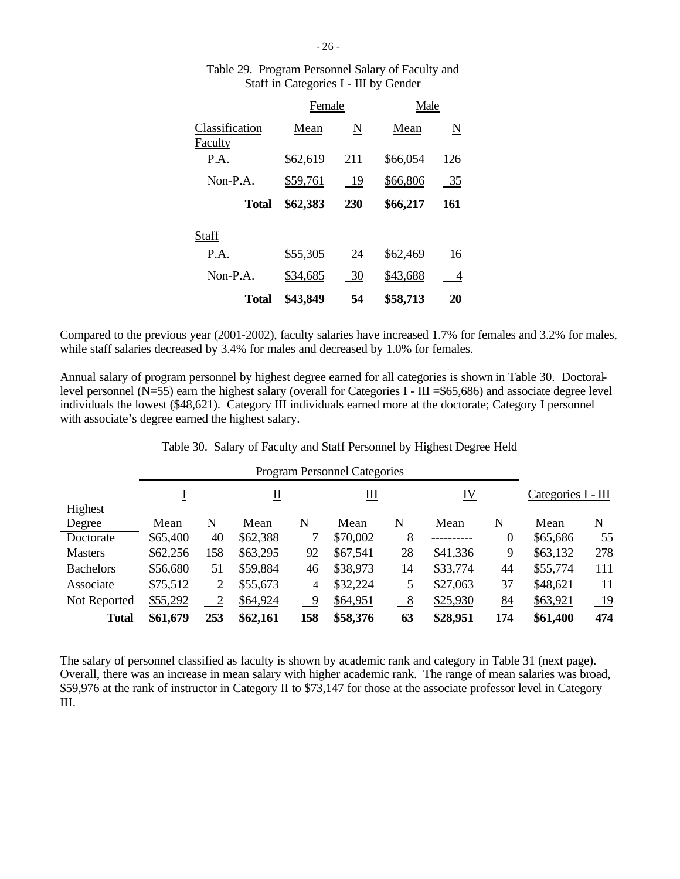|                           | Female   |     | Male     |     |
|---------------------------|----------|-----|----------|-----|
| Classification<br>Faculty | Mean     | N   | Mean     | N   |
| P.A.                      | \$62,619 | 211 | \$66,054 | 126 |
| Non-P.A.                  | \$59,761 | 19  | \$66,806 | 35  |
| <b>Total</b>              | \$62,383 | 230 | \$66,217 | 161 |
| Staff                     |          |     |          |     |
| P.A.                      | \$55,305 | 24  | \$62,469 | 16  |
| Non-P.A.                  | \$34,685 | 30  | \$43,688 | 4   |
| Total                     | \$43,849 | 54  | \$58,713 | 20  |

# Table 29. Program Personnel Salary of Faculty and Staff in Categories I - III by Gender

Compared to the previous year (2001-2002), faculty salaries have increased 1.7% for females and 3.2% for males, while staff salaries decreased by 3.4% for males and decreased by 1.0% for females.

Annual salary of program personnel by highest degree earned for all categories is shown in Table 30. Doctorallevel personnel ( $N=55$ ) earn the highest salary (overall for Categories I - III = \$65,686) and associate degree level individuals the lowest (\$48,621). Category III individuals earned more at the doctorate; Category I personnel with associate's degree earned the highest salary.

| Table 30. Salary of Faculty and Staff Personnel by Highest Degree Held |  |  |  |  |  |  |  |  |
|------------------------------------------------------------------------|--|--|--|--|--|--|--|--|
|------------------------------------------------------------------------|--|--|--|--|--|--|--|--|

|                  |          |                                      |          |                          | <b>Program Personnel Categories</b> |               |          |                     |          |                    |  |  |  |
|------------------|----------|--------------------------------------|----------|--------------------------|-------------------------------------|---------------|----------|---------------------|----------|--------------------|--|--|--|
|                  |          | IV<br>$\underline{\mathrm{II}}$<br>Щ |          |                          |                                     |               |          |                     |          | Categories I - III |  |  |  |
| Highest          |          |                                      |          |                          |                                     |               |          |                     |          |                    |  |  |  |
| Degree           | Mean     | N                                    | Mean     | $\underline{\mathbf{N}}$ | Mean                                | N             | Mean     | $\underline{\rm N}$ | Mean     | N                  |  |  |  |
| Doctorate        | \$65,400 | 40                                   | \$62,388 | 7                        | \$70,002                            | 8             |          | $\theta$            | \$65,686 | 55                 |  |  |  |
| <b>Masters</b>   | \$62,256 | 158                                  | \$63,295 | 92                       | \$67,541                            | 28            | \$41,336 | 9                   | \$63,132 | 278                |  |  |  |
| <b>Bachelors</b> | \$56,680 | 51                                   | \$59,884 | 46                       | \$38,973                            | 14            | \$33,774 | 44                  | \$55,774 | 111                |  |  |  |
| Associate        | \$75,512 | 2                                    | \$55,673 | 4                        | \$32,224                            | 5             | \$27,063 | 37                  | \$48,621 | 11                 |  |  |  |
| Not Reported     | \$55,292 | $\overline{2}$                       | \$64,924 | -9                       | \$64,951                            | $\frac{8}{2}$ | \$25,930 | 84                  | \$63,921 | <u>19</u>          |  |  |  |
| <b>Total</b>     | \$61,679 | 253                                  | \$62,161 | 158                      | \$58,376                            | 63            | \$28,951 | 174                 | \$61,400 | 474                |  |  |  |

The salary of personnel classified as faculty is shown by academic rank and category in Table 31 (next page). Overall, there was an increase in mean salary with higher academic rank. The range of mean salaries was broad, \$59,976 at the rank of instructor in Category II to \$73,147 for those at the associate professor level in Category III.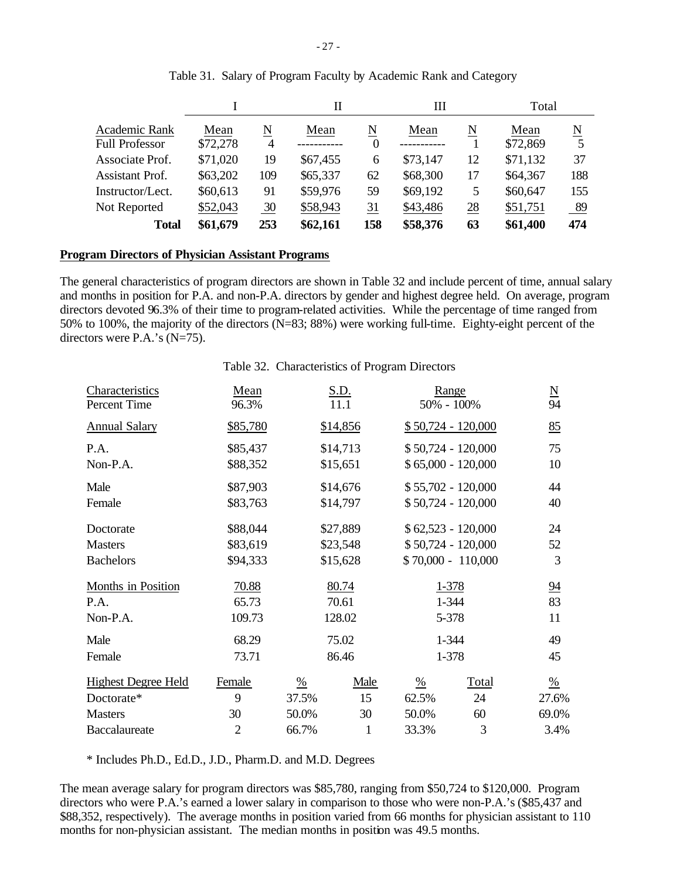|                                        |                  |                | Н        |               | Ш        |    | Total            |     |
|----------------------------------------|------------------|----------------|----------|---------------|----------|----|------------------|-----|
| Academic Rank<br><b>Full Professor</b> | Mean<br>\$72,278 | N<br>4         | Mean     | N<br>$\theta$ | Mean     | N  | Mean<br>\$72,869 | N   |
| Associate Prof.                        | \$71,020         | 19             | \$67,455 | 6             | \$73,147 | 12 | \$71,132         | 37  |
| <b>Assistant Prof.</b>                 | \$63,202         | 109            | \$65,337 | 62            | \$68,300 | 17 | \$64,367         | 188 |
| Instructor/Lect.                       | \$60,613         | 91             | \$59,976 | 59            | \$69,192 | 5  | \$60,647         | 155 |
| Not Reported                           | \$52,043         | $\frac{30}{5}$ | \$58,943 | 31            | \$43,486 | 28 | \$51,751         | 89  |
| <b>Total</b>                           | \$61,679         | 253            | \$62,161 | 158           | \$58,376 | 63 | \$61,400         | 474 |

## Table 31. Salary of Program Faculty by Academic Rank and Category

#### **Program Directors of Physician Assistant Programs**

The general characteristics of program directors are shown in Table 32 and include percent of time, annual salary and months in position for P.A. and non-P.A. directors by gender and highest degree held. On average, program directors devoted 96.3% of their time to program-related activities. While the percentage of time ranged from 50% to 100%, the majority of the directors (N=83; 88%) were working full-time. Eighty-eight percent of the directors were P.A.'s (N=75).

### Table 32. Characteristics of Program Directors

| Characteristics<br>Percent Time | Mean<br>96.3%  |               | S.D.<br>11.1 | Range<br>50% - 100% |                     | $\frac{N}{94}$ |
|---------------------------------|----------------|---------------|--------------|---------------------|---------------------|----------------|
| <b>Annual Salary</b>            | \$85,780       | \$14,856      |              |                     | $$50,724 - 120,000$ | 85             |
| P.A.                            | \$85,437       |               | \$14,713     |                     | $$50,724 - 120,000$ | 75             |
| Non-P.A.                        | \$88,352       |               | \$15,651     |                     | $$65,000 - 120,000$ | 10             |
| Male                            | \$87,903       |               | \$14,676     |                     | $$55,702 - 120,000$ | 44             |
| Female                          | \$83,763       |               | \$14,797     |                     | $$50,724 - 120,000$ | 40             |
| Doctorate                       | \$88,044       |               | \$27,889     | $$62,523 - 120,000$ |                     | 24             |
| <b>Masters</b>                  | \$83,619       |               | \$23,548     | $$50,724 - 120,000$ |                     | 52             |
| <b>Bachelors</b>                | \$94,333       |               | \$15,628     |                     | $$70,000 - 110,000$ | 3              |
| Months in Position              | 70.88          |               | 80.74        |                     | 1-378               | $\frac{94}{5}$ |
| P.A.                            | 65.73          |               | 70.61        | 1-344               |                     | 83             |
| Non-P.A.                        | 109.73         |               | 128.02       | 5-378               |                     | 11             |
| Male                            | 68.29          |               | 75.02        | 1-344               |                     | 49             |
| Female                          | 73.71          |               | 86.46        |                     | 1-378               | 45             |
| <b>Highest Degree Held</b>      | Female         | $\frac{0}{6}$ | Male         | $\frac{0}{6}$       | Total               | $\frac{0}{6}$  |
| Doctorate*                      | 9              | 37.5%         | 15           | 62.5%               | 24                  | 27.6%          |
| <b>Masters</b>                  | 30             | 50.0%         | 30           | 50.0%               | 60                  | 69.0%          |
| Baccalaureate                   | $\overline{2}$ | 66.7%         | $\mathbf{1}$ | 33.3%               | 3                   | 3.4%           |

\* Includes Ph.D., Ed.D., J.D., Pharm.D. and M.D. Degrees

The mean average salary for program directors was \$85,780, ranging from \$50,724 to \$120,000. Program directors who were P.A.'s earned a lower salary in comparison to those who were non-P.A.'s (\$85,437 and \$88,352, respectively). The average months in position varied from 66 months for physician assistant to 110 months for non-physician assistant. The median months in position was 49.5 months.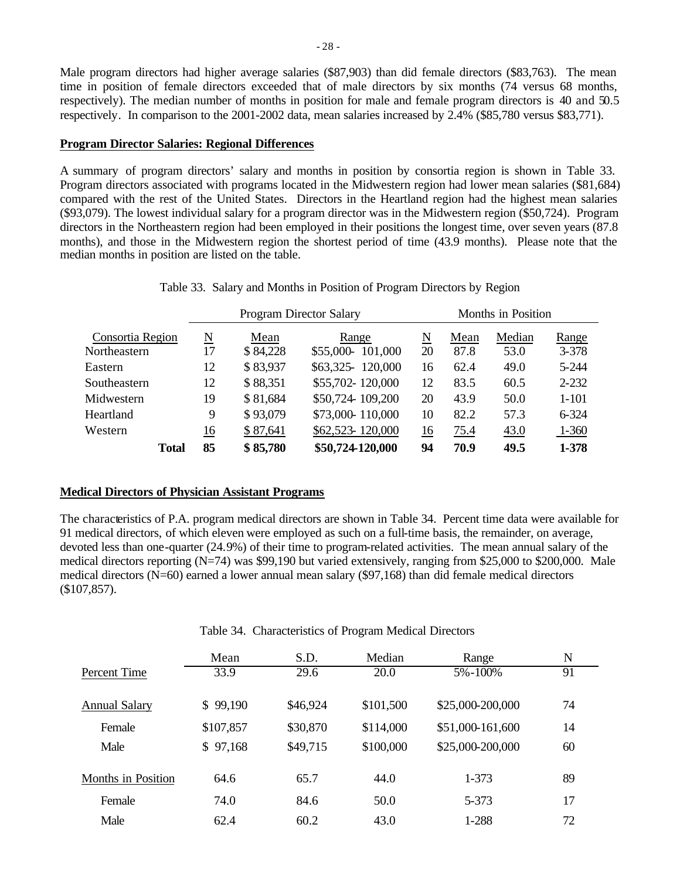Male program directors had higher average salaries (\$87,903) than did female directors (\$83,763). The mean time in position of female directors exceeded that of male directors by six months (74 versus 68 months, respectively). The median number of months in position for male and female program directors is 40 and 50.5 respectively. In comparison to the 2001-2002 data, mean salaries increased by 2.4% (\$85,780 versus \$83,771).

### **Program Director Salaries: Regional Differences**

A summary of program directors' salary and months in position by consortia region is shown in Table 33. Program directors associated with programs located in the Midwestern region had lower mean salaries (\$81,684) compared with the rest of the United States. Directors in the Heartland region had the highest mean salaries (\$93,079). The lowest individual salary for a program director was in the Midwestern region (\$50,724). Program directors in the Northeastern region had been employed in their positions the longest time, over seven years (87.8 months), and those in the Midwestern region the shortest period of time (43.9 months). Please note that the median months in position are listed on the table.

|  |  |  |  | Table 33. Salary and Months in Position of Program Directors by Region |  |  |
|--|--|--|--|------------------------------------------------------------------------|--|--|
|--|--|--|--|------------------------------------------------------------------------|--|--|

|                  |    |                                         |          | <b>Program Director Salary</b> |           |      | Months in Position |           |
|------------------|----|-----------------------------------------|----------|--------------------------------|-----------|------|--------------------|-----------|
| Consortia Region |    | $\underline{\text{N}}$<br>Mean<br>Range |          |                                |           | Mean | Median             | Range     |
| Northeastern     | 17 |                                         | \$84,228 | \$55,000-101,000               | 20        | 87.8 | 53.0               | $3 - 378$ |
| Eastern          |    | 12                                      | \$83,937 | \$63,325-120,000               | 16        | 62.4 | 49.0               | $5 - 244$ |
| Southeastern     |    | 12                                      | \$88,351 | \$55,702-120,000               | 12        | 83.5 | 60.5               | $2 - 232$ |
| Midwestern       |    | 19                                      | \$81,684 | \$50,724 109,200               | 20        | 43.9 | 50.0               | $1 - 101$ |
| Heartland        |    | 9                                       | \$93,079 | \$73,000-110,000               | 10        | 82.2 | 57.3               | 6-324     |
| Western          |    | <u>16</u>                               | \$87,641 | \$62,523-120,000               | <u>16</u> | 75.4 | 43.0               | $1 - 360$ |
| <b>Total</b>     | 85 |                                         | \$85,780 | \$50,724-120,000               | 94        | 70.9 | 49.5               | 1-378     |

### **Medical Directors of Physician Assistant Programs**

The characteristics of P.A. program medical directors are shown in Table 34. Percent time data were available for 91 medical directors, of which eleven were employed as such on a full-time basis, the remainder, on average, devoted less than one-quarter (24.9%) of their time to program-related activities. The mean annual salary of the medical directors reporting (N=74) was \$99,190 but varied extensively, ranging from \$25,000 to \$200,000. Male medical directors (N=60) earned a lower annual mean salary (\$97,168) than did female medical directors (\$107,857).

|                           | Mean      | S.D.     | Median    | Range            | N  |  |
|---------------------------|-----------|----------|-----------|------------------|----|--|
| Percent Time              | 33.9      | 29.6     | 20.0      | 5%-100%          | 91 |  |
| <b>Annual Salary</b>      | \$99,190  | \$46,924 | \$101,500 | \$25,000-200,000 | 74 |  |
| Female                    | \$107,857 | \$30,870 | \$114,000 | \$51,000-161,600 | 14 |  |
| Male                      | \$97,168  | \$49,715 | \$100,000 | \$25,000-200,000 | 60 |  |
| <b>Months in Position</b> | 64.6      | 65.7     | 44.0      | 1-373            | 89 |  |
| Female                    | 74.0      | 84.6     | 50.0      | 5-373            | 17 |  |
| Male                      | 62.4      | 60.2     | 43.0      | 1-288            | 72 |  |

Table 34. Characteristics of Program Medical Directors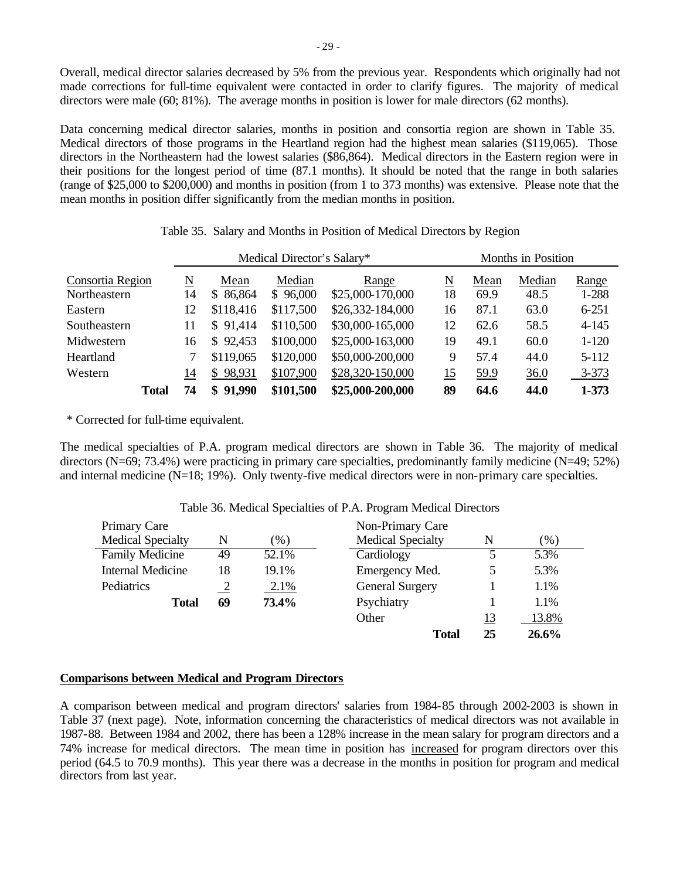Overall, medical director salaries decreased by 5% from the previous year. Respondents which originally had not made corrections for full-time equivalent were contacted in order to clarify figures. The majority of medical directors were male (60; 81%). The average months in position is lower for male directors (62 months).

Data concerning medical director salaries, months in position and consortia region are shown in Table 35. Medical directors of those programs in the Heartland region had the highest mean salaries (\$119,065). Those directors in the Northeastern had the lowest salaries (\$86,864). Medical directors in the Eastern region were in their positions for the longest period of time (87.1 months). It should be noted that the range in both salaries (range of \$25,000 to \$200,000) and months in position (from 1 to 373 months) was extensive. Please note that the mean months in position differ significantly from the median months in position.

|                  | Medical Director's Salary* |    |                        |           |                  | Months in Position |      |        |           |
|------------------|----------------------------|----|------------------------|-----------|------------------|--------------------|------|--------|-----------|
| Consortia Region |                            | N  | Mean                   | Median    | Range            | N                  | Mean | Median | Range     |
| Northeastern     |                            | 14 | 86,864<br><sup>S</sup> | \$96,000  | \$25,000-170,000 | 18                 | 69.9 | 48.5   | 1-288     |
| Eastern          |                            | 12 | \$118,416              | \$117,500 | \$26,332-184,000 | 16                 | 87.1 | 63.0   | $6 - 251$ |
| Southeastern     |                            | 11 | \$91,414               | \$110,500 | \$30,000-165,000 | 12                 | 62.6 | 58.5   | $4 - 145$ |
| Midwestern       |                            | 16 | \$92,453               | \$100,000 | \$25,000-163,000 | 19                 | 49.1 | 60.0   | $1 - 120$ |
| Heartland        |                            |    | \$119,065              | \$120,000 | \$50,000-200,000 | 9                  | 57.4 | 44.0   | $5 - 112$ |
| Western          |                            | 14 | \$98,931               | \$107,900 | \$28,320-150,000 | 15                 | 59.9 | 36.0   | $3 - 373$ |
|                  | <b>Total</b>               | 74 | \$91,990               | \$101,500 | \$25,000-200,000 | 89                 | 64.6 | 44.0   | $1 - 373$ |

| Table 35. Salary and Months in Position of Medical Directors by Region |
|------------------------------------------------------------------------|
|------------------------------------------------------------------------|

\* Corrected for full-time equivalent.

The medical specialties of P.A. program medical directors are shown in Table 36. The majority of medical directors (N=69; 73.4%) were practicing in primary care specialties, predominantly family medicine (N=49; 52%) and internal medicine (N=18; 19%). Only twenty-five medical directors were in non-primary care specialties.

| Primary Care                            |               |       | Non-Primary Care         |    |       |
|-----------------------------------------|---------------|-------|--------------------------|----|-------|
| <b>Medical Specialty</b><br>N<br>$(\%)$ |               |       | <b>Medical Specialty</b> | N  | (% )  |
| <b>Family Medicine</b>                  | 49            | 52.1% | Cardiology               | 5  | 5.3%  |
| <b>Internal Medicine</b>                | 18            | 19.1% | Emergency Med.           | 5  | 5.3%  |
| Pediatrics                              | $\frac{2}{2}$ | 2.1%  | <b>General Surgery</b>   |    | 1.1%  |
| <b>Total</b>                            | 69            | 73.4% | Psychiatry               |    | 1.1%  |
|                                         |               |       | Other                    | 13 | 13.8% |
|                                         |               |       | <b>Total</b>             | 25 | 26.6% |

## Table 36. Medical Specialties of P.A. Program Medical Directors

### **Comparisons between Medical and Program Directors**

A comparison between medical and program directors' salaries from 1984-85 through 2002-2003 is shown in Table 37 (next page). Note, information concerning the characteristics of medical directors was not available in 1987-88. Between 1984 and 2002, there has been a 128% increase in the mean salary for program directors and a 74% increase for medical directors. The mean time in position has increased for program directors over this period (64.5 to 70.9 months). This year there was a decrease in the months in position for program and medical directors from last year.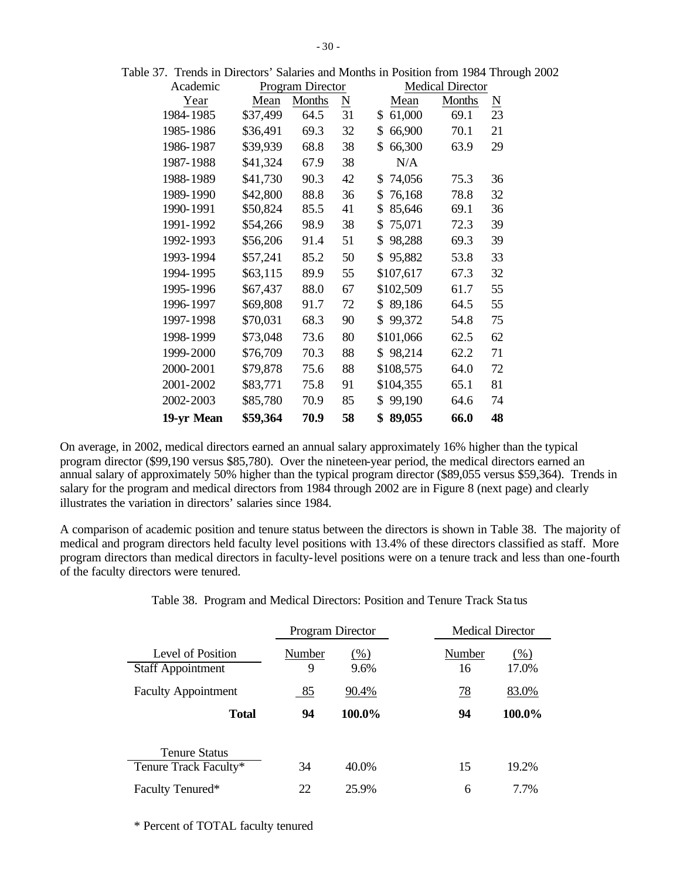| Academic   |          | Program Director |                     |              | <b>Medical Director</b> |                        |
|------------|----------|------------------|---------------------|--------------|-------------------------|------------------------|
| Year       | Mean     | Months           | $\underline{\rm N}$ | Mean         | <b>Months</b>           | $\underline{\text{N}}$ |
| 1984-1985  | \$37,499 | 64.5             | 31                  | \$<br>61,000 | 69.1                    | 23                     |
| 1985-1986  | \$36,491 | 69.3             | 32                  | \$<br>66,900 | 70.1                    | 21                     |
| 1986-1987  | \$39,939 | 68.8             | 38                  | \$<br>66,300 | 63.9                    | 29                     |
| 1987-1988  | \$41,324 | 67.9             | 38                  | N/A          |                         |                        |
| 1988-1989  | \$41,730 | 90.3             | 42                  | 74,056<br>\$ | 75.3                    | 36                     |
| 1989-1990  | \$42,800 | 88.8             | 36                  | \$<br>76,168 | 78.8                    | 32                     |
| 1990-1991  | \$50,824 | 85.5             | 41                  | \$<br>85,646 | 69.1                    | 36                     |
| 1991-1992  | \$54,266 | 98.9             | 38                  | \$<br>75,071 | 72.3                    | 39                     |
| 1992-1993  | \$56,206 | 91.4             | 51                  | \$<br>98,288 | 69.3                    | 39                     |
| 1993-1994  | \$57,241 | 85.2             | 50                  | 95,882<br>\$ | 53.8                    | 33                     |
| 1994-1995  | \$63,115 | 89.9             | 55                  | \$107,617    | 67.3                    | 32                     |
| 1995-1996  | \$67,437 | 88.0             | 67                  | \$102,509    | 61.7                    | 55                     |
| 1996-1997  | \$69,808 | 91.7             | 72                  | 89,186<br>\$ | 64.5                    | 55                     |
| 1997-1998  | \$70,031 | 68.3             | 90                  | 99,372<br>\$ | 54.8                    | 75                     |
| 1998-1999  | \$73,048 | 73.6             | 80                  | \$101,066    | 62.5                    | 62                     |
| 1999-2000  | \$76,709 | 70.3             | 88                  | \$98,214     | 62.2                    | 71                     |
| 2000-2001  | \$79,878 | 75.6             | 88                  | \$108,575    | 64.0                    | 72                     |
| 2001-2002  | \$83,771 | 75.8             | 91                  | \$104,355    | 65.1                    | 81                     |
| 2002-2003  | \$85,780 | 70.9             | 85                  | 99,190<br>\$ | 64.6                    | 74                     |
| 19-yr Mean | \$59,364 | 70.9             | 58                  | \$<br>89,055 | 66.0                    | 48                     |

Table 37. Trends in Directors' Salaries and Months in Position from 1984 Through 2002

On average, in 2002, medical directors earned an annual salary approximately 16% higher than the typical program director (\$99,190 versus \$85,780). Over the nineteen-year period, the medical directors earned an annual salary of approximately 50% higher than the typical program director (\$89,055 versus \$59,364). Trends in salary for the program and medical directors from 1984 through 2002 are in Figure 8 (next page) and clearly illustrates the variation in directors' salaries since 1984.

A comparison of academic position and tenure status between the directors is shown in Table 38. The majority of medical and program directors held faculty level positions with 13.4% of these directors classified as staff. More program directors than medical directors in faculty-level positions were on a tenure track and less than one-fourth of the faculty directors were tenured.

|                                               | Program Director |              | <b>Medical Director</b> |                 |
|-----------------------------------------------|------------------|--------------|-------------------------|-----------------|
| Level of Position<br><b>Staff Appointment</b> | Number<br>9      | (% )<br>9.6% | Number<br>16            | $(\%)$<br>17.0% |
| <b>Faculty Appointment</b>                    | 85               | 90.4%        | <u>78</u>               | 83.0%           |
| <b>Total</b>                                  | 94               | 100.0%       | 94                      | 100.0%          |
| <b>Tenure Status</b><br>Tenure Track Faculty* | 34               | 40.0%        | 15                      | 19.2%           |
| Faculty Tenured*                              | 22               | 25.9%        | 6                       | 7.7%            |

|  |  |  |  |  |  |  | Table 38. Program and Medical Directors: Position and Tenure Track Status |
|--|--|--|--|--|--|--|---------------------------------------------------------------------------|
|--|--|--|--|--|--|--|---------------------------------------------------------------------------|

\* Percent of TOTAL faculty tenured

 $\overline{a}$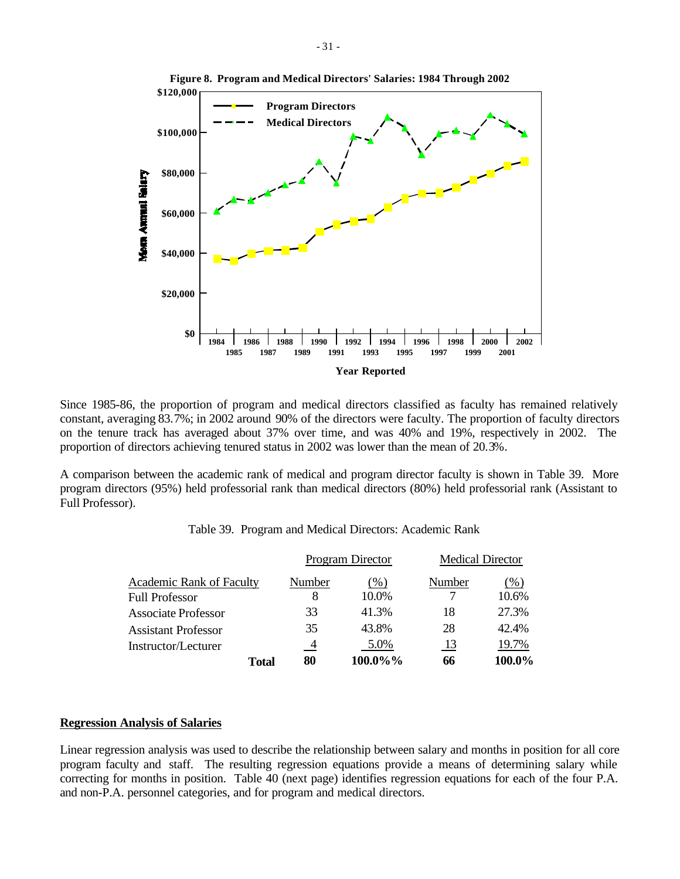

Since 1985-86, the proportion of program and medical directors classified as faculty has remained relatively constant, averaging 83.7%; in 2002 around 90% of the directors were faculty. The proportion of faculty directors on the tenure track has averaged about 37% over time, and was 40% and 19%, respectively in 2002. The proportion of directors achieving tenured status in 2002 was lower than the mean of 20.3%.

A comparison between the academic rank of medical and program director faculty is shown in Table 39. More program directors (95%) held professorial rank than medical directors (80%) held professorial rank (Assistant to Full Professor).

|                            |                | Program Director | <b>Medical Director</b> |        |
|----------------------------|----------------|------------------|-------------------------|--------|
| Academic Rank of Faculty   | Number         | $(\% )$          | Number                  | $(\%)$ |
| <b>Full Professor</b>      | 8              | 10.0%            |                         | 10.6%  |
| <b>Associate Professor</b> | 33             | 41.3%            | 18                      | 27.3%  |
| <b>Assistant Professor</b> | 35             | 43.8%            | 28                      | 42.4%  |
| Instructor/Lecturer        | $\overline{4}$ | 5.0%             | 13                      | 19.7%  |
| Total                      | 80             | 100.0%%          | 66                      | 100.0% |

Table 39. Program and Medical Directors: Academic Rank

#### **Regression Analysis of Salaries**

Linear regression analysis was used to describe the relationship between salary and months in position for all core program faculty and staff. The resulting regression equations provide a means of determining salary while correcting for months in position. Table 40 (next page) identifies regression equations for each of the four P.A. and non-P.A. personnel categories, and for program and medical directors.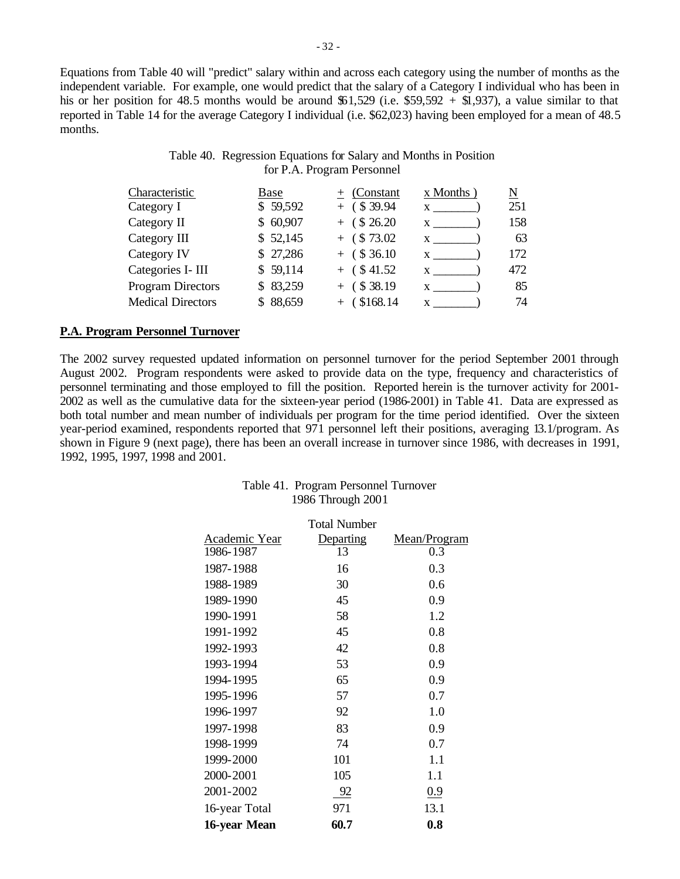Equations from Table 40 will "predict" salary within and across each category using the number of months as the independent variable. For example, one would predict that the salary of a Category I individual who has been in his or her position for 48.5 months would be around  $$1,529$  (i.e. \$59,592 + \$1,937), a value similar to that reported in Table 14 for the average Category I individual (i.e. \$62,023) having been employed for a mean of 48.5 months.

# Table 40. Regression Equations for Salary and Months in Position for P.A. Program Personnel

| Characteristic           | Base     | $+$ (Constant  | $x$ Months   | <u>N</u> |
|--------------------------|----------|----------------|--------------|----------|
| Category I               | \$59,592 | $+$ (\$39.94)  | X            | 251      |
| Category II              | \$60,907 | $+$ (\$ 26.20) |              | 158      |
| Category III             | \$52,145 | $+$ (\$73.02)  |              | 63       |
| Category IV              | \$27,286 | $+$ (\$36.10)  | X.           | 172      |
| Categories I- III        | \$59,114 | $+$ (\$41.52)  |              | 472      |
| <b>Program Directors</b> | \$83,259 | $+$ (\$38.19)  | $\mathbf{X}$ | 85       |
| <b>Medical Directors</b> | \$88,659 | $+$ (\$168.14) | X            | 74       |

### **P.A. Program Personnel Turnover**

The 2002 survey requested updated information on personnel turnover for the period September 2001 through August 2002. Program respondents were asked to provide data on the type, frequency and characteristics of personnel terminating and those employed to fill the position. Reported herein is the turnover activity for 2001- 2002 as well as the cumulative data for the sixteen-year period (1986-2001) in Table 41. Data are expressed as both total number and mean number of individuals per program for the time period identified. Over the sixteen year-period examined, respondents reported that 971 personnel left their positions, averaging 13.1/program. As shown in Figure 9 (next page), there has been an overall increase in turnover since 1986, with decreases in 1991, 1992, 1995, 1997, 1998 and 2001.

| Table 41. Program Personnel Turnover |
|--------------------------------------|
| 1986 Through 2001                    |

|               | <b>Total Number</b> |              |
|---------------|---------------------|--------------|
| Academic Year | Departing           | Mean/Program |
| 1986-1987     | 13                  | 0.3          |
| 1987-1988     | 16                  | 0.3          |
| 1988-1989     | 30                  | 0.6          |
| 1989-1990     | 45                  | 0.9          |
| 1990-1991     | 58                  | 1.2          |
| 1991-1992     | 45                  | 0.8          |
| 1992-1993     | 42                  | 0.8          |
| 1993-1994     | 53                  | 0.9          |
| 1994-1995     | 65                  | 0.9          |
| 1995-1996     | 57                  | 0.7          |
| 1996-1997     | 92                  | 1.0          |
| 1997-1998     | 83                  | 0.9          |
| 1998-1999     | 74                  | 0.7          |
| 1999-2000     | 101                 | 1.1          |
| 2000-2001     | 105                 | 1.1          |
| 2001-2002     | -92                 | 0.9          |
| 16-year Total | 971                 | 13.1         |
| 16-year Mean  | 60.7                | 0.8          |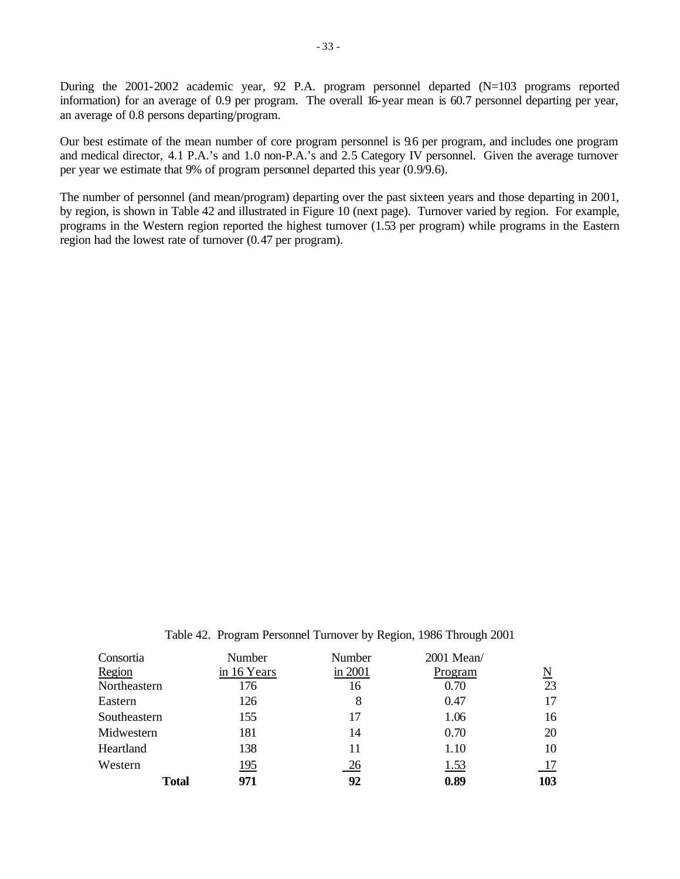During the 2001-2002 academic year, 92 P.A. program personnel departed (N=103 programs reported information) for an average of 0.9 per program. The overall 16-year mean is 60.7 personnel departing per year, an average of 0.8 persons departing/program.

Our best estimate of the mean number of core program personnel is 9.6 per program, and includes one program and medical director, 4.1 P.A.'s and 1.0 non-P.A.'s and 2.5 Category IV personnel. Given the average turnover per year we estimate that 9% of program personnel departed this year (0.9/9.6).

The number of personnel (and mean/program) departing over the past sixteen years and those departing in 2001, by region, is shown in Table 42 and illustrated in Figure 10 (next page). Turnover varied by region. For example, programs in the Western region reported the highest turnover (1.53 per program) while programs in the Eastern region had the lowest rate of turnover (0.47 per program).

Table 42. Program Personnel Turnover by Region, 1986 Through 2001

| Consortia    | Number      | Number  | 2001 Mean/  |     |
|--------------|-------------|---------|-------------|-----|
| Region       | in 16 Years | in 2001 | Program     | N   |
| Northeastern | 176         | 16      | 0.70        | 23  |
| Eastern      | 126         | 8       | 0.47        | 17  |
| Southeastern | 155         | 17      | 1.06        | 16  |
| Midwestern   | 181         | 14      | 0.70        | 20  |
| Heartland    | 138         | 11      | 1.10        | 10  |
| Western      | 195         | 26      | <u>1.53</u> |     |
| <b>Total</b> | 971         | 92      | 0.89        | 103 |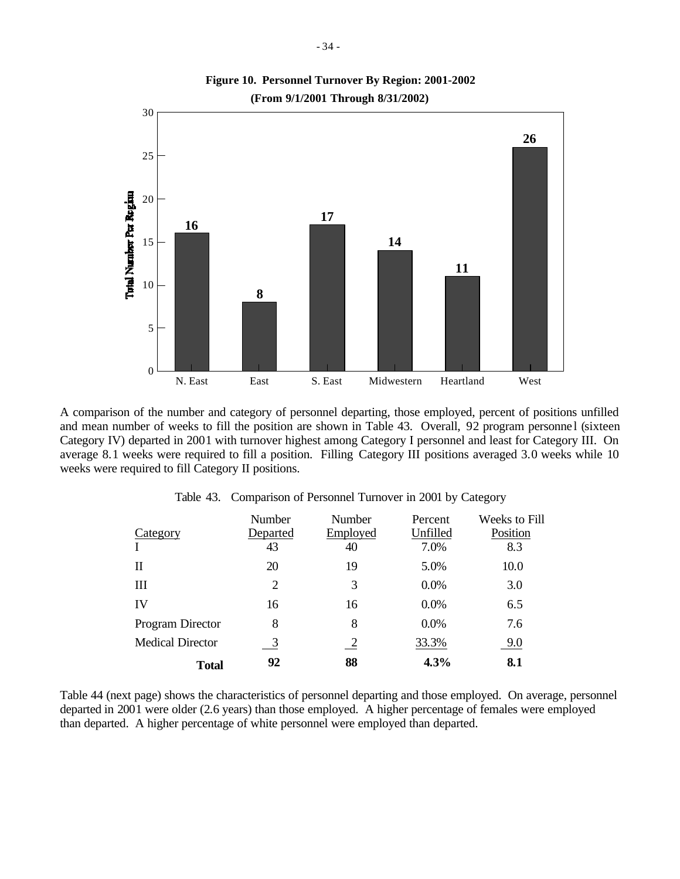

A comparison of the number and category of personnel departing, those employed, percent of positions unfilled and mean number of weeks to fill the position are shown in Table 43. Overall, 92 program personnel (sixteen Category IV) departed in 2001 with turnover highest among Category I personnel and least for Category III. On average 8.1 weeks were required to fill a position. Filling Category III positions averaged 3.0 weeks while 10 weeks were required to fill Category II positions.

| Category                | <b>Number</b><br>Departed | <b>Number</b><br>Employed | Percent<br>Unfilled | Weeks to Fill<br>Position |
|-------------------------|---------------------------|---------------------------|---------------------|---------------------------|
|                         | 43                        | 40                        | 7.0%                | 8.3                       |
| Н                       | 20                        | 19                        | 5.0%                | 10.0                      |
| Ш                       | 2                         | 3                         | 0.0%                | 3.0                       |
| IV                      | 16                        | 16                        | 0.0%                | 6.5                       |
| Program Director        | 8                         | 8                         | 0.0%                | 7.6                       |
| <b>Medical Director</b> | $\overline{3}$            | 2                         | 33.3%               | 9.0                       |
| <b>Total</b>            | 92                        | 88                        | 4.3%                | 8.1                       |

Table 43. Comparison of Personnel Turnover in 2001 by Category

Table 44 (next page) shows the characteristics of personnel departing and those employed. On average, personnel departed in 2001 were older (2.6 years) than those employed. A higher percentage of females were employed than departed. A higher percentage of white personnel were employed than departed.

**Figure 10. Personnel Turnover By Region: 2001-2002**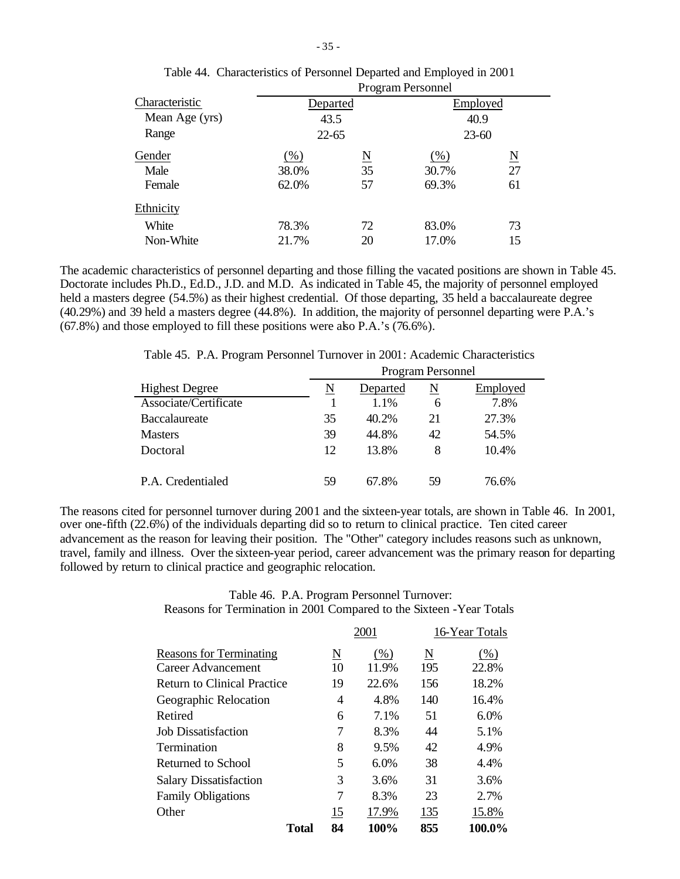|                |           | <b>Program Personnel</b> |           |                     |  |  |
|----------------|-----------|--------------------------|-----------|---------------------|--|--|
| Characteristic | Departed  |                          | Employed  |                     |  |  |
| Mean Age (yrs) |           | 43.5                     |           | 40.9                |  |  |
| Range          | $22 - 65$ |                          | $23 - 60$ |                     |  |  |
| Gender         | $(\%)$    | $\underline{\text{N}}$   | $(\%)$    | $\underline{\rm N}$ |  |  |
| Male           | 38.0%     | 35                       | 30.7%     | 27                  |  |  |
| Female         | 62.0%     | 57                       | 69.3%     | 61                  |  |  |
| Ethnicity      |           |                          |           |                     |  |  |
| White          | 78.3%     | 72                       | 83.0%     | 73                  |  |  |
| Non-White      | 21.7%     | 20                       | 17.0%     | 15                  |  |  |

| Table 44. Characteristics of Personnel Departed and Employed in 2001 |
|----------------------------------------------------------------------|
| $\mathbf{r}$ $\mathbf{r}$ $\mathbf{r}$ $\mathbf{r}$                  |

The academic characteristics of personnel departing and those filling the vacated positions are shown in Table 45. Doctorate includes Ph.D., Ed.D., J.D. and M.D. As indicated in Table 45, the majority of personnel employed held a masters degree (54.5%) as their highest credential. Of those departing, 35 held a baccalaureate degree (40.29%) and 39 held a masters degree (44.8%). In addition, the majority of personnel departing were P.A.'s (67.8%) and those employed to fill these positions were also P.A.'s (76.6%).

Table 45. P.A. Program Personnel Turnover in 2001: Academic Characteristics

|                       | Program Personnel |          |    |          |  |
|-----------------------|-------------------|----------|----|----------|--|
| <b>Highest Degree</b> | N                 | Departed | N  | Employed |  |
| Associate/Certificate |                   | 1.1%     | 6  | 7.8%     |  |
| Baccalaureate         | 35                | 40.2%    | 21 | 27.3%    |  |
| <b>Masters</b>        | 39                | 44.8%    | 42 | 54.5%    |  |
| Doctoral              | 12                | 13.8%    | 8  | 10.4%    |  |
| P.A. Credentialed     | 59                | 67.8%    | 59 | 76.6%    |  |

The reasons cited for personnel turnover during 2001 and the sixteen-year totals, are shown in Table 46. In 2001, over one-fifth (22.6%) of the individuals departing did so to return to clinical practice. Ten cited career advancement as the reason for leaving their position. The "Other" category includes reasons such as unknown, travel, family and illness. Over the sixteen-year period, career advancement was the primary reason for departing followed by return to clinical practice and geographic relocation.

# Table 46. P.A. Program Personnel Turnover: Reasons for Termination in 2001 Compared to the Sixteen -Year Totals

|                                    |          | 2001  |     | 16-Year Totals |
|------------------------------------|----------|-------|-----|----------------|
| <b>Reasons for Terminating</b>     | <u>N</u> | (% )  | N   | $(\%)$         |
| Career Advancement                 | 10       | 11.9% | 195 | 22.8%          |
| <b>Return to Clinical Practice</b> | 19       | 22.6% | 156 | 18.2%          |
| Geographic Relocation              | 4        | 4.8%  | 140 | 16.4%          |
| Retired                            | 6        | 7.1%  | 51  | 6.0%           |
| <b>Job Dissatisfaction</b>         | 7        | 8.3%  | 44  | 5.1%           |
| Termination                        | 8        | 9.5%  | 42  | 4.9%           |
| Returned to School                 | 5        | 6.0%  | 38  | 4.4%           |
| <b>Salary Dissatisfaction</b>      | 3        | 3.6%  | 31  | 3.6%           |
| <b>Family Obligations</b>          | 7        | 8.3%  | 23  | 2.7%           |
| Other                              | 15       | 17.9% | 135 | 15.8%          |
| Total                              | 84       | 100%  | 855 | 100.0%         |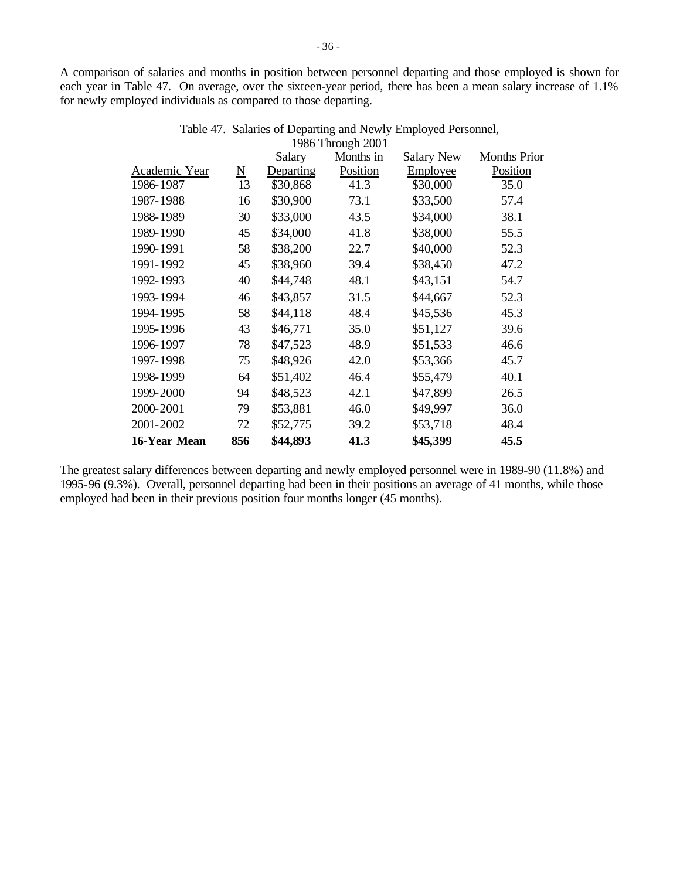A comparison of salaries and months in position between personnel departing and those employed is shown for each year in Table 47. On average, over the sixteen-year period, there has been a mean salary increase of 1.1% for newly employed individuals as compared to those departing.

|                          | Salary    | Months in | <b>Salary New</b>   | <b>Months Prior</b> |
|--------------------------|-----------|-----------|---------------------|---------------------|
| $\underline{\mathbf{N}}$ | Departing | Position  | Employee            | Position            |
| 13                       | \$30,868  | 41.3      | \$30,000            | 35.0                |
| 16                       | \$30,900  | 73.1      | \$33,500            | 57.4                |
| 30                       | \$33,000  | 43.5      | \$34,000            | 38.1                |
| 45                       | \$34,000  | 41.8      | \$38,000            | 55.5                |
| 58                       | \$38,200  | 22.7      | \$40,000            | 52.3                |
| 45                       | \$38,960  | 39.4      | \$38,450            | 47.2                |
| 40                       | \$44,748  | 48.1      | \$43,151            | 54.7                |
| 46                       | \$43,857  | 31.5      | \$44,667            | 52.3                |
| 58                       | \$44,118  | 48.4      | \$45,536            | 45.3                |
| 43                       | \$46,771  | 35.0      | \$51,127            | 39.6                |
| 78                       | \$47,523  | 48.9      | \$51,533            | 46.6                |
| 75                       | \$48,926  | 42.0      | \$53,366            | 45.7                |
| 64                       | \$51,402  | 46.4      | \$55,479            | 40.1                |
| 94                       | \$48,523  | 42.1      | \$47,899            | 26.5                |
| 79                       | \$53,881  | 46.0      | \$49,997            | 36.0                |
| 72                       | \$52,775  | 39.2      | \$53,718            | 48.4                |
| 856                      | \$44,893  | 41.3      | \$45,399            | 45.5                |
|                          |           |           | $1200$ Through 2001 |                     |

| Table 47. Salaries of Departing and Newly Employed Personnel, |
|---------------------------------------------------------------|
| 1986 Through 2001                                             |

The greatest salary differences between departing and newly employed personnel were in 1989-90 (11.8%) and 1995-96 (9.3%). Overall, personnel departing had been in their positions an average of 41 months, while those employed had been in their previous position four months longer (45 months).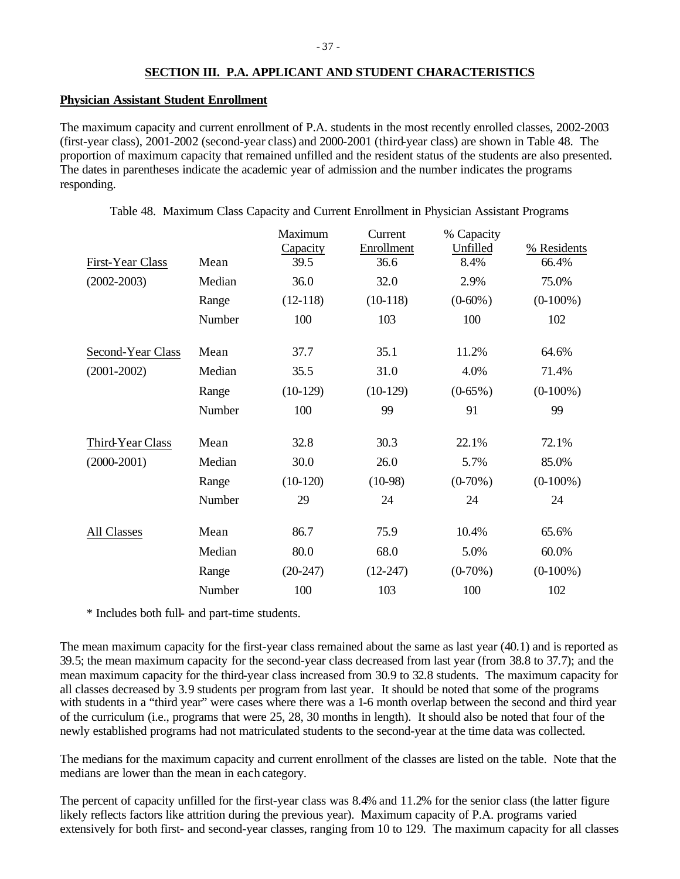# **SECTION III. P.A. APPLICANT AND STUDENT CHARACTERISTICS**

### **Physician Assistant Student Enrollment**

The maximum capacity and current enrollment of P.A. students in the most recently enrolled classes, 2002-2003 (first-year class), 2001-2002 (second-year class) and 2000-2001 (third-year class) are shown in Table 48. The proportion of maximum capacity that remained unfilled and the resident status of the students are also presented. The dates in parentheses indicate the academic year of admission and the number indicates the programs responding.

| First-Year Class<br>$(2002 - 2003)$ | Mean<br>Median<br>Range<br>Number | Maximum<br>Capacity<br>39.5<br>36.0<br>$(12-118)$<br>100 | Current<br>Enrollment<br>36.6<br>32.0<br>$(10-118)$<br>103 | % Capacity<br>Unfilled<br>8.4%<br>2.9%<br>$(0-60\%)$<br>100 | % Residents<br>66.4%<br>75.0%<br>$(0-100\%)$<br>102 |
|-------------------------------------|-----------------------------------|----------------------------------------------------------|------------------------------------------------------------|-------------------------------------------------------------|-----------------------------------------------------|
|                                     |                                   |                                                          |                                                            |                                                             |                                                     |
| Second-Year Class                   | Mean                              | 37.7                                                     | 35.1                                                       | 11.2%                                                       | 64.6%                                               |
| $(2001 - 2002)$                     | Median                            | 35.5                                                     | 31.0                                                       | 4.0%                                                        | 71.4%                                               |
|                                     | Range                             | $(10-129)$                                               | $(10-129)$                                                 | $(0-65\%)$                                                  | $(0-100\%)$                                         |
|                                     | Number                            | 100                                                      | 99                                                         | 91                                                          | 99                                                  |
| Third-Year Class                    | Mean                              | 32.8                                                     | 30.3                                                       | 22.1%                                                       | 72.1%                                               |
| $(2000-2001)$                       | Median                            | 30.0                                                     | 26.0                                                       | 5.7%                                                        | 85.0%                                               |
|                                     | Range                             | $(10-120)$                                               | $(10-98)$                                                  | $(0-70\%)$                                                  | $(0-100\%)$                                         |
|                                     | Number                            | 29                                                       | 24                                                         | 24                                                          | 24                                                  |
| All Classes                         | Mean                              | 86.7                                                     | 75.9                                                       | 10.4%                                                       | 65.6%                                               |
|                                     | Median                            | 80.0                                                     | 68.0                                                       | 5.0%                                                        | 60.0%                                               |
|                                     | Range                             | $(20-247)$                                               | $(12-247)$                                                 | $(0-70\%)$                                                  | $(0-100\%)$                                         |
|                                     | Number                            | 100                                                      | 103                                                        | 100                                                         | 102                                                 |

\* Includes both full- and part-time students.

The mean maximum capacity for the first-year class remained about the same as last year (40.1) and is reported as 39.5; the mean maximum capacity for the second-year class decreased from last year (from 38.8 to 37.7); and the mean maximum capacity for the third-year class increased from 30.9 to 32.8 students. The maximum capacity for all classes decreased by 3.9 students per program from last year. It should be noted that some of the programs with students in a "third year" were cases where there was a 1-6 month overlap between the second and third year of the curriculum (i.e., programs that were 25, 28, 30 months in length). It should also be noted that four of the newly established programs had not matriculated students to the second-year at the time data was collected.

The medians for the maximum capacity and current enrollment of the classes are listed on the table. Note that the medians are lower than the mean in each category.

The percent of capacity unfilled for the first-year class was 8.4% and 11.2% for the senior class (the latter figure likely reflects factors like attrition during the previous year). Maximum capacity of P.A. programs varied extensively for both first- and second-year classes, ranging from 10 to 129. The maximum capacity for all classes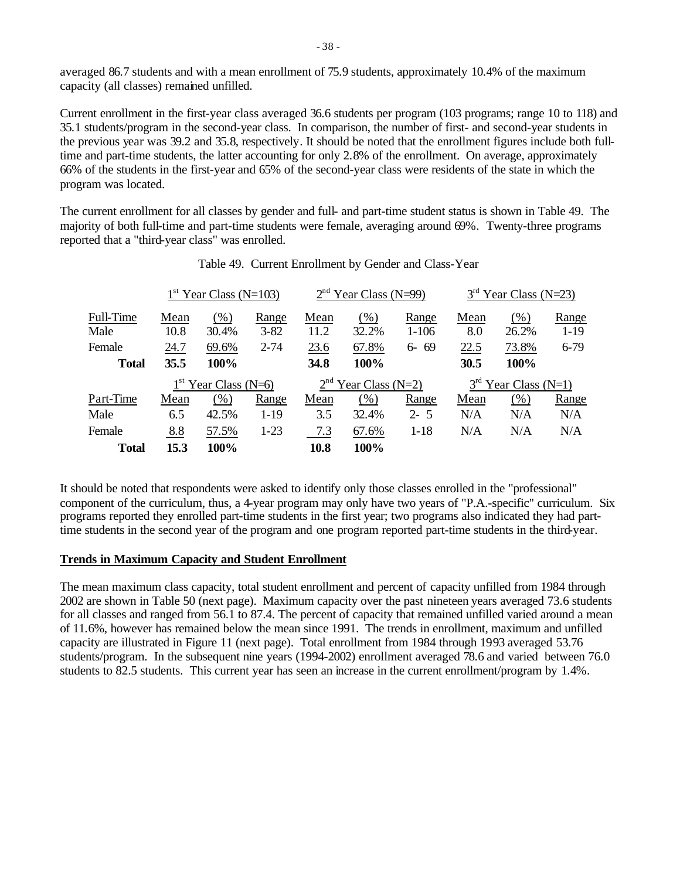averaged 86.7 students and with a mean enrollment of 75.9 students, approximately 10.4% of the maximum capacity (all classes) remained unfilled.

Current enrollment in the first-year class averaged 36.6 students per program (103 programs; range 10 to 118) and 35.1 students/program in the second-year class. In comparison, the number of first- and second-year students in the previous year was 39.2 and 35.8, respectively. It should be noted that the enrollment figures include both fulltime and part-time students, the latter accounting for only 2.8% of the enrollment. On average, approximately 66% of the students in the first-year and 65% of the second-year class were residents of the state in which the program was located.

The current enrollment for all classes by gender and full- and part-time student status is shown in Table 49. The majority of both full-time and part-time students were female, averaging around 69%. Twenty-three programs reported that a "third-year class" was enrolled.

|              |                        | $1st$ Year Class (N=103) |          |                        | $2nd$ Year Class (N=99) |           |      | $3rd$ Year Class (N=23) |          |
|--------------|------------------------|--------------------------|----------|------------------------|-------------------------|-----------|------|-------------------------|----------|
| Full-Time    | Mean                   | $(\%)$                   | Range    | Mean                   | $(\%)$                  | Range     | Mean | (% )                    | Range    |
| Male         | 10.8                   | 30.4%                    | $3 - 82$ | 11.2                   | 32.2%                   | $1 - 106$ | 8.0  | 26.2%                   | $1-19$   |
| Female       | 24.7                   | 69.6%                    | $2 - 74$ | 23.6                   | 67.8%                   | $6 - 69$  | 22.5 | 73.8%                   | $6 - 79$ |
| <b>Total</b> | 35.5                   | 100%                     |          | 34.8                   | 100%                    |           | 30.5 | 100%                    |          |
|              | $1st$ Year Class (N=6) |                          |          | $2nd$ Year Class (N=2) |                         |           |      | $3rd$ Year Class (N=1)  |          |
| Part-Time    | Mean                   | (% )                     | Range    | Mean                   | $(\%)$                  | Range     | Mean | (% )                    | Range    |
| Male         | 6.5                    | 42.5%                    | $1 - 19$ | 3.5                    | 32.4%                   | $2 - 5$   | N/A  | N/A                     | N/A      |
| Female       | 8.8                    | 57.5%                    | $1 - 23$ | 7.3                    | 67.6%                   | $1 - 18$  | N/A  | N/A                     | N/A      |
| <b>Total</b> | 15.3                   | 100%                     |          | 10.8                   | 100%                    |           |      |                         |          |

It should be noted that respondents were asked to identify only those classes enrolled in the "professional" component of the curriculum, thus, a 4-year program may only have two years of "P.A.-specific" curriculum. Six programs reported they enrolled part-time students in the first year; two programs also indicated they had parttime students in the second year of the program and one program reported part-time students in the third-year.

### **Trends in Maximum Capacity and Student Enrollment**

The mean maximum class capacity, total student enrollment and percent of capacity unfilled from 1984 through 2002 are shown in Table 50 (next page). Maximum capacity over the past nineteen years averaged 73.6 students for all classes and ranged from 56.1 to 87.4. The percent of capacity that remained unfilled varied around a mean of 11.6%, however has remained below the mean since 1991. The trends in enrollment, maximum and unfilled capacity are illustrated in Figure 11 (next page). Total enrollment from 1984 through 1993 averaged 53.76 students/program. In the subsequent nine years (1994-2002) enrollment averaged 78.6 and varied between 76.0 students to 82.5 students. This current year has seen an increase in the current enrollment/program by 1.4%.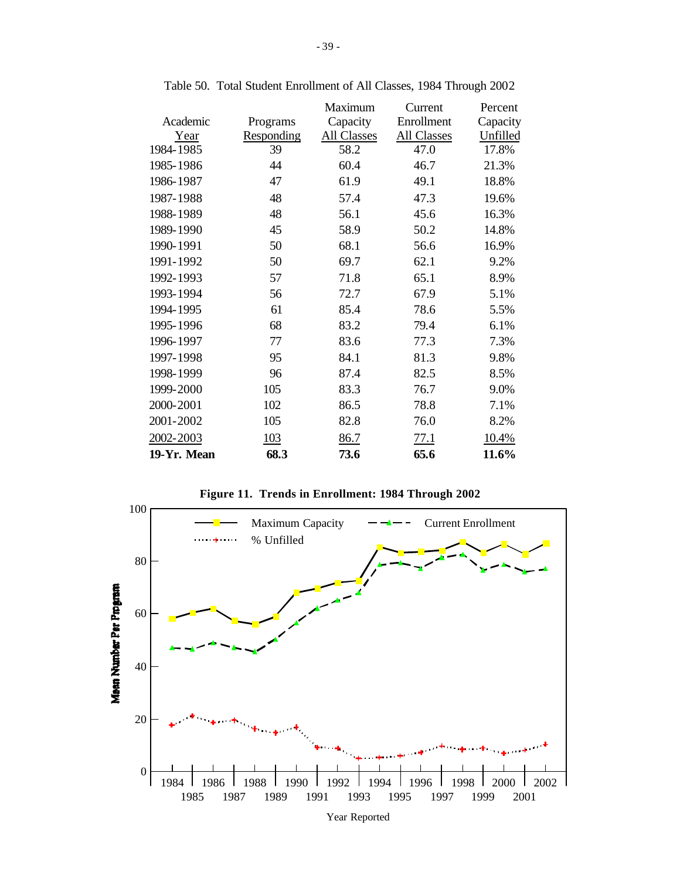|             |            | Maximum     | Current     | Percent  |
|-------------|------------|-------------|-------------|----------|
| Academic    | Programs   | Capacity    | Enrollment  | Capacity |
| Year        | Responding | All Classes | All Classes | Unfilled |
| 1984-1985   | 39         | 58.2        | 47.0        | 17.8%    |
| 1985-1986   | 44         | 60.4        | 46.7        | 21.3%    |
| 1986-1987   | 47         | 61.9        | 49.1        | 18.8%    |
| 1987-1988   | 48         | 57.4        | 47.3        | 19.6%    |
| 1988-1989   | 48         | 56.1        | 45.6        | 16.3%    |
| 1989-1990   | 45         | 58.9        | 50.2        | 14.8%    |
| 1990-1991   | 50         | 68.1        | 56.6        | 16.9%    |
| 1991-1992   | 50         | 69.7        | 62.1        | 9.2%     |
| 1992-1993   | 57         | 71.8        | 65.1        | 8.9%     |
| 1993-1994   | 56         | 72.7        | 67.9        | 5.1%     |
| 1994-1995   | 61         | 85.4        | 78.6        | 5.5%     |
| 1995-1996   | 68         | 83.2        | 79.4        | 6.1%     |
| 1996-1997   | 77         | 83.6        | 77.3        | 7.3%     |
| 1997-1998   | 95         | 84.1        | 81.3        | 9.8%     |
| 1998-1999   | 96         | 87.4        | 82.5        | 8.5%     |
| 1999-2000   | 105        | 83.3        | 76.7        | 9.0%     |
| 2000-2001   | 102        | 86.5        | 78.8        | 7.1%     |
| 2001-2002   | 105        | 82.8        | 76.0        | 8.2%     |
| 2002-2003   | 103        | 86.7        | 77.1        | 10.4%    |
| 19-Yr. Mean | 68.3       | 73.6        | 65.6        | 11.6%    |

Table 50. Total Student Enrollment of All Classes, 1984 Through 2002



**Figure 11. Trends in Enrollment: 1984 Through 2002**

Year Reported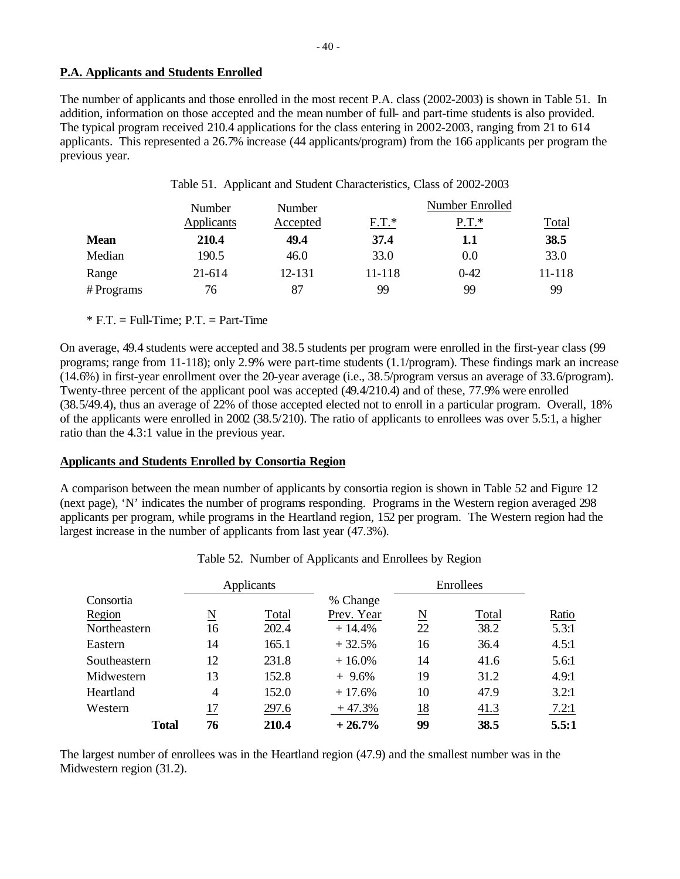# **P.A. Applicants and Students Enrolled**

The number of applicants and those enrolled in the most recent P.A. class (2002-2003) is shown in Table 51. In addition, information on those accepted and the mean number of full- and part-time students is also provided. The typical program received 210.4 applications for the class entering in 2002-2003, ranging from 21 to 614 applicants. This represented a 26.7% increase (44 applicants/program) from the 166 applicants per program the previous year.

|           | Number     | Number   | Number Enrolled |          |              |  |  |
|-----------|------------|----------|-----------------|----------|--------------|--|--|
|           | Applicants | Accepted | $F.T.*$         | $P.T.*$  | <b>Total</b> |  |  |
| Mean      | 210.4      | 49.4     | 37.4            | 1.1      | 38.5         |  |  |
| Median    | 190.5      | 46.0     | 33.0            | 0.0      | 33.0         |  |  |
| Range     | 21-614     | 12-131   | 11-118          | $0 - 42$ | 11-118       |  |  |
| #Programs | 76         | 87       | 99              | 99       | 99           |  |  |

Table 51. Applicant and Student Characteristics, Class of 2002-2003

 $*$  F.T. = Full-Time; P.T. = Part-Time

On average, 49.4 students were accepted and 38.5 students per program were enrolled in the first-year class (99 programs; range from 11-118); only 2.9% were part-time students (1.1/program). These findings mark an increase (14.6%) in first-year enrollment over the 20-year average (i.e., 38.5/program versus an average of 33.6/program). Twenty-three percent of the applicant pool was accepted (49.4/210.4) and of these, 77.9% were enrolled (38.5/49.4), thus an average of 22% of those accepted elected not to enroll in a particular program. Overall, 18% of the applicants were enrolled in 2002 (38.5/210). The ratio of applicants to enrollees was over 5.5:1, a higher ratio than the 4.3:1 value in the previous year.

# **Applicants and Students Enrolled by Consortia Region**

A comparison between the mean number of applicants by consortia region is shown in Table 52 and Figure 12 (next page), 'N' indicates the number of programs responding. Programs in the Western region averaged 298 applicants per program, while programs in the Heartland region, 152 per program. The Western region had the largest increase in the number of applicants from last year (47.3%).

|              |    | Applicants |            | Enrollees           |       |       |
|--------------|----|------------|------------|---------------------|-------|-------|
| Consortia    |    |            | % Change   |                     |       |       |
| Region       | N  | Total      | Prev. Year | $\underline{\rm N}$ | Total | Ratio |
| Northeastern | 16 | 202.4      | $+14.4%$   | 22                  | 38.2  | 5.3:1 |
| Eastern      | 14 | 165.1      | $+32.5%$   | 16                  | 36.4  | 4.5:1 |
| Southeastern | 12 | 231.8      | $+16.0%$   | 14                  | 41.6  | 5.6:1 |
| Midwestern   | 13 | 152.8      | $+9.6%$    | 19                  | 31.2  | 4.9:1 |
| Heartland    | 4  | 152.0      | $+17.6%$   | 10                  | 47.9  | 3.2:1 |
| Western      | 17 | 297.6      | $+47.3%$   | 18                  | 41.3  | 7.2:1 |
| <b>Total</b> | 76 | 210.4      | $+26.7%$   | 99                  | 38.5  | 5.5:1 |

|  |  | Table 52. Number of Applicants and Enrollees by Region |  |  |
|--|--|--------------------------------------------------------|--|--|
|--|--|--------------------------------------------------------|--|--|

The largest number of enrollees was in the Heartland region (47.9) and the smallest number was in the Midwestern region (31.2).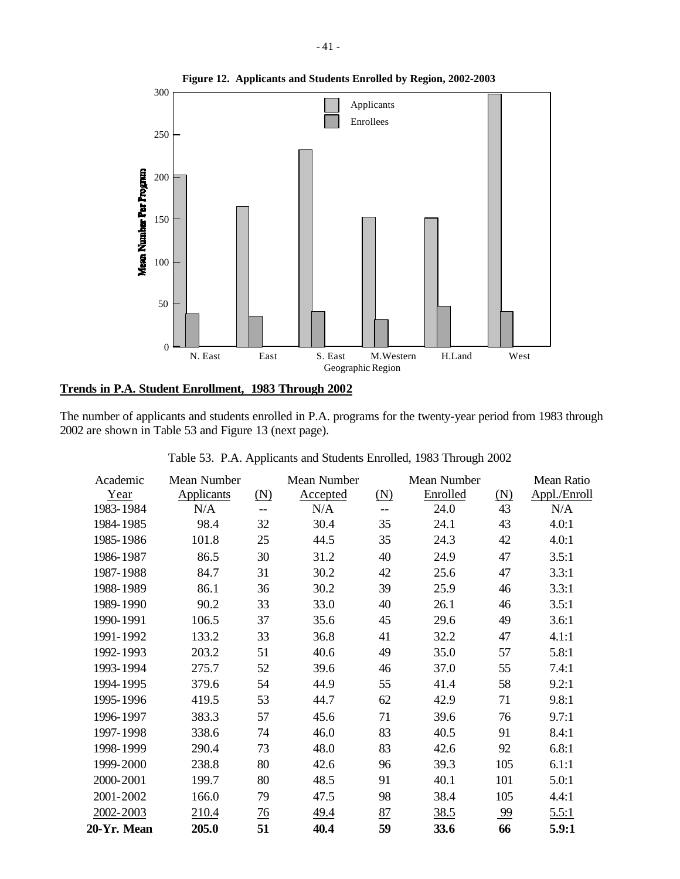

# **Trends in P.A. Student Enrollment, 1983 Through 2002**

The number of applicants and students enrolled in P.A. programs for the twenty-year period from 1983 through 2002 are shown in Table 53 and Figure 13 (next page).

| Academic    | Mean Number |                | Mean Number |            | Mean Number |            | Mean Ratio   |
|-------------|-------------|----------------|-------------|------------|-------------|------------|--------------|
| Year        | Applicants  | <u>(N)</u>     | Accepted    | <u>(N)</u> | Enrolled    | <u>(N)</u> | Appl./Enroll |
| 1983-1984   | N/A         | --             | N/A         | --         | 24.0        | 43         | N/A          |
| 1984-1985   | 98.4        | 32             | 30.4        | 35         | 24.1        | 43         | 4.0:1        |
| 1985-1986   | 101.8       | 25             | 44.5        | 35         | 24.3        | 42         | 4.0:1        |
| 1986-1987   | 86.5        | 30             | 31.2        | 40         | 24.9        | 47         | 3.5:1        |
| 1987-1988   | 84.7        | 31             | 30.2        | 42         | 25.6        | 47         | 3.3:1        |
| 1988-1989   | 86.1        | 36             | 30.2        | 39         | 25.9        | 46         | 3.3:1        |
| 1989-1990   | 90.2        | 33             | 33.0        | 40         | 26.1        | 46         | 3.5:1        |
| 1990-1991   | 106.5       | 37             | 35.6        | 45         | 29.6        | 49         | 3.6:1        |
| 1991-1992   | 133.2       | 33             | 36.8        | 41         | 32.2        | 47         | 4.1:1        |
| 1992-1993   | 203.2       | 51             | 40.6        | 49         | 35.0        | 57         | 5.8:1        |
| 1993-1994   | 275.7       | 52             | 39.6        | 46         | 37.0        | 55         | 7.4:1        |
| 1994-1995   | 379.6       | 54             | 44.9        | 55         | 41.4        | 58         | 9.2:1        |
| 1995-1996   | 419.5       | 53             | 44.7        | 62         | 42.9        | 71         | 9.8:1        |
| 1996-1997   | 383.3       | 57             | 45.6        | 71         | 39.6        | 76         | 9.7:1        |
| 1997-1998   | 338.6       | 74             | 46.0        | 83         | 40.5        | 91         | 8.4:1        |
| 1998-1999   | 290.4       | 73             | 48.0        | 83         | 42.6        | 92         | 6.8:1        |
| 1999-2000   | 238.8       | 80             | 42.6        | 96         | 39.3        | 105        | 6.1:1        |
| 2000-2001   | 199.7       | 80             | 48.5        | 91         | 40.1        | 101        | 5.0:1        |
| 2001-2002   | 166.0       | 79             | 47.5        | 98         | 38.4        | 105        | 4.4:1        |
| 2002-2003   | 210.4       | $\frac{76}{2}$ | 49.4        | 87         | 38.5        | 99         | 5.5:1        |
| 20-Yr. Mean | 205.0       | 51             | 40.4        | 59         | 33.6        | 66         | 5.9:1        |

|  |  |  | Table 53. P.A. Applicants and Students Enrolled, 1983 Through 2002 |  |  |  |  |  |
|--|--|--|--------------------------------------------------------------------|--|--|--|--|--|
|--|--|--|--------------------------------------------------------------------|--|--|--|--|--|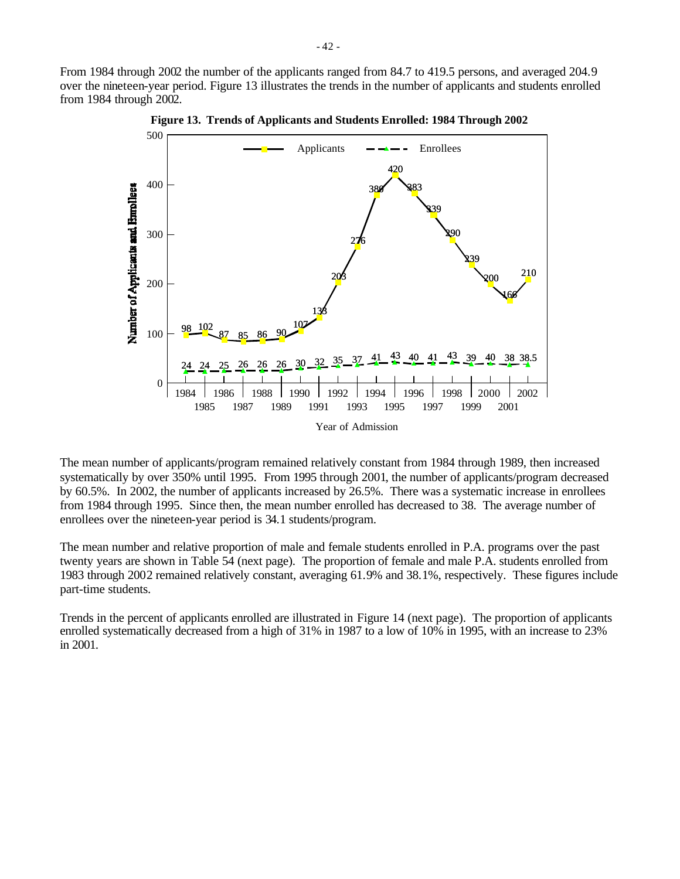From 1984 through 2002 the number of the applicants ranged from 84.7 to 419.5 persons, and averaged 204.9 over the nineteen-year period. Figure 13 illustrates the trends in the number of applicants and students enrolled from 1984 through 2002.



**Figure 13. Trends of Applicants and Students Enrolled: 1984 Through 2002**

The mean number of applicants/program remained relatively constant from 1984 through 1989, then increased systematically by over 350% until 1995. From 1995 through 2001, the number of applicants/program decreased by 60.5%. In 2002, the number of applicants increased by 26.5%. There was a systematic increase in enrollees from 1984 through 1995. Since then, the mean number enrolled has decreased to 38. The average number of enrollees over the nineteen-year period is 34.1 students/program.

The mean number and relative proportion of male and female students enrolled in P.A. programs over the past twenty years are shown in Table 54 (next page). The proportion of female and male P.A. students enrolled from 1983 through 2002 remained relatively constant, averaging 61.9% and 38.1%, respectively. These figures include part-time students.

Trends in the percent of applicants enrolled are illustrated in Figure 14 (next page). The proportion of applicants enrolled systematically decreased from a high of 31% in 1987 to a low of 10% in 1995, with an increase to 23% in 2001.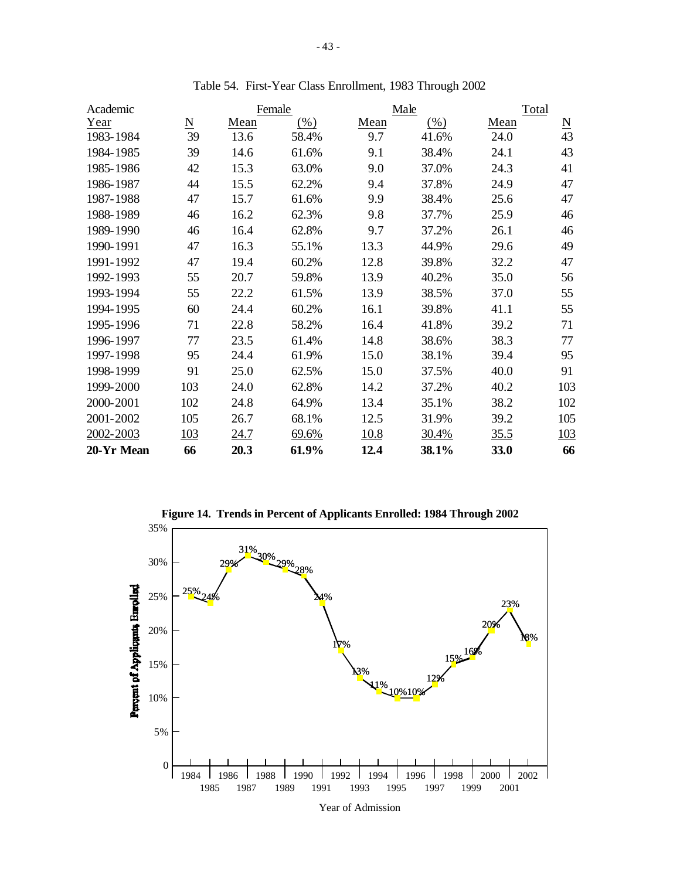| Academic   |     |      | Female |      | Male    | Total |                          |
|------------|-----|------|--------|------|---------|-------|--------------------------|
| Year       | N   | Mean | $(\%)$ | Mean | $(\% )$ | Mean  | $\underline{\mathrm{N}}$ |
| 1983-1984  | 39  | 13.6 | 58.4%  | 9.7  | 41.6%   | 24.0  | 43                       |
| 1984-1985  | 39  | 14.6 | 61.6%  | 9.1  | 38.4%   | 24.1  | 43                       |
| 1985-1986  | 42  | 15.3 | 63.0%  | 9.0  | 37.0%   | 24.3  | 41                       |
| 1986-1987  | 44  | 15.5 | 62.2%  | 9.4  | 37.8%   | 24.9  | 47                       |
| 1987-1988  | 47  | 15.7 | 61.6%  | 9.9  | 38.4%   | 25.6  | 47                       |
| 1988-1989  | 46  | 16.2 | 62.3%  | 9.8  | 37.7%   | 25.9  | 46                       |
| 1989-1990  | 46  | 16.4 | 62.8%  | 9.7  | 37.2%   | 26.1  | 46                       |
| 1990-1991  | 47  | 16.3 | 55.1%  | 13.3 | 44.9%   | 29.6  | 49                       |
| 1991-1992  | 47  | 19.4 | 60.2%  | 12.8 | 39.8%   | 32.2  | 47                       |
| 1992-1993  | 55  | 20.7 | 59.8%  | 13.9 | 40.2%   | 35.0  | 56                       |
| 1993-1994  | 55  | 22.2 | 61.5%  | 13.9 | 38.5%   | 37.0  | 55                       |
| 1994-1995  | 60  | 24.4 | 60.2%  | 16.1 | 39.8%   | 41.1  | 55                       |
| 1995-1996  | 71  | 22.8 | 58.2%  | 16.4 | 41.8%   | 39.2  | 71                       |
| 1996-1997  | 77  | 23.5 | 61.4%  | 14.8 | 38.6%   | 38.3  | 77                       |
| 1997-1998  | 95  | 24.4 | 61.9%  | 15.0 | 38.1%   | 39.4  | 95                       |
| 1998-1999  | 91  | 25.0 | 62.5%  | 15.0 | 37.5%   | 40.0  | 91                       |
| 1999-2000  | 103 | 24.0 | 62.8%  | 14.2 | 37.2%   | 40.2  | 103                      |
| 2000-2001  | 102 | 24.8 | 64.9%  | 13.4 | 35.1%   | 38.2  | 102                      |
| 2001-2002  | 105 | 26.7 | 68.1%  | 12.5 | 31.9%   | 39.2  | 105                      |
| 2002-2003  | 103 | 24.7 | 69.6%  | 10.8 | 30.4%   | 35.5  | <u>103</u>               |
| 20-Yr Mean | 66  | 20.3 | 61.9%  | 12.4 | 38.1%   | 33.0  | 66                       |

Table 54. First-Year Class Enrollment, 1983 Through 2002



Year of Admission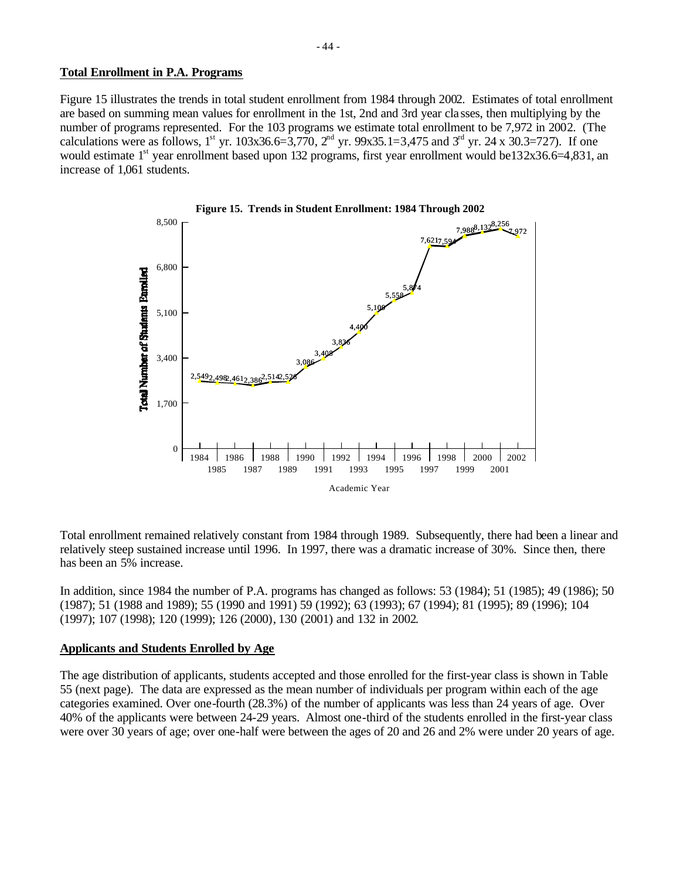### **Total Enrollment in P.A. Programs**

Figure 15 illustrates the trends in total student enrollment from 1984 through 2002. Estimates of total enrollment are based on summing mean values for enrollment in the 1st, 2nd and 3rd year cla sses, then multiplying by the number of programs represented. For the 103 programs we estimate total enrollment to be 7,972 in 2002. (The calculations were as follows, 1<sup>st</sup> yr. 103x36.6=3,770, 2<sup>nd</sup> yr. 99x35.1=3,475 and 3<sup>rd</sup> yr. 24 x 30.3=727). If one would estimate 1<sup>st</sup> year enrollment based upon 132 programs, first year enrollment would be132x36.6=4,831, an increase of 1,061 students.



Total enrollment remained relatively constant from 1984 through 1989. Subsequently, there had been a linear and relatively steep sustained increase until 1996. In 1997, there was a dramatic increase of 30%. Since then, there has been an 5% increase.

In addition, since 1984 the number of P.A. programs has changed as follows: 53 (1984); 51 (1985); 49 (1986); 50 (1987); 51 (1988 and 1989); 55 (1990 and 1991) 59 (1992); 63 (1993); 67 (1994); 81 (1995); 89 (1996); 104 (1997); 107 (1998); 120 (1999); 126 (2000), 130 (2001) and 132 in 2002.

### **Applicants and Students Enrolled by Age**

The age distribution of applicants, students accepted and those enrolled for the first-year class is shown in Table 55 (next page). The data are expressed as the mean number of individuals per program within each of the age categories examined. Over one-fourth (28.3%) of the number of applicants was less than 24 years of age. Over 40% of the applicants were between 24-29 years. Almost one-third of the students enrolled in the first-year class were over 30 years of age; over one-half were between the ages of 20 and 26 and 2% were under 20 years of age.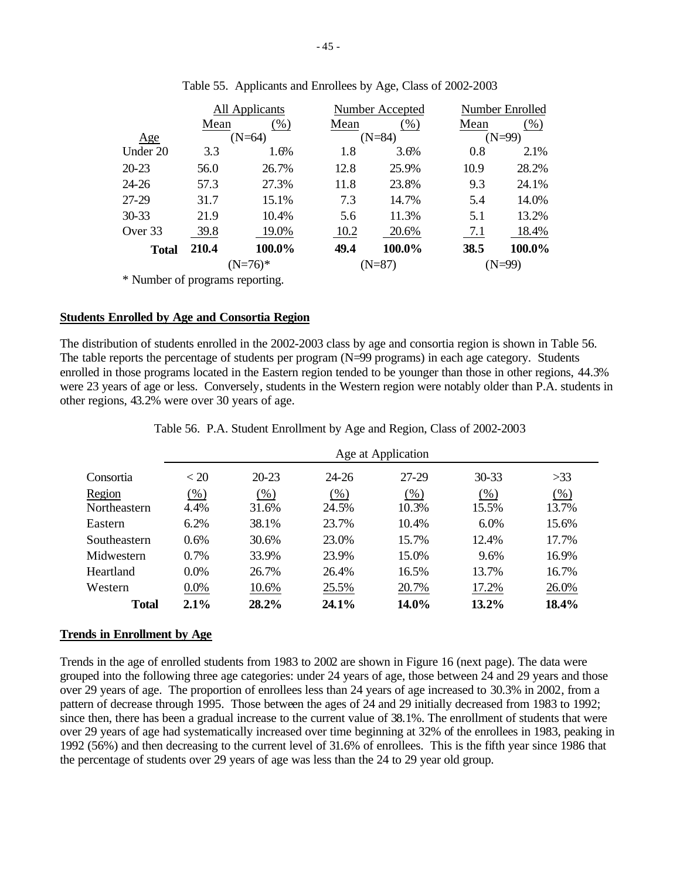|              |       | All Applicants<br>Number Enrolled<br>Number Accepted |      |          |      |          |
|--------------|-------|------------------------------------------------------|------|----------|------|----------|
|              | Mean  | (% )                                                 | Mean | (% )     | Mean | (% )     |
| Age          |       | $(N=64)$                                             |      | $(N=84)$ |      | $(N=99)$ |
| Under 20     | 3.3   | 1.6%                                                 | 1.8  | 3.6%     | 0.8  | 2.1%     |
| 20-23        | 56.0  | 26.7%                                                | 12.8 | 25.9%    | 10.9 | 28.2%    |
| 24-26        | 57.3  | 27.3%                                                | 11.8 | 23.8%    | 9.3  | 24.1%    |
| 27-29        | 31.7  | 15.1%                                                | 7.3  | 14.7%    | 5.4  | 14.0%    |
| 30-33        | 21.9  | 10.4%                                                | 5.6  | 11.3%    | 5.1  | 13.2%    |
| Over 33      | 39.8  | 19.0%                                                | 10.2 | 20.6%    | 7.1  | 18.4%    |
| <b>Total</b> | 210.4 | 100.0%                                               | 49.4 | 100.0%   | 38.5 | 100.0%   |
|              |       | $(N=76)*$                                            |      | $(N=87)$ |      | $(N=99)$ |
|              |       |                                                      |      |          |      |          |

Table 55. Applicants and Enrollees by Age, Class of 2002-2003

\* Number of programs reporting.

## **Students Enrolled by Age and Consortia Region**

The distribution of students enrolled in the 2002-2003 class by age and consortia region is shown in Table 56. The table reports the percentage of students per program (N=99 programs) in each age category. Students enrolled in those programs located in the Eastern region tended to be younger than those in other regions, 44.3% were 23 years of age or less. Conversely, students in the Western region were notably older than P.A. students in other regions, 43.2% were over 30 years of age.

|              | Age at Application |           |           |         |           |        |  |  |  |  |
|--------------|--------------------|-----------|-----------|---------|-----------|--------|--|--|--|--|
| Consortia    | < 20               | $20 - 23$ | $24 - 26$ | $27-29$ | $30 - 33$ | >33    |  |  |  |  |
| Region       | $(\%)$             | $(\% )$   | (% )      | (% )    | (% )      | $(\%)$ |  |  |  |  |
| Northeastern | 4.4%               | 31.6%     | 24.5%     | 10.3%   | 15.5%     | 13.7%  |  |  |  |  |
| Eastern      | 6.2%               | 38.1%     | 23.7%     | 10.4%   | 6.0%      | 15.6%  |  |  |  |  |
| Southeastern | $0.6\%$            | 30.6%     | 23.0%     | 15.7%   | 12.4%     | 17.7%  |  |  |  |  |
| Midwestern   | $0.7\%$            | 33.9%     | 23.9%     | 15.0%   | 9.6%      | 16.9%  |  |  |  |  |
| Heartland    | $0.0\%$            | 26.7%     | 26.4%     | 16.5%   | 13.7%     | 16.7%  |  |  |  |  |
| Western      | $0.0\%$            | 10.6%     | 25.5%     | 20.7%   | 17.2%     | 26.0%  |  |  |  |  |
| <b>Total</b> | $2.1\%$            | 28.2%     | 24.1%     | 14.0%   | $13.2\%$  | 18.4%  |  |  |  |  |

Table 56. P.A. Student Enrollment by Age and Region, Class of 2002-2003

### **Trends in Enrollment by Age**

Trends in the age of enrolled students from 1983 to 2002 are shown in Figure 16 (next page). The data were grouped into the following three age categories: under 24 years of age, those between 24 and 29 years and those over 29 years of age. The proportion of enrollees less than 24 years of age increased to 30.3% in 2002, from a pattern of decrease through 1995. Those between the ages of 24 and 29 initially decreased from 1983 to 1992; since then, there has been a gradual increase to the current value of 38.1%. The enrollment of students that were over 29 years of age had systematically increased over time beginning at 32% of the enrollees in 1983, peaking in 1992 (56%) and then decreasing to the current level of 31.6% of enrollees. This is the fifth year since 1986 that the percentage of students over 29 years of age was less than the 24 to 29 year old group.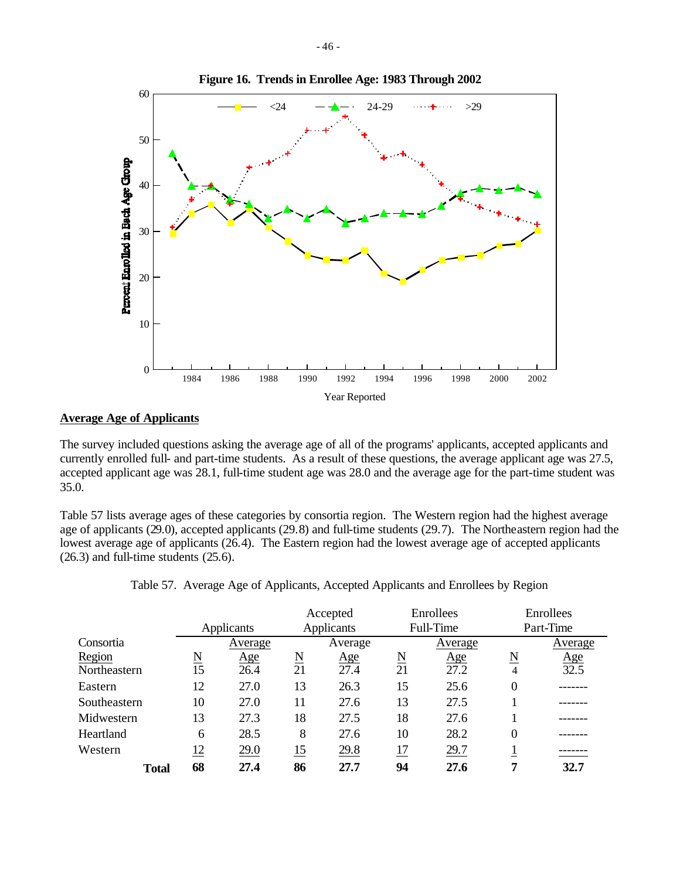

### **Average Age of Applicants**

The survey included questions asking the average age of all of the programs' applicants, accepted applicants and currently enrolled full- and part-time students. As a result of these questions, the average applicant age was 27.5, accepted applicant age was 28.1, full-time student age was 28.0 and the average age for the part-time student was 35.0.

Table 57 lists average ages of these categories by consortia region. The Western region had the highest average age of applicants (29.0), accepted applicants (29.8) and full-time students (29.7). The Northeastern region had the lowest average age of applicants (26.4). The Eastern region had the lowest average age of accepted applicants (26.3) and full-time students (25.6).

|              | Accepted                             |            | Enrollees                            |            | Enrollees |            |                  |                           |
|--------------|--------------------------------------|------------|--------------------------------------|------------|-----------|------------|------------------|---------------------------|
|              |                                      | Applicants |                                      | Applicants |           | Full-Time  | Part-Time        |                           |
| Consortia    |                                      | Average    |                                      | Average    |           | Average    |                  | Average                   |
| Region       | $\underline{\underline{\mathrm{N}}}$ | <u>Age</u> | $\underline{\underline{\mathrm{N}}}$ | <u>Age</u> | N         | <u>Age</u> | N                |                           |
| Northeastern | 15                                   | 26.4       | 21                                   | 27.4       | 21        | 27.2       | $\overline{4}$   | $\frac{\text{Age}}{32.5}$ |
| Eastern      | 12                                   | 27.0       | 13                                   | 26.3       | 15        | 25.6       | $\boldsymbol{0}$ |                           |
| Southeastern | 10                                   | 27.0       | 11                                   | 27.6       | 13        | 27.5       |                  |                           |
| Midwestern   | 13                                   | 27.3       | 18                                   | 27.5       | 18        | 27.6       |                  |                           |
| Heartland    | 6                                    | 28.5       | 8                                    | 27.6       | 10        | 28.2       | $\boldsymbol{0}$ |                           |
| Western      | <u> 12</u>                           | 29.0       | <u>15</u>                            | 29.8       | 17        | 29.7       |                  |                           |
| <b>Total</b> | 68                                   | 27.4       | 86                                   | 27.7       | 94        | 27.6       | 7                | 32.7                      |

Table 57. Average Age of Applicants, Accepted Applicants and Enrollees by Region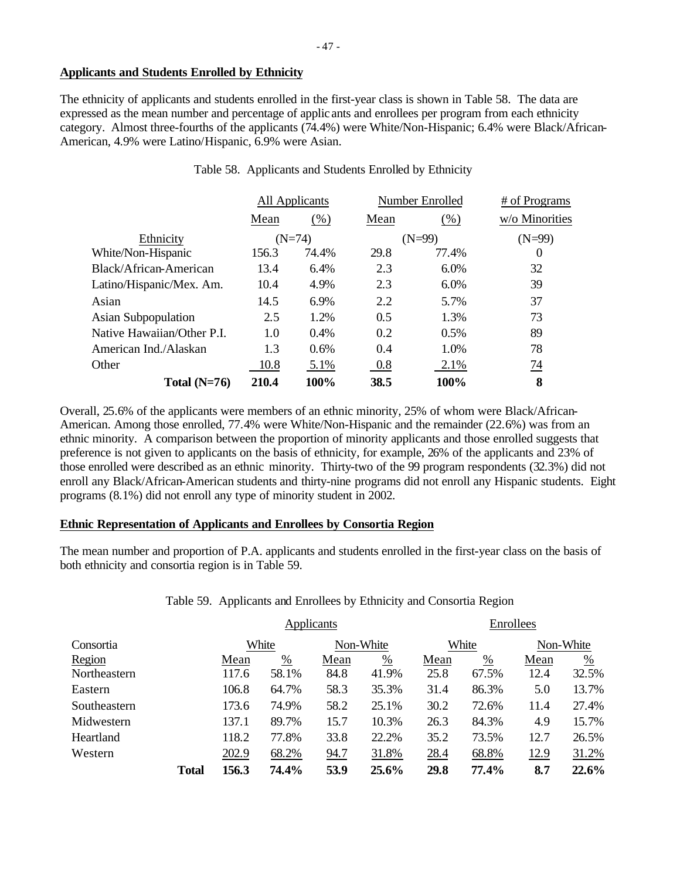## **Applicants and Students Enrolled by Ethnicity**

The ethnicity of applicants and students enrolled in the first-year class is shown in Table 58. The data are expressed as the mean number and percentage of applic ants and enrollees per program from each ethnicity category. Almost three-fourths of the applicants (74.4%) were White/Non-Hispanic; 6.4% were Black/African-American, 4.9% were Latino/Hispanic, 6.9% were Asian.

|                            | All Applicants |       |      | Number Enrolled | # of Programs  |  |
|----------------------------|----------------|-------|------|-----------------|----------------|--|
|                            | Mean           | (% )  | Mean | (% )            | w/o Minorities |  |
| Ethnicity                  | $(N=74)$       |       |      | $(N=99)$        | $(N=99)$       |  |
| White/Non-Hispanic         | 156.3          | 74.4% | 29.8 | 77.4%           | $\theta$       |  |
| Black/African-American     | 13.4           | 6.4%  | 2.3  | 6.0%            | 32             |  |
| Latino/Hispanic/Mex. Am.   | 10.4           | 4.9%  | 2.3  | 6.0%            | 39             |  |
| Asian                      | 14.5           | 6.9%  | 2.2  | 5.7%            | 37             |  |
| <b>Asian Subpopulation</b> | 2.5            | 1.2%  | 0.5  | 1.3%            | 73             |  |
| Native Hawaiian/Other P.I. | 1.0            | 0.4%  | 0.2  | 0.5%            | 89             |  |
| American Ind./Alaskan      | 1.3            | 0.6%  | 0.4  | 1.0%            | 78             |  |
| Other                      | 10.8           | 5.1%  | 0.8  | 2.1%            | 74             |  |
| Total $(N=76)$             | 210.4          | 100%  | 38.5 | 100%            | 8              |  |

Table 58. Applicants and Students Enrolled by Ethnicity

Overall, 25.6% of the applicants were members of an ethnic minority, 25% of whom were Black/African-American. Among those enrolled, 77.4% were White/Non-Hispanic and the remainder (22.6%) was from an ethnic minority. A comparison between the proportion of minority applicants and those enrolled suggests that preference is not given to applicants on the basis of ethnicity, for example, 26% of the applicants and 23% of those enrolled were described as an ethnic minority. Thirty-two of the 99 program respondents (32.3%) did not enroll any Black/African-American students and thirty-nine programs did not enroll any Hispanic students. Eight programs (8.1%) did not enroll any type of minority student in 2002.

## **Ethnic Representation of Applicants and Enrollees by Consortia Region**

The mean number and proportion of P.A. applicants and students enrolled in the first-year class on the basis of both ethnicity and consortia region is in Table 59.

# Table 59. Applicants and Enrollees by Ethnicity and Consortia Region

|              |              |       |               | Applicants |               | Enrollees |       |             |           |  |
|--------------|--------------|-------|---------------|------------|---------------|-----------|-------|-------------|-----------|--|
| Consortia    |              | White |               | Non-White  |               |           | White |             | Non-White |  |
| Region       |              | Mean  | $\frac{0}{0}$ | Mean       | $\frac{0}{0}$ | Mean      | %     | Mean        | %         |  |
| Northeastern |              | 117.6 | 58.1%         | 84.8       | 41.9%         | 25.8      | 67.5% | 12.4        | 32.5%     |  |
| Eastern      |              | 106.8 | 64.7%         | 58.3       | 35.3%         | 31.4      | 86.3% | 5.0         | 13.7%     |  |
| Southeastern |              | 173.6 | 74.9%         | 58.2       | 25.1%         | 30.2      | 72.6% | 11.4        | 27.4%     |  |
| Midwestern   |              | 137.1 | 89.7%         | 15.7       | 10.3%         | 26.3      | 84.3% | 4.9         | 15.7%     |  |
| Heartland    |              | 118.2 | 77.8%         | 33.8       | 22.2%         | 35.2      | 73.5% | 12.7        | 26.5%     |  |
| Western      |              | 202.9 | 68.2%         | 94.7       | 31.8%         | 28.4      | 68.8% | <u>12.9</u> | 31.2%     |  |
|              | <b>Total</b> | 156.3 | 74.4%         | 53.9       | 25.6%         | 29.8      | 77.4% | 8.7         | 22.6%     |  |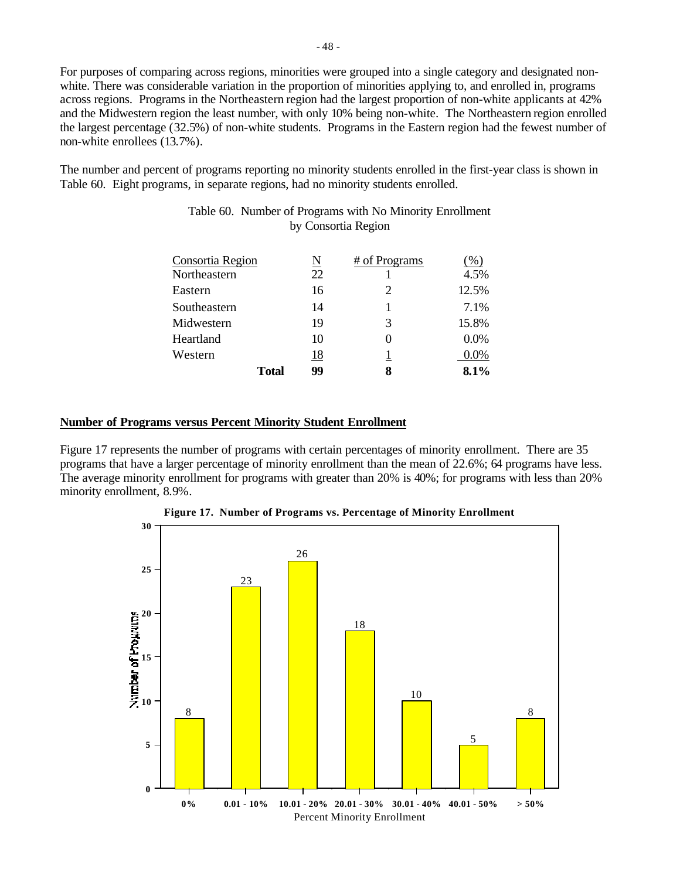For purposes of comparing across regions, minorities were grouped into a single category and designated nonwhite. There was considerable variation in the proportion of minorities applying to, and enrolled in, programs across regions. Programs in the Northeastern region had the largest proportion of non-white applicants at 42% and the Midwestern region the least number, with only 10% being non-white. The Northeastern region enrolled the largest percentage (32.5%) of non-white students. Programs in the Eastern region had the fewest number of non-white enrollees (13.7%).

The number and percent of programs reporting no minority students enrolled in the first-year class is shown in Table 60. Eight programs, in separate regions, had no minority students enrolled.

| Consortia Region |       | N  | # of Programs | $(\%)$ |
|------------------|-------|----|---------------|--------|
|                  |       | 22 |               | 4.5%   |
| Northeastern     |       |    |               |        |
| Eastern          |       | 16 |               | 12.5%  |
| Southeastern     |       | 14 |               | 7.1%   |
| Midwestern       |       | 19 | 3             | 15.8%  |
| Heartland        |       | 10 |               | 0.0%   |
| Western          |       | 18 |               | 0.0%   |
|                  | Total | 99 | 8             | 8.1%   |

## Table 60. Number of Programs with No Minority Enrollment by Consortia Region

### **Number of Programs versus Percent Minority Student Enrollment**

Figure 17 represents the number of programs with certain percentages of minority enrollment. There are 35 programs that have a larger percentage of minority enrollment than the mean of 22.6%; 64 programs have less. The average minority enrollment for programs with greater than 20% is 40%; for programs with less than 20% minority enrollment, 8.9%.



**Figure 17. Number of Programs vs. Percentage of Minority Enrollment**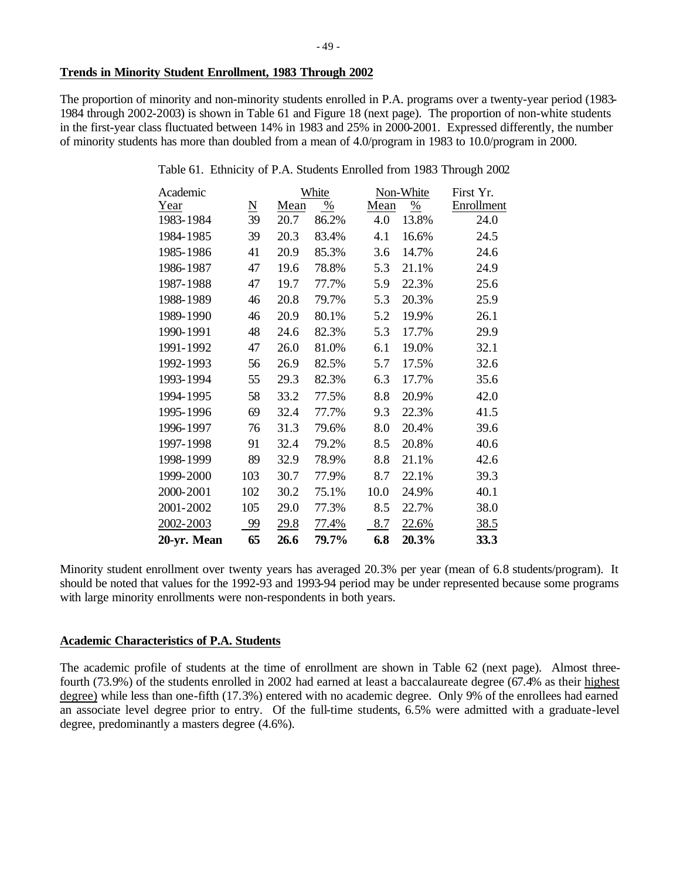The proportion of minority and non-minority students enrolled in P.A. programs over a twenty-year period (1983- 1984 through 2002-2003) is shown in Table 61 and Figure 18 (next page). The proportion of non-white students in the first-year class fluctuated between 14% in 1983 and 25% in 2000-2001. Expressed differently, the number of minority students has more than doubled from a mean of 4.0/program in 1983 to 10.0/program in 2000.

| Table 61. Ethnicity of P.A. Students Enrolled from 1983 Through 2002 |  |  |  |  |
|----------------------------------------------------------------------|--|--|--|--|
|                                                                      |  |  |  |  |

| Academic    |                     |      | White |      | Non-White    | First Yr.  |
|-------------|---------------------|------|-------|------|--------------|------------|
| Year        | $\underline{\rm N}$ | Mean | %     | Mean | %            | Enrollment |
| 1983-1984   | 39                  | 20.7 | 86.2% | 4.0  | 13.8%        | 24.0       |
| 1984-1985   | 39                  | 20.3 | 83.4% | 4.1  | 16.6%        | 24.5       |
| 1985-1986   | 41                  | 20.9 | 85.3% | 3.6  | 14.7%        | 24.6       |
| 1986-1987   | 47                  | 19.6 | 78.8% | 5.3  | 21.1%        | 24.9       |
| 1987-1988   | 47                  | 19.7 | 77.7% | 5.9  | 22.3%        | 25.6       |
| 1988-1989   | 46                  | 20.8 | 79.7% | 5.3  | 20.3%        | 25.9       |
| 1989-1990   | 46                  | 20.9 | 80.1% | 5.2  | 19.9%        | 26.1       |
| 1990-1991   | 48                  | 24.6 | 82.3% | 5.3  | 17.7%        | 29.9       |
| 1991-1992   | 47                  | 26.0 | 81.0% | 6.1  | 19.0%        | 32.1       |
| 1992-1993   | 56                  | 26.9 | 82.5% | 5.7  | 17.5%        | 32.6       |
| 1993-1994   | 55                  | 29.3 | 82.3% | 6.3  | 17.7%        | 35.6       |
| 1994-1995   | 58                  | 33.2 | 77.5% | 8.8  | 20.9%        | 42.0       |
| 1995-1996   | 69                  | 32.4 | 77.7% | 9.3  | 22.3%        | 41.5       |
| 1996-1997   | 76                  | 31.3 | 79.6% | 8.0  | 20.4%        | 39.6       |
| 1997-1998   | 91                  | 32.4 | 79.2% | 8.5  | 20.8%        | 40.6       |
| 1998-1999   | 89                  | 32.9 | 78.9% | 8.8  | 21.1%        | 42.6       |
| 1999-2000   | 103                 | 30.7 | 77.9% | 8.7  | 22.1%        | 39.3       |
| 2000-2001   | 102                 | 30.2 | 75.1% | 10.0 | 24.9%        | 40.1       |
| 2001-2002   | 105                 | 29.0 | 77.3% | 8.5  | 22.7%        | 38.0       |
| 2002-2003   | 99                  | 29.8 | 77.4% | 8.7  | <u>22.6%</u> | 38.5       |
| 20-yr. Mean | 65                  | 26.6 | 79.7% | 6.8  | 20.3%        | 33.3       |

Minority student enrollment over twenty years has averaged 20.3% per year (mean of 6.8 students/program). It should be noted that values for the 1992-93 and 1993-94 period may be under represented because some programs with large minority enrollments were non-respondents in both years.

# **Academic Characteristics of P.A. Students**

The academic profile of students at the time of enrollment are shown in Table 62 (next page). Almost threefourth (73.9%) of the students enrolled in 2002 had earned at least a baccalaureate degree (67.4% as their highest degree) while less than one-fifth (17.3%) entered with no academic degree. Only 9% of the enrollees had earned an associate level degree prior to entry. Of the full-time students, 6.5% were admitted with a graduate-level degree, predominantly a masters degree (4.6%).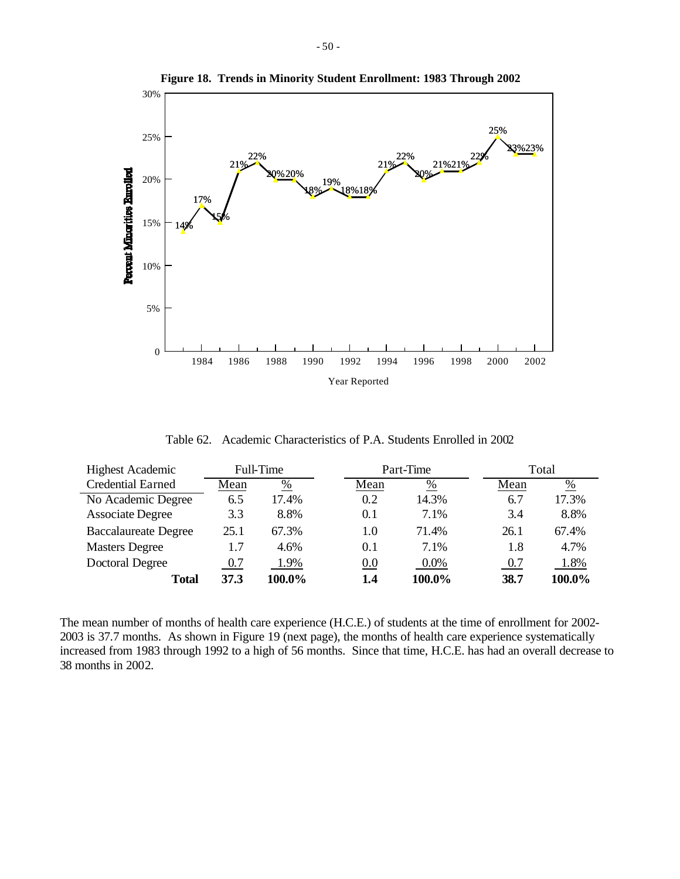

**Figure 18. Trends in Minority Student Enrollment: 1983 Through 2002**

Table 62. Academic Characteristics of P.A. Students Enrolled in 2002

| <b>Highest Academic</b>     | Full-Time |               | Part-Time |         |      | Total  |  |
|-----------------------------|-----------|---------------|-----------|---------|------|--------|--|
| <b>Credential Earned</b>    | Mean      | $\frac{0}{0}$ | Mean      | %       | Mean | %      |  |
| No Academic Degree          | 6.5       | 17.4%         | 0.2       | 14.3%   | 6.7  | 17.3%  |  |
| <b>Associate Degree</b>     | 3.3       | 8.8%          | 0.1       | 7.1%    | 3.4  | 8.8%   |  |
| <b>Baccalaureate Degree</b> | 25.1      | 67.3%         | 1.0       | 71.4%   | 26.1 | 67.4%  |  |
| <b>Masters Degree</b>       | 1.7       | 4.6%          | 0.1       | 7.1%    | 1.8  | 4.7%   |  |
| Doctoral Degree             | 0.7       | 1.9%          | 0.0       | $0.0\%$ | 0.7  | 1.8%   |  |
| Total                       | 37.3      | 100.0%        | 1.4       | 100.0%  | 38.7 | 100.0% |  |

The mean number of months of health care experience (H.C.E.) of students at the time of enrollment for 2002- 2003 is 37.7 months. As shown in Figure 19 (next page), the months of health care experience systematically increased from 1983 through 1992 to a high of 56 months. Since that time, H.C.E. has had an overall decrease to 38 months in 2002.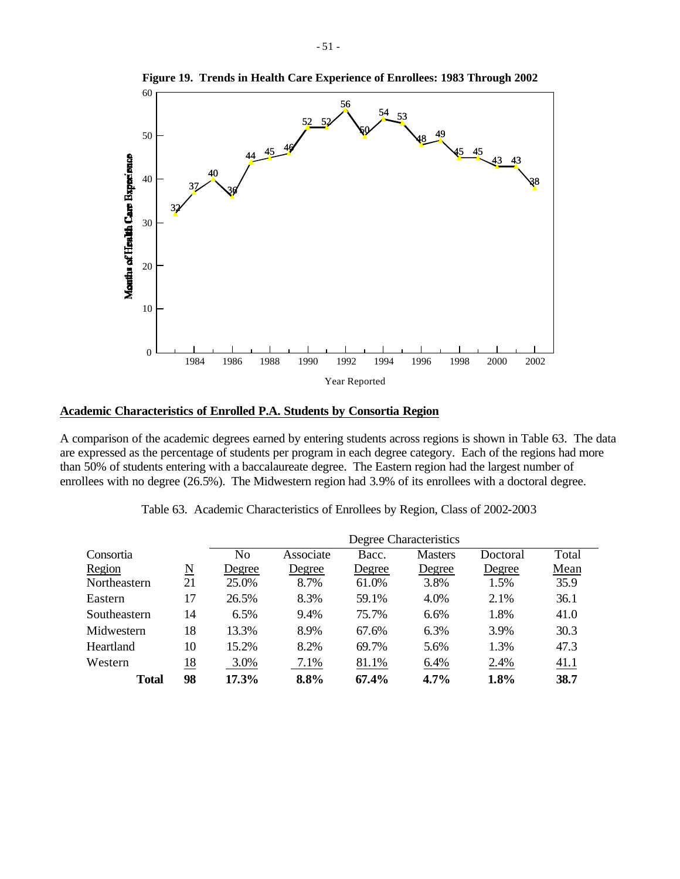

**Figure 19. Trends in Health Care Experience of Enrollees: 1983 Through 2002**

### **Academic Characteristics of Enrolled P.A. Students by Consortia Region**

A comparison of the academic degrees earned by entering students across regions is shown in Table 63. The data are expressed as the percentage of students per program in each degree category. Each of the regions had more than 50% of students entering with a baccalaureate degree. The Eastern region had the largest number of enrollees with no degree (26.5%). The Midwestern region had 3.9% of its enrollees with a doctoral degree.

| Table 63. Academic Characteristics of Enrollees by Region, Class of 2002-2003 |  |
|-------------------------------------------------------------------------------|--|
|-------------------------------------------------------------------------------|--|

|              |                        | Degree Characteristics |           |        |                |          |       |  |  |
|--------------|------------------------|------------------------|-----------|--------|----------------|----------|-------|--|--|
| Consortia    |                        | N <sub>o</sub>         | Associate | Bacc.  | <b>Masters</b> | Doctoral | Total |  |  |
| Region       | $\underline{\text{N}}$ | Degree                 | Degree    | Degree | Degree         | Degree   | Mean  |  |  |
| Northeastern | 21                     | 25.0%                  | 8.7%      | 61.0%  | 3.8%           | 1.5%     | 35.9  |  |  |
| Eastern      | 17                     | 26.5%                  | 8.3%      | 59.1%  | 4.0%           | 2.1%     | 36.1  |  |  |
| Southeastern | 14                     | 6.5%                   | 9.4%      | 75.7%  | 6.6%           | 1.8%     | 41.0  |  |  |
| Midwestern   | 18                     | 13.3%                  | 8.9%      | 67.6%  | 6.3%           | 3.9%     | 30.3  |  |  |
| Heartland    | 10                     | 15.2%                  | 8.2%      | 69.7%  | 5.6%           | 1.3%     | 47.3  |  |  |
| Western      | <u>18</u>              | 3.0%                   | 7.1%      | 81.1%  | 6.4%           | 2.4%     | 41.1  |  |  |
| <b>Total</b> | 98                     | 17.3%                  | 8.8%      | 67.4%  | $4.7\%$        | 1.8%     | 38.7  |  |  |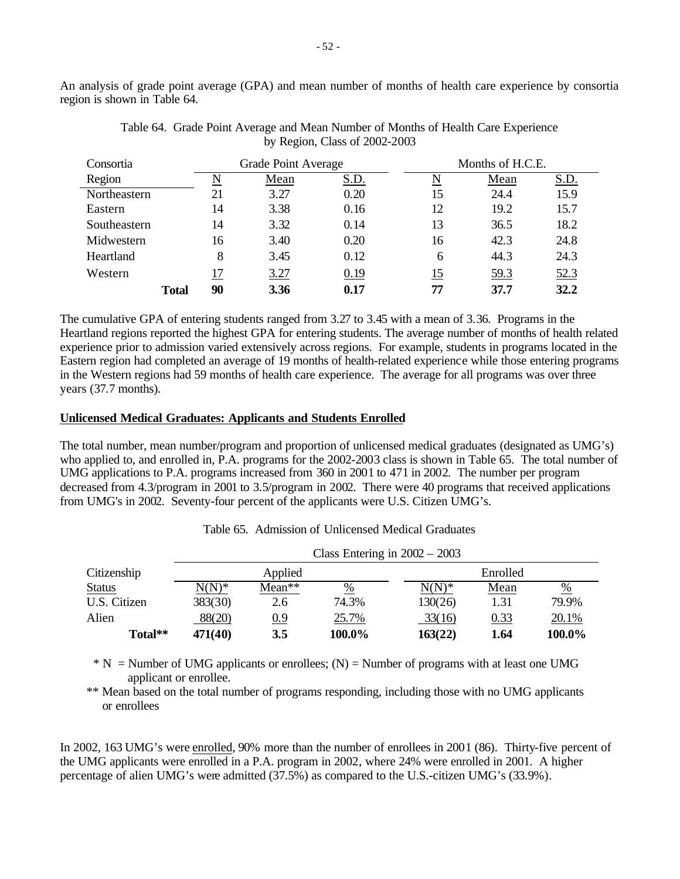An analysis of grade point average (GPA) and mean number of months of health care experience by consortia region is shown in Table 64.

| Consortia    |              | Grade Point Average |      |      | Months of H.C.E. |                    |             |
|--------------|--------------|---------------------|------|------|------------------|--------------------|-------------|
| Region       |              | ΙN                  | Mean | S.D. | N                | Mean               | <u>S.D.</u> |
| Northeastern |              | 21                  | 3.27 | 0.20 | 15               | 24.4               | 15.9        |
| Eastern      |              | 14                  | 3.38 | 0.16 | 12               | 19.2               | 15.7        |
| Southeastern |              | 14                  | 3.32 | 0.14 | 13               | 36.5               | 18.2        |
| Midwestern   |              | 16                  | 3.40 | 0.20 | 16               | 42.3               | 24.8        |
| Heartland    |              | 8                   | 3.45 | 0.12 | 6                | 44.3               | 24.3        |
| Western      |              | 17                  | 3.27 | 0.19 | 15               | $\underline{59.3}$ | 52.3        |
|              | <b>Total</b> | 90                  | 3.36 | 0.17 | 77               | 37.7               | 32.2        |

Table 64. Grade Point Average and Mean Number of Months of Health Care Experience by Region, Class of 2002-2003

The cumulative GPA of entering students ranged from 3.27 to 3.45 with a mean of 3.36. Programs in the Heartland regions reported the highest GPA for entering students. The average number of months of health related experience prior to admission varied extensively across regions. For example, students in programs located in the Eastern region had completed an average of 19 months of health-related experience while those entering programs in the Western regions had 59 months of health care experience. The average for all programs was over three years (37.7 months).

# **Unlicensed Medical Graduates: Applicants and Students Enrolled**

The total number, mean number/program and proportion of unlicensed medical graduates (designated as UMG's) who applied to, and enrolled in, P.A. programs for the 2002-2003 class is shown in Table 65. The total number of UMG applications to P.A. programs increased from 360 in 2001 to 471 in 2002. The number per program decreased from 4.3/program in 2001 to 3.5/program in 2002. There were 40 programs that received applications from UMG's in 2002. Seventy-four percent of the applicants were U.S. Citizen UMG's.

|               |          |        | Class Entering in $2002 - 2003$ |          |          |        |  |
|---------------|----------|--------|---------------------------------|----------|----------|--------|--|
| Citizenship   | Applied  |        |                                 |          | Enrolled |        |  |
| <b>Status</b> | $N(N)^*$ | Mean** | $\%$                            | $N(N)^*$ | Mean     | %      |  |
| U.S. Citizen  | 383(30)  | 2.6    | 74.3%                           | 130(26)  | 1.31     | 79.9%  |  |
| Alien         | 88(20)   | 0.9    | 25.7%                           | 33(16)   | 0.33     | 20.1%  |  |
| Total**       | 471(40)  | 3.5    | 100.0%                          | 163(22)  | 1.64     | 100.0% |  |

Table 65. Admission of Unlicensed Medical Graduates

 $* N =$  Number of UMG applicants or enrollees; (N) = Number of programs with at least one UMG applicant or enrollee.

\*\* Mean based on the total number of programs responding, including those with no UMG applicants or enrollees

In 2002, 163 UMG's were enrolled, 90% more than the number of enrollees in 2001 (86). Thirty-five percent of the UMG applicants were enrolled in a P.A. program in 2002, where 24% were enrolled in 2001. A higher percentage of alien UMG's were admitted (37.5%) as compared to the U.S.-citizen UMG's (33.9%).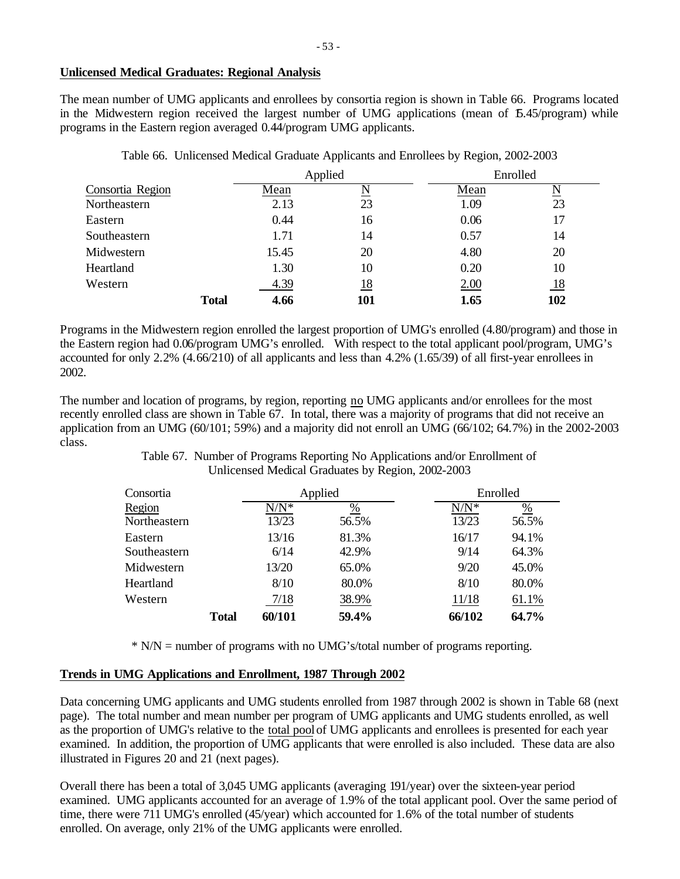The mean number of UMG applicants and enrollees by consortia region is shown in Table 66. Programs located in the Midwestern region received the largest number of UMG applications (mean of  $5.45/$ program) while programs in the Eastern region averaged 0.44/program UMG applicants.

|                  |              |       | Applied   | Enrolled |                     |
|------------------|--------------|-------|-----------|----------|---------------------|
| Consortia Region |              | Mean  | N         | Mean     | $\underline{\rm N}$ |
| Northeastern     |              | 2.13  | 23        | 1.09     | 23                  |
| Eastern          |              | 0.44  | 16        | 0.06     | 17                  |
| Southeastern     |              | 1.71  | 14        | 0.57     | 14                  |
| Midwestern       |              | 15.45 | 20        | 4.80     | 20                  |
| Heartland        |              | 1.30  | 10        | 0.20     | 10                  |
| Western          |              | 4.39  | <u>18</u> | 2.00     | <u>18</u>           |
|                  | <b>Total</b> | 4.66  | 101       | 1.65     | 102                 |

Table 66. Unlicensed Medical Graduate Applicants and Enrollees by Region, 2002-2003

Programs in the Midwestern region enrolled the largest proportion of UMG's enrolled (4.80/program) and those in the Eastern region had 0.06/program UMG's enrolled. With respect to the total applicant pool/program, UMG's accounted for only 2.2% (4.66/210) of all applicants and less than 4.2% (1.65/39) of all first-year enrollees in 2002.

The number and location of programs, by region, reporting no UMG applicants and/or enrollees for the most recently enrolled class are shown in Table 67. In total, there was a majority of programs that did not receive an application from an UMG (60/101; 59%) and a majority did not enroll an UMG (66/102; 64.7%) in the 2002-2003 class.

> Table 67. Number of Programs Reporting No Applications and/or Enrollment of Unlicensed Medical Graduates by Region, 2002-2003

| Consortia    |              |         | Applied       | Enrolled |               |  |
|--------------|--------------|---------|---------------|----------|---------------|--|
| Region       |              | $N/N^*$ | $\frac{0}{0}$ | $N/N^*$  | $\frac{0}{0}$ |  |
| Northeastern |              | 13/23   | 56.5%         | 13/23    | 56.5%         |  |
| Eastern      |              | 13/16   | 81.3%         | 16/17    | 94.1%         |  |
| Southeastern |              | 6/14    | 42.9%         | 9/14     | 64.3%         |  |
| Midwestern   |              | 13/20   | 65.0%         | 9/20     | 45.0%         |  |
| Heartland    |              | 8/10    | 80.0%         | 8/10     | 80.0%         |  |
| Western      |              | 7/18    | 38.9%         | 11/18    | 61.1%         |  |
|              | <b>Total</b> | 60/101  | 59.4%         | 66/102   | 64.7%         |  |

\* N/N = number of programs with no UMG's/total number of programs reporting.

# **Trends in UMG Applications and Enrollment, 1987 Through 2002**

Data concerning UMG applicants and UMG students enrolled from 1987 through 2002 is shown in Table 68 (next page). The total number and mean number per program of UMG applicants and UMG students enrolled, as well as the proportion of UMG's relative to the total pool of UMG applicants and enrollees is presented for each year examined. In addition, the proportion of UMG applicants that were enrolled is also included. These data are also illustrated in Figures 20 and 21 (next pages).

Overall there has been a total of 3,045 UMG applicants (averaging 191/year) over the sixteen-year period examined. UMG applicants accounted for an average of 1.9% of the total applicant pool. Over the same period of time, there were 711 UMG's enrolled (45/year) which accounted for 1.6% of the total number of students enrolled. On average, only 21% of the UMG applicants were enrolled.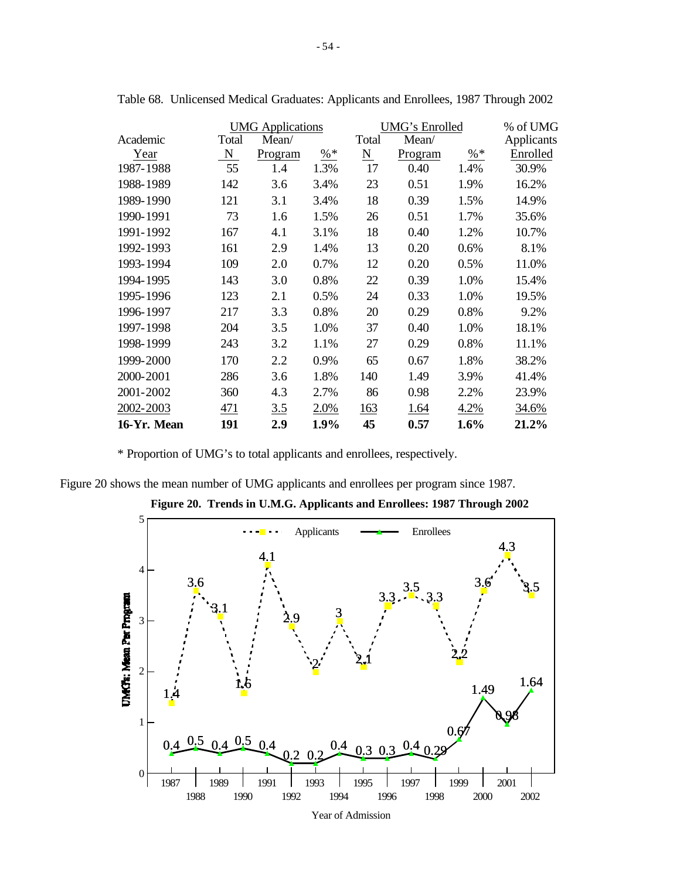|             |       | <b>UMG</b> Applications |                 |                     | UMG's Enrolled |                 |            |  |  |
|-------------|-------|-------------------------|-----------------|---------------------|----------------|-----------------|------------|--|--|
| Academic    | Total | Mean/                   |                 | Total               | Mean/          |                 | Applicants |  |  |
| Year        | N     | Program                 | $\frac{9}{6}$ * | $\underline{\rm N}$ | Program        | $\frac{9}{6}$ * | Enrolled   |  |  |
| 1987-1988   | 55    | 1.4                     | 1.3%            | 17                  | 0.40           | 1.4%            | 30.9%      |  |  |
| 1988-1989   | 142   | 3.6                     | 3.4%            | 23                  | 0.51           | 1.9%            | 16.2%      |  |  |
| 1989-1990   | 121   | 3.1                     | 3.4%            | 18                  | 0.39           | 1.5%            | 14.9%      |  |  |
| 1990-1991   | 73    | 1.6                     | 1.5%            | 26                  | 0.51           | 1.7%            | 35.6%      |  |  |
| 1991-1992   | 167   | 4.1                     | 3.1%            | 18                  | 0.40           | 1.2%            | 10.7%      |  |  |
| 1992-1993   | 161   | 2.9                     | 1.4%            | 13                  | 0.20           | 0.6%            | 8.1%       |  |  |
| 1993-1994   | 109   | 2.0                     | 0.7%            | 12                  | 0.20           | 0.5%            | 11.0%      |  |  |
| 1994-1995   | 143   | 3.0                     | 0.8%            | 22                  | 0.39           | 1.0%            | 15.4%      |  |  |
| 1995-1996   | 123   | 2.1                     | 0.5%            | 24                  | 0.33           | 1.0%            | 19.5%      |  |  |
| 1996-1997   | 217   | 3.3                     | 0.8%            | 20                  | 0.29           | 0.8%            | 9.2%       |  |  |
| 1997-1998   | 204   | 3.5                     | 1.0%            | 37                  | 0.40           | 1.0%            | 18.1%      |  |  |
| 1998-1999   | 243   | 3.2                     | 1.1%            | 27                  | 0.29           | 0.8%            | 11.1%      |  |  |
| 1999-2000   | 170   | 2.2                     | 0.9%            | 65                  | 0.67           | 1.8%            | 38.2%      |  |  |
| 2000-2001   | 286   | 3.6                     | 1.8%            | 140                 | 1.49           | 3.9%            | 41.4%      |  |  |
| 2001-2002   | 360   | 4.3                     | 2.7%            | 86                  | 0.98           | 2.2%            | 23.9%      |  |  |
| 2002-2003   | 471   | 3.5                     | 2.0%            | 163                 | 1.64           | 4.2%            | 34.6%      |  |  |
| 16-Yr. Mean | 191   | 2.9                     | 1.9%            | 45                  | 0.57           | 1.6%            | 21.2%      |  |  |

Table 68. Unlicensed Medical Graduates: Applicants and Enrollees, 1987 Through 2002

\* Proportion of UMG's to total applicants and enrollees, respectively.

Figure 20 shows the mean number of UMG applicants and enrollees per program since 1987.



**Figure 20. Trends in U.M.G. Applicants and Enrollees: 1987 Through 2002**

Year of Admission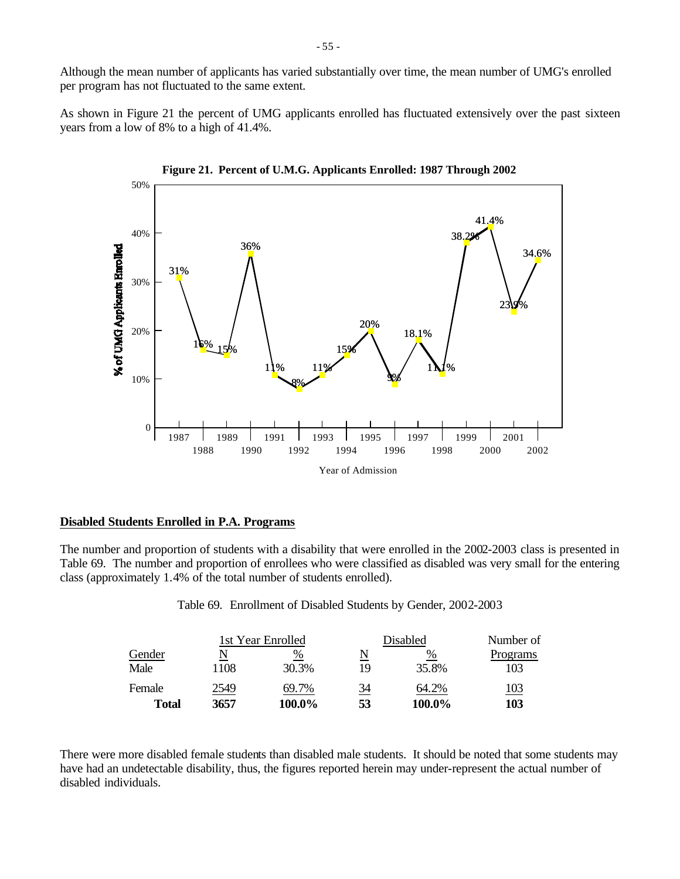Although the mean number of applicants has varied substantially over time, the mean number of UMG's enrolled per program has not fluctuated to the same extent.

As shown in Figure 21 the percent of UMG applicants enrolled has fluctuated extensively over the past sixteen years from a low of 8% to a high of 41.4%.





### **Disabled Students Enrolled in P.A. Programs**

The number and proportion of students with a disability that were enrolled in the 2002-2003 class is presented in Table 69. The number and proportion of enrollees who were classified as disabled was very small for the entering class (approximately 1.4% of the total number of students enrolled).

Table 69. Enrollment of Disabled Students by Gender, 2002-2003

|        |      | 1st Year Enrolled |                         | Disabled | Number of  |  |
|--------|------|-------------------|-------------------------|----------|------------|--|
| Gender |      | %                 | $\overline{\mathsf{N}}$ | %        | Programs   |  |
| Male   | 1108 | 30.3%             | 19                      | 35.8%    | 103        |  |
| Female | 2549 | 69.7%             | <u>34</u>               | 64.2%    | <u>103</u> |  |
| Total  | 3657 | 100.0%            | 53                      | 100.0%   | 103        |  |

There were more disabled female students than disabled male students. It should be noted that some students may have had an undetectable disability, thus, the figures reported herein may under-represent the actual number of disabled individuals.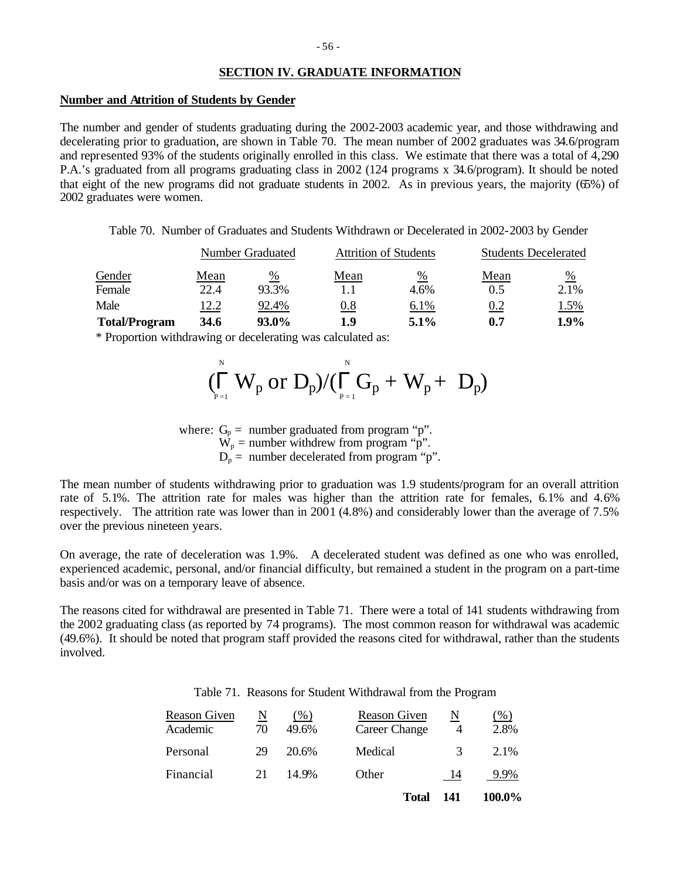# **SECTION IV. GRADUATE INFORMATION**

#### **Number and Attrition of Students by Gender**

The number and gender of students graduating during the 2002-2003 academic year, and those withdrawing and decelerating prior to graduation, are shown in Table 70. The mean number of 2002 graduates was 34.6/program and represented 93% of the students originally enrolled in this class. We estimate that there was a total of 4,290 P.A.'s graduated from all programs graduating class in 2002 (124 programs x 34.6/program). It should be noted that eight of the new programs did not graduate students in 2002. As in previous years, the majority (65%) of 2002 graduates were women.

Table 70. Number of Graduates and Students Withdrawn or Decelerated in 2002-2003 by Gender

|                      |      | Number Graduated |      | <b>Attrition of Students</b> | <b>Students Decelerated</b> |             |  |
|----------------------|------|------------------|------|------------------------------|-----------------------------|-------------|--|
| Gender               | Mean | %                | Mean | %                            | Mean                        | $\%$        |  |
| Female               | 22.4 | 93.3%            |      | 4.6%                         | 0.5                         | 2.1%        |  |
| Male                 | 12.2 | 92.4%            | 0.8  | 6.1%                         | 0.2                         | <u>1.5%</u> |  |
| <b>Total/Program</b> | 34.6 | 93.0%            | 1.9  | $5.1\%$                      | 0.7                         | 1.9%        |  |

\* Proportion withdrawing or decelerating was calculated as:

$$
(\prod_{p=1}^{\scriptscriptstyle{N}} W_p \text{ or } D_p)/(\prod_{p=1}^{\scriptscriptstyle{N}} G_p + W_p + \ D_p)
$$

where:  $G_p =$  number graduated from program "p".  $\hat{W}_p$  = number withdrew from program "p".  $D_p$  = number decelerated from program "p".

The mean number of students withdrawing prior to graduation was 1.9 students/program for an overall attrition rate of 5.1%. The attrition rate for males was higher than the attrition rate for females, 6.1% and 4.6% respectively. The attrition rate was lower than in 2001 (4.8%) and considerably lower than the average of 7.5% over the previous nineteen years.

On average, the rate of deceleration was 1.9%. A decelerated student was defined as one who was enrolled, experienced academic, personal, and/or financial difficulty, but remained a student in the program on a part-time basis and/or was on a temporary leave of absence.

The reasons cited for withdrawal are presented in Table 71. There were a total of 141 students withdrawing from the 2002 graduating class (as reported by 74 programs). The most common reason for withdrawal was academic (49.6%). It should be noted that program staff provided the reasons cited for withdrawal, rather than the students involved.

| Table 71. Reasons for Student Withdrawal from the Program |  |  |  |  |  |  |  |  |
|-----------------------------------------------------------|--|--|--|--|--|--|--|--|
|-----------------------------------------------------------|--|--|--|--|--|--|--|--|

| Reason Given<br>Academic | N<br>70 | $($ %)<br>49.6% | Reason Given<br>Career Change | N<br>4 | ( %)<br>2.8% |
|--------------------------|---------|-----------------|-------------------------------|--------|--------------|
| Personal                 | 29      | 20.6%           | Medical                       | 3      | 2.1%         |
| Financial                | 21      | 14.9%           | Other                         | 14     | 9.9%         |
|                          |         |                 | <b>Total</b>                  | 141    | 100.0%       |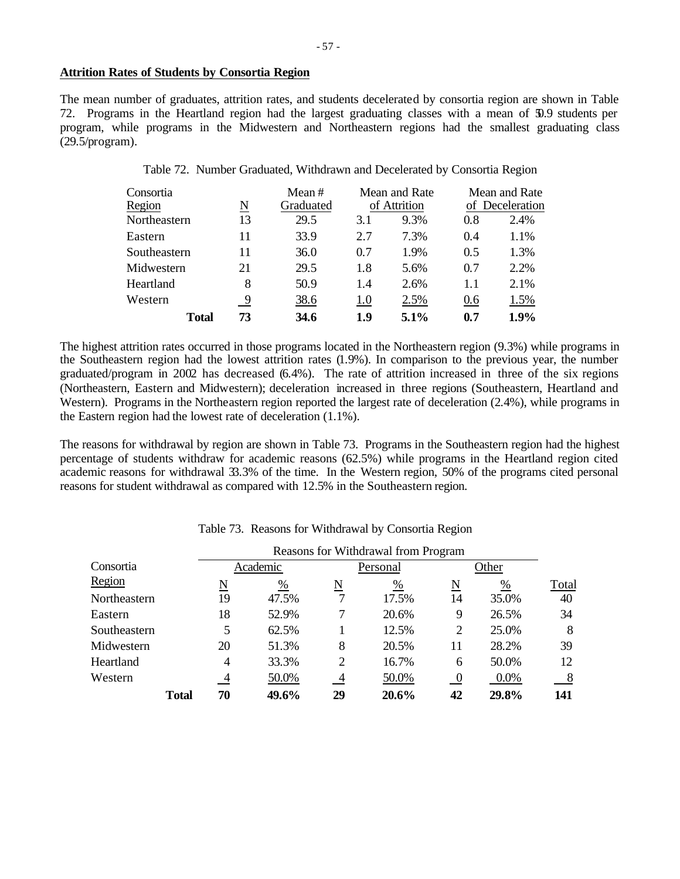## **Attrition Rates of Students by Consortia Region**

The mean number of graduates, attrition rates, and students decelerated by consortia region are shown in Table 72. Programs in the Heartland region had the largest graduating classes with a mean of 50.9 students per program, while programs in the Midwestern and Northeastern regions had the smallest graduating class (29.5/program).

Table 72. Number Graduated, Withdrawn and Decelerated by Consortia Region

| Consortia    |              |    | Mean#     |              | Mean and Rate |                 | Mean and Rate |
|--------------|--------------|----|-----------|--------------|---------------|-----------------|---------------|
| Region       | N            |    | Graduated | of Attrition |               | of Deceleration |               |
| Northeastern |              | 13 | 29.5      | 3.1          | 9.3%          | 0.8             | 2.4%          |
| Eastern      |              | 11 | 33.9      | 2.7          | 7.3%          | 0.4             | 1.1%          |
| Southeastern |              | 11 | 36.0      | 0.7          | 1.9%          | 0.5             | 1.3%          |
| Midwestern   |              | 21 | 29.5      | 1.8          | 5.6%          | 0.7             | 2.2%          |
| Heartland    |              | 8  | 50.9      | 1.4          | 2.6%          | 1.1             | 2.1%          |
| Western      |              | 9  | 38.6      | 1.0          | 2.5%          | 0.6             | 1.5%          |
|              | <b>Total</b> | 73 | 34.6      | 1.9          | 5.1%          | 0.7             | 1.9%          |

The highest attrition rates occurred in those programs located in the Northeastern region (9.3%) while programs in the Southeastern region had the lowest attrition rates (1.9%). In comparison to the previous year, the number graduated/program in 2002 has decreased (6.4%). The rate of attrition increased in three of the six regions (Northeastern, Eastern and Midwestern); deceleration increased in three regions (Southeastern, Heartland and Western). Programs in the Northeastern region reported the largest rate of deceleration (2.4%), while programs in the Eastern region had the lowest rate of deceleration (1.1%).

The reasons for withdrawal by region are shown in Table 73. Programs in the Southeastern region had the highest percentage of students withdraw for academic reasons (62.5%) while programs in the Heartland region cited academic reasons for withdrawal 33.3% of the time. In the Western region, 50% of the programs cited personal reasons for student withdrawal as compared with 12.5% in the Southeastern region.

|              |              | Reasons for Withdrawal from Program |               |                          |          |                     |         |       |  |  |  |
|--------------|--------------|-------------------------------------|---------------|--------------------------|----------|---------------------|---------|-------|--|--|--|
| Consortia    |              |                                     | Academic      |                          | Personal | Other               |         |       |  |  |  |
| Region       |              | $\underline{\rm N}$                 | $\frac{0}{0}$ | $\underline{\mathrm{N}}$ | %        | $\underline{\rm N}$ | %       | Total |  |  |  |
| Northeastern |              | 19                                  | 47.5%         |                          | 17.5%    | 14                  | 35.0%   | 40    |  |  |  |
| Eastern      |              | 18                                  | 52.9%         | 7                        | 20.6%    | 9                   | 26.5%   | 34    |  |  |  |
| Southeastern |              | 5                                   | 62.5%         |                          | 12.5%    | 2                   | 25.0%   | 8     |  |  |  |
| Midwestern   |              | 20                                  | 51.3%         | 8                        | 20.5%    | 11                  | 28.2%   | 39    |  |  |  |
| Heartland    |              | $\overline{4}$                      | 33.3%         | 2                        | 16.7%    | 6                   | 50.0%   | 12    |  |  |  |
| Western      |              | 4                                   | 50.0%         | 4                        | 50.0%    | $\overline{0}$      | $0.0\%$ | 8     |  |  |  |
|              | <b>Total</b> | 70                                  | 49.6%         | 29                       | 20.6%    | 42                  | 29.8%   | 141   |  |  |  |

Table 73. Reasons for Withdrawal by Consortia Region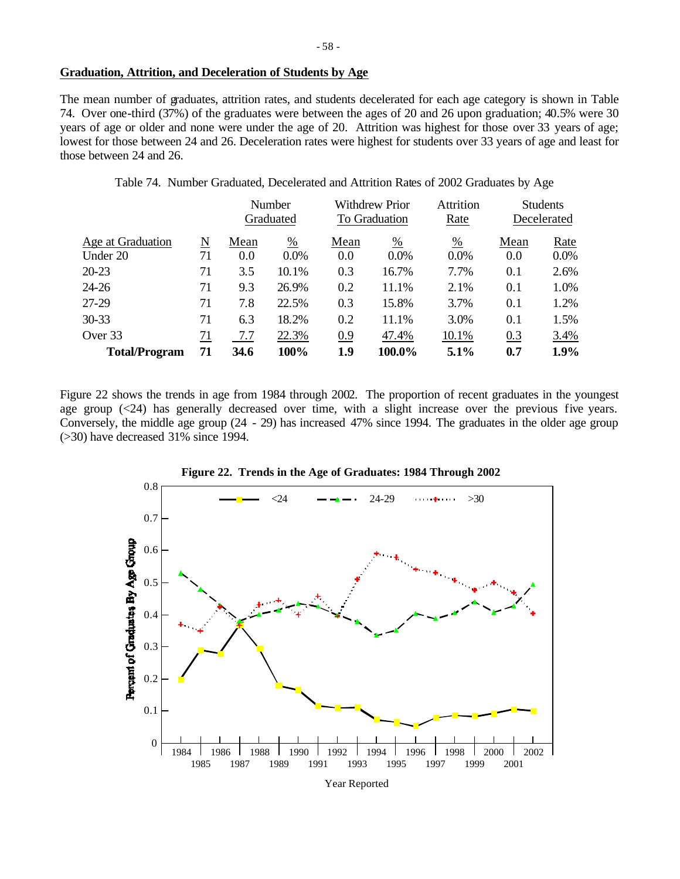# **Graduation, Attrition, and Deceleration of Students by Age**

The mean number of graduates, attrition rates, and students decelerated for each age category is shown in Table 74. Over one-third (37%) of the graduates were between the ages of 20 and 26 upon graduation; 40.5% were 30 years of age or older and none were under the age of 20. Attrition was highest for those over 33 years of age; lowest for those between 24 and 26. Deceleration rates were highest for students over 33 years of age and least for those between 24 and 26.

Table 74. Number Graduated, Decelerated and Attrition Rates of 2002 Graduates by Age

|                      |    |      | Number        |               | <b>Withdrew Prior</b> |         |      | <b>Students</b> |
|----------------------|----|------|---------------|---------------|-----------------------|---------|------|-----------------|
|                      |    |      | Graduated     | To Graduation |                       | Rate    |      | Decelerated     |
| Age at Graduation    | N  | Mean | $\frac{0}{0}$ | Mean          | $\frac{0}{0}$         | %       | Mean | Rate            |
| Under 20             | 71 | 0.0  | $0.0\%$       | 0.0           | $0.0\%$               | $0.0\%$ | 0.0  | 0.0%            |
| $20 - 23$            | 71 | 3.5  | 10.1%         | 0.3           | 16.7%                 | 7.7%    | 0.1  | 2.6%            |
| $24 - 26$            | 71 | 9.3  | 26.9%         | 0.2           | 11.1%                 | 2.1%    | 0.1  | 1.0%            |
| 27-29                | 71 | 7.8  | 22.5%         | 0.3           | 15.8%                 | 3.7%    | 0.1  | 1.2%            |
| $30 - 33$            | 71 | 6.3  | 18.2%         | 0.2           | 11.1%                 | 3.0%    | 0.1  | 1.5%            |
| Over 33              | 71 | 7.7  | 22.3%         | 0.9           | 47.4%                 | 10.1%   | 0.3  | 3.4%            |
| <b>Total/Program</b> | 71 | 34.6 | 100%          | 1.9           | 100.0%                | 5.1%    | 0.7  | 1.9%            |

Figure 22 shows the trends in age from 1984 through 2002. The proportion of recent graduates in the youngest age group (<24) has generally decreased over time, with a slight increase over the previous five years. Conversely, the middle age group (24 - 29) has increased 47% since 1994. The graduates in the older age group (>30) have decreased 31% since 1994.



**Figure 22. Trends in the Age of Graduates: 1984 Through 2002**

- 58 -

Year Reported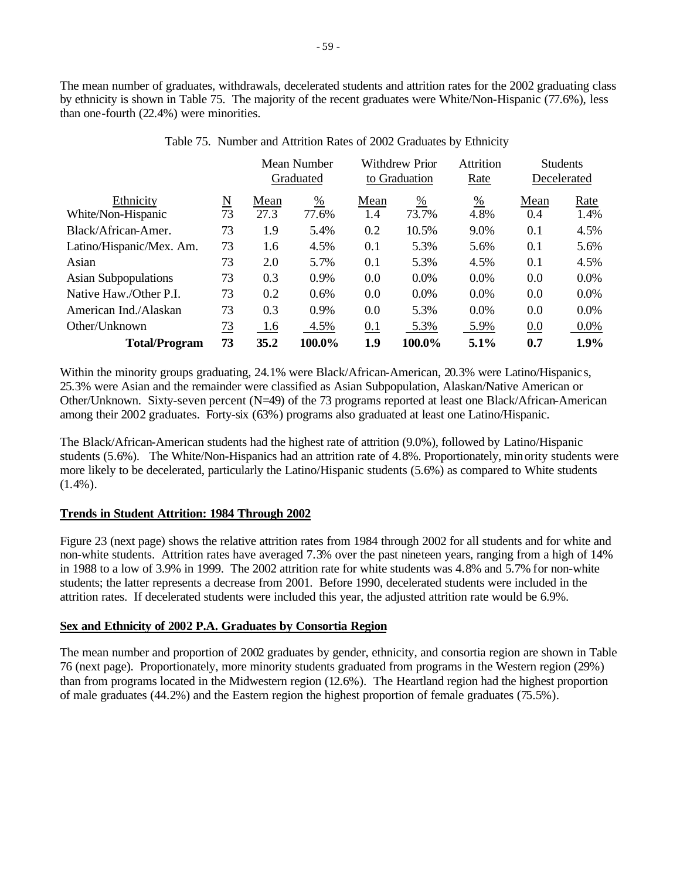The mean number of graduates, withdrawals, decelerated students and attrition rates for the 2002 graduating class by ethnicity is shown in Table 75. The majority of the recent graduates were White/Non-Hispanic (77.6%), less than one-fourth (22.4%) were minorities.

|                                 |                           |              | Mean Number<br>Graduated |             | <b>Withdrew Prior</b><br>to Graduation |                         | <b>Students</b><br>Decelerated |              |
|---------------------------------|---------------------------|--------------|--------------------------|-------------|----------------------------------------|-------------------------|--------------------------------|--------------|
| Ethnicity<br>White/Non-Hispanic | $\underline{\rm N}$<br>73 | Mean<br>27.3 | $\frac{0}{0}$<br>77.6%   | Mean<br>1.4 | $\frac{\%}{\%}$<br>73.7%               | $\frac{\%}{\ }$<br>4.8% | Mean<br>0.4                    | Rate<br>1.4% |
| Black/African-Amer.             | 73                        | 1.9          | 5.4%                     | 0.2         | 10.5%                                  | 9.0%                    | 0.1                            | 4.5%         |
| Latino/Hispanic/Mex. Am.        | 73                        | 1.6          | 4.5%                     | 0.1         | 5.3%                                   | 5.6%                    | 0.1                            | 5.6%         |
| Asian                           | 73                        | 2.0          | 5.7%                     | 0.1         | 5.3%                                   | 4.5%                    | 0.1                            | 4.5%         |
| <b>Asian Subpopulations</b>     | 73                        | 0.3          | 0.9%                     | 0.0         | 0.0%                                   | 0.0%                    | 0.0                            | 0.0%         |
| Native Haw./Other P.I.          | 73                        | 0.2          | 0.6%                     | 0.0         | 0.0%                                   | 0.0%                    | 0.0                            | 0.0%         |
| American Ind./Alaskan           | 73                        | 0.3          | 0.9%                     | 0.0         | 5.3%                                   | $0.0\%$                 | 0.0                            | $0.0\%$      |
| Other/Unknown                   | <u>73</u>                 | 1.6          | 4.5%                     | 0.1         | 5.3%                                   | 5.9%                    | 0.0                            | 0.0%         |
| <b>Total/Program</b>            | 73                        | 35.2         | 100.0%                   | 1.9         | 100.0%                                 | 5.1%                    | 0.7                            | 1.9%         |

# Table 75. Number and Attrition Rates of 2002 Graduates by Ethnicity

Within the minority groups graduating, 24.1% were Black/African-American, 20.3% were Latino/Hispanic s, 25.3% were Asian and the remainder were classified as Asian Subpopulation, Alaskan/Native American or Other/Unknown. Sixty-seven percent (N=49) of the 73 programs reported at least one Black/African-American among their 2002 graduates. Forty-six (63%) programs also graduated at least one Latino/Hispanic.

The Black/African-American students had the highest rate of attrition (9.0%), followed by Latino/Hispanic students (5.6%). The White/Non-Hispanics had an attrition rate of 4.8%. Proportionately, minority students were more likely to be decelerated, particularly the Latino/Hispanic students (5.6%) as compared to White students  $(1.4\%)$ .

# **Trends in Student Attrition: 1984 Through 2002**

Figure 23 (next page) shows the relative attrition rates from 1984 through 2002 for all students and for white and non-white students. Attrition rates have averaged 7.3% over the past nineteen years, ranging from a high of 14% in 1988 to a low of 3.9% in 1999. The 2002 attrition rate for white students was 4.8% and 5.7% for non-white students; the latter represents a decrease from 2001. Before 1990, decelerated students were included in the attrition rates. If decelerated students were included this year, the adjusted attrition rate would be 6.9%.

# **Sex and Ethnicity of 2002 P.A. Graduates by Consortia Region**

The mean number and proportion of 2002 graduates by gender, ethnicity, and consortia region are shown in Table 76 (next page). Proportionately, more minority students graduated from programs in the Western region (29%) than from programs located in the Midwestern region (12.6%). The Heartland region had the highest proportion of male graduates (44.2%) and the Eastern region the highest proportion of female graduates (75.5%).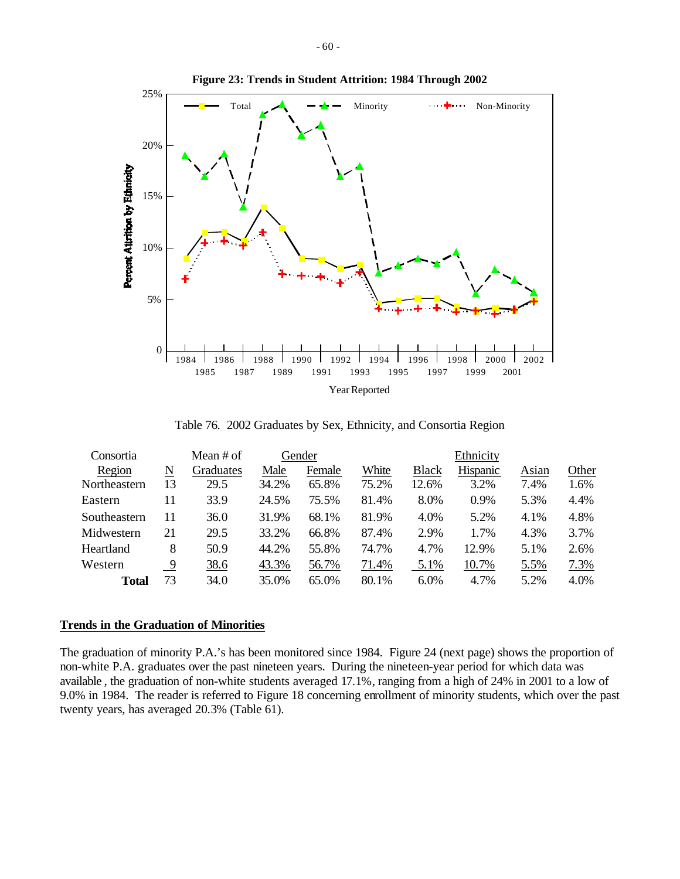

**Figure 23: Trends in Student Attrition: 1984 Through 2002**

Table 76. 2002 Graduates by Sex, Ethnicity, and Consortia Region

| Consortia    |    | Mean # of |       | Gender |       |              | Ethnicity |       |       |
|--------------|----|-----------|-------|--------|-------|--------------|-----------|-------|-------|
| Region       | N  | Graduates | Male  | Female | White | <b>Black</b> | Hispanic  | Asian | Other |
| Northeastern | 13 | 29.5      | 34.2% | 65.8%  | 75.2% | 12.6%        | 3.2%      | 7.4%  | 1.6%  |
| Eastern      | 11 | 33.9      | 24.5% | 75.5%  | 81.4% | 8.0%         | 0.9%      | 5.3%  | 4.4%  |
| Southeastern | 11 | 36.0      | 31.9% | 68.1%  | 81.9% | 4.0%         | 5.2%      | 4.1%  | 4.8%  |
| Midwestern   | 21 | 29.5      | 33.2% | 66.8%  | 87.4% | 2.9%         | 1.7%      | 4.3%  | 3.7%  |
| Heartland    | 8  | 50.9      | 44.2% | 55.8%  | 74.7% | 4.7%         | 12.9%     | 5.1%  | 2.6%  |
| Western      | 9  | 38.6      | 43.3% | 56.7%  | 71.4% | 5.1%         | 10.7%     | 5.5%  | 7.3%  |
| <b>Total</b> | 73 | 34.0      | 35.0% | 65.0%  | 80.1% | $6.0\%$      | 4.7%      | 5.2%  | 4.0%  |

### **Trends in the Graduation of Minorities**

The graduation of minority P.A.'s has been monitored since 1984. Figure 24 (next page) shows the proportion of non-white P.A. graduates over the past nineteen years. During the nineteen-year period for which data was available , the graduation of non-white students averaged 17.1%, ranging from a high of 24% in 2001 to a low of 9.0% in 1984. The reader is referred to Figure 18 concerning enrollment of minority students, which over the past twenty years, has averaged 20.3% (Table 61).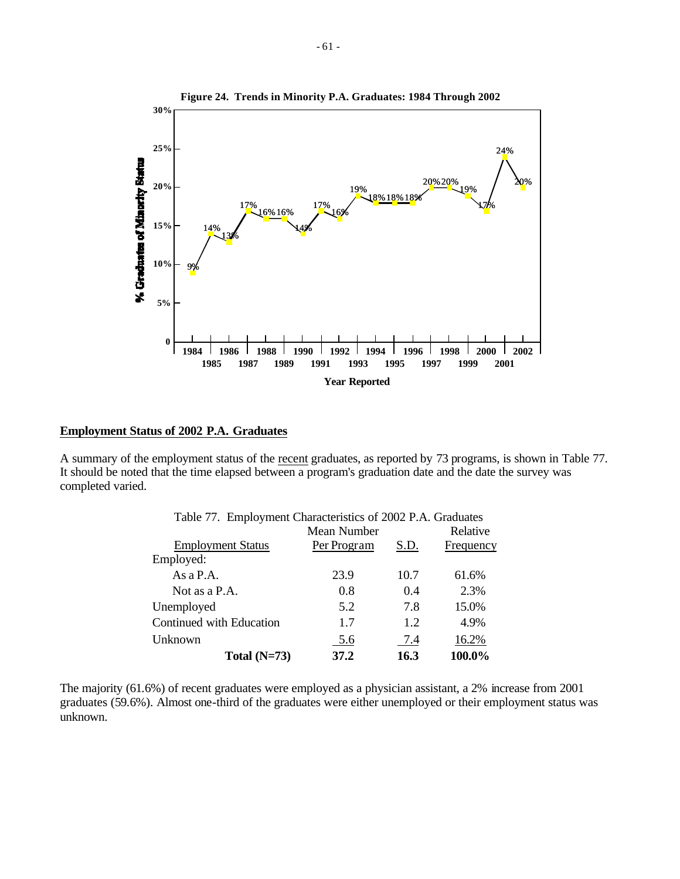

## **Employment Status of 2002 P.A. Graduates**

A summary of the employment status of the recent graduates, as reported by 73 programs, is shown in Table 77. It should be noted that the time elapsed between a program's graduation date and the date the survey was completed varied.

| Table 77. Employment Characteristics of 2002 P.A. Graduates |             |      |           |  |  |  |  |  |  |
|-------------------------------------------------------------|-------------|------|-----------|--|--|--|--|--|--|
|                                                             | Mean Number |      | Relative  |  |  |  |  |  |  |
| <b>Employment Status</b>                                    | Per Program | S.D. | Frequency |  |  |  |  |  |  |
| Employed:                                                   |             |      |           |  |  |  |  |  |  |
| As $a$ P.A.                                                 | 23.9        | 10.7 | 61.6%     |  |  |  |  |  |  |
| Not as a P.A.                                               | 0.8         | 0.4  | 2.3%      |  |  |  |  |  |  |
| Unemployed                                                  | 5.2         | 7.8  | 15.0%     |  |  |  |  |  |  |
| Continued with Education                                    | 1.7         | 1.2  | 4.9%      |  |  |  |  |  |  |
| Unknown                                                     | 5.6         | 7.4  | 16.2%     |  |  |  |  |  |  |
| Total $(N=73)$                                              | 37.2        | 16.3 | 100.0%    |  |  |  |  |  |  |

The majority (61.6%) of recent graduates were employed as a physician assistant, a 2% increase from 2001 graduates (59.6%). Almost one-third of the graduates were either unemployed or their employment status was unknown.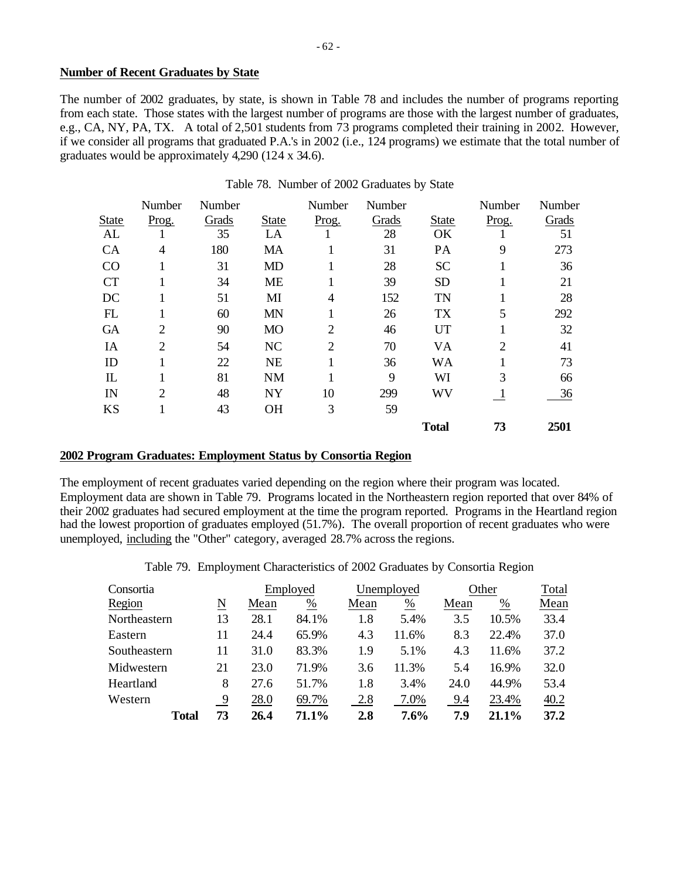## **Number of Recent Graduates by State**

The number of 2002 graduates, by state, is shown in Table 78 and includes the number of programs reporting from each state. Those states with the largest number of programs are those with the largest number of graduates, e.g., CA, NY, PA, TX. A total of 2,501 students from 73 programs completed their training in 2002. However, if we consider all programs that graduated P.A.'s in 2002 (i.e., 124 programs) we estimate that the total number of graduates would be approximately 4,290 (124 x 34.6).

|                                   | Number         | Number |              | Number         | Number |              | Number         | Number |
|-----------------------------------|----------------|--------|--------------|----------------|--------|--------------|----------------|--------|
| <b>State</b>                      | Prog.          | Grads  | <b>State</b> | Prog.          | Grads  | <b>State</b> | Prog.          | Grads  |
| AL                                |                | 35     | LA           |                | 28     | OK           |                | 51     |
| CA                                | 4              | 180    | <b>MA</b>    |                | 31     | PA           | 9              | 273    |
| CO                                |                | 31     | <b>MD</b>    |                | 28     | <b>SC</b>    |                | 36     |
| <b>CT</b>                         |                | 34     | <b>ME</b>    |                | 39     | <b>SD</b>    |                | 21     |
| DC                                |                | 51     | MI           | 4              | 152    | <b>TN</b>    |                | 28     |
| FL                                |                | 60     | <b>MN</b>    | 1              | 26     | <b>TX</b>    | 5              | 292    |
| <b>GA</b>                         | 2              | 90     | <b>MO</b>    | $\overline{2}$ | 46     | UT           | 1              | 32     |
| IA                                | $\overline{2}$ | 54     | <b>NC</b>    | $\overline{2}$ | 70     | VA           | $\overline{2}$ | 41     |
| ID                                |                | 22     | <b>NE</b>    |                | 36     | WA           |                | 73     |
| $\mathop{\mathrm{I\!L}}\nolimits$ |                | 81     | <b>NM</b>    |                | 9      | WI           | 3              | 66     |
| IN                                | 2              | 48     | <b>NY</b>    | 10             | 299    | WV           | $\mathbf{I}$   | 36     |
| <b>KS</b>                         |                | 43     | <b>OH</b>    | 3              | 59     |              |                |        |
|                                   |                |        |              |                |        | <b>Total</b> | 73             | 2501   |

### Table 78. Number of 2002 Graduates by State

### **2002 Program Graduates: Employment Status by Consortia Region**

The employment of recent graduates varied depending on the region where their program was located. Employment data are shown in Table 79. Programs located in the Northeastern region reported that over 84% of their 2002 graduates had secured employment at the time the program reported. Programs in the Heartland region had the lowest proportion of graduates employed (51.7%). The overall proportion of recent graduates who were unemployed, including the "Other" category, averaged 28.7% across the regions.

Table 79. Employment Characteristics of 2002 Graduates by Consortia Region

| Consortia    |    |      | Employed |      | Unemployed      |      | Other | Total |
|--------------|----|------|----------|------|-----------------|------|-------|-------|
| Region       | N  | Mean | %        | Mean | $\frac{\%}{\%}$ | Mean | %     | Mean  |
| Northeastern | 13 | 28.1 | 84.1%    | 1.8  | 5.4%            | 3.5  | 10.5% | 33.4  |
| Eastern      | 11 | 24.4 | 65.9%    | 4.3  | 11.6%           | 8.3  | 22.4% | 37.0  |
| Southeastern | 11 | 31.0 | 83.3%    | 1.9  | 5.1%            | 4.3  | 11.6% | 37.2  |
| Midwestern   | 21 | 23.0 | 71.9%    | 3.6  | 11.3%           | 5.4  | 16.9% | 32.0  |
| Heartland    | 8  | 27.6 | 51.7%    | 1.8  | 3.4%            | 24.0 | 44.9% | 53.4  |
| Western      | 9  | 28.0 | 69.7%    | 2.8  | 7.0%            | 9.4  | 23.4% | 40.2  |
| <b>Total</b> | 73 | 26.4 | 71.1%    | 2.8  | 7.6%            | 7.9  | 21.1% | 37.2  |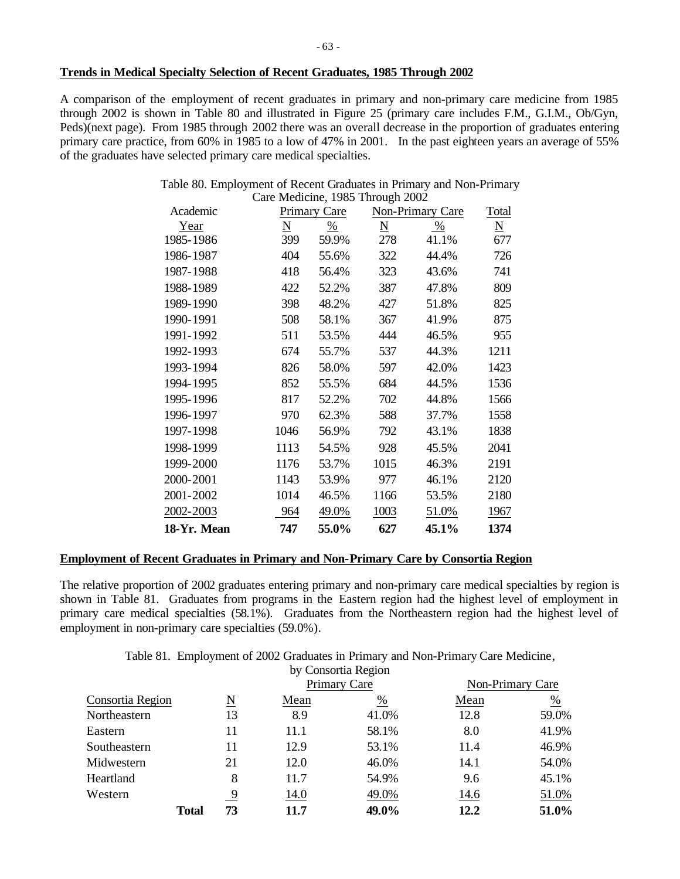### **Trends in Medical Specialty Selection of Recent Graduates, 1985 Through 2002**

A comparison of the employment of recent graduates in primary and non-primary care medicine from 1985 through 2002 is shown in Table 80 and illustrated in Figure 25 (primary care includes F.M., G.I.M., Ob/Gyn, Peds)(next page). From 1985 through 2002 there was an overall decrease in the proportion of graduates entering primary care practice, from 60% in 1985 to a low of 47% in 2001. In the past eighteen years an average of 55% of the graduates have selected primary care medical specialties.

## Table 80. Employment of Recent Graduates in Primary and Non-Primary Care Medicine, 1985 Through 2002

| Academic    |                          | <b>Primary Care</b> |                          | Non-Primary Care | Total                    |
|-------------|--------------------------|---------------------|--------------------------|------------------|--------------------------|
| Year        | $\underline{\mathbf{N}}$ | $\frac{0}{0}$       | $\underline{\mathbf{N}}$ | $\frac{0}{0}$    | $\underline{\mathbf{N}}$ |
| 1985-1986   | 399                      | 59.9%               | 278                      | 41.1%            | 677                      |
| 1986-1987   | 404                      | 55.6%               | 322                      | 44.4%            | 726                      |
| 1987-1988   | 418                      | 56.4%               | 323                      | 43.6%            | 741                      |
| 1988-1989   | 422                      | 52.2%               | 387                      | 47.8%            | 809                      |
| 1989-1990   | 398                      | 48.2%               | 427                      | 51.8%            | 825                      |
| 1990-1991   | 508                      | 58.1%               | 367                      | 41.9%            | 875                      |
| 1991-1992   | 511                      | 53.5%               | 444                      | 46.5%            | 955                      |
| 1992-1993   | 674                      | 55.7%               | 537                      | 44.3%            | 1211                     |
| 1993-1994   | 826                      | 58.0%               | 597                      | 42.0%            | 1423                     |
| 1994-1995   | 852                      | 55.5%               | 684                      | 44.5%            | 1536                     |
| 1995-1996   | 817                      | 52.2%               | 702                      | 44.8%            | 1566                     |
| 1996-1997   | 970                      | 62.3%               | 588                      | 37.7%            | 1558                     |
| 1997-1998   | 1046                     | 56.9%               | 792                      | 43.1%            | 1838                     |
| 1998-1999   | 1113                     | 54.5%               | 928                      | 45.5%            | 2041                     |
| 1999-2000   | 1176                     | 53.7%               | 1015                     | 46.3%            | 2191                     |
| 2000-2001   | 1143                     | 53.9%               | 977                      | 46.1%            | 2120                     |
| 2001-2002   | 1014                     | 46.5%               | 1166                     | 53.5%            | 2180                     |
| 2002-2003   | 964                      | 49.0%               | 1003                     | 51.0%            | 1967                     |
| 18-Yr. Mean | 747                      | 55.0%               | 627                      | 45.1%            | 1374                     |

## **Employment of Recent Graduates in Primary and Non-Primary Care by Consortia Region**

The relative proportion of 2002 graduates entering primary and non-primary care medical specialties by region is shown in Table 81. Graduates from programs in the Eastern region had the highest level of employment in primary care medical specialties (58.1%). Graduates from the Northeastern region had the highest level of employment in non-primary care specialties (59.0%).

Table 81. Employment of 2002 Graduates in Primary and Non-Primary Care Medicine,

|                  |              |              |      | by Consortia Region |      |                  |
|------------------|--------------|--------------|------|---------------------|------|------------------|
|                  |              | Primary Care |      |                     |      | Non-Primary Care |
| Consortia Region |              | N            | Mean | %                   | Mean | $\frac{\%}{\ }$  |
| Northeastern     |              | 13           | 8.9  | 41.0%               | 12.8 | 59.0%            |
| Eastern          |              | 11           | 11.1 | 58.1%               | 8.0  | 41.9%            |
| Southeastern     |              | 11           | 12.9 | 53.1%               | 11.4 | 46.9%            |
| Midwestern       |              | 21           | 12.0 | 46.0%               | 14.1 | 54.0%            |
| Heartland        |              | 8            | 11.7 | 54.9%               | 9.6  | 45.1%            |
| Western          |              | 9            | 14.0 | 49.0%               | 14.6 | 51.0%            |
|                  | <b>Total</b> | 73           | 11.7 | 49.0%               | 12.2 | 51.0%            |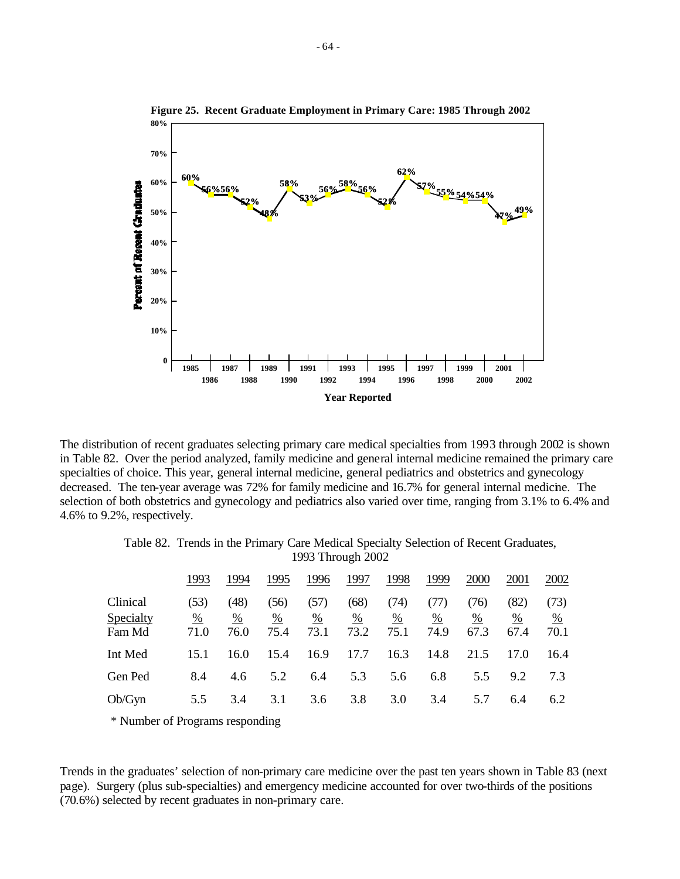

The distribution of recent graduates selecting primary care medical specialties from 1993 through 2002 is shown in Table 82. Over the period analyzed, family medicine and general internal medicine remained the primary care specialties of choice. This year, general internal medicine, general pediatrics and obstetrics and gynecology decreased. The ten-year average was 72% for family medicine and 16.7% for general internal medicine. The selection of both obstetrics and gynecology and pediatrics also varied over time, ranging from 3.1% to 6.4% and 4.6% to 9.2%, respectively.

Table 82. Trends in the Primary Care Medical Specialty Selection of Recent Graduates,

|                                 |                               |                   |                                 |                                 | 1993 Through 2002               |                               |                                 |                               |                   |                   |
|---------------------------------|-------------------------------|-------------------|---------------------------------|---------------------------------|---------------------------------|-------------------------------|---------------------------------|-------------------------------|-------------------|-------------------|
|                                 | 1993                          | 1994              | 1995                            | 1996                            | 1997                            | 1998                          | 1999                            | 2000                          | 2001              | 2002              |
| Clinical<br>Specialty<br>Fam Md | (53)<br>$\frac{0}{0}$<br>71.0 | (48)<br>%<br>76.0 | (56)<br>$\frac{\%}{\ }$<br>75.4 | (57)<br>$\frac{\%}{\%}$<br>73.1 | (68)<br>$\frac{\%}{\%}$<br>73.2 | (74)<br>$\frac{0}{0}$<br>75.1 | (77)<br>$\frac{\%}{\ }$<br>74.9 | (76)<br>$\frac{0}{0}$<br>67.3 | (82)<br>%<br>67.4 | (73)<br>%<br>70.1 |
| Int Med                         | 15.1                          | 16.0              | 15.4                            | 16.9                            | 17.7                            | 16.3                          | 14.8                            | 21.5                          | 17.0              | 16.4              |
| Gen Ped                         | 8.4                           | 4.6               | 5.2                             | 6.4                             | 5.3                             | 5.6                           | 6.8                             | 5.5                           | 9.2               | 7.3               |
| Ob/Gyn                          | 5.5                           | 3.4               | 3.1                             | 3.6                             | 3.8                             | 3.0                           | 3.4                             | 5.7                           | 6.4               | 6.2               |

\* Number of Programs responding

Trends in the graduates' selection of non-primary care medicine over the past ten years shown in Table 83 (next page). Surgery (plus sub-specialties) and emergency medicine accounted for over two-thirds of the positions (70.6%) selected by recent graduates in non-primary care.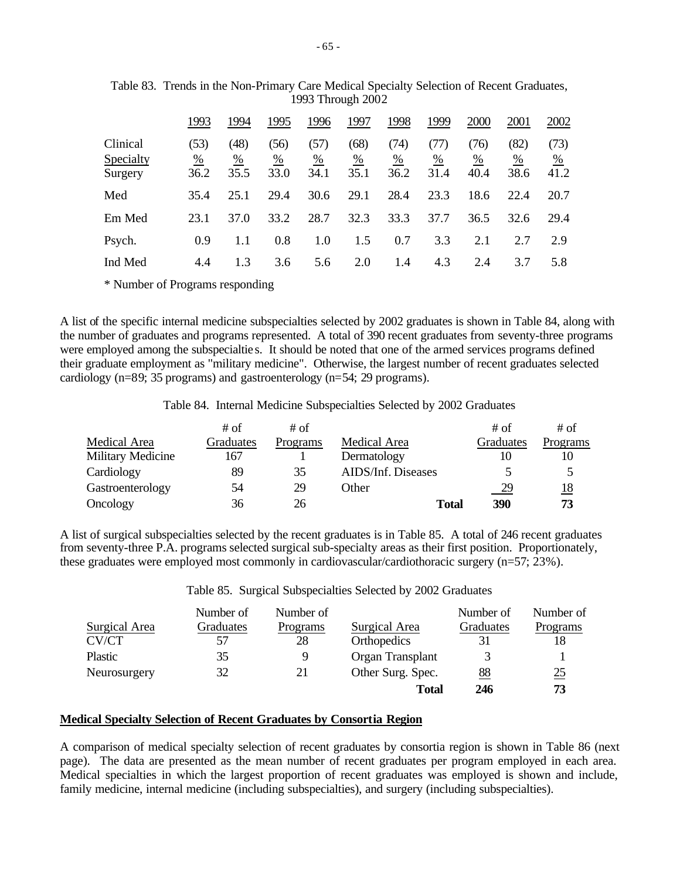|                                  | 1993                          | 1994                          | 1995                            | 1996                 | 1997              | 1998                          | 1999              | 2000              | 2001                          | 2002                            |
|----------------------------------|-------------------------------|-------------------------------|---------------------------------|----------------------|-------------------|-------------------------------|-------------------|-------------------|-------------------------------|---------------------------------|
| Clinical<br>Specialty<br>Surgery | (53)<br>$\frac{0}{0}$<br>36.2 | (48)<br>$\frac{0}{0}$<br>35.5 | (56)<br>$\frac{\%}{\%}$<br>33.0 | (57)<br>$\%$<br>34.1 | (68)<br>%<br>35.1 | (74)<br>$\frac{0}{0}$<br>36.2 | (77)<br>%<br>31.4 | (76)<br>%<br>40.4 | (82)<br>$\frac{0}{0}$<br>38.6 | (73)<br>$\frac{\%}{\%}$<br>41.2 |
| Med                              | 35.4                          | 25.1                          | 29.4                            | 30.6                 | 29.1              | 28.4                          | 23.3              | 18.6              | 22.4                          | 20.7                            |
| Em Med                           | 23.1                          | 37.0                          | 33.2                            | 28.7                 | 32.3              | 33.3                          | 37.7              | 36.5              | 32.6                          | 29.4                            |
| Psych.                           | 0.9                           |                               | 0.8                             | 1.0                  | 1.5               | 0.7                           | 3.3               | 2.1               | 2.7                           | 2.9                             |
| Ind Med                          | 4.4                           | 1.3                           | 3.6                             | 5.6                  | 2.0               | 1.4                           | 4.3               | 2.4               | 3.7                           | 5.8                             |

Table 83. Trends in the Non-Primary Care Medical Specialty Selection of Recent Graduates, 1993 Through 2002

\* Number of Programs responding

A list of the specific internal medicine subspecialties selected by 2002 graduates is shown in Table 84, along with the number of graduates and programs represented. A total of 390 recent graduates from seventy-three programs were employed among the subspecialtie s. It should be noted that one of the armed services programs defined their graduate employment as "military medicine". Otherwise, the largest number of recent graduates selected cardiology (n=89; 35 programs) and gastroenterology (n=54; 29 programs).

Table 84. Internal Medicine Subspecialties Selected by 2002 Graduates

|                   | # of      | # of     |                    | # of           | # of       |
|-------------------|-----------|----------|--------------------|----------------|------------|
| Medical Area      | Graduates | Programs | Medical Area       | Graduates      | Programs   |
| Military Medicine | 167       |          | Dermatology        | 10             |            |
| Cardiology        | 89        | 35       | AIDS/Inf. Diseases |                |            |
| Gastroenterology  | 54        | 29       | Other              | $\frac{29}{2}$ | <u> 18</u> |
| Oncology          | 36        | 26       | <b>Total</b>       | 390            | 73         |

A list of surgical subspecialties selected by the recent graduates is in Table 85. A total of 246 recent graduates from seventy-three P.A. programs selected surgical sub-specialty areas as their first position. Proportionately, these graduates were employed most commonly in cardiovascular/cardiothoracic surgery (n=57; 23%).

Table 85. Surgical Subspecialties Selected by 2002 Graduates

|               | Number of | Number of |                    | Number of | Number of        |
|---------------|-----------|-----------|--------------------|-----------|------------------|
| Surgical Area | Graduates | Programs  | Surgical Area      | Graduates | Programs         |
| CV/CT         | 57        | 28        | <b>Orthopedics</b> | 31        |                  |
| Plastic       | 35        | 9         | Organ Transplant   | 3         |                  |
| Neurosurgery  | 32        | 21        | Other Surg. Spec.  | 88        | $\underline{25}$ |
|               |           |           | <b>Total</b>       | 246       | 73               |

# **Medical Specialty Selection of Recent Graduates by Consortia Region**

A comparison of medical specialty selection of recent graduates by consortia region is shown in Table 86 (next page). The data are presented as the mean number of recent graduates per program employed in each area. Medical specialties in which the largest proportion of recent graduates was employed is shown and include, family medicine, internal medicine (including subspecialties), and surgery (including subspecialties).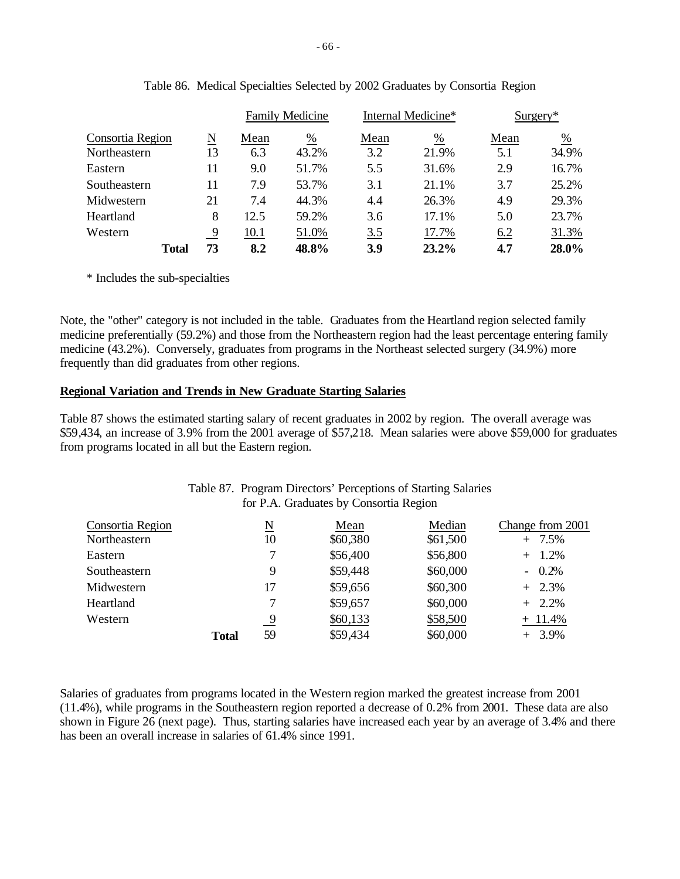|                  |              |    |      | <b>Family Medicine</b> | Internal Medicine* |       | $Surgery*$ |       |
|------------------|--------------|----|------|------------------------|--------------------|-------|------------|-------|
| Consortia Region |              | N  | Mean | %                      | Mean               | %     | Mean       | %     |
| Northeastern     |              | 13 | 6.3  | 43.2%                  | 3.2                | 21.9% | 5.1        | 34.9% |
| Eastern          |              | 11 | 9.0  | 51.7%                  | 5.5                | 31.6% | 2.9        | 16.7% |
| Southeastern     |              | 11 | 7.9  | 53.7%                  | 3.1                | 21.1% | 3.7        | 25.2% |
| Midwestern       |              | 21 | 7.4  | 44.3%                  | 4.4                | 26.3% | 4.9        | 29.3% |
| Heartland        |              | 8  | 12.5 | 59.2%                  | 3.6                | 17.1% | 5.0        | 23.7% |
| Western          |              | -9 | 10.1 | 51.0%                  | 3.5                | 17.7% | 6.2        | 31.3% |
|                  | <b>Total</b> | 73 | 8.2  | 48.8%                  | 3.9                | 23.2% | 4.7        | 28.0% |

|  |  | Table 86. Medical Specialties Selected by 2002 Graduates by Consortia Region |  |  |
|--|--|------------------------------------------------------------------------------|--|--|
|  |  |                                                                              |  |  |

\* Includes the sub-specialties

Note, the "other" category is not included in the table. Graduates from the Heartland region selected family medicine preferentially (59.2%) and those from the Northeastern region had the least percentage entering family medicine (43.2%). Conversely, graduates from programs in the Northeast selected surgery (34.9%) more frequently than did graduates from other regions.

# **Regional Variation and Trends in New Graduate Starting Salaries**

Table 87 shows the estimated starting salary of recent graduates in 2002 by region. The overall average was \$59,434, an increase of 3.9% from the 2001 average of \$57,218. Mean salaries were above \$59,000 for graduates from programs located in all but the Eastern region.

|              | N        | Mean     | Median   | Change from 2001                                                                                        |
|--------------|----------|----------|----------|---------------------------------------------------------------------------------------------------------|
|              | 10       | \$60,380 | \$61,500 | $+ 7.5%$                                                                                                |
|              |          | \$56,400 | \$56,800 | $+ 1.2\%$                                                                                               |
|              | 9        | \$59,448 | \$60,000 | $-0.2\%$                                                                                                |
|              | 17       | \$59,656 | \$60,300 | $+2.3\%$                                                                                                |
|              |          | \$59,657 | \$60,000 | $+$ 2.2%                                                                                                |
|              | <u>9</u> | \$60,133 | \$58,500 | $+ 11.4%$                                                                                               |
| <b>Total</b> | 59       | \$59,434 | \$60,000 | $+3.9\%$                                                                                                |
|              |          |          |          | Table 87. Program Directors' Perceptions of Starting Salaries<br>for P.A. Graduates by Consortia Region |

# Salaries of graduates from programs located in the Western region marked the greatest increase from 2001 (11.4%), while programs in the Southeastern region reported a decrease of 0.2% from 2001. These data are also shown in Figure 26 (next page). Thus, starting salaries have increased each year by an average of 3.4% and there has been an overall increase in salaries of 61.4% since 1991.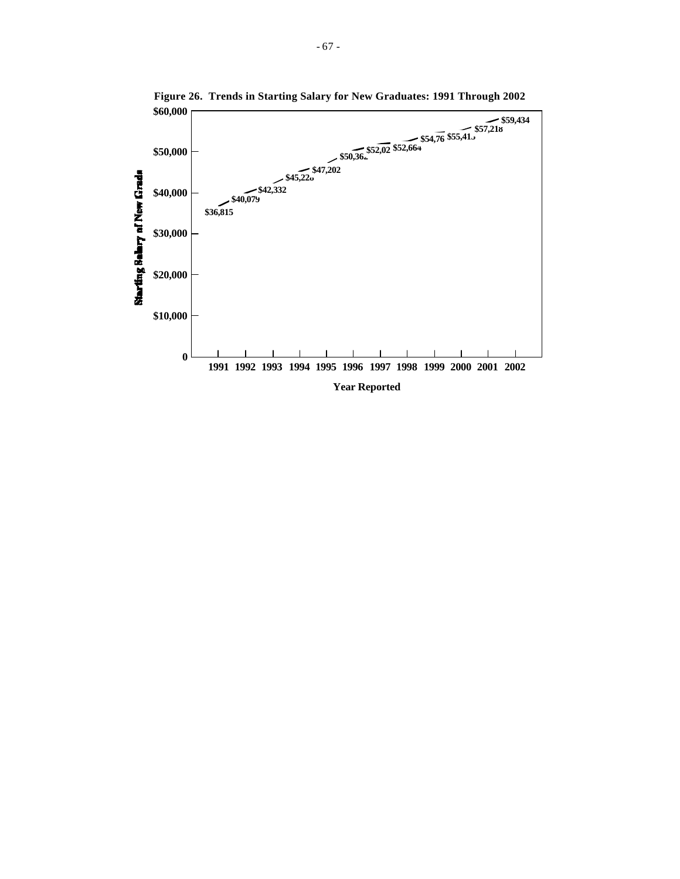

**Figure 26. Trends in Starting Salary for New Graduates: 1991 Through 2002**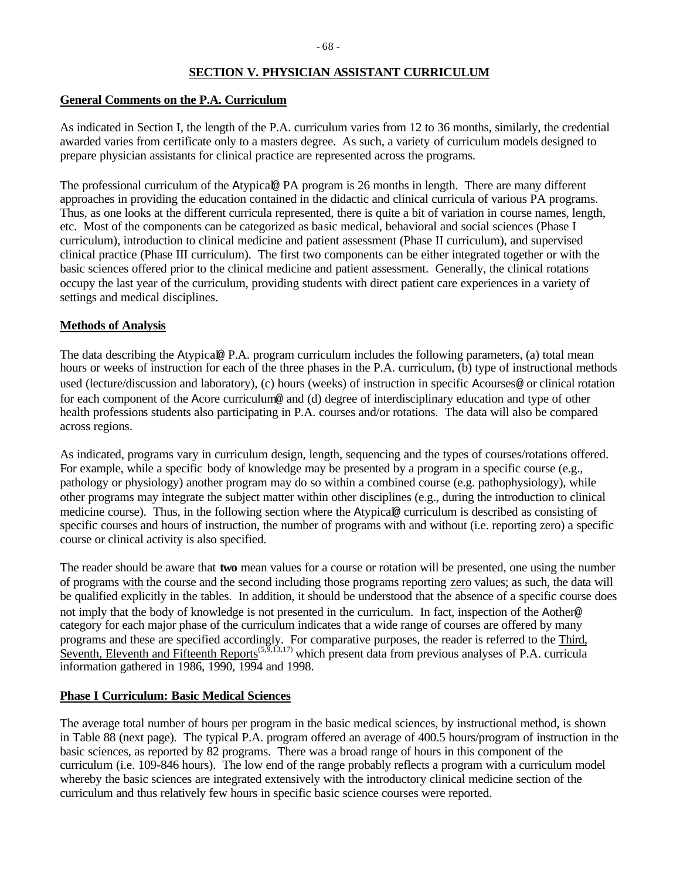### **SECTION V. PHYSICIAN ASSISTANT CURRICULUM**

#### **General Comments on the P.A. Curriculum**

As indicated in Section I, the length of the P.A. curriculum varies from 12 to 36 months, similarly, the credential awarded varies from certificate only to a masters degree. As such, a variety of curriculum models designed to prepare physician assistants for clinical practice are represented across the programs.

The professional curriculum of the Atypical@ PA program is 26 months in length. There are many different approaches in providing the education contained in the didactic and clinical curricula of various PA programs. Thus, as one looks at the different curricula represented, there is quite a bit of variation in course names, length, etc. Most of the components can be categorized as basic medical, behavioral and social sciences (Phase I curriculum), introduction to clinical medicine and patient assessment (Phase II curriculum), and supervised clinical practice (Phase III curriculum). The first two components can be either integrated together or with the basic sciences offered prior to the clinical medicine and patient assessment. Generally, the clinical rotations occupy the last year of the curriculum, providing students with direct patient care experiences in a variety of settings and medical disciplines.

### **Methods of Analysis**

The data describing the Atypical@ P.A. program curriculum includes the following parameters, (a) total mean hours or weeks of instruction for each of the three phases in the P.A. curriculum, (b) type of instructional methods used (lecture/discussion and laboratory), (c) hours (weeks) of instruction in specific Acourses@ or clinical rotation for each component of the Acore curriculum@ and (d) degree of interdisciplinary education and type of other health professions students also participating in P.A. courses and/or rotations. The data will also be compared across regions.

As indicated, programs vary in curriculum design, length, sequencing and the types of courses/rotations offered. For example, while a specific body of knowledge may be presented by a program in a specific course (e.g., pathology or physiology) another program may do so within a combined course (e.g. pathophysiology), while other programs may integrate the subject matter within other disciplines (e.g., during the introduction to clinical medicine course). Thus, in the following section where the Atypical@ curriculum is described as consisting of specific courses and hours of instruction, the number of programs with and without (i.e. reporting zero) a specific course or clinical activity is also specified.

The reader should be aware that **two** mean values for a course or rotation will be presented, one using the number of programs with the course and the second including those programs reporting zero values; as such, the data will be qualified explicitly in the tables. In addition, it should be understood that the absence of a specific course does not imply that the body of knowledge is not presented in the curriculum. In fact, inspection of the Aother@ category for each major phase of the curriculum indicates that a wide range of courses are offered by many programs and these are specified accordingly. For comparative purposes, the reader is referred to the Third, Seventh, Eleventh and Fifteenth Reports<sup> $(5,5,13,17)$ </sup> which present data from previous analyses of P.A. curricula information gathered in 1986, 1990, 1994 and 1998.

### **Phase I Curriculum: Basic Medical Sciences**

The average total number of hours per program in the basic medical sciences, by instructional method, is shown in Table 88 (next page). The typical P.A. program offered an average of 400.5 hours/program of instruction in the basic sciences, as reported by 82 programs. There was a broad range of hours in this component of the curriculum (i.e. 109-846 hours). The low end of the range probably reflects a program with a curriculum model whereby the basic sciences are integrated extensively with the introductory clinical medicine section of the curriculum and thus relatively few hours in specific basic science courses were reported.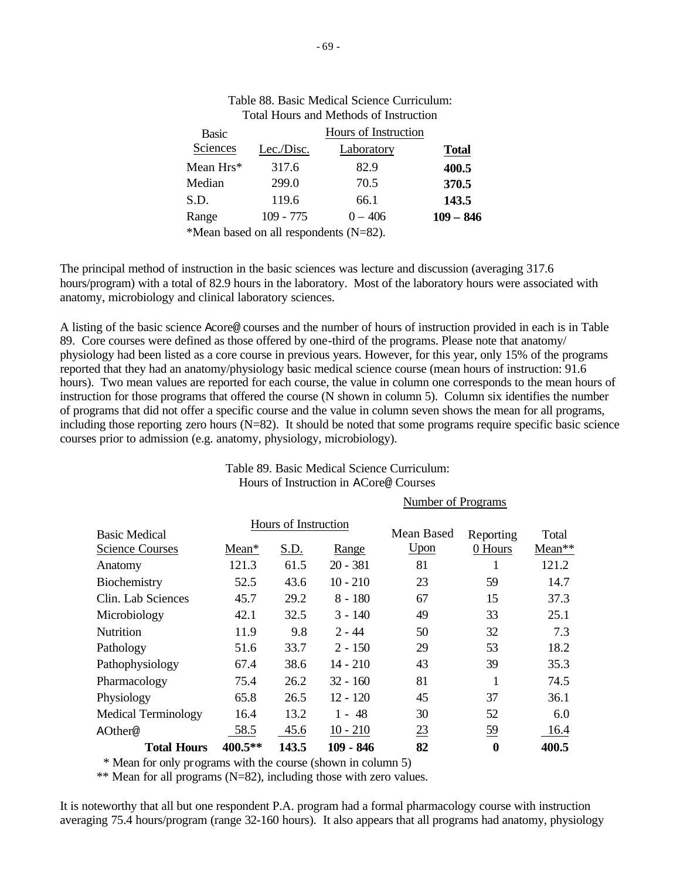| <b>Basic</b>                           |             | Hours of Instruction |              |
|----------------------------------------|-------------|----------------------|--------------|
| Sciences                               | Lec./Disc.  | Laboratory           | <b>Total</b> |
| Mean $Hrs*$                            | 317.6       | 82.9                 | 400.5        |
| Median                                 | 299.0       | 70.5                 | 370.5        |
| S.D.                                   | 119.6       | 66.1                 | 143.5        |
| Range                                  | $109 - 775$ | $0 - 406$            | $109 - 846$  |
| *Mean based on all respondents (N=82). |             |                      |              |

# Table 88. Basic Medical Science Curriculum: Total Hours and Methods of Instruction

The principal method of instruction in the basic sciences was lecture and discussion (averaging 317.6 hours/program) with a total of 82.9 hours in the laboratory. Most of the laboratory hours were associated with anatomy, microbiology and clinical laboratory sciences.

A listing of the basic science Acore@ courses and the number of hours of instruction provided in each is in Table 89. Core courses were defined as those offered by one-third of the programs. Please note that anatomy/ physiology had been listed as a core course in previous years. However, for this year, only 15% of the programs reported that they had an anatomy/physiology basic medical science course (mean hours of instruction: 91.6 hours). Two mean values are reported for each course, the value in column one corresponds to the mean hours of instruction for those programs that offered the course (N shown in column 5). Column six identifies the number of programs that did not offer a specific course and the value in column seven shows the mean for all programs, including those reporting zero hours (N=82). It should be noted that some programs require specific basic science courses prior to admission (e.g. anatomy, physiology, microbiology).

## Table 89. Basic Medical Science Curriculum: Hours of Instruction in ACore@ Courses

Number of Programs Hours of Instruction Basic Medical Science Courses Mean\* S.D. Range Mean Based Upon Reporting 0 Hours Total Mean\*\* Anatomy 121.3 61.5 20 - 381 81 1 121.2 Biochemistry 52.5 43.6 10 - 210 23 59 14.7 Clin. Lab Sciences 45.7 29.2 8 - 180 67 15 37.3 Microbiology 42.1 32.5 3 - 140 49 33 25.1 Nutrition 11.9 9.8 2 - 44 50 32 7.3 Pathology 51.6 33.7 2 - 150 29 53 18.2 Pathophysiology 67.4 38.6 14 - 210 43 39 35.3 Pharmacology 75.4 26.2 32 - 160 81 1 74.5 Physiology 65.8 26.5 12 - 120 45 37 36.1 Medical Terminology 16.4 13.2 1 - 48 30 52 6.0 AOther@ 58.5 45.6 10 - 210 23 59 16.4 **Total Hours 400.5\*\* 143.5 109 - 846 82 0 400.5**

\* Mean for only programs with the course (shown in column 5)

\*\* Mean for all programs (N=82), including those with zero values.

It is noteworthy that all but one respondent P.A. program had a formal pharmacology course with instruction averaging 75.4 hours/program (range 32-160 hours). It also appears that all programs had anatomy, physiology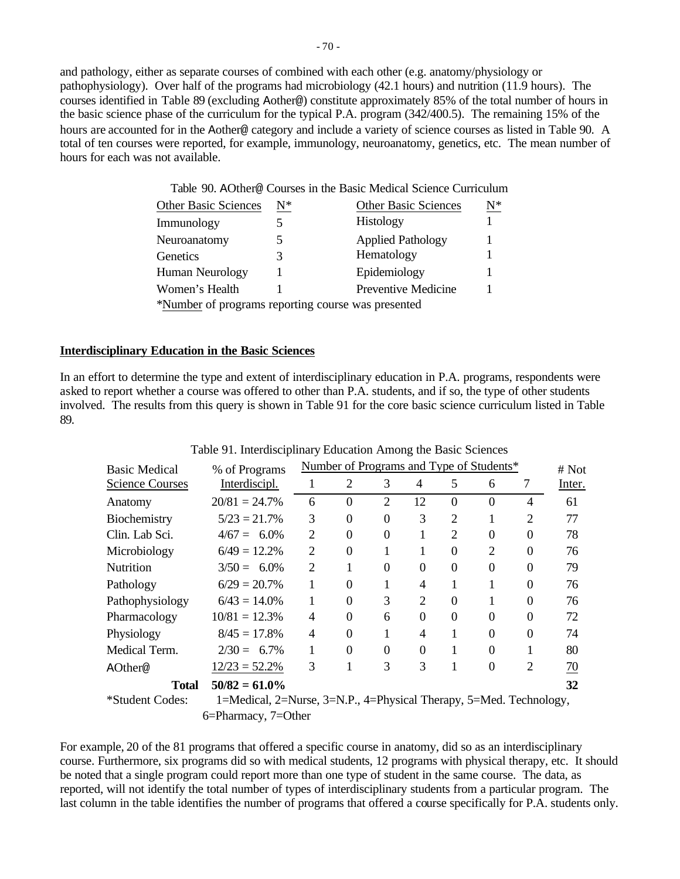and pathology, either as separate courses of combined with each other (e.g. anatomy/physiology or pathophysiology). Over half of the programs had microbiology (42.1 hours) and nutrition (11.9 hours). The courses identified in Table 89 (excluding Aother@) constitute approximately 85% of the total number of hours in the basic science phase of the curriculum for the typical P.A. program (342/400.5). The remaining 15% of the hours are accounted for in the Aother@ category and include a variety of science courses as listed in Table 90. A total of ten courses were reported, for example, immunology, neuroanatomy, genetics, etc. The mean number of hours for each was not available.

Table 90. AOther@ Courses in the Basic Medical Science Curriculum

| <b>Other Basic Sciences</b>                        | $\mathrm{N}^*$ | <b>Other Basic Sciences</b> | $\underline{\mathbf{N}}^*$ |
|----------------------------------------------------|----------------|-----------------------------|----------------------------|
| Immunology                                         |                | <b>Histology</b>            |                            |
| Neuroanatomy                                       |                | <b>Applied Pathology</b>    |                            |
| Genetics                                           | 3              | Hematology                  |                            |
| Human Neurology                                    |                | Epidemiology                |                            |
| Women's Health                                     |                | Preventive Medicine         |                            |
| *Number of programs reporting course was presented |                |                             |                            |

### **Interdisciplinary Education in the Basic Sciences**

In an effort to determine the type and extent of interdisciplinary education in P.A. programs, respondents were asked to report whether a course was offered to other than P.A. students, and if so, the type of other students involved. The results from this query is shown in Table 91 for the core basic science curriculum listed in Table 89.

| <b>Basic Medical</b>   | Number of Programs and Type of Students*<br>% of Programs          |                |          |                |                |                |          | # Not          |        |
|------------------------|--------------------------------------------------------------------|----------------|----------|----------------|----------------|----------------|----------|----------------|--------|
| <b>Science Courses</b> | Interdiscipl.                                                      | 1.             | 2        | 3              | 4              | 5              | 6        | 7              | Inter. |
| Anatomy                | $20/81 = 24.7%$                                                    | 6              | $\Omega$ | $\overline{2}$ | 12             | $\theta$       | 0        | 4              | 61     |
| Biochemistry           | $5/23 = 21.7\%$                                                    | 3              | $\Omega$ | $\theta$       | 3              | $\overline{2}$ |          | 2              | 77     |
| Clin. Lab Sci.         | $4/67 = 6.0\%$                                                     | 2              | $\Omega$ | $\Omega$       |                | $\overline{2}$ | 0        | 0              | 78     |
| Microbiology           | $6/49 = 12.2\%$                                                    | $\overline{2}$ | $\Omega$ |                | 1              | $\Omega$       | 2        | 0              | 76     |
| <b>Nutrition</b>       | $3/50 = 6.0\%$                                                     | 2              |          | $\Omega$       | $\Omega$       | $\Omega$       | $\Omega$ | $\Omega$       | 79     |
| Pathology              | $6/29 = 20.7\%$                                                    |                | $\Omega$ |                | 4              |                |          | 0              | 76     |
| Pathophysiology        | $6/43 = 14.0\%$                                                    |                | $\Omega$ | 3              | $\mathfrak{D}$ | $\theta$       |          | $\Omega$       | 76     |
| Pharmacology           | $10/81 = 12.3\%$                                                   | 4              | $\Omega$ | 6              | $\Omega$       | $\theta$       | 0        | 0              | 72     |
| Physiology             | $8/45 = 17.8\%$                                                    | 4              | $\Omega$ |                | 4              | 1              | 0        | $\Omega$       | 74     |
| Medical Term.          | $2/30 = 6.7\%$                                                     |                | $\Omega$ | $\Omega$       | $\Omega$       |                | 0        |                | 80     |
| AOther@                | $12/23 = 52.2\%$                                                   | 3              |          | 3              | 3              |                | 0        | $\overline{2}$ | 70     |
| Total                  | $50/82 = 61.0\%$                                                   |                |          |                |                |                |          |                | 32     |
| *Student Codes:        | 1=Medical, 2=Nurse, 3=N.P., 4=Physical Therapy, 5=Med. Technology, |                |          |                |                |                |          |                |        |

#### Table 91. Interdisciplinary Education Among the Basic Sciences

6=Pharmacy, 7=Other

For example, 20 of the 81 programs that offered a specific course in anatomy, did so as an interdisciplinary course. Furthermore, six programs did so with medical students, 12 programs with physical therapy, etc. It should be noted that a single program could report more than one type of student in the same course. The data, as reported, will not identify the total number of types of interdisciplinary students from a particular program. The last column in the table identifies the number of programs that offered a course specifically for P.A. students only.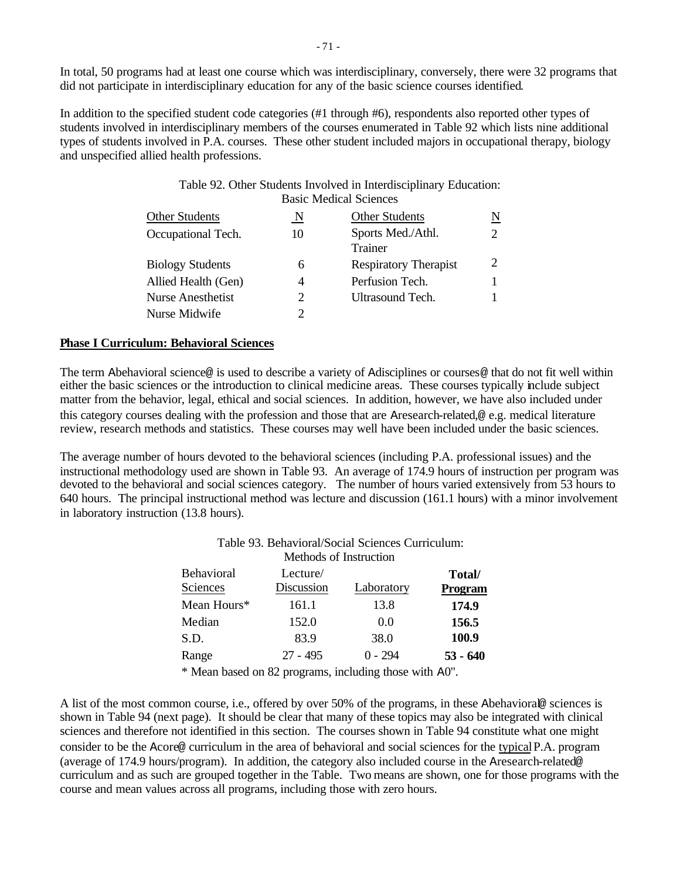In total, 50 programs had at least one course which was interdisciplinary, conversely, there were 32 programs that did not participate in interdisciplinary education for any of the basic science courses identified.

In addition to the specified student code categories (#1 through #6), respondents also reported other types of students involved in interdisciplinary members of the courses enumerated in Table 92 which lists nine additional types of students involved in P.A. courses. These other student included majors in occupational therapy, biology and unspecified allied health professions.

## Table 92. Other Students Involved in Interdisciplinary Education: Basic Medical Sciences

| <b>Other Students</b>    | N  | <b>Other Students</b>        | Ν |
|--------------------------|----|------------------------------|---|
| Occupational Tech.       | 10 | Sports Med./Athl.<br>Trainer |   |
| <b>Biology Students</b>  | 6  | <b>Respiratory Therapist</b> |   |
| Allied Health (Gen)      | 4  | Perfusion Tech.              |   |
| <b>Nurse Anesthetist</b> | 2  | Ultrasound Tech.             |   |
| Nurse Midwife            |    |                              |   |

### **Phase I Curriculum: Behavioral Sciences**

The term Abehavioral science@ is used to describe a variety of Adisciplines or courses@ that do not fit well within either the basic sciences or the introduction to clinical medicine areas. These courses typically include subject matter from the behavior, legal, ethical and social sciences. In addition, however, we have also included under this category courses dealing with the profession and those that are Aresearch-related,@ e.g. medical literature review, research methods and statistics. These courses may well have been included under the basic sciences.

The average number of hours devoted to the behavioral sciences (including P.A. professional issues) and the instructional methodology used are shown in Table 93. An average of 174.9 hours of instruction per program was devoted to the behavioral and social sciences category. The number of hours varied extensively from 53 hours to 640 hours. The principal instructional method was lecture and discussion (161.1 hours) with a minor involvement in laboratory instruction (13.8 hours).

| Table 95. Behavioral/Social Sciences Curriculum:<br>Methods of Instruction |            |            |                |  |  |  |  |  |
|----------------------------------------------------------------------------|------------|------------|----------------|--|--|--|--|--|
| Behavioral                                                                 | Lecture/   |            | Total/         |  |  |  |  |  |
| Sciences                                                                   | Discussion | Laboratory | <b>Program</b> |  |  |  |  |  |
| Mean Hours*                                                                | 161.1      | 13.8       | 174.9          |  |  |  |  |  |
| Median                                                                     | 152.0      | 0.0        | 156.5          |  |  |  |  |  |
| S.D.                                                                       | 83.9       | 38.0       | 100.9          |  |  |  |  |  |
| Range                                                                      | $27 - 495$ | $0 - 294$  | $53 - 640$     |  |  |  |  |  |

# Table 93. Behavioral/Social Sciences Curriculum:

\* Mean based on 82 programs, including those with A0".

A list of the most common course, i.e., offered by over 50% of the programs, in these Abehavioral@ sciences is shown in Table 94 (next page). It should be clear that many of these topics may also be integrated with clinical sciences and therefore not identified in this section. The courses shown in Table 94 constitute what one might consider to be the Acore@ curriculum in the area of behavioral and social sciences for the typical P.A. program (average of 174.9 hours/program). In addition, the category also included course in the Aresearch-related@ curriculum and as such are grouped together in the Table. Two means are shown, one for those programs with the course and mean values across all programs, including those with zero hours.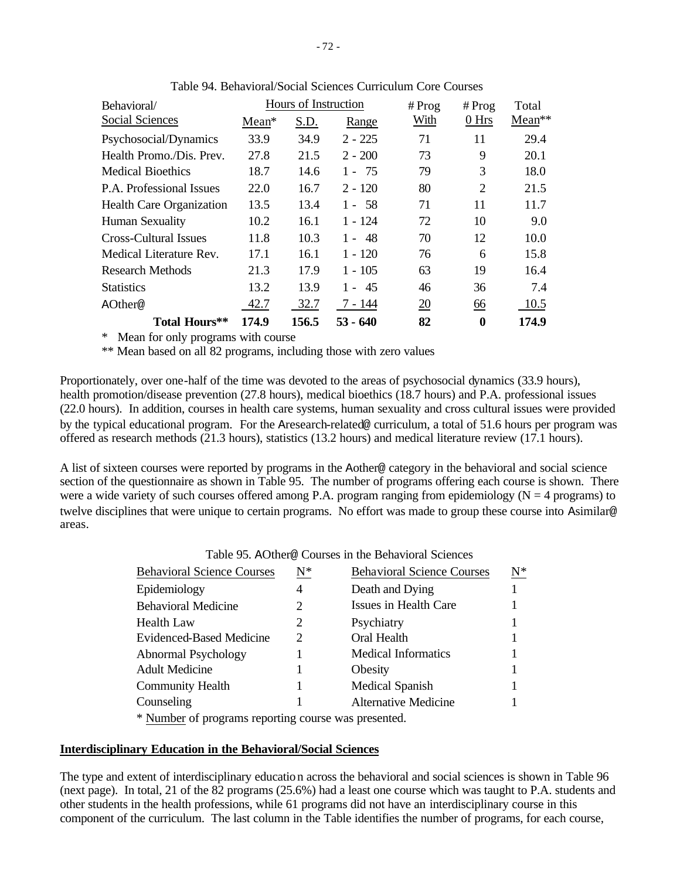| Behavioral/                  |         | Hours of Instruction |           | # Prog | # $Prog$         | Total  |
|------------------------------|---------|----------------------|-----------|--------|------------------|--------|
| Social Sciences              | $Mean*$ | S.D.                 | Range     | With   | 0 <sub>Hrs</sub> | Mean** |
| Psychosocial/Dynamics        | 33.9    | 34.9                 | $2 - 225$ | 71     | 11               | 29.4   |
| Health Promo./Dis. Prev.     | 27.8    | 21.5                 | $2 - 200$ | 73     | 9                | 20.1   |
| <b>Medical Bioethics</b>     | 18.7    | 14.6                 | $1 - 75$  | 79     | 3                | 18.0   |
| P.A. Professional Issues     | 22.0    | 16.7                 | $2 - 120$ | 80     | $\overline{2}$   | 21.5   |
| Health Care Organization     | 13.5    | 13.4                 | $1 - 58$  | 71     | 11               | 11.7   |
| <b>Human Sexuality</b>       | 10.2    | 16.1                 | 1 - 124   | 72     | 10               | 9.0    |
| <b>Cross-Cultural Issues</b> | 11.8    | 10.3                 | $1 - 48$  | 70     | 12               | 10.0   |
| Medical Literature Rev.      | 17.1    | 16.1                 | $1 - 120$ | 76     | 6                | 15.8   |
| Research Methods             | 21.3    | 17.9                 | $1 - 105$ | 63     | 19               | 16.4   |
| <b>Statistics</b>            | 13.2    | 13.9                 | $1 - 45$  | 46     | 36               | 7.4    |
| AOther@                      | 42.7    | 32.7                 | 7 - 144   | 20     | 66               | 10.5   |
| Total Hours**                | 174.9   | 156.5                | 53 - 640  | 82     | 0                | 174.9  |

Table 94. Behavioral/Social Sciences Curriculum Core Courses

\* Mean for only programs with course

\*\* Mean based on all 82 programs, including those with zero values

Proportionately, over one-half of the time was devoted to the areas of psychosocial dynamics (33.9 hours), health promotion/disease prevention (27.8 hours), medical bioethics (18.7 hours) and P.A. professional issues (22.0 hours). In addition, courses in health care systems, human sexuality and cross cultural issues were provided by the typical educational program. For the Aresearch-related@ curriculum, a total of 51.6 hours per program was offered as research methods (21.3 hours), statistics (13.2 hours) and medical literature review (17.1 hours).

A list of sixteen courses were reported by programs in the Aother@ category in the behavioral and social science section of the questionnaire as shown in Table 95. The number of programs offering each course is shown. There were a wide variety of such courses offered among P.A. program ranging from epidemiology ( $N = 4$  programs) to twelve disciplines that were unique to certain programs. No effort was made to group these course into Asimilar@ areas.

| <b>Behavioral Science Courses</b>                        | $\mathrm{N}^*$ | <b>Behavioral Science Courses</b> | $N^*$ |
|----------------------------------------------------------|----------------|-----------------------------------|-------|
| Epidemiology                                             | 4              | Death and Dying                   |       |
| <b>Behavioral Medicine</b>                               |                | Issues in Health Care             |       |
| <b>Health Law</b>                                        |                | Psychiatry                        |       |
| Evidenced-Based Medicine                                 | 2              | Oral Health                       |       |
| Abnormal Psychology                                      |                | <b>Medical Informatics</b>        |       |
| <b>Adult Medicine</b>                                    |                | Obesity                           |       |
| <b>Community Health</b>                                  |                | <b>Medical Spanish</b>            |       |
| Counseling                                               |                | <b>Alternative Medicine</b>       |       |
| $*$ Member of anomous nononing corresponding to $\alpha$ |                |                                   |       |

Table 95. AOther@ Courses in the Behavioral Sciences

\* Number of programs reporting course was presented.

#### **Interdisciplinary Education in the Behavioral/Social Sciences**

The type and extent of interdisciplinary education across the behavioral and social sciences is shown in Table 96 (next page). In total, 21 of the 82 programs (25.6%) had a least one course which was taught to P.A. students and other students in the health professions, while 61 programs did not have an interdisciplinary course in this component of the curriculum. The last column in the Table identifies the number of programs, for each course,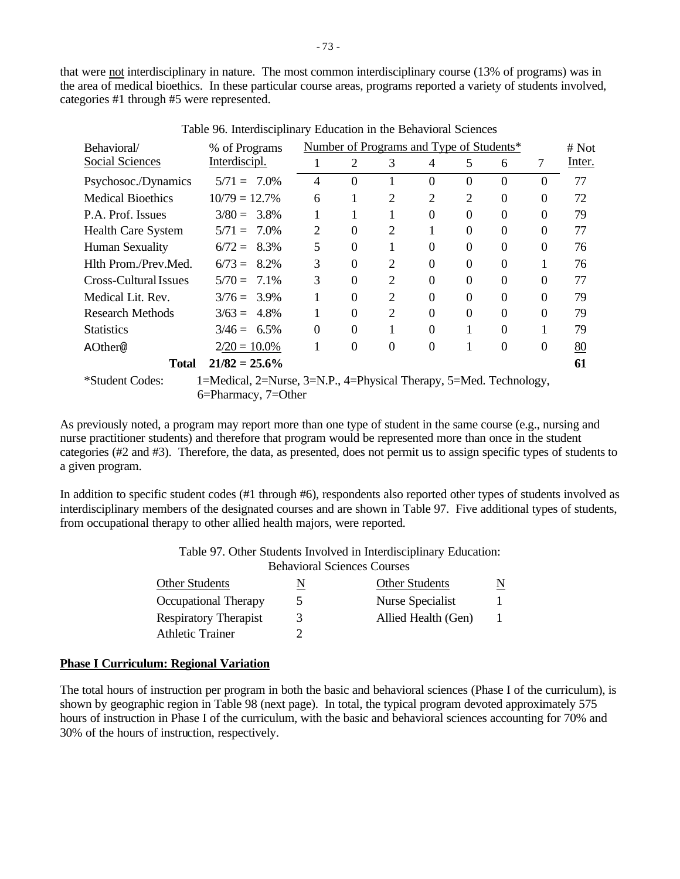that were not interdisciplinary in nature. The most common interdisciplinary course (13% of programs) was in the area of medical bioethics. In these particular course areas, programs reported a variety of students involved, categories #1 through #5 were represented.

| Behavioral/               | % of Programs                                                      |                |          |                | Number of Programs and Type of Students* |                |          |          | # Not  |
|---------------------------|--------------------------------------------------------------------|----------------|----------|----------------|------------------------------------------|----------------|----------|----------|--------|
| Social Sciences           | Interdiscipl.                                                      |                | 2        | 3              | 4                                        | 5              | 6        | 7        | Inter. |
| Psychosoc./Dynamics       | $5/71 = 7.0\%$                                                     | 4              | $\Omega$ |                | $\Omega$                                 | $\Omega$       | $\Omega$ | $\Omega$ | 77     |
| <b>Medical Bioethics</b>  | $10/79 = 12.7\%$                                                   | 6              |          | 2              | $\overline{2}$                           | $\overline{2}$ | $\theta$ | $\Omega$ | 72     |
| P.A. Prof. Issues         | $3/80 = 3.8\%$                                                     | 1              |          |                | $\Omega$                                 | $\Omega$       | $\Omega$ | $\Omega$ | 79     |
| <b>Health Care System</b> | $5/71 = 7.0\%$                                                     | $\overline{2}$ | $\Omega$ | 2              |                                          | $\Omega$       | $\Omega$ | $\Omega$ | 77     |
| Human Sexuality           | $6/72 = 8.3\%$                                                     | 5              | $\theta$ |                | $\Omega$                                 | $\Omega$       | $\Omega$ | $\theta$ | 76     |
| Hlth Prom./Prev.Med.      | $6/73 = 8.2\%$                                                     | 3              | $\Omega$ | $\overline{2}$ | $\Omega$                                 | $\Omega$       | $\Omega$ | 1        | 76     |
| Cross-Cultural Issues     | $5/70 = 7.1\%$                                                     | 3              | $\Omega$ | 2              | $\Omega$                                 | $\Omega$       | $\Omega$ | $\Omega$ | 77     |
| Medical Lit. Rev.         | $3/76 = 3.9\%$                                                     |                | $\Omega$ | 2              | $\Omega$                                 | $\Omega$       | $\Omega$ | $\Omega$ | 79     |
| <b>Research Methods</b>   | $3/63 = 4.8\%$                                                     | 1              | $\Omega$ | $\overline{2}$ | $\Omega$                                 | $\Omega$       | $\Omega$ | $\Omega$ | 79     |
| <b>Statistics</b>         | $3/46 = 6.5\%$                                                     | $\theta$       | $\Omega$ |                | $\Omega$                                 |                | $\Omega$ |          | 79     |
| AOther@                   | $2/20 = 10.0\%$                                                    |                | $\Omega$ | $\Omega$       | $\theta$                                 |                | $\Omega$ | $\theta$ | 80     |
| <b>Total</b>              | $21/82 = 25.6\%$                                                   |                |          |                |                                          |                |          |          | 61     |
| *Student Codes:           | 1=Medical, 2=Nurse, 3=N.P., 4=Physical Therapy, 5=Med. Technology, |                |          |                |                                          |                |          |          |        |
|                           | 6=Pharmacy, 7=Other                                                |                |          |                |                                          |                |          |          |        |

Table 96. Interdisciplinary Education in the Behavioral Sciences

As previously noted, a program may report more than one type of student in the same course (e.g., nursing and nurse practitioner students) and therefore that program would be represented more than once in the student categories (#2 and #3). Therefore, the data, as presented, does not permit us to assign specific types of students to a given program.

In addition to specific student codes (#1 through #6), respondents also reported other types of students involved as interdisciplinary members of the designated courses and are shown in Table 97. Five additional types of students, from occupational therapy to other allied health majors, were reported.

> Table 97. Other Students Involved in Interdisciplinary Education: Behavioral Sciences Courses

| <b>Other Students</b>        |               | <b>Other Students</b> | N |
|------------------------------|---------------|-----------------------|---|
| Occupational Therapy         | $\mathcal{D}$ | Nurse Specialist      |   |
| <b>Respiratory Therapist</b> | 3             | Allied Health (Gen)   |   |
| Athletic Trainer             |               |                       |   |
|                              |               |                       |   |

#### **Phase I Curriculum: Regional Variation**

The total hours of instruction per program in both the basic and behavioral sciences (Phase I of the curriculum), is shown by geographic region in Table 98 (next page). In total, the typical program devoted approximately 575 hours of instruction in Phase I of the curriculum, with the basic and behavioral sciences accounting for 70% and 30% of the hours of instruction, respectively.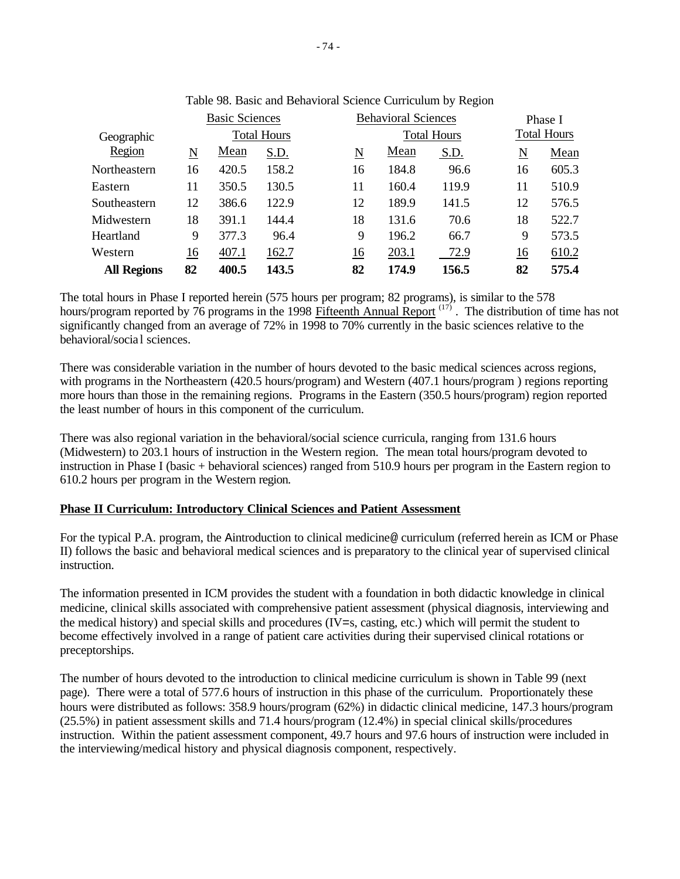|                    |    | <b>Basic Sciences</b> |                    |    | <b>Behavioral Sciences</b> |                    | Phase I             |                    |
|--------------------|----|-----------------------|--------------------|----|----------------------------|--------------------|---------------------|--------------------|
| Geographic         |    |                       | <b>Total Hours</b> |    |                            | <b>Total Hours</b> |                     | <b>Total Hours</b> |
| Region             | N  | Mean                  | S.D.               | N  | Mean                       | S.D.               | $\underline{\rm N}$ | Mean               |
| Northeastern       | 16 | 420.5                 | 158.2              | 16 | 184.8                      | 96.6               | 16                  | 605.3              |
| Eastern            | 11 | 350.5                 | 130.5              | 11 | 160.4                      | 119.9              | 11                  | 510.9              |
| Southeastern       | 12 | 386.6                 | 122.9              | 12 | 189.9                      | 141.5              | 12                  | 576.5              |
| Midwestern         | 18 | 391.1                 | 144.4              | 18 | 131.6                      | 70.6               | 18                  | 522.7              |
| Heartland          | 9  | 377.3                 | 96.4               | 9  | 196.2                      | 66.7               | 9                   | 573.5              |
| Western            | 16 | 407.1                 | 162.7              | 16 | 203.1                      | 72.9               | 16                  | 610.2              |
| <b>All Regions</b> | 82 | 400.5                 | 143.5              | 82 | 174.9                      | 156.5              | 82                  | 575.4              |

Table 98. Basic and Behavioral Science Curriculum by Region

The total hours in Phase I reported herein (575 hours per program; 82 programs), is similar to the 578 hours/program reported by 76 programs in the 1998 Fifteenth Annual Report <sup>(17)</sup>. The distribution of time has not significantly changed from an average of 72% in 1998 to 70% currently in the basic sciences relative to the behavioral/socia l sciences.

There was considerable variation in the number of hours devoted to the basic medical sciences across regions, with programs in the Northeastern (420.5 hours/program) and Western (407.1 hours/program) regions reporting more hours than those in the remaining regions. Programs in the Eastern (350.5 hours/program) region reported the least number of hours in this component of the curriculum.

There was also regional variation in the behavioral/social science curricula, ranging from 131.6 hours (Midwestern) to 203.1 hours of instruction in the Western region. The mean total hours/program devoted to instruction in Phase I (basic + behavioral sciences) ranged from 510.9 hours per program in the Eastern region to 610.2 hours per program in the Western region.

### **Phase II Curriculum: Introductory Clinical Sciences and Patient Assessment**

For the typical P.A. program, the Aintroduction to clinical medicine@ curriculum (referred herein as ICM or Phase II) follows the basic and behavioral medical sciences and is preparatory to the clinical year of supervised clinical instruction.

The information presented in ICM provides the student with a foundation in both didactic knowledge in clinical medicine, clinical skills associated with comprehensive patient assessment (physical diagnosis, interviewing and the medical history) and special skills and procedures (IV=s, casting, etc.) which will permit the student to become effectively involved in a range of patient care activities during their supervised clinical rotations or preceptorships.

The number of hours devoted to the introduction to clinical medicine curriculum is shown in Table 99 (next page). There were a total of 577.6 hours of instruction in this phase of the curriculum. Proportionately these hours were distributed as follows: 358.9 hours/program (62%) in didactic clinical medicine, 147.3 hours/program (25.5%) in patient assessment skills and 71.4 hours/program (12.4%) in special clinical skills/procedures instruction. Within the patient assessment component, 49.7 hours and 97.6 hours of instruction were included in the interviewing/medical history and physical diagnosis component, respectively.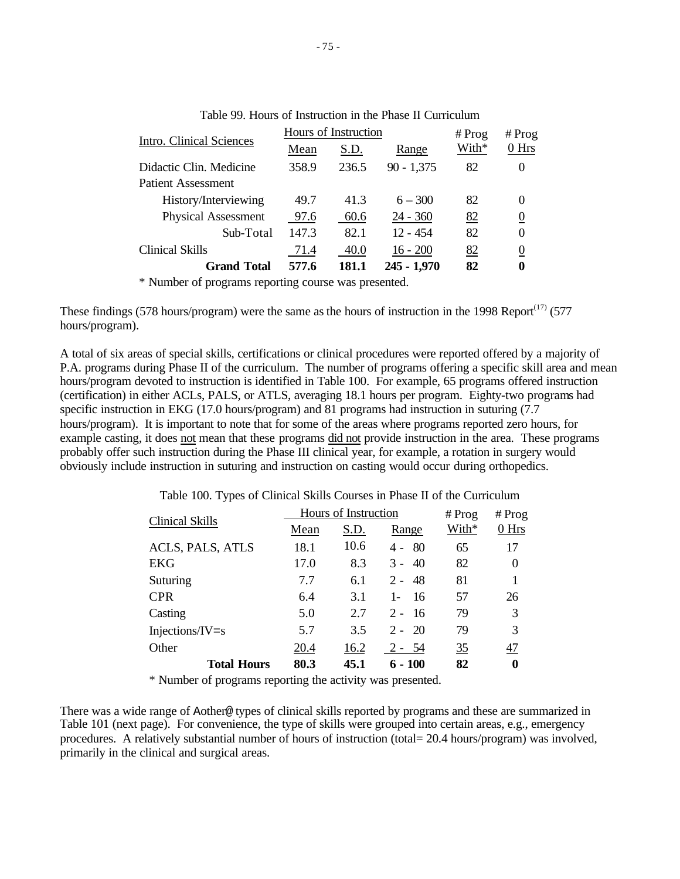| Intro. Clinical Sciences   |              | Hours of Instruction | $#$ Prog      | # $Prog$ |                  |
|----------------------------|--------------|----------------------|---------------|----------|------------------|
|                            | S.D.<br>Mean |                      | Range         | With*    | 0 Hrs            |
| Didactic Clin. Medicine    | 358.9        | 236.5                | $90 - 1,375$  | 82       | 0                |
| Patient Assessment         |              |                      |               |          |                  |
| History/Interviewing       | 49.7         | 41.3                 | $6 - 300$     | 82       | 0                |
| <b>Physical Assessment</b> | 97.6         | 60.6                 | $24 - 360$    | 82       | $\boldsymbol{0}$ |
| Sub-Total                  | 147.3        | 82.1                 | $12 - 454$    | 82       | 0                |
| <b>Clinical Skills</b>     | 71.4         | 40.0                 | $16 - 200$    | 82       | $\overline{0}$   |
| <b>Grand Total</b>         | 577.6        | 181.1                | $245 - 1,970$ | 82       | 0                |

Table 99. Hours of Instruction in the Phase II Curriculum

\* Number of programs reporting course was presented.

These findings (578 hours/program) were the same as the hours of instruction in the 1998 Report $(17)$  (577 hours/program).

A total of six areas of special skills, certifications or clinical procedures were reported offered by a majority of P.A. programs during Phase II of the curriculum. The number of programs offering a specific skill area and mean hours/program devoted to instruction is identified in Table 100. For example, 65 programs offered instruction (certification) in either ACLs, PALS, or ATLS, averaging 18.1 hours per program. Eighty-two programs had specific instruction in EKG (17.0 hours/program) and 81 programs had instruction in suturing (7.7 hours/program). It is important to note that for some of the areas where programs reported zero hours, for example casting, it does not mean that these programs did not provide instruction in the area. These programs probably offer such instruction during the Phase III clinical year, for example, a rotation in surgery would obviously include instruction in suturing and instruction on casting would occur during orthopedics.

| <b>Clinical Skills</b> |      | Hours of Instruction | # $Prog$     | $#$ Prog |          |
|------------------------|------|----------------------|--------------|----------|----------|
|                        | Mean | S.D.                 | Range        | With*    | 0 Hrs    |
| ACLS, PALS, ATLS       | 18.1 | 10.6                 | 80<br>4 -    | 65       | 17       |
| <b>EKG</b>             | 17.0 | 8.3                  | $3 -$<br>40  | 82       | $\theta$ |
| Suturing               | 7.7  | 6.1                  | $2 - 48$     | 81       |          |
| <b>CPR</b>             | 6.4  | 3.1                  | $1 -$<br>-16 | 57       | 26       |
| Casting                | 5.0  | 2.7                  | $2 - 16$     | 79       | 3        |
| $Injections/IV = s$    | 5.7  | 3.5                  | $2 - 20$     | 79       | 3        |
| Other                  | 20.4 | 16.2                 | $2 - 54$     | 35       | 47       |
| <b>Total Hours</b>     | 80.3 | 45.1                 | $6 - 100$    | 82       | $\bf{0}$ |

Table 100. Types of Clinical Skills Courses in Phase II of the Curriculum

\* Number of programs reporting the activity was presented.

There was a wide range of Aother@ types of clinical skills reported by programs and these are summarized in Table 101 (next page). For convenience, the type of skills were grouped into certain areas, e.g., emergency procedures. A relatively substantial number of hours of instruction (total= 20.4 hours/program) was involved, primarily in the clinical and surgical areas.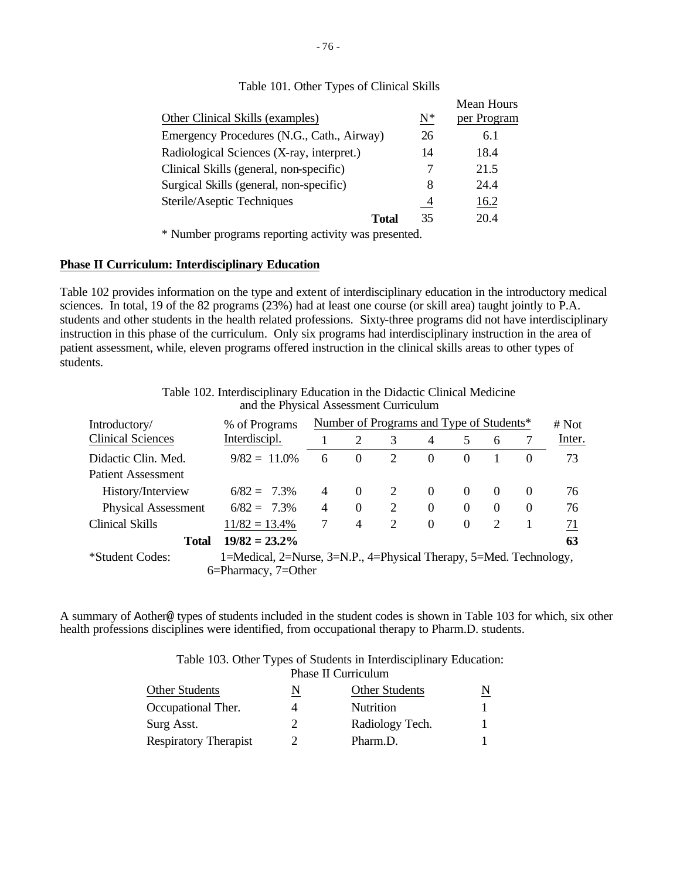| Other Clinical Skills (examples)           | $N^*$          | Mean Hours<br>per Program |
|--------------------------------------------|----------------|---------------------------|
| Emergency Procedures (N.G., Cath., Airway) | 26             | 6.1                       |
| Radiological Sciences (X-ray, interpret.)  | 14             | 18.4                      |
| Clinical Skills (general, non-specific)    |                | 21.5                      |
| Surgical Skills (general, non-specific)    | 8              | 24.4                      |
| Sterile/Aseptic Techniques                 | $\overline{4}$ | 16.2                      |
| Total                                      | 35             | 20.4                      |

# Table 101. Other Types of Clinical Skills

\* Number programs reporting activity was presented.

### **Phase II Curriculum: Interdisciplinary Education**

Table 102 provides information on the type and extent of interdisciplinary education in the introductory medical sciences. In total, 19 of the 82 programs (23%) had at least one course (or skill area) taught jointly to P.A. students and other students in the health related professions. Sixty-three programs did not have interdisciplinary instruction in this phase of the curriculum. Only six programs had interdisciplinary instruction in the area of patient assessment, while, eleven programs offered instruction in the clinical skills areas to other types of students.

|                            | Table 102. Interdisciplinary Education in the Didactic Clinical Medicine<br>and the Physical Assessment Curriculum |                                                   |                |   |          |          |                             |          |        |
|----------------------------|--------------------------------------------------------------------------------------------------------------------|---------------------------------------------------|----------------|---|----------|----------|-----------------------------|----------|--------|
| Introductory/              | % of Programs                                                                                                      | Number of Programs and Type of Students*<br># Not |                |   |          |          |                             |          |        |
| <b>Clinical Sciences</b>   | Interdiscipl.                                                                                                      |                                                   | 2              | 3 | 4        | 5        | 6                           | 7        | Inter. |
| Didactic Clin. Med.        | $9/82 = 11.0\%$                                                                                                    | 6                                                 | $\Omega$       | 2 | $\Omega$ | $\Omega$ |                             | $\Omega$ | 73     |
| Patient Assessment         |                                                                                                                    |                                                   |                |   |          |          |                             |          |        |
| History/Interview          | $6/82 = 7.3\%$                                                                                                     | 4                                                 | $\theta$       | 2 | $\Omega$ | $\Omega$ | $\theta$                    | $\theta$ | 76     |
| <b>Physical Assessment</b> | $6/82 = 7.3\%$                                                                                                     | 4                                                 | $\theta$       | 2 | $\Omega$ | $\Omega$ | $\Omega$                    | $\Omega$ | 76     |
| <b>Clinical Skills</b>     | $11/82 = 13.4\%$                                                                                                   | 7                                                 | $\overline{4}$ | 2 | $\Omega$ | $\Omega$ | $\mathcal{D}_{\mathcal{L}}$ |          | 71     |
| <b>Total</b>               | $19/82 = 23.2\%$                                                                                                   |                                                   |                |   |          |          |                             |          | 63     |
| *Student Codes:            | 1=Medical, 2=Nurse, 3=N.P., 4=Physical Therapy, 5=Med. Technology,<br>6=Pharmacy, 7=Other                          |                                                   |                |   |          |          |                             |          |        |

A summary of Aother@ types of students included in the student codes is shown in Table 103 for which, six other health professions disciplines were identified, from occupational therapy to Pharm.D. students.

| Table 103. Other Types of Students in Interdisciplinary Education: |
|--------------------------------------------------------------------|
| Phase II Curriculum                                                |

| <b>Other Students</b>        | N  | <b>Other Students</b> |  |
|------------------------------|----|-----------------------|--|
| Occupational Ther.           |    | <b>Nutrition</b>      |  |
| Surg Asst.                   | ΄) | Radiology Tech.       |  |
| <b>Respiratory Therapist</b> | 2  | Pharm.D.              |  |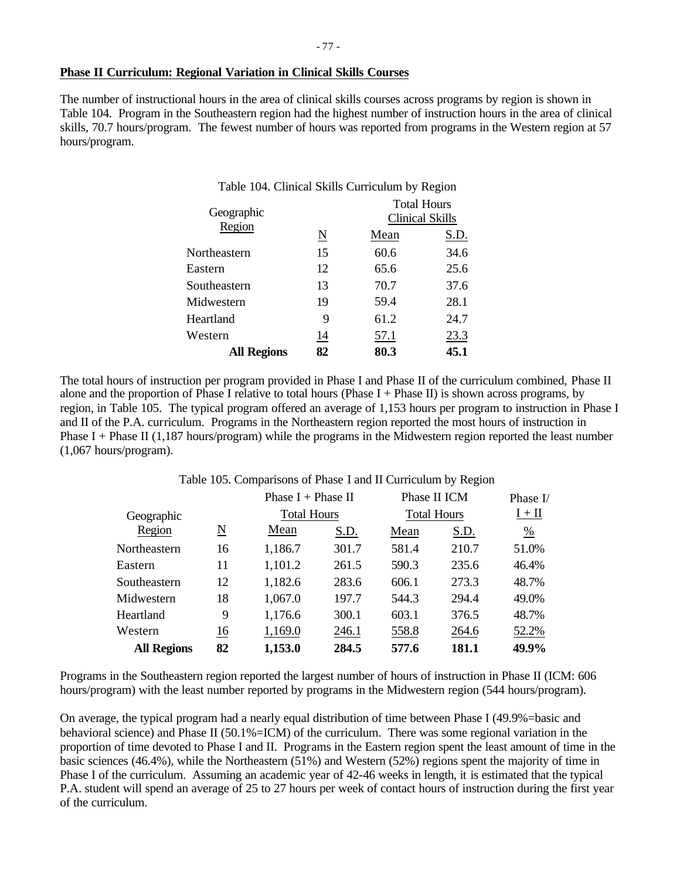### **Phase II Curriculum: Regional Variation in Clinical Skills Courses**

The number of instructional hours in the area of clinical skills courses across programs by region is shown in Table 104. Program in the Southeastern region had the highest number of instruction hours in the area of clinical skills, 70.7 hours/program. The fewest number of hours was reported from programs in the Western region at 57 hours/program.

|                     |      | <b>Clinical Skills</b>                                                |
|---------------------|------|-----------------------------------------------------------------------|
| $\underline{\rm N}$ | Mean | S.D.                                                                  |
| 15                  | 60.6 | 34.6                                                                  |
| 12                  | 65.6 | 25.6                                                                  |
| 13                  | 70.7 | 37.6                                                                  |
| 19                  | 59.4 | 28.1                                                                  |
| 9                   | 61.2 | 24.7                                                                  |
| <u>14</u>           | 57.1 | 23.3                                                                  |
| 82                  | 80.3 | 45.1                                                                  |
|                     |      | Table 104. Clinical Skills Curriculum by Region<br><b>Total Hours</b> |

The total hours of instruction per program provided in Phase I and Phase II of the curriculum combined, Phase II alone and the proportion of Phase I relative to total hours (Phase I + Phase II) is shown across programs, by region, in Table 105. The typical program offered an average of 1,153 hours per program to instruction in Phase I and II of the P.A. curriculum. Programs in the Northeastern region reported the most hours of instruction in Phase I + Phase II (1,187 hours/program) while the programs in the Midwestern region reported the least number (1,067 hours/program).

| Table 105. Comparisons of Phase I and II Curriculum by Region |  |  |  |
|---------------------------------------------------------------|--|--|--|
|                                                               |  |  |  |

|                    |           | Phase $I + Phase II$ |                    | Phase II ICM |                    | Phase $I/$ |  |
|--------------------|-----------|----------------------|--------------------|--------------|--------------------|------------|--|
| Geographic         |           |                      | <b>Total Hours</b> |              | <b>Total Hours</b> |            |  |
| Region             | <u>N</u>  | Mean                 | S.D.               | Mean         | S.D.               | %          |  |
| Northeastern       | 16        | 1,186.7              | 301.7              | 581.4        | 210.7              | 51.0%      |  |
| Eastern            | 11        | 1,101.2              | 261.5              | 590.3        | 235.6              | 46.4%      |  |
| Southeastern       | 12        | 1,182.6              | 283.6              | 606.1        | 273.3              | 48.7%      |  |
| Midwestern         | 18        | 1,067.0              | 197.7              | 544.3        | 294.4              | 49.0%      |  |
| Heartland          | 9         | 1,176.6              | 300.1              | 603.1        | 376.5              | 48.7%      |  |
| Western            | <u>16</u> | 1,169.0              | 246.1              | 558.8        | 264.6              | 52.2%      |  |
| <b>All Regions</b> | 82        | 1,153.0              | 284.5              | 577.6        | 181.1              | 49.9%      |  |

Programs in the Southeastern region reported the largest number of hours of instruction in Phase II (ICM: 606 hours/program) with the least number reported by programs in the Midwestern region (544 hours/program).

On average, the typical program had a nearly equal distribution of time between Phase I (49.9%=basic and behavioral science) and Phase II (50.1%=ICM) of the curriculum. There was some regional variation in the proportion of time devoted to Phase I and II. Programs in the Eastern region spent the least amount of time in the basic sciences (46.4%), while the Northeastern (51%) and Western (52%) regions spent the majority of time in Phase I of the curriculum. Assuming an academic year of 42-46 weeks in length, it is estimated that the typical P.A. student will spend an average of 25 to 27 hours per week of contact hours of instruction during the first year of the curriculum.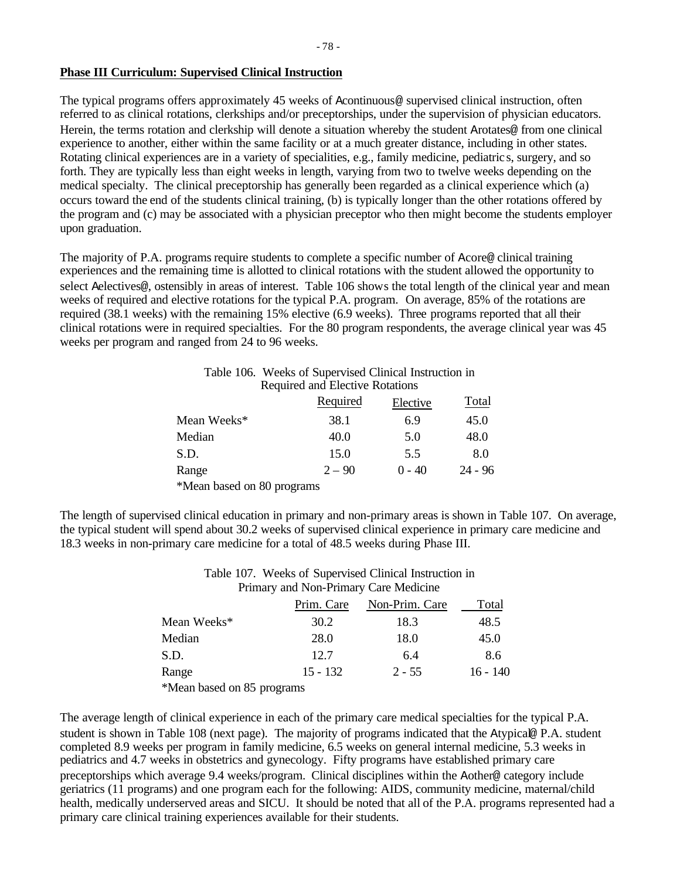### **Phase III Curriculum: Supervised Clinical Instruction**

The typical programs offers approximately 45 weeks of Acontinuous@ supervised clinical instruction, often referred to as clinical rotations, clerkships and/or preceptorships, under the supervision of physician educators. Herein, the terms rotation and clerkship will denote a situation whereby the student Arotates@ from one clinical experience to another, either within the same facility or at a much greater distance, including in other states. Rotating clinical experiences are in a variety of specialities, e.g., family medicine, pediatric s, surgery, and so forth. They are typically less than eight weeks in length, varying from two to twelve weeks depending on the medical specialty. The clinical preceptorship has generally been regarded as a clinical experience which (a) occurs toward the end of the students clinical training, (b) is typically longer than the other rotations offered by the program and (c) may be associated with a physician preceptor who then might become the students employer upon graduation.

The majority of P.A. programs require students to complete a specific number of Acore@ clinical training experiences and the remaining time is allotted to clinical rotations with the student allowed the opportunity to select Aelectives@, ostensibly in areas of interest. Table 106 shows the total length of the clinical year and mean weeks of required and elective rotations for the typical P.A. program. On average, 85% of the rotations are required (38.1 weeks) with the remaining 15% elective (6.9 weeks). Three programs reported that all their clinical rotations were in required specialties. For the 80 program respondents, the average clinical year was 45 weeks per program and ranged from 24 to 96 weeks.

|                         | Table 106. Weeks of Supervised Clinical Instruction in |          |           |
|-------------------------|--------------------------------------------------------|----------|-----------|
|                         | Required and Elective Rotations                        |          |           |
|                         | Required                                               | Elective | Total     |
| Mean Weeks*             | 38.1                                                   | 6.9      | 45.0      |
| Median                  | 40.0                                                   | 5.0      | 48.0      |
| S.D.                    | 15.0                                                   | 5.5      | 8.0       |
| Range                   | $2 - 90$                                               | $0 - 40$ | $24 - 96$ |
| $\star$ <b>M</b> 1 1 00 |                                                        |          |           |

\*Mean based on 80 programs

The length of supervised clinical education in primary and non-primary areas is shown in Table 107. On average, the typical student will spend about 30.2 weeks of supervised clinical experience in primary care medicine and 18.3 weeks in non-primary care medicine for a total of 48.5 weeks during Phase III.

# Table 107. Weeks of Supervised Clinical Instruction in Primary and Non-Primary Care Medicine

|                            | Prim. Care | Non-Prim. Care | Total    |
|----------------------------|------------|----------------|----------|
| Mean Weeks*                | 30.2       | 18.3           | 48.5     |
| Median                     | 28.0       | 18.0           | 45.0     |
| S.D.                       | 12.7       | 6.4            | 8.6      |
| Range                      | $15 - 132$ | $2 - 55$       | 16 - 140 |
| *Mean based on 85 programs |            |                |          |

The average length of clinical experience in each of the primary care medical specialties for the typical P.A. student is shown in Table 108 (next page). The majority of programs indicated that the Atypical@ P.A. student completed 8.9 weeks per program in family medicine, 6.5 weeks on general internal medicine, 5.3 weeks in pediatrics and 4.7 weeks in obstetrics and gynecology. Fifty programs have established primary care preceptorships which average 9.4 weeks/program. Clinical disciplines within the Aother@ category include geriatrics (11 programs) and one program each for the following: AIDS, community medicine, maternal/child health, medically underserved areas and SICU. It should be noted that all of the P.A. programs represented had a primary care clinical training experiences available for their students.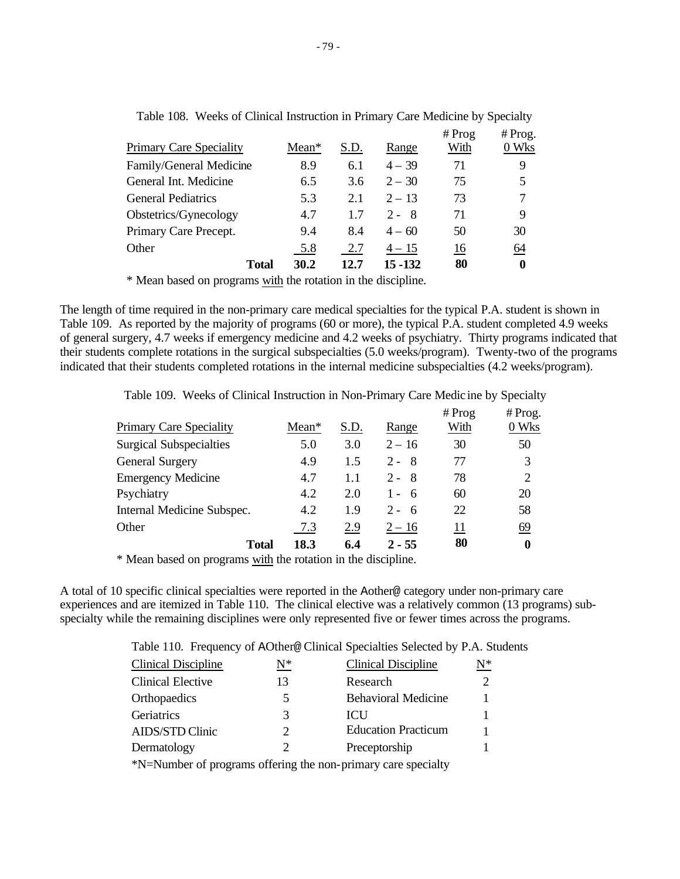| <b>Primary Care Speciality</b> | $Mean*$ | S.D. | Range    | # Prog<br>With | $#$ Prog.<br>0 Wks |
|--------------------------------|---------|------|----------|----------------|--------------------|
| Family/General Medicine        | 8.9     | 6.1  | $4 - 39$ | 71             | 9                  |
| General Int. Medicine          | 6.5     | 3.6  | $2 - 30$ | 75             | 5                  |
| <b>General Pediatrics</b>      | 5.3     | 2.1  | $2 - 13$ | 73             | 7                  |
| Obstetrics/Gynecology          | 4.7     | 1.7  | $2 - 8$  | 71             | 9                  |
| Primary Care Precept.          | 9.4     | 8.4  | $4 - 60$ | 50             | 30                 |
| Other                          | 5.8     | 2.7  | $4 - 15$ | 16             | $\underline{64}$   |
| Total                          | 30.2    | 12.7 | 15 - 132 | 80             | 0                  |

| Table 108. Weeks of Clinical Instruction in Primary Care Medicine by Specialty |  |  |  |  |
|--------------------------------------------------------------------------------|--|--|--|--|
|--------------------------------------------------------------------------------|--|--|--|--|

\* Mean based on programs with the rotation in the discipline.

The length of time required in the non-primary care medical specialties for the typical P.A. student is shown in Table 109. As reported by the majority of programs (60 or more), the typical P.A. student completed 4.9 weeks of general surgery, 4.7 weeks if emergency medicine and 4.2 weeks of psychiatry. Thirty programs indicated that their students complete rotations in the surgical subspecialties (5.0 weeks/program). Twenty-two of the programs indicated that their students completed rotations in the internal medicine subspecialties (4.2 weeks/program).

|                                |       |      |          | # Prog | $#$ Prog. |
|--------------------------------|-------|------|----------|--------|-----------|
| <b>Primary Care Speciality</b> | Mean* | S.D. | Range    | With   | 0 Wks     |
| <b>Surgical Subspecialties</b> | 5.0   | 3.0  | $2 - 16$ | 30     | 50        |
| <b>General Surgery</b>         | 4.9   | 1.5  | $2 - 8$  | 77     | 3         |
| <b>Emergency Medicine</b>      | 4.7   | 1.1  | $2 - 8$  | 78     | 2         |
| Psychiatry                     | 4.2   | 2.0  | $1 - 6$  | 60     | 20        |
| Internal Medicine Subspec.     | 4.2   | 1.9  | $2 - 6$  | 22     | 58        |
| Other                          | 7.3   | 2.9  | $2 - 16$ | 11     | 69        |
| <b>Total</b>                   | 18.3  | 6.4  | $2 - 55$ | 80     | 0         |

Table 109. Weeks of Clinical Instruction in Non-Primary Care Medic ine by Specialty

\* Mean based on programs with the rotation in the discipline.

A total of 10 specific clinical specialties were reported in the Aother@ category under non-primary care experiences and are itemized in Table 110. The clinical elective was a relatively common (13 programs) subspecialty while the remaining disciplines were only represented five or fewer times across the programs.

Table 110. Frequency of AOther@ Clinical Specialties Selected by P.A. Students

| Clinical Discipline                                           | $\mathrm{N}^*$ | <b>Clinical Discipline</b> | $\mathrm{N}^*$ |  |  |  |  |  |
|---------------------------------------------------------------|----------------|----------------------------|----------------|--|--|--|--|--|
| <b>Clinical Elective</b>                                      | 13             | Research                   |                |  |  |  |  |  |
| Orthopaedics                                                  | 5              | <b>Behavioral Medicine</b> |                |  |  |  |  |  |
| Geriatrics                                                    | 3              | <b>ICU</b>                 |                |  |  |  |  |  |
| <b>AIDS/STD Clinic</b>                                        | 2              | <b>Education Practicum</b> |                |  |  |  |  |  |
| Dermatology                                                   | 2              | Preceptorship              |                |  |  |  |  |  |
| *N=Number of programs offering the non-primary care specialty |                |                            |                |  |  |  |  |  |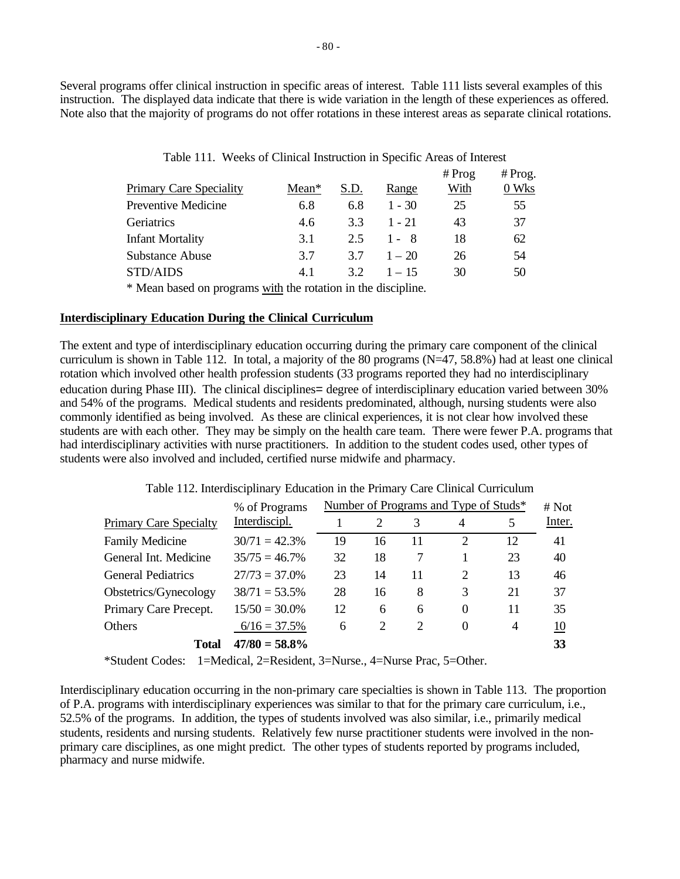Several programs offer clinical instruction in specific areas of interest. Table 111 lists several examples of this instruction. The displayed data indicate that there is wide variation in the length of these experiences as offered. Note also that the majority of programs do not offer rotations in these interest areas as separate clinical rotations.

|                                                               |       |      |          | $#$ Prog | $#$ Prog. |  |  |  |  |  |
|---------------------------------------------------------------|-------|------|----------|----------|-----------|--|--|--|--|--|
| <b>Primary Care Speciality</b>                                | Mean* | S.D. | Range    | With     | 0 Wks     |  |  |  |  |  |
| <b>Preventive Medicine</b>                                    | 6.8   | 6.8  | $1 - 30$ | 25       | 55        |  |  |  |  |  |
| Geriatrics                                                    | 4.6   | 3.3  | $1 - 21$ | 43       | 37        |  |  |  |  |  |
| <b>Infant Mortality</b>                                       | 3.1   | 2.5  | 1 - 8    | 18       | 62        |  |  |  |  |  |
| Substance Abuse                                               | 3.7   | 3.7  | $1 - 20$ | 26       | 54        |  |  |  |  |  |
| STD/AIDS                                                      | 4.1   | 32   | $1 - 15$ | 30       | 50        |  |  |  |  |  |
| * Mean based on programs with the rotation in the discipline. |       |      |          |          |           |  |  |  |  |  |

|  | Table 111. Weeks of Clinical Instruction in Specific Areas of Interest |  |  |  |  |
|--|------------------------------------------------------------------------|--|--|--|--|
|--|------------------------------------------------------------------------|--|--|--|--|

### **Interdisciplinary Education During the Clinical Curriculum**

The extent and type of interdisciplinary education occurring during the primary care component of the clinical curriculum is shown in Table 112. In total, a majority of the 80 programs  $(N=47, 58.8%)$  had at least one clinical rotation which involved other health profession students (33 programs reported they had no interdisciplinary education during Phase III). The clinical disciplines= degree of interdisciplinary education varied between 30% and 54% of the programs. Medical students and residents predominated, although, nursing students were also commonly identified as being involved. As these are clinical experiences, it is not clear how involved these students are with each other. They may be simply on the health care team. There were fewer P.A. programs that had interdisciplinary activities with nurse practitioners. In addition to the student codes used, other types of students were also involved and included, certified nurse midwife and pharmacy.

Table 112. Interdisciplinary Education in the Primary Care Clinical Curriculum

|                               | % of Programs    | Number of Programs and Type of Studs* | # Not |                             |                             |    |        |
|-------------------------------|------------------|---------------------------------------|-------|-----------------------------|-----------------------------|----|--------|
| <b>Primary Care Specialty</b> | Interdiscipl.    |                                       |       |                             | 4                           | 5  | Inter. |
| <b>Family Medicine</b>        | $30/71 = 42.3%$  | 19                                    | 16    | 11                          | 2                           | 12 | 41     |
| General Int. Medicine         | $35/75 = 46.7\%$ | 32                                    | 18    |                             |                             | 23 | 40     |
| <b>General Pediatrics</b>     | $27/73 = 37.0\%$ | 23                                    | 14    | 11                          | $\mathcal{D}_{\mathcal{A}}$ | 13 | 46     |
| Obstetrics/Gynecology         | $38/71 = 53.5\%$ | 28                                    | 16    | 8                           | 3                           | 21 | 37     |
| Primary Care Precept.         | $15/50 = 30.0\%$ | 12                                    | 6     | 6                           | 0                           | 11 | 35     |
| Others                        | $6/16 = 37.5\%$  | 6                                     | 2     | $\mathcal{D}_{\mathcal{A}}$ | 0                           | 4  | 10     |
| Total                         | $47/80 = 58.8\%$ |                                       |       |                             |                             |    | 33     |

\*Student Codes: 1=Medical, 2=Resident, 3=Nurse., 4=Nurse Prac, 5=Other.

Interdisciplinary education occurring in the non-primary care specialties is shown in Table 113. The proportion of P.A. programs with interdisciplinary experiences was similar to that for the primary care curriculum, i.e., 52.5% of the programs. In addition, the types of students involved was also similar, i.e., primarily medical students, residents and nursing students. Relatively few nurse practitioner students were involved in the nonprimary care disciplines, as one might predict. The other types of students reported by programs included, pharmacy and nurse midwife.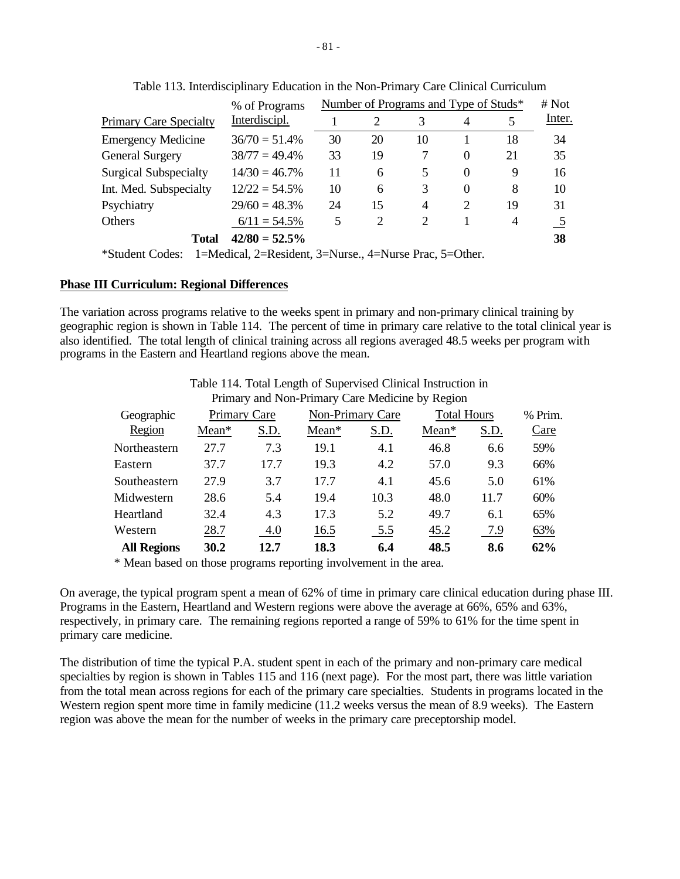|                               | Number of Programs and Type of Studs*<br># Not<br>% of Programs |    |    |    |          |                |        |  |  |
|-------------------------------|-----------------------------------------------------------------|----|----|----|----------|----------------|--------|--|--|
| <b>Primary Care Specialty</b> | Interdiscipl.                                                   |    | 2  |    | 4        |                | Inter. |  |  |
| <b>Emergency Medicine</b>     | $36/70 = 51.4%$                                                 | 30 | 20 | 10 |          | 18             | 34     |  |  |
| <b>General Surgery</b>        | $38/77 = 49.4\%$                                                | 33 | 19 |    | 0        | 21             | 35     |  |  |
| <b>Surgical Subspecialty</b>  | $14/30 = 46.7\%$                                                | 11 | 6  | 5  | $\theta$ | 9              | 16     |  |  |
| Int. Med. Subspecialty        | $12/22 = 54.5\%$                                                | 10 | 6  | 3  | $\theta$ | 8              | 10     |  |  |
| Psychiatry                    | $29/60 = 48.3\%$                                                | 24 | 15 | 4  | 2        | 19             | 31     |  |  |
| Others                        | $6/11 = 54.5\%$                                                 | 5  | 2  | 2  |          | $\overline{4}$ |        |  |  |
| <b>Total</b>                  | $42/80 = 52.5\%$                                                |    |    |    |          |                | 38     |  |  |

Table 113. Interdisciplinary Education in the Non-Primary Care Clinical Curriculum

\*Student Codes: 1=Medical, 2=Resident, 3=Nurse., 4=Nurse Prac, 5=Other.

#### **Phase III Curriculum: Regional Differences**

The variation across programs relative to the weeks spent in primary and non-primary clinical training by geographic region is shown in Table 114. The percent of time in primary care relative to the total clinical year is also identified. The total length of clinical training across all regions averaged 48.5 weeks per program with programs in the Eastern and Heartland regions above the mean.

|                    |              |      | Primary and Non-Primary Care Medicine by Region |                  |                    |      |         |
|--------------------|--------------|------|-------------------------------------------------|------------------|--------------------|------|---------|
| Geographic         | Primary Care |      |                                                 | Non-Primary Care | <b>Total Hours</b> |      | % Prim. |
| Region             | Mean*        | S.D. | Mean*                                           | S.D.             | $Mean*$            | S.D. | Care    |
| Northeastern       | 27.7         | 7.3  | 19.1                                            | 4.1              | 46.8               | 6.6  | 59%     |
| Eastern            | 37.7         | 17.7 | 19.3                                            | 4.2              | 57.0               | 9.3  | 66%     |
| Southeastern       | 27.9         | 3.7  | 17.7                                            | 4.1              | 45.6               | 5.0  | 61%     |
| Midwestern         | 28.6         | 5.4  | 19.4                                            | 10.3             | 48.0               | 11.7 | 60%     |
| Heartland          | 32.4         | 4.3  | 17.3                                            | 5.2              | 49.7               | 6.1  | 65%     |
| Western            | 28.7         | 4.0  | 16.5                                            | 5.5              | 45.2               | 7.9  | 63%     |
| <b>All Regions</b> | 30.2         | 12.7 | 18.3                                            | 6.4              | 48.5               | 8.6  | 62%     |

Table 114. Total Length of Supervised Clinical Instruction in Primary and Non-Primary Care Medicine by Region

\* Mean based on those programs reporting involvement in the area.

On average, the typical program spent a mean of 62% of time in primary care clinical education during phase III. Programs in the Eastern, Heartland and Western regions were above the average at 66%, 65% and 63%, respectively, in primary care. The remaining regions reported a range of 59% to 61% for the time spent in primary care medicine.

The distribution of time the typical P.A. student spent in each of the primary and non-primary care medical specialties by region is shown in Tables 115 and 116 (next page). For the most part, there was little variation from the total mean across regions for each of the primary care specialties. Students in programs located in the Western region spent more time in family medicine (11.2 weeks versus the mean of 8.9 weeks). The Eastern region was above the mean for the number of weeks in the primary care preceptorship model.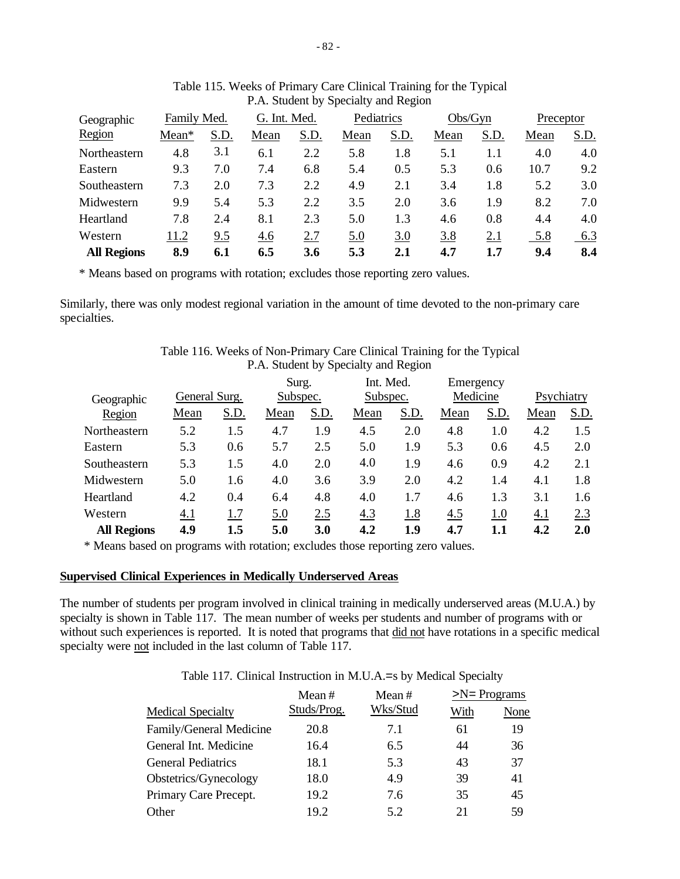| Geographic         | Family Med. |      | G. Int. Med. |      | Pediatrics |      | Obs/Gyn |      | Preceptor |      |
|--------------------|-------------|------|--------------|------|------------|------|---------|------|-----------|------|
| Region             | Mean*       | S.D. | Mean         | S.D. | Mean       | S.D. | Mean    | S.D. | Mean      | S.D. |
| Northeastern       | 4.8         | 3.1  | 6.1          | 2.2  | 5.8        | 1.8  | 5.1     | 1.1  | 4.0       | 4.0  |
| Eastern            | 9.3         | 7.0  | 7.4          | 6.8  | 5.4        | 0.5  | 5.3     | 0.6  | 10.7      | 9.2  |
| Southeastern       | 7.3         | 2.0  | 7.3          | 2.2  | 4.9        | 2.1  | 3.4     | 1.8  | 5.2       | 3.0  |
| Midwestern         | 9.9         | 5.4  | 5.3          | 2.2  | 3.5        | 2.0  | 3.6     | 1.9  | 8.2       | 7.0  |
| Heartland          | 7.8         | 2.4  | 8.1          | 2.3  | 5.0        | 1.3  | 4.6     | 0.8  | 4.4       | 4.0  |
| Western            | 11.2        | 9.5  | 4.6          | 2.7  | 5.0        | 3.0  | 3.8     | 2.1  | 5.8       | 6.3  |
| <b>All Regions</b> | 8.9         | 6.1  | 6.5          | 3.6  | 5.3        | 2.1  | 4.7     | 1.7  | 9.4       | 8.4  |

| Table 115. Weeks of Primary Care Clinical Training for the Typical |
|--------------------------------------------------------------------|
| P.A. Student by Specialty and Region                               |

\* Means based on programs with rotation; excludes those reporting zero values.

Similarly, there was only modest regional variation in the amount of time devoted to the non-primary care specialties.

|                    |               |      |          |      | P.A. Student by Specially and Region |           |          |           |            |      |
|--------------------|---------------|------|----------|------|--------------------------------------|-----------|----------|-----------|------------|------|
|                    |               |      | Surg.    |      |                                      | Int. Med. |          | Emergency |            |      |
| Geographic         | General Surg. |      | Subspec. |      | Subspec.                             |           | Medicine |           | Psychiatry |      |
| Region             | Mean          | S.D. | Mean     | S.D. | Mean                                 | S.D.      | Mean     | S.D.      | Mean       | S.D. |
| Northeastern       | 5.2           | 1.5  | 4.7      | 1.9  | 4.5                                  | 2.0       | 4.8      | 1.0       | 4.2        | 1.5  |
| Eastern            | 5.3           | 0.6  | 5.7      | 2.5  | 5.0                                  | 1.9       | 5.3      | 0.6       | 4.5        | 2.0  |
| Southeastern       | 5.3           | 1.5  | 4.0      | 2.0  | 4.0                                  | 1.9       | 4.6      | 0.9       | 4.2        | 2.1  |
| Midwestern         | 5.0           | 1.6  | 4.0      | 3.6  | 3.9                                  | 2.0       | 4.2      | 1.4       | 4.1        | 1.8  |
| Heartland          | 4.2           | 0.4  | 6.4      | 4.8  | 4.0                                  | 1.7       | 4.6      | 1.3       | 3.1        | 1.6  |
| Western            | 4.1           | 1.7  | 5.0      | 2.5  | 4.3                                  | 1.8       | 4.5      | 1.0       | 4.1        | 2.3  |
| <b>All Regions</b> | 4.9           | 1.5  | 5.0      | 3.0  | 4.2                                  | 1.9       | 4.7      | 1.1       | 4.2        | 2.0  |

Table 116. Weeks of Non-Primary Care Clinical Training for the Typical P.A. Student by Specialty and Region

\* Means based on programs with rotation; excludes those reporting zero values.

#### **Supervised Clinical Experiences in Medically Underserved Areas**

The number of students per program involved in clinical training in medically underserved areas (M.U.A.) by specialty is shown in Table 117. The mean number of weeks per students and number of programs with or without such experiences is reported. It is noted that programs that did not have rotations in a specific medical specialty were not included in the last column of Table 117.

Table 117. Clinical Instruction in M.U.A.=s by Medical Specialty

|                           | Mean $#$    | Mean $#$ | $>N = Programs$ |      |  |
|---------------------------|-------------|----------|-----------------|------|--|
| <b>Medical Specialty</b>  | Studs/Prog. | Wks/Stud | With            | None |  |
| Family/General Medicine   | 20.8        | 7.1      | 61              | 19   |  |
| General Int. Medicine     | 16.4        | 6.5      | 44              | 36   |  |
| <b>General Pediatrics</b> | 18.1        | 5.3      | 43              | 37   |  |
| Obstetrics/Gynecology     | 18.0        | 4.9      | 39              | 41   |  |
| Primary Care Precept.     | 19.2        | 7.6      | 35              | 45   |  |
| Other                     | 19.2        | 5.2      | 21              | 59   |  |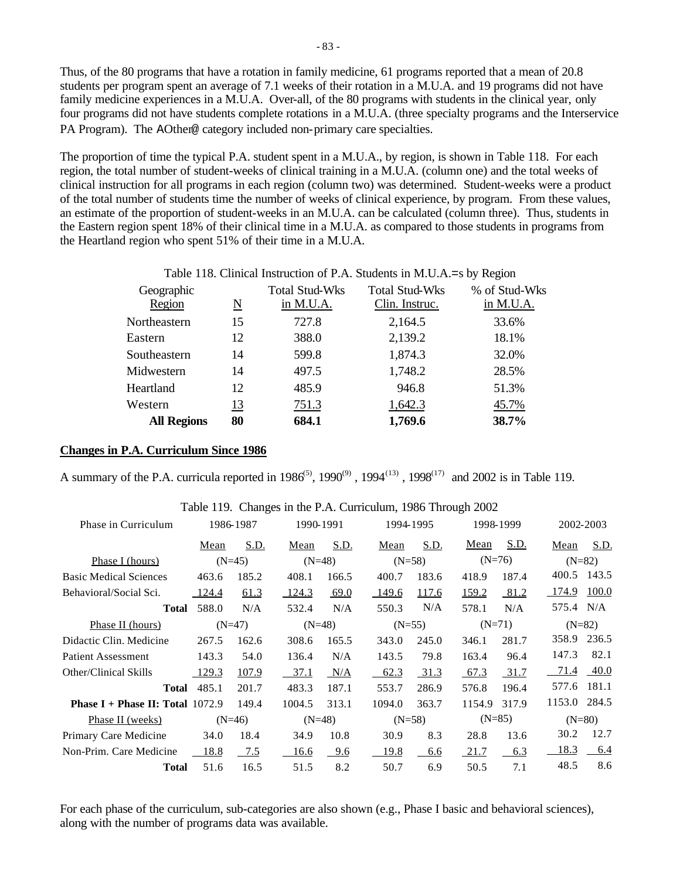Thus, of the 80 programs that have a rotation in family medicine, 61 programs reported that a mean of 20.8 students per program spent an average of 7.1 weeks of their rotation in a M.U.A. and 19 programs did not have family medicine experiences in a M.U.A. Over-all, of the 80 programs with students in the clinical year, only four programs did not have students complete rotations in a M.U.A. (three specialty programs and the Interservice PA Program). The AOther@ category included non-primary care specialties.

The proportion of time the typical P.A. student spent in a M.U.A., by region, is shown in Table 118. For each region, the total number of student-weeks of clinical training in a M.U.A. (column one) and the total weeks of clinical instruction for all programs in each region (column two) was determined. Student-weeks were a product of the total number of students time the number of weeks of clinical experience, by program. From these values, an estimate of the proportion of student-weeks in an M.U.A. can be calculated (column three). Thus, students in the Eastern region spent 18% of their clinical time in a M.U.A. as compared to those students in programs from the Heartland region who spent 51% of their time in a M.U.A.

#### Table 118. Clinical Instruction of P.A. Students in M.U.A.=s by Region

| Geographic         |    | <b>Total Stud-Wks</b> | <b>Total Stud-Wks</b> | % of Stud-Wks |
|--------------------|----|-----------------------|-----------------------|---------------|
| Region             | N  | in M.U.A.             | Clin. Instruc.        | in M.U.A.     |
| Northeastern       | 15 | 727.8                 | 2,164.5               | 33.6%         |
| Eastern            | 12 | 388.0                 | 2,139.2               | 18.1%         |
| Southeastern       | 14 | 599.8                 | 1,874.3               | 32.0%         |
| Midwestern         | 14 | 497.5                 | 1,748.2               | 28.5%         |
| Heartland          | 12 | 485.9                 | 946.8                 | 51.3%         |
| Western            | 13 | 751.3                 | 1,642.3               | 45.7%         |
| <b>All Regions</b> | 80 | 684.1                 | 1,769.6               | 38.7%         |

#### **Changes in P.A. Curriculum Since 1986**

A summary of the P.A. curricula reported in  $1986^{(5)}$ ,  $1990^{(9)}$ ,  $1994^{(13)}$ ,  $1998^{(17)}$  and 2002 is in Table 119.

| 1986-1987                                 |              |                                  | 1990-1991   |                                  |             |                                               | 1998-1999 |                                  | 2002-2003 |  |
|-------------------------------------------|--------------|----------------------------------|-------------|----------------------------------|-------------|-----------------------------------------------|-----------|----------------------------------|-----------|--|
| Mean                                      | <u>S.D.</u>  | Mean                             | <u>S.D.</u> | Mean                             | <u>S.D.</u> | <u>Mean</u>                                   | S.D.      | Mean                             | S.D.      |  |
|                                           |              |                                  |             |                                  |             |                                               |           | $(N=82)$                         |           |  |
| 463.6                                     | 185.2        | 408.1                            | 166.5       | 400.7                            | 183.6       | 418.9                                         | 187.4     | 400.5                            | 143.5     |  |
| 124.4                                     | 61.3         | 124.3                            | 69.0        | 149.6                            | 117.6       | 159.2                                         | 81.2      | 174.9                            | 100.0     |  |
| 588.0<br>Total                            | N/A          | 532.4                            | N/A         | 550.3                            | N/A         | 578.1                                         | N/A       | 575.4 N/A                        |           |  |
|                                           |              |                                  |             |                                  |             |                                               |           | $(N=82)$                         |           |  |
| 267.5                                     | 162.6        | 308.6                            | 165.5       | 343.0                            | 245.0       | 346.1                                         | 281.7     | 358.9                            | 236.5     |  |
| 143.3                                     | 54.0         | 136.4                            | N/A         | 143.5                            | 79.8        | 163.4                                         | 96.4      | 147.3                            | 82.1      |  |
| 129.3                                     | <u>107.9</u> | 37.1                             | N/A         | 62.3                             | 31.3        | 67.3                                          | 31.7      | 71.4                             | 40.0      |  |
| 485.1<br>Total                            | 201.7        | 483.3                            | 187.1       | 553.7                            | 286.9       | 576.8                                         | 196.4     | 577.6                            | 181.1     |  |
| <b>Phase I + Phase II: Total</b> $1072.9$ | 149.4        | 1004.5                           | 313.1       | 1094.0                           | 363.7       | 1154.9                                        | 317.9     | 1153.0                           | 284.5     |  |
|                                           |              |                                  |             |                                  |             |                                               |           | $(N=80)$                         |           |  |
| 34.0                                      | 18.4         | 34.9                             | 10.8        | 30.9                             | 8.3         | 28.8                                          | 13.6      | 30.2                             | 12.7      |  |
| 18.8                                      | $-7.5$       | 16.6                             | 9.6         | 19.8                             | 6.6         | 21.7                                          | 6.3       | <u>18.3</u>                      | 6.4       |  |
| 51.6                                      | 16.5         | 51.5                             | 8.2         | 50.7                             | 6.9         | 50.5                                          | 7.1       | 48.5                             | 8.6       |  |
|                                           |              | $(N=45)$<br>$(N=47)$<br>$(N=46)$ |             | $(N=48)$<br>$(N=48)$<br>$(N=48)$ |             | 1994-1995<br>$(N=58)$<br>$(N=55)$<br>$(N=58)$ |           | $(N=76)$<br>$(N=71)$<br>$(N=85)$ |           |  |

#### Table 119. Changes in the P.A. Curriculum, 1986 Through 2002

For each phase of the curriculum, sub-categories are also shown (e.g., Phase I basic and behavioral sciences), along with the number of programs data was available.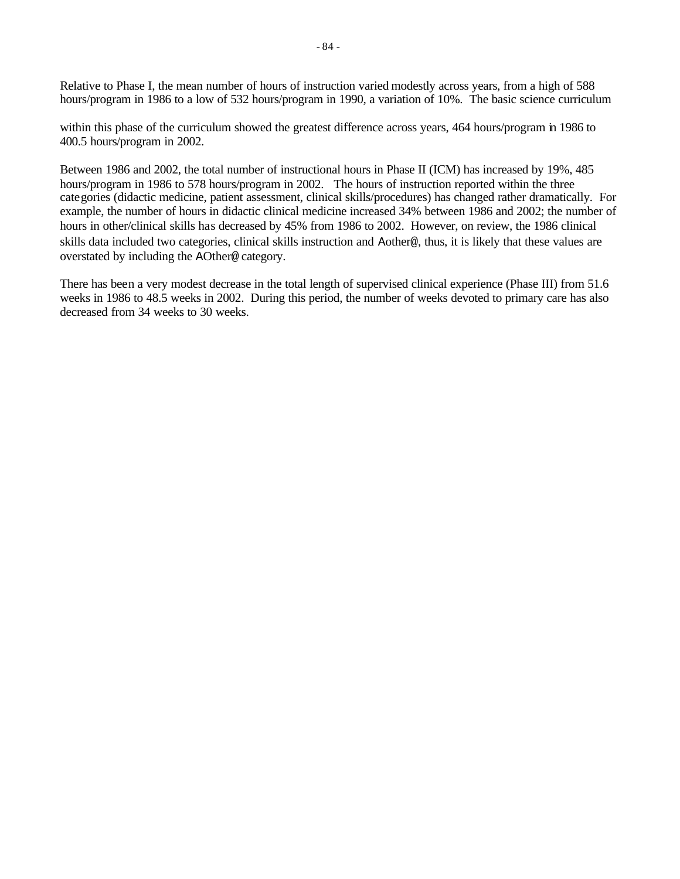Relative to Phase I, the mean number of hours of instruction varied modestly across years, from a high of 588 hours/program in 1986 to a low of 532 hours/program in 1990, a variation of 10%. The basic science curriculum

within this phase of the curriculum showed the greatest difference across years, 464 hours/program in 1986 to 400.5 hours/program in 2002.

Between 1986 and 2002, the total number of instructional hours in Phase II (ICM) has increased by 19%, 485 hours/program in 1986 to 578 hours/program in 2002. The hours of instruction reported within the three categories (didactic medicine, patient assessment, clinical skills/procedures) has changed rather dramatically. For example, the number of hours in didactic clinical medicine increased 34% between 1986 and 2002; the number of hours in other/clinical skills has decreased by 45% from 1986 to 2002. However, on review, the 1986 clinical skills data included two categories, clinical skills instruction and Aother@, thus, it is likely that these values are overstated by including the AOther@ category.

There has been a very modest decrease in the total length of supervised clinical experience (Phase III) from 51.6 weeks in 1986 to 48.5 weeks in 2002. During this period, the number of weeks devoted to primary care has also decreased from 34 weeks to 30 weeks.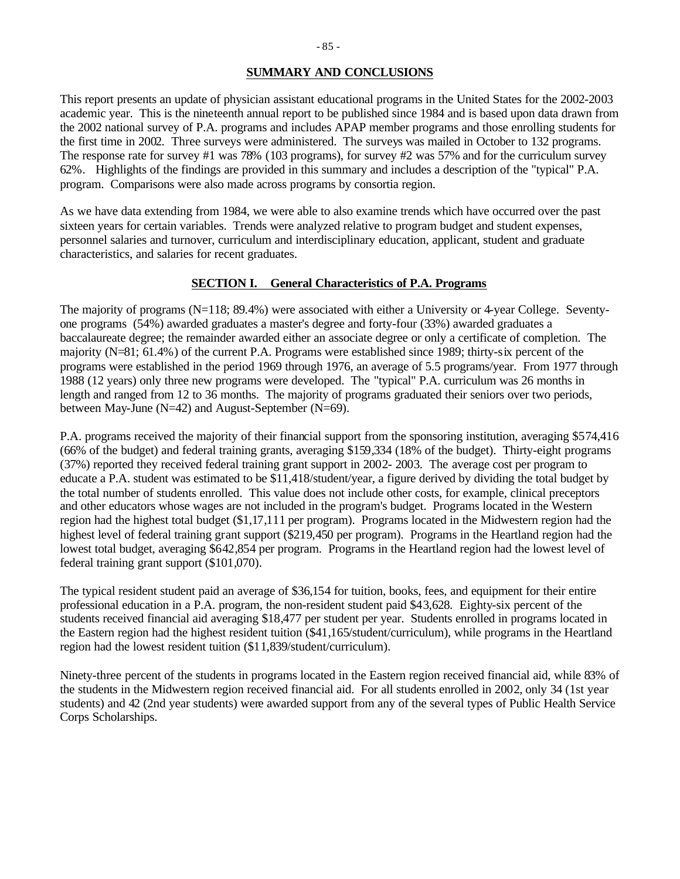### **SUMMARY AND CONCLUSIONS**

This report presents an update of physician assistant educational programs in the United States for the 2002-2003 academic year. This is the nineteenth annual report to be published since 1984 and is based upon data drawn from the 2002 national survey of P.A. programs and includes APAP member programs and those enrolling students for the first time in 2002. Three surveys were administered. The surveys was mailed in October to 132 programs. The response rate for survey #1 was 78% (103 programs), for survey #2 was 57% and for the curriculum survey 62%. Highlights of the findings are provided in this summary and includes a description of the "typical" P.A. program. Comparisons were also made across programs by consortia region.

As we have data extending from 1984, we were able to also examine trends which have occurred over the past sixteen years for certain variables. Trends were analyzed relative to program budget and student expenses, personnel salaries and turnover, curriculum and interdisciplinary education, applicant, student and graduate characteristics, and salaries for recent graduates.

### **SECTION I. General Characteristics of P.A. Programs**

The majority of programs (N=118; 89.4%) were associated with either a University or 4-year College. Seventyone programs (54%) awarded graduates a master's degree and forty-four (33%) awarded graduates a baccalaureate degree; the remainder awarded either an associate degree or only a certificate of completion. The majority (N=81; 61.4%) of the current P.A. Programs were established since 1989; thirty-six percent of the programs were established in the period 1969 through 1976, an average of 5.5 programs/year. From 1977 through 1988 (12 years) only three new programs were developed. The "typical" P.A. curriculum was 26 months in length and ranged from 12 to 36 months. The majority of programs graduated their seniors over two periods, between May-June (N=42) and August-September (N=69).

P.A. programs received the majority of their financial support from the sponsoring institution, averaging \$574,416 (66% of the budget) and federal training grants, averaging \$159,334 (18% of the budget). Thirty-eight programs (37%) reported they received federal training grant support in 2002- 2003. The average cost per program to educate a P.A. student was estimated to be \$11,418/student/year, a figure derived by dividing the total budget by the total number of students enrolled. This value does not include other costs, for example, clinical preceptors and other educators whose wages are not included in the program's budget. Programs located in the Western region had the highest total budget (\$1,17,111 per program). Programs located in the Midwestern region had the highest level of federal training grant support (\$219,450 per program). Programs in the Heartland region had the lowest total budget, averaging \$642,854 per program. Programs in the Heartland region had the lowest level of federal training grant support (\$101,070).

The typical resident student paid an average of \$36,154 for tuition, books, fees, and equipment for their entire professional education in a P.A. program, the non-resident student paid \$43,628. Eighty-six percent of the students received financial aid averaging \$18,477 per student per year. Students enrolled in programs located in the Eastern region had the highest resident tuition (\$41,165/student/curriculum), while programs in the Heartland region had the lowest resident tuition (\$11,839/student/curriculum).

Ninety-three percent of the students in programs located in the Eastern region received financial aid, while 83% of the students in the Midwestern region received financial aid. For all students enrolled in 2002, only 34 (1st year students) and 42 (2nd year students) were awarded support from any of the several types of Public Health Service Corps Scholarships.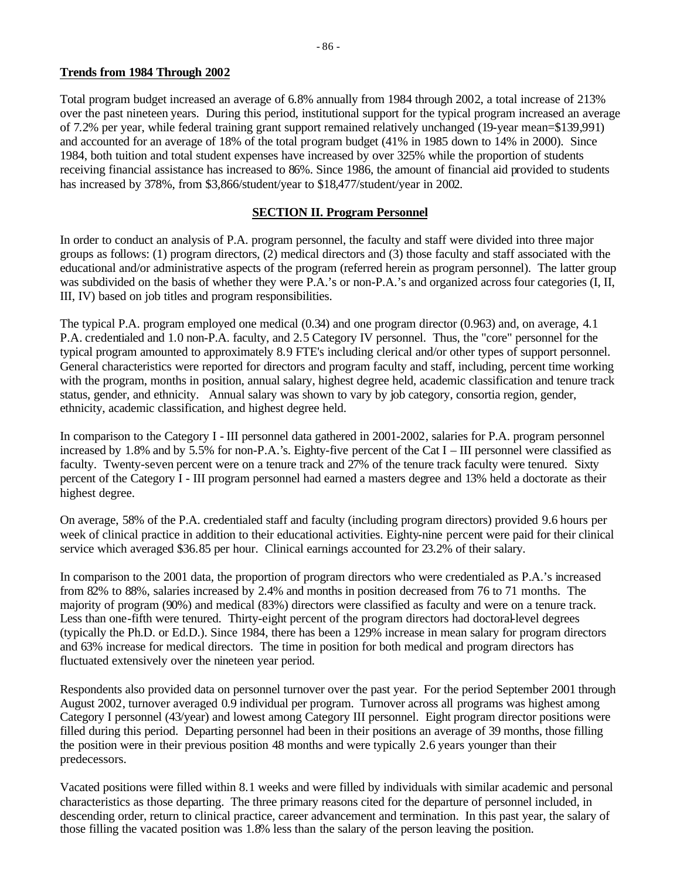### **Trends from 1984 Through 2002**

Total program budget increased an average of 6.8% annually from 1984 through 2002, a total increase of 213% over the past nineteen years. During this period, institutional support for the typical program increased an average of 7.2% per year, while federal training grant support remained relatively unchanged (19-year mean=\$139,991) and accounted for an average of 18% of the total program budget (41% in 1985 down to 14% in 2000). Since 1984, both tuition and total student expenses have increased by over 325% while the proportion of students receiving financial assistance has increased to 86%. Since 1986, the amount of financial aid provided to students has increased by 378%, from \$3,866/student/year to \$18,477/student/year in 2002.

### **SECTION II. Program Personnel**

In order to conduct an analysis of P.A. program personnel, the faculty and staff were divided into three major groups as follows: (1) program directors, (2) medical directors and (3) those faculty and staff associated with the educational and/or administrative aspects of the program (referred herein as program personnel). The latter group was subdivided on the basis of whether they were P.A.'s or non-P.A.'s and organized across four categories (I, II, III, IV) based on job titles and program responsibilities.

The typical P.A. program employed one medical (0.34) and one program director (0.963) and, on average, 4.1 P.A. credentialed and 1.0 non-P.A. faculty, and 2.5 Category IV personnel. Thus, the "core" personnel for the typical program amounted to approximately 8.9 FTE's including clerical and/or other types of support personnel. General characteristics were reported for directors and program faculty and staff, including, percent time working with the program, months in position, annual salary, highest degree held, academic classification and tenure track status, gender, and ethnicity. Annual salary was shown to vary by job category, consortia region, gender, ethnicity, academic classification, and highest degree held.

In comparison to the Category I - III personnel data gathered in 2001-2002, salaries for P.A. program personnel increased by 1.8% and by 5.5% for non-P.A.'s. Eighty-five percent of the Cat I – III personnel were classified as faculty. Twenty-seven percent were on a tenure track and 27% of the tenure track faculty were tenured. Sixty percent of the Category I - III program personnel had earned a masters degree and 13% held a doctorate as their highest degree.

On average, 58% of the P.A. credentialed staff and faculty (including program directors) provided 9.6 hours per week of clinical practice in addition to their educational activities. Eighty-nine percent were paid for their clinical service which averaged \$36.85 per hour. Clinical earnings accounted for 23.2% of their salary.

In comparison to the 2001 data, the proportion of program directors who were credentialed as P.A.'s increased from 82% to 88%, salaries increased by 2.4% and months in position decreased from 76 to 71 months. The majority of program (90%) and medical (83%) directors were classified as faculty and were on a tenure track. Less than one-fifth were tenured. Thirty-eight percent of the program directors had doctoral-level degrees (typically the Ph.D. or Ed.D.). Since 1984, there has been a 129% increase in mean salary for program directors and 63% increase for medical directors. The time in position for both medical and program directors has fluctuated extensively over the nineteen year period.

Respondents also provided data on personnel turnover over the past year. For the period September 2001 through August 2002, turnover averaged 0.9 individual per program. Turnover across all programs was highest among Category I personnel (43/year) and lowest among Category III personnel. Eight program director positions were filled during this period. Departing personnel had been in their positions an average of 39 months, those filling the position were in their previous position 48 months and were typically 2.6 years younger than their predecessors.

Vacated positions were filled within 8.1 weeks and were filled by individuals with similar academic and personal characteristics as those departing. The three primary reasons cited for the departure of personnel included, in descending order, return to clinical practice, career advancement and termination. In this past year, the salary of those filling the vacated position was 1.8% less than the salary of the person leaving the position.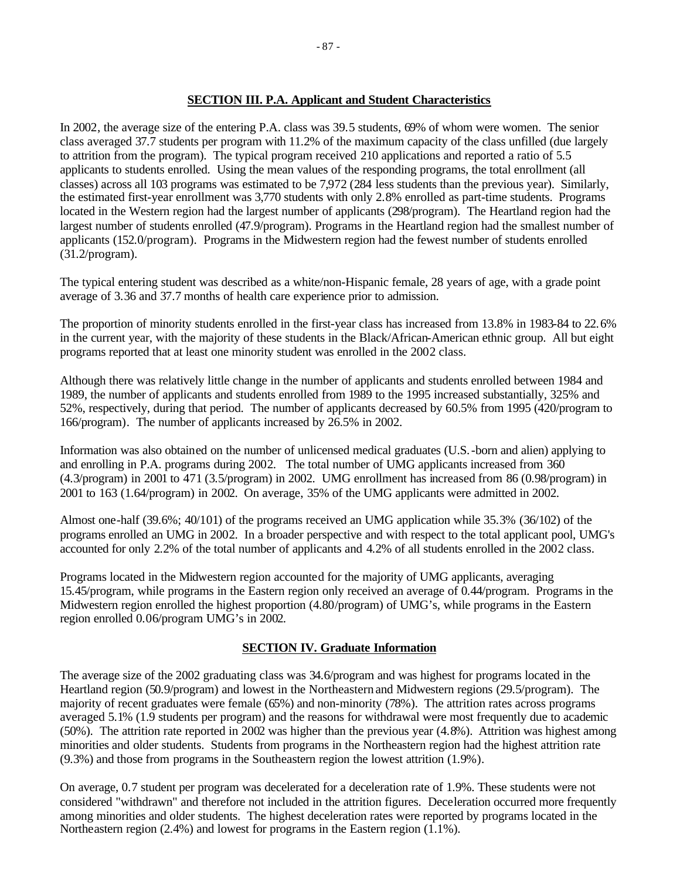### **SECTION III. P.A. Applicant and Student Characteristics**

In 2002, the average size of the entering P.A. class was 39.5 students, 69% of whom were women. The senior class averaged 37.7 students per program with 11.2% of the maximum capacity of the class unfilled (due largely to attrition from the program). The typical program received 210 applications and reported a ratio of 5.5 applicants to students enrolled. Using the mean values of the responding programs, the total enrollment (all classes) across all 103 programs was estimated to be 7,972 (284 less students than the previous year). Similarly, the estimated first-year enrollment was 3,770 students with only 2.8% enrolled as part-time students. Programs located in the Western region had the largest number of applicants (298/program). The Heartland region had the largest number of students enrolled (47.9/program). Programs in the Heartland region had the smallest number of applicants (152.0/program). Programs in the Midwestern region had the fewest number of students enrolled (31.2/program).

The typical entering student was described as a white/non-Hispanic female, 28 years of age, with a grade point average of 3.36 and 37.7 months of health care experience prior to admission.

The proportion of minority students enrolled in the first-year class has increased from 13.8% in 1983-84 to 22.6% in the current year, with the majority of these students in the Black/African-American ethnic group. All but eight programs reported that at least one minority student was enrolled in the 2002 class.

Although there was relatively little change in the number of applicants and students enrolled between 1984 and 1989, the number of applicants and students enrolled from 1989 to the 1995 increased substantially, 325% and 52%, respectively, during that period. The number of applicants decreased by 60.5% from 1995 (420/program to 166/program). The number of applicants increased by 26.5% in 2002.

Information was also obtained on the number of unlicensed medical graduates (U.S.-born and alien) applying to and enrolling in P.A. programs during 2002. The total number of UMG applicants increased from 360 (4.3/program) in 2001 to 471 (3.5/program) in 2002. UMG enrollment has increased from 86 (0.98/program) in 2001 to 163 (1.64/program) in 2002. On average, 35% of the UMG applicants were admitted in 2002.

Almost one-half (39.6%; 40/101) of the programs received an UMG application while 35.3% (36/102) of the programs enrolled an UMG in 2002. In a broader perspective and with respect to the total applicant pool, UMG's accounted for only 2.2% of the total number of applicants and 4.2% of all students enrolled in the 2002 class.

Programs located in the Midwestern region accounted for the majority of UMG applicants, averaging 15.45/program, while programs in the Eastern region only received an average of 0.44/program. Programs in the Midwestern region enrolled the highest proportion (4.80/program) of UMG's, while programs in the Eastern region enrolled 0.06/program UMG's in 2002.

### **SECTION IV. Graduate Information**

The average size of the 2002 graduating class was 34.6/program and was highest for programs located in the Heartland region (50.9/program) and lowest in the Northeastern and Midwestern regions (29.5/program). The majority of recent graduates were female (65%) and non-minority (78%). The attrition rates across programs averaged 5.1% (1.9 students per program) and the reasons for withdrawal were most frequently due to academic (50%). The attrition rate reported in 2002 was higher than the previous year (4.8%). Attrition was highest among minorities and older students. Students from programs in the Northeastern region had the highest attrition rate (9.3%) and those from programs in the Southeastern region the lowest attrition (1.9%).

On average, 0.7 student per program was decelerated for a deceleration rate of 1.9%. These students were not considered "withdrawn" and therefore not included in the attrition figures. Deceleration occurred more frequently among minorities and older students. The highest deceleration rates were reported by programs located in the Northeastern region (2.4%) and lowest for programs in the Eastern region (1.1%).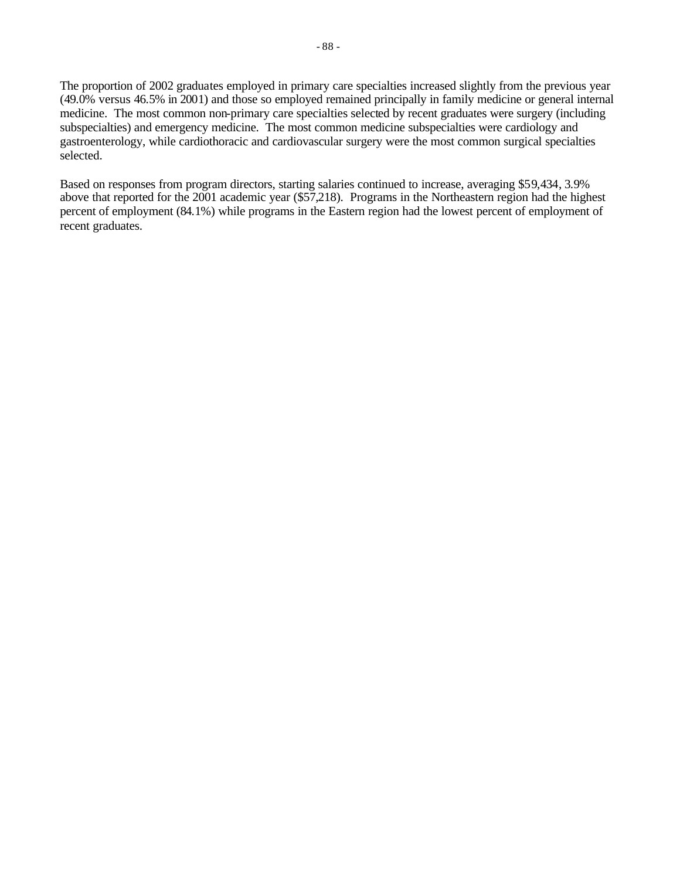The proportion of 2002 graduates employed in primary care specialties increased slightly from the previous year (49.0% versus 46.5% in 2001) and those so employed remained principally in family medicine or general internal medicine. The most common non-primary care specialties selected by recent graduates were surgery (including subspecialties) and emergency medicine. The most common medicine subspecialties were cardiology and gastroenterology, while cardiothoracic and cardiovascular surgery were the most common surgical specialties selected.

Based on responses from program directors, starting salaries continued to increase, averaging \$59,434, 3.9% above that reported for the 2001 academic year (\$57,218). Programs in the Northeastern region had the highest percent of employment (84.1%) while programs in the Eastern region had the lowest percent of employment of recent graduates.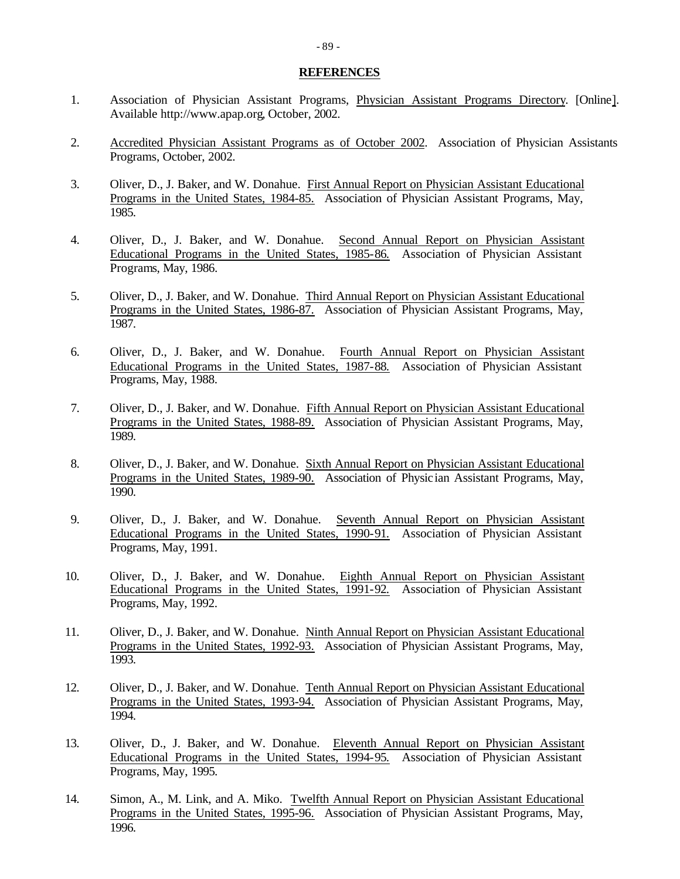#### **REFERENCES**

- 1. Association of Physician Assistant Programs, Physician Assistant Programs Directory. [Online]. Available http://www.apap.org, October, 2002.
- 2. Accredited Physician Assistant Programs as of October 2002. Association of Physician Assistants Programs, October, 2002.
- 3. Oliver, D., J. Baker, and W. Donahue. First Annual Report on Physician Assistant Educational Programs in the United States, 1984-85. Association of Physician Assistant Programs, May, 1985.
- 4. Oliver, D., J. Baker, and W. Donahue. Second Annual Report on Physician Assistant Educational Programs in the United States, 1985-86. Association of Physician Assistant Programs, May, 1986.
- 5. Oliver, D., J. Baker, and W. Donahue. Third Annual Report on Physician Assistant Educational Programs in the United States, 1986-87. Association of Physician Assistant Programs, May, 1987.
- 6. Oliver, D., J. Baker, and W. Donahue. Fourth Annual Report on Physician Assistant Educational Programs in the United States, 1987-88. Association of Physician Assistant Programs, May, 1988.
- 7. Oliver, D., J. Baker, and W. Donahue. Fifth Annual Report on Physician Assistant Educational Programs in the United States, 1988-89. Association of Physician Assistant Programs, May, 1989.
- 8. Oliver, D., J. Baker, and W. Donahue. Sixth Annual Report on Physician Assistant Educational Programs in the United States, 1989-90. Association of Physic ian Assistant Programs, May, 1990.
- 9. Oliver, D., J. Baker, and W. Donahue. Seventh Annual Report on Physician Assistant Educational Programs in the United States, 1990-91. Association of Physician Assistant Programs, May, 1991.
- 10. Oliver, D., J. Baker, and W. Donahue. Eighth Annual Report on Physician Assistant Educational Programs in the United States, 1991-92. Association of Physician Assistant Programs, May, 1992.
- 11. Oliver, D., J. Baker, and W. Donahue. Ninth Annual Report on Physician Assistant Educational Programs in the United States, 1992-93. Association of Physician Assistant Programs, May, 1993.
- 12. Oliver, D., J. Baker, and W. Donahue. Tenth Annual Report on Physician Assistant Educational Programs in the United States, 1993-94. Association of Physician Assistant Programs, May, 1994.
- 13. Oliver, D., J. Baker, and W. Donahue. Eleventh Annual Report on Physician Assistant Educational Programs in the United States, 1994-95. Association of Physician Assistant Programs, May, 1995.
- 14. Simon, A., M. Link, and A. Miko. Twelfth Annual Report on Physician Assistant Educational Programs in the United States, 1995-96. Association of Physician Assistant Programs, May, 1996.